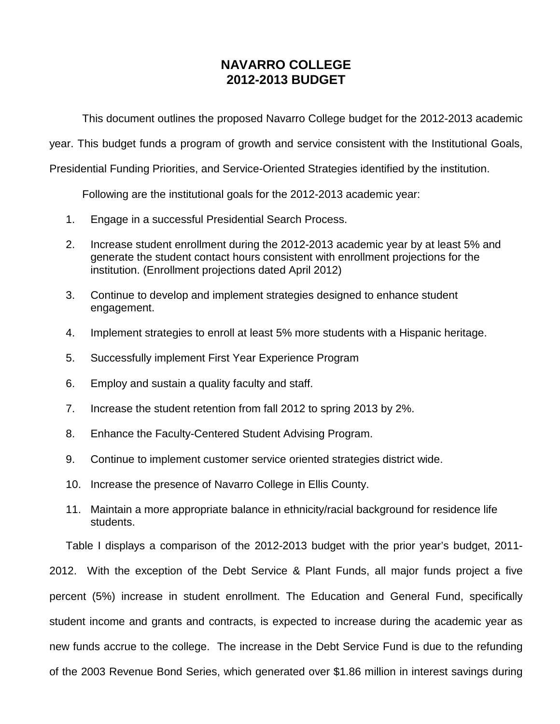# **NAVARRO COLLEGE 2012-2013 BUDGET**

This document outlines the proposed Navarro College budget for the 2012-2013 academic

year. This budget funds a program of growth and service consistent with the Institutional Goals,

Presidential Funding Priorities, and Service-Oriented Strategies identified by the institution.

Following are the institutional goals for the 2012-2013 academic year:

- 1. Engage in a successful Presidential Search Process.
- 2. Increase student enrollment during the 2012-2013 academic year by at least 5% and generate the student contact hours consistent with enrollment projections for the institution. (Enrollment projections dated April 2012)
- 3. Continue to develop and implement strategies designed to enhance student engagement.
- 4. Implement strategies to enroll at least 5% more students with a Hispanic heritage.
- 5. Successfully implement First Year Experience Program
- 6. Employ and sustain a quality faculty and staff.
- 7. Increase the student retention from fall 2012 to spring 2013 by 2%.
- 8. Enhance the Faculty-Centered Student Advising Program.
- 9. Continue to implement customer service oriented strategies district wide.
- 10. Increase the presence of Navarro College in Ellis County.
- 11. Maintain a more appropriate balance in ethnicity/racial background for residence life students.

Table I displays a comparison of the 2012-2013 budget with the prior year's budget, 2011- 2012. With the exception of the Debt Service & Plant Funds, all major funds project a five percent (5%) increase in student enrollment. The Education and General Fund, specifically student income and grants and contracts, is expected to increase during the academic year as new funds accrue to the college. The increase in the Debt Service Fund is due to the refunding of the 2003 Revenue Bond Series, which generated over \$1.86 million in interest savings during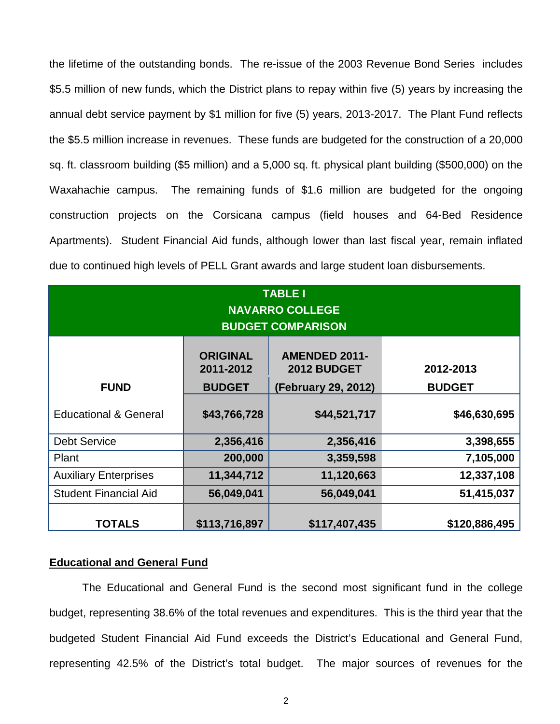the lifetime of the outstanding bonds. The re-issue of the 2003 Revenue Bond Series includes \$5.5 million of new funds, which the District plans to repay within five (5) years by increasing the annual debt service payment by \$1 million for five (5) years, 2013-2017. The Plant Fund reflects the \$5.5 million increase in revenues. These funds are budgeted for the construction of a 20,000 sq. ft. classroom building (\$5 million) and a 5,000 sq. ft. physical plant building (\$500,000) on the Waxahachie campus. The remaining funds of \$1.6 million are budgeted for the ongoing construction projects on the Corsicana campus (field houses and 64-Bed Residence Apartments). Student Financial Aid funds, although lower than last fiscal year, remain inflated due to continued high levels of PELL Grant awards and large student loan disbursements.

| <b>TABLE I</b><br><b>NAVARRO COLLEGE</b><br><b>BUDGET COMPARISON</b> |                                               |                                     |                            |  |  |  |  |
|----------------------------------------------------------------------|-----------------------------------------------|-------------------------------------|----------------------------|--|--|--|--|
| <b>FUND</b>                                                          | <b>ORIGINAL</b><br>2011-2012<br><b>BUDGET</b> | <b>AMENDED 2011-</b><br>2012 BUDGET | 2012-2013<br><b>BUDGET</b> |  |  |  |  |
| <b>Educational &amp; General</b>                                     | \$43,766,728                                  | (February 29, 2012)<br>\$44,521,717 | \$46,630,695               |  |  |  |  |
|                                                                      |                                               |                                     |                            |  |  |  |  |
| <b>Debt Service</b>                                                  | 2,356,416                                     | 2,356,416                           | 3,398,655                  |  |  |  |  |
| Plant                                                                | 200,000                                       | 3,359,598                           | 7,105,000                  |  |  |  |  |
| <b>Auxiliary Enterprises</b>                                         | 11,344,712                                    | 11,120,663                          | 12,337,108                 |  |  |  |  |
| <b>Student Financial Aid</b>                                         | 56,049,041                                    | 56,049,041                          | 51,415,037                 |  |  |  |  |
| <b>TOTALS</b>                                                        | \$113,716,897                                 | \$117,407,435                       | \$120,886,495              |  |  |  |  |

## **Educational and General Fund**

The Educational and General Fund is the second most significant fund in the college budget, representing 38.6% of the total revenues and expenditures. This is the third year that the budgeted Student Financial Aid Fund exceeds the District's Educational and General Fund, representing 42.5% of the District's total budget. The major sources of revenues for the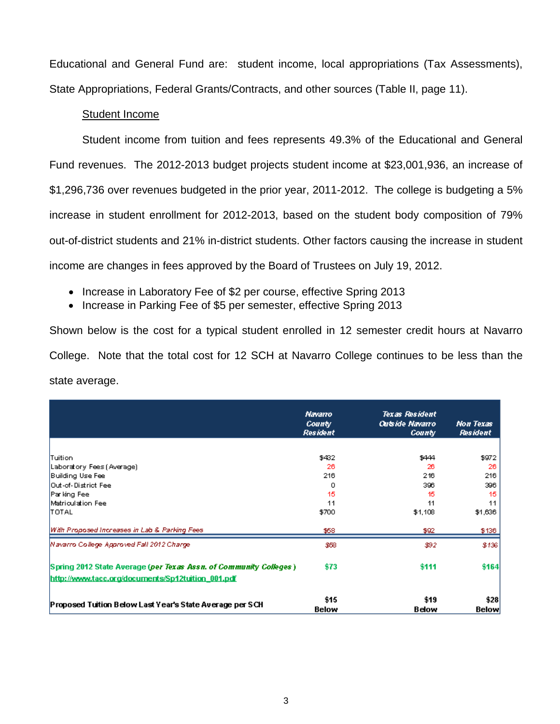Educational and General Fund are: student income, local appropriations (Tax Assessments), State Appropriations, Federal Grants/Contracts, and other sources (Table II, page 11).

# Student Income

Student income from tuition and fees represents 49.3% of the Educational and General Fund revenues. The 2012-2013 budget projects student income at \$23,001,936, an increase of \$1,296,736 over revenues budgeted in the prior year, 2011-2012. The college is budgeting a 5% increase in student enrollment for 2012-2013, based on the student body composition of 79% out-of-district students and 21% in-district students. Other factors causing the increase in student income are changes in fees approved by the Board of Trustees on July 19, 2012.

- Increase in Laboratory Fee of \$2 per course, effective Spring 2013
- Increase in Parking Fee of \$5 per semester, effective Spring 2013

Shown below is the cost for a typical student enrolled in 12 semester credit hours at Navarro College. Note that the total cost for 12 SCH at Navarro College continues to be less than the state average.

|                                                                                                                        | Navarro<br><b>County</b><br><b>Resident</b> | <b>Texas Resident</b><br><b>Outside Navarro</b><br><b>County</b> | Non Texas<br><b>Resident</b> |
|------------------------------------------------------------------------------------------------------------------------|---------------------------------------------|------------------------------------------------------------------|------------------------------|
| Tuition                                                                                                                | \$432                                       | \$444                                                            | \$972                        |
| Laboratory Fees (Average)                                                                                              | 26                                          | 26                                                               | 26                           |
| Building Use Fee                                                                                                       | 216                                         | 216                                                              | 216                          |
| Out-of-District Fee                                                                                                    | 0                                           | 396                                                              | 396                          |
| Parking Fee                                                                                                            | 15                                          | 15                                                               | 15                           |
| Matriculation Fee                                                                                                      | 11                                          | 11                                                               | 11                           |
| TOTAL                                                                                                                  | \$700                                       | \$1,108                                                          | \$1,636                      |
| With Proposed Increases in Lab & Parking Fees                                                                          | \$58                                        | \$92                                                             | \$136                        |
| Navarro College Agaroved Fall 2012 Charge                                                                              | \$68                                        | \$92                                                             | \$136                        |
| Spring 2012 State Average (per Texas Assn. of Community Colleges)<br>http://www.tacc.org/documents/Sp12tuition_001.pdf | \$73                                        | \$111                                                            | \$164                        |
| Proposed Tuition Below Last Year's State Average per SCH                                                               | \$15<br><b>Below</b>                        | \$19<br><b>Below</b>                                             | \$28<br><b>Below</b>         |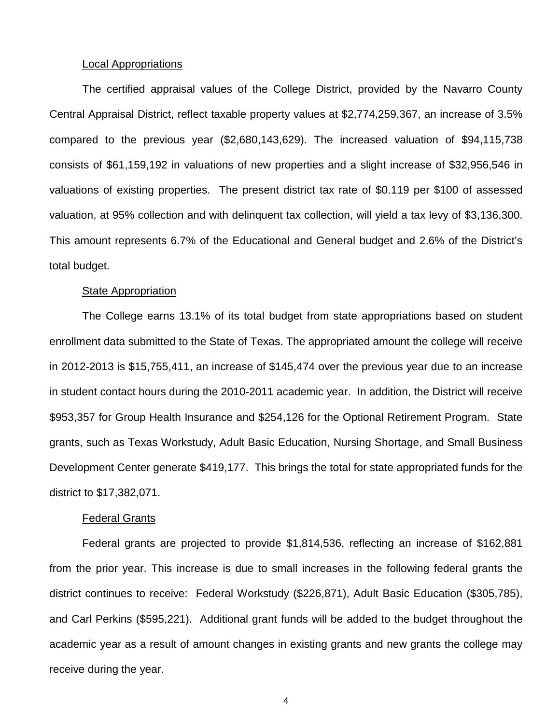### Local Appropriations

The certified appraisal values of the College District, provided by the Navarro County Central Appraisal District, reflect taxable property values at \$2,774,259,367, an increase of 3.5% compared to the previous year (\$2,680,143,629). The increased valuation of \$94,115,738 consists of \$61,159,192 in valuations of new properties and a slight increase of \$32,956,546 in valuations of existing properties. The present district tax rate of \$0.119 per \$100 of assessed valuation, at 95% collection and with delinquent tax collection, will yield a tax levy of \$3,136,300. This amount represents 6.7% of the Educational and General budget and 2.6% of the District's total budget.

### **State Appropriation**

The College earns 13.1% of its total budget from state appropriations based on student enrollment data submitted to the State of Texas. The appropriated amount the college will receive in 2012-2013 is \$15,755,411, an increase of \$145,474 over the previous year due to an increase in student contact hours during the 2010-2011 academic year. In addition, the District will receive \$953,357 for Group Health Insurance and \$254,126 for the Optional Retirement Program. State grants, such as Texas Workstudy, Adult Basic Education, Nursing Shortage, and Small Business Development Center generate \$419,177. This brings the total for state appropriated funds for the district to \$17,382,071.

### Federal Grants

Federal grants are projected to provide \$1,814,536, reflecting an increase of \$162,881 from the prior year. This increase is due to small increases in the following federal grants the district continues to receive: Federal Workstudy (\$226,871), Adult Basic Education (\$305,785), and Carl Perkins (\$595,221). Additional grant funds will be added to the budget throughout the academic year as a result of amount changes in existing grants and new grants the college may receive during the year.

4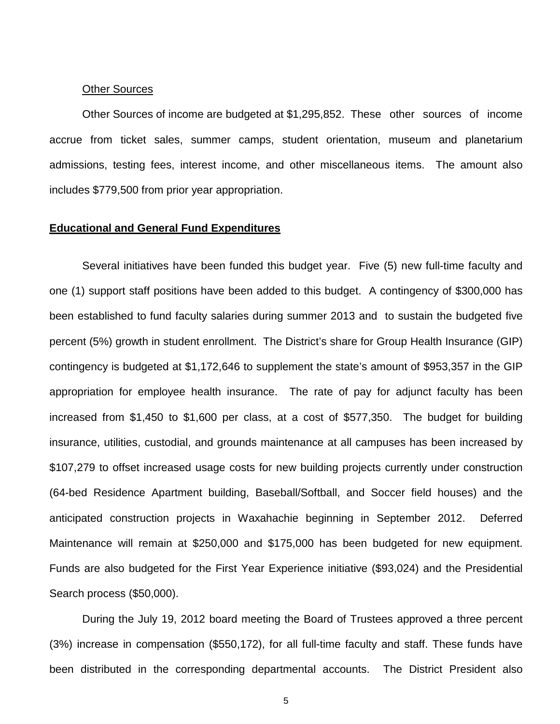### Other Sources

Other Sources of income are budgeted at \$1,295,852. These other sources of income accrue from ticket sales, summer camps, student orientation, museum and planetarium admissions, testing fees, interest income, and other miscellaneous items. The amount also includes \$779,500 from prior year appropriation.

# **Educational and General Fund Expenditures**

Several initiatives have been funded this budget year. Five (5) new full-time faculty and one (1) support staff positions have been added to this budget. A contingency of \$300,000 has been established to fund faculty salaries during summer 2013 and to sustain the budgeted five percent (5%) growth in student enrollment. The District's share for Group Health Insurance (GIP) contingency is budgeted at \$1,172,646 to supplement the state's amount of \$953,357 in the GIP appropriation for employee health insurance. The rate of pay for adjunct faculty has been increased from \$1,450 to \$1,600 per class, at a cost of \$577,350. The budget for building insurance, utilities, custodial, and grounds maintenance at all campuses has been increased by \$107,279 to offset increased usage costs for new building projects currently under construction (64-bed Residence Apartment building, Baseball/Softball, and Soccer field houses) and the anticipated construction projects in Waxahachie beginning in September 2012. Deferred Maintenance will remain at \$250,000 and \$175,000 has been budgeted for new equipment. Funds are also budgeted for the First Year Experience initiative (\$93,024) and the Presidential Search process (\$50,000).

During the July 19, 2012 board meeting the Board of Trustees approved a three percent (3%) increase in compensation (\$550,172), for all full-time faculty and staff. These funds have been distributed in the corresponding departmental accounts. The District President also

5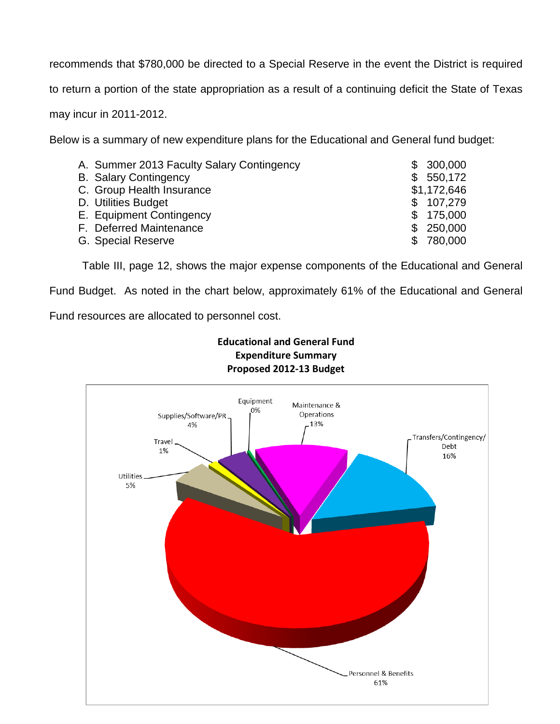recommends that \$780,000 be directed to a Special Reserve in the event the District is required to return a portion of the state appropriation as a result of a continuing deficit the State of Texas may incur in 2011-2012.

Below is a summary of new expenditure plans for the Educational and General fund budget:

| A. Summer 2013 Faculty Salary Contingency | \$. | 300,000     |
|-------------------------------------------|-----|-------------|
| <b>B. Salary Contingency</b>              | £.  | 550,172     |
| C. Group Health Insurance                 |     | \$1,172,646 |
| D. Utilities Budget                       |     | \$107,279   |
| E. Equipment Contingency                  |     | \$175,000   |
| F. Deferred Maintenance                   | SS. | 250,000     |
| G. Special Reserve                        |     | \$780,000   |

Table III, page 12, shows the major expense components of the Educational and General

Fund Budget. As noted in the chart below, approximately 61% of the Educational and General

Fund resources are allocated to personnel cost.

# **Educational and General Fund Expenditure Summary Proposed 2012-13 Budget**

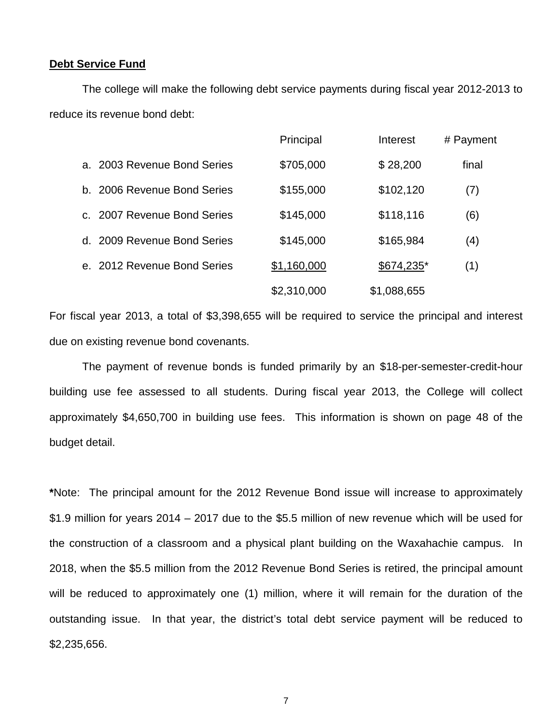### **Debt Service Fund**

The college will make the following debt service payments during fiscal year 2012-2013 to reduce its revenue bond debt:

|                                         |                          | Principal   | Interest    | # Payment |
|-----------------------------------------|--------------------------|-------------|-------------|-----------|
| a. 2003 Revenue Bond Series             |                          | \$705,000   | \$28,200    | final     |
| 2006 Revenue Bond Series<br>b.          |                          | \$155,000   | \$102,120   | (7)       |
| $\mathsf{C}$                            | 2007 Revenue Bond Series | \$145,000   | \$118,116   | (6)       |
| d. 2009 Revenue Bond Series             |                          | \$145,000   | \$165,984   | (4)       |
| 2012 Revenue Bond Series<br>$e_{\perp}$ |                          | \$1,160,000 | \$674,235*  | (1)       |
|                                         |                          | \$2,310,000 | \$1,088,655 |           |

For fiscal year 2013, a total of \$3,398,655 will be required to service the principal and interest due on existing revenue bond covenants.

The payment of revenue bonds is funded primarily by an \$18-per-semester-credit-hour building use fee assessed to all students. During fiscal year 2013, the College will collect approximately \$4,650,700 in building use fees. This information is shown on page 48 of the budget detail.

**\***Note: The principal amount for the 2012 Revenue Bond issue will increase to approximately \$1.9 million for years 2014 – 2017 due to the \$5.5 million of new revenue which will be used for the construction of a classroom and a physical plant building on the Waxahachie campus. In 2018, when the \$5.5 million from the 2012 Revenue Bond Series is retired, the principal amount will be reduced to approximately one (1) million, where it will remain for the duration of the outstanding issue. In that year, the district's total debt service payment will be reduced to \$2,235,656.

7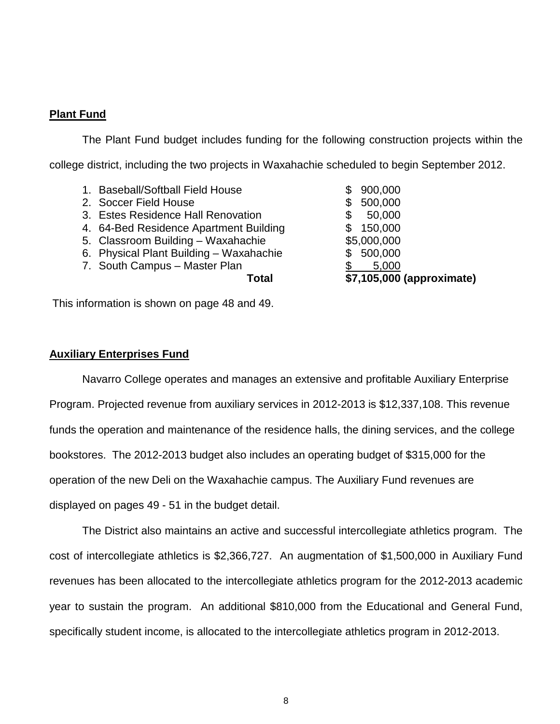## **Plant Fund**

The Plant Fund budget includes funding for the following construction projects within the college district, including the two projects in Waxahachie scheduled to begin September 2012.

| 7. South Campus - Master Plan           |     | 5,000<br>\$7,105,000 (approximate) |
|-----------------------------------------|-----|------------------------------------|
| 6. Physical Plant Building - Waxahachie |     | \$500,000                          |
| 5. Classroom Building - Waxahachie      |     | \$5,000,000                        |
| 4. 64-Bed Residence Apartment Building  |     | \$150,000                          |
| 3. Estes Residence Hall Renovation      |     | 50,000                             |
| 2. Soccer Field House                   | SS. | 500,000                            |
| 1. Baseball/Softball Field House        |     | \$900,000                          |
|                                         |     |                                    |

This information is shown on page 48 and 49.

# **Auxiliary Enterprises Fund**

Navarro College operates and manages an extensive and profitable Auxiliary Enterprise Program. Projected revenue from auxiliary services in 2012-2013 is \$12,337,108. This revenue funds the operation and maintenance of the residence halls, the dining services, and the college bookstores. The 2012-2013 budget also includes an operating budget of \$315,000 for the operation of the new Deli on the Waxahachie campus. The Auxiliary Fund revenues are displayed on pages 49 - 51 in the budget detail.

The District also maintains an active and successful intercollegiate athletics program. The cost of intercollegiate athletics is \$2,366,727. An augmentation of \$1,500,000 in Auxiliary Fund revenues has been allocated to the intercollegiate athletics program for the 2012-2013 academic year to sustain the program. An additional \$810,000 from the Educational and General Fund, specifically student income, is allocated to the intercollegiate athletics program in 2012-2013.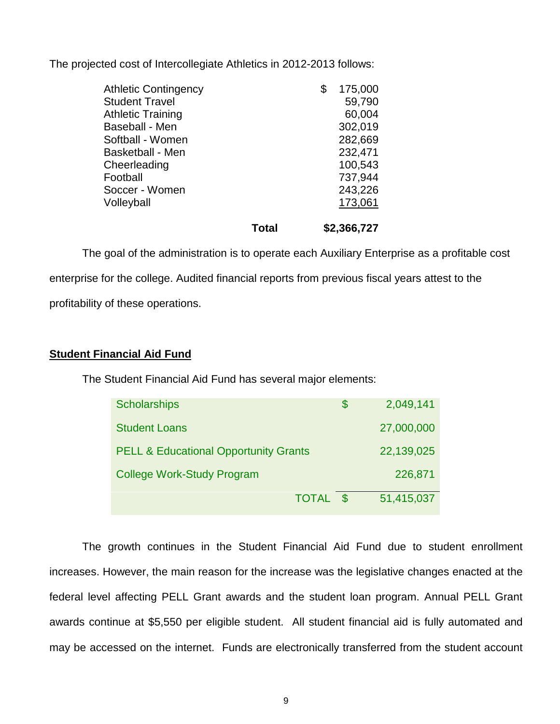The projected cost of Intercollegiate Athletics in 2012-2013 follows:

|                             | Total | \$2,366,727   |
|-----------------------------|-------|---------------|
| Volleyball                  |       | 173,061       |
|                             |       |               |
| Soccer - Women              |       | 243,226       |
| Football                    |       | 737,944       |
| Cheerleading                |       | 100,543       |
| <b>Basketball - Men</b>     |       | 232,471       |
| Softball - Women            |       | 282,669       |
| Baseball - Men              |       | 302,019       |
| <b>Athletic Training</b>    |       | 60,004        |
|                             |       |               |
| <b>Student Travel</b>       |       | 59,790        |
| <b>Athletic Contingency</b> |       | \$<br>175,000 |

The goal of the administration is to operate each Auxiliary Enterprise as a profitable cost enterprise for the college. Audited financial reports from previous fiscal years attest to the profitability of these operations.

# **Student Financial Aid Fund**

The Student Financial Aid Fund has several major elements:

| <b>Scholarships</b>                              |              | \$       | 2,049,141  |
|--------------------------------------------------|--------------|----------|------------|
| <b>Student Loans</b>                             |              |          | 27,000,000 |
| <b>PELL &amp; Educational Opportunity Grants</b> |              |          | 22,139,025 |
| <b>College Work-Study Program</b>                |              |          | 226,871    |
|                                                  | <b>TOTAL</b> | <b>S</b> | 51,415,037 |

The growth continues in the Student Financial Aid Fund due to student enrollment increases. However, the main reason for the increase was the legislative changes enacted at the federal level affecting PELL Grant awards and the student loan program. Annual PELL Grant awards continue at \$5,550 per eligible student. All student financial aid is fully automated and may be accessed on the internet. Funds are electronically transferred from the student account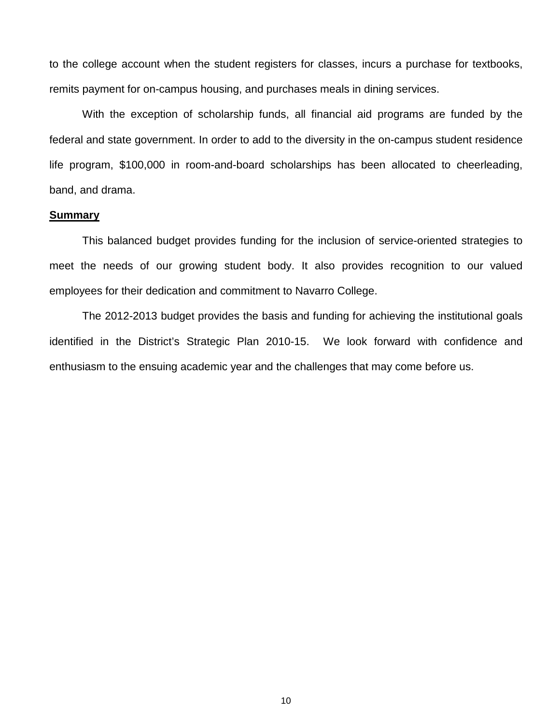to the college account when the student registers for classes, incurs a purchase for textbooks, remits payment for on-campus housing, and purchases meals in dining services.

With the exception of scholarship funds, all financial aid programs are funded by the federal and state government. In order to add to the diversity in the on-campus student residence life program, \$100,000 in room-and-board scholarships has been allocated to cheerleading, band, and drama.

### **Summary**

This balanced budget provides funding for the inclusion of service-oriented strategies to meet the needs of our growing student body. It also provides recognition to our valued employees for their dedication and commitment to Navarro College.

The 2012-2013 budget provides the basis and funding for achieving the institutional goals identified in the District's Strategic Plan 2010-15. We look forward with confidence and enthusiasm to the ensuing academic year and the challenges that may come before us.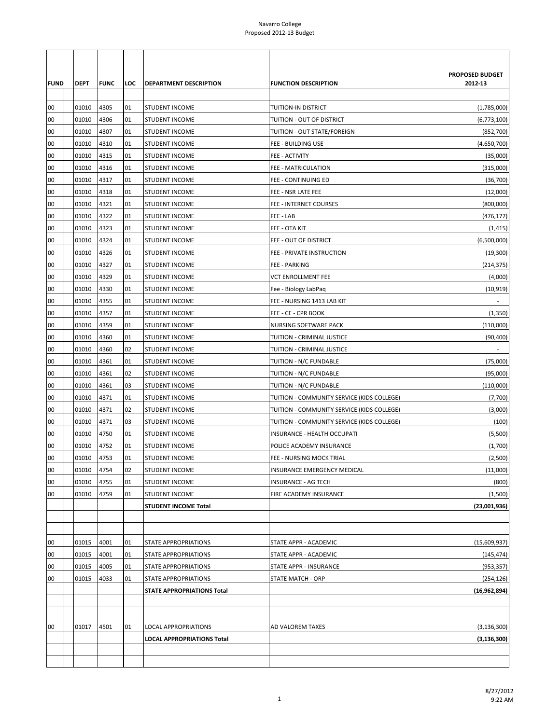| <b>FUND</b> | <b>DEPT</b> | <b>FUNC</b> | LOC | <b>DEPARTMENT DESCRIPTION</b>     | <b>FUNCTION DESCRIPTION</b>                | PROPOSED BUDGET<br>2012-13 |
|-------------|-------------|-------------|-----|-----------------------------------|--------------------------------------------|----------------------------|
| 00          | 01010       | 4305        | 01  | <b>STUDENT INCOME</b>             | <b>TUITION-IN DISTRICT</b>                 | (1,785,000)                |
| 00          | 01010       | 4306        | 01  | <b>STUDENT INCOME</b>             | TUITION - OUT OF DISTRICT                  | (6,773,100)                |
| 00          | 01010       | 4307        | 01  | <b>STUDENT INCOME</b>             | TUITION - OUT STATE/FOREIGN                | (852,700)                  |
| 00          | 01010       | 4310        | 01  | <b>STUDENT INCOME</b>             | FEE - BUILDING USE                         | (4,650,700)                |
| 00          | 01010       | 4315        | 01  | <b>STUDENT INCOME</b>             | FEE - ACTIVITY                             | (35,000)                   |
| 00          | 01010       | 4316        | 01  | <b>STUDENT INCOME</b>             | FEE - MATRICULATION                        | (315,000)                  |
| 00          | 01010       | 4317        | 01  | STUDENT INCOME                    | FEE - CONTINUING ED                        | (36, 700)                  |
| 00          | 01010       | 4318        | 01  | <b>STUDENT INCOME</b>             | FEE - NSR LATE FEE                         | (12,000)                   |
| 00          | 01010       | 4321        | 01  | <b>STUDENT INCOME</b>             | FEE - INTERNET COURSES                     | (800,000)                  |
| 00          | 01010       | 4322        | 01  | <b>STUDENT INCOME</b>             | FEE - LAB                                  | (476, 177)                 |
| 00          | 01010       | 4323        | 01  | <b>STUDENT INCOME</b>             | FEE - OTA KIT                              | (1, 415)                   |
| 00          | 01010       | 4324        | 01  | <b>STUDENT INCOME</b>             | FEE - OUT OF DISTRICT                      | (6,500,000)                |
| 00          | 01010       | 4326        | 01  | <b>STUDENT INCOME</b>             | FEE - PRIVATE INSTRUCTION                  | (19,300)                   |
| 00          | 01010       | 4327        | 01  | <b>STUDENT INCOME</b>             | FEE - PARKING                              | (214, 375)                 |
| 00          | 01010       | 4329        | 01  | <b>STUDENT INCOME</b>             | VCT ENROLLMENT FEE                         | (4,000)                    |
| 00          | 01010       | 4330        | 01  | <b>STUDENT INCOME</b>             | Fee - Biology LabPaq                       | (10, 919)                  |
| 00          | 01010       | 4355        | 01  | STUDENT INCOME                    | FEE - NURSING 1413 LAB KIT                 |                            |
| 00          | 01010       | 4357        | 01  | <b>STUDENT INCOME</b>             | FEE - CE - CPR BOOK                        | (1, 350)                   |
| 00          | 01010       | 4359        | 01  | <b>STUDENT INCOME</b>             | NURSING SOFTWARE PACK                      | (110,000)                  |
| 00          | 01010       | 4360        | 01  | <b>STUDENT INCOME</b>             | TUITION - CRIMINAL JUSTICE                 | (90, 400)                  |
| 00          | 01010       | 4360        | 02  | <b>STUDENT INCOME</b>             | TUITION - CRIMINAL JUSTICE                 |                            |
| 00          | 01010       | 4361        | 01  | <b>STUDENT INCOME</b>             | TUITION - N/C FUNDABLE                     | (75,000)                   |
| 00          | 01010       | 4361        | 02  | <b>STUDENT INCOME</b>             | TUITION - N/C FUNDABLE                     | (95,000)                   |
| 00          | 01010       | 4361        | 03  | <b>STUDENT INCOME</b>             | TUITION - N/C FUNDABLE                     | (110,000)                  |
| 00          | 01010       | 4371        | 01  | <b>STUDENT INCOME</b>             | TUITION - COMMUNITY SERVICE (KIDS COLLEGE) | (7,700)                    |
| 00          | 01010       | 4371        | 02  | <b>STUDENT INCOME</b>             | TUITION - COMMUNITY SERVICE (KIDS COLLEGE) | (3,000)                    |
| 00          | 01010       | 4371        | 03  | STUDENT INCOME                    | TUITION - COMMUNITY SERVICE (KIDS COLLEGE) | (100)                      |
| 00          | 01010       | 4750        | 01  | <b>STUDENT INCOME</b>             | INSURANCE - HEALTH OCCUPATI                | (5,500)                    |
| 00          | 01010       | 4752        | 01  | <b>STUDENT INCOME</b>             | POLICE ACADEMY INSURANCE                   | (1,700)                    |
| 00          | 01010       | 4753        | 01  | <b>STUDENT INCOME</b>             | FEE - NURSING MOCK TRIAL                   | (2,500)                    |
| 00          | 01010       | 4754        | 02  | <b>STUDENT INCOME</b>             | INSURANCE EMERGENCY MEDICAL                | (11,000)                   |
| 00          | 01010       | 4755        | 01  | <b>STUDENT INCOME</b>             | INSURANCE - AG TECH                        | (800)                      |
| 00          | 01010       | 4759        | 01  | <b>STUDENT INCOME</b>             | FIRE ACADEMY INSURANCE                     | (1,500)                    |
|             |             |             |     | STUDENT INCOME Total              |                                            | (23,001,936)               |
|             |             |             |     |                                   |                                            |                            |
|             |             |             |     |                                   |                                            |                            |
| 00          | 01015       | 4001        | 01  | STATE APPROPRIATIONS              | STATE APPR - ACADEMIC                      | (15,609,937)               |
| 00          | 01015       | 4001        | 01  | STATE APPROPRIATIONS              | STATE APPR - ACADEMIC                      |                            |
|             |             |             |     |                                   |                                            | (145, 474)                 |
| 00          | 01015       | 4005        | 01  | STATE APPROPRIATIONS              | STATE APPR - INSURANCE                     | (953, 357)                 |
| 00          | 01015       | 4033        | 01  | STATE APPROPRIATIONS              | <b>STATE MATCH - ORP</b>                   | (254, 126)                 |
|             |             |             |     | <b>STATE APPROPRIATIONS Total</b> |                                            | (16,962,894)               |
|             |             |             |     |                                   |                                            |                            |
| 00          | 01017       | 4501        | 01  | LOCAL APPROPRIATIONS              | AD VALOREM TAXES                           | (3, 136, 300)              |
|             |             |             |     | <b>LOCAL APPROPRIATIONS Total</b> |                                            | (3, 136, 300)              |
|             |             |             |     |                                   |                                            |                            |
|             |             |             |     |                                   |                                            |                            |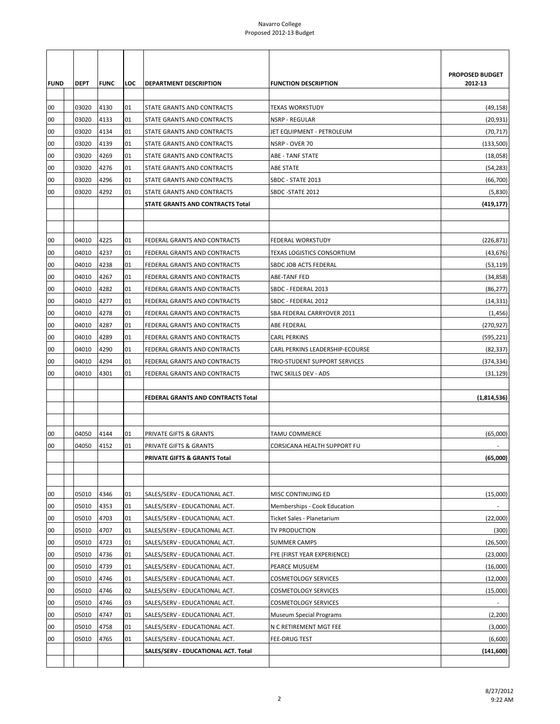| <b>FUND</b><br>00<br>00<br>00<br>00<br>00<br>00<br>00<br>00 | <b>DEPT</b><br>03020<br>03020<br>03020<br>03020<br>03020<br>03020<br>03020<br>03020 | <b>FUNC</b><br>4130<br>4133<br>4134<br>4139<br>4269<br>4276<br>4296<br>4292 | LOC<br>01<br>01<br>01<br>01<br>01<br>01<br>01<br>01 | <b>DEPARTMENT DESCRIPTION</b><br>STATE GRANTS AND CONTRACTS<br>STATE GRANTS AND CONTRACTS<br>STATE GRANTS AND CONTRACTS<br>STATE GRANTS AND CONTRACTS<br>STATE GRANTS AND CONTRACTS<br>STATE GRANTS AND CONTRACTS<br>STATE GRANTS AND CONTRACTS<br>STATE GRANTS AND CONTRACTS | <b>FUNCTION DESCRIPTION</b><br>TEXAS WORKSTUDY<br><b>NSRP - REGULAR</b><br>JET EQUIPMENT - PETROLEUM<br>NSRP - OVER 70<br><b>ABE - TANF STATE</b><br><b>ABE STATE</b><br>SBDC - STATE 2013<br>SBDC - STATE 2012 | <b>PROPOSED BUDGET</b><br>2012-13<br>(49, 158)<br>(20, 931)<br>(70, 717)<br>(133,500)<br>(18,058)<br>(54, 283)<br>(66, 700)<br>(5,830) |
|-------------------------------------------------------------|-------------------------------------------------------------------------------------|-----------------------------------------------------------------------------|-----------------------------------------------------|-------------------------------------------------------------------------------------------------------------------------------------------------------------------------------------------------------------------------------------------------------------------------------|-----------------------------------------------------------------------------------------------------------------------------------------------------------------------------------------------------------------|----------------------------------------------------------------------------------------------------------------------------------------|
|                                                             |                                                                                     |                                                                             |                                                     | STATE GRANTS AND CONTRACTS Total                                                                                                                                                                                                                                              |                                                                                                                                                                                                                 | (419, 177)                                                                                                                             |
|                                                             |                                                                                     |                                                                             |                                                     |                                                                                                                                                                                                                                                                               |                                                                                                                                                                                                                 |                                                                                                                                        |
| 00                                                          | 04010                                                                               | 4225                                                                        | 01                                                  | FEDERAL GRANTS AND CONTRACTS                                                                                                                                                                                                                                                  | <b>FEDERAL WORKSTUDY</b>                                                                                                                                                                                        | (226, 871)                                                                                                                             |
| 00                                                          | 04010                                                                               | 4237                                                                        | 01                                                  | FEDERAL GRANTS AND CONTRACTS                                                                                                                                                                                                                                                  | TEXAS LOGISTICS CONSORTIUM                                                                                                                                                                                      | (43, 676)                                                                                                                              |
| 00                                                          | 04010                                                                               | 4238                                                                        | 01                                                  | FEDERAL GRANTS AND CONTRACTS                                                                                                                                                                                                                                                  | SBDC JOB ACTS FEDERAL                                                                                                                                                                                           | (53, 119)                                                                                                                              |
| 00                                                          | 04010                                                                               | 4267                                                                        | 01                                                  | FEDERAL GRANTS AND CONTRACTS                                                                                                                                                                                                                                                  | <b>ABE-TANF FED</b>                                                                                                                                                                                             | (34, 858)                                                                                                                              |
| 00                                                          | 04010                                                                               | 4282                                                                        | 01                                                  | FEDERAL GRANTS AND CONTRACTS                                                                                                                                                                                                                                                  | SBDC - FEDERAL 2013                                                                                                                                                                                             | (86, 277)                                                                                                                              |
| 00                                                          | 04010                                                                               | 4277                                                                        | 01                                                  | FEDERAL GRANTS AND CONTRACTS                                                                                                                                                                                                                                                  | SBDC - FEDERAL 2012                                                                                                                                                                                             | (14, 331)                                                                                                                              |
| 00                                                          | 04010                                                                               | 4278                                                                        | 01                                                  | FEDERAL GRANTS AND CONTRACTS                                                                                                                                                                                                                                                  | SBA FEDERAL CARRYOVER 2011                                                                                                                                                                                      | (1, 456)                                                                                                                               |
| 00                                                          | 04010                                                                               | 4287                                                                        | 01                                                  | FEDERAL GRANTS AND CONTRACTS                                                                                                                                                                                                                                                  | ABE FEDERAL                                                                                                                                                                                                     | (270, 927)                                                                                                                             |
| 00<br>00                                                    | 04010<br>04010                                                                      | 4289<br>4290                                                                | 01<br>01                                            | FEDERAL GRANTS AND CONTRACTS<br>FEDERAL GRANTS AND CONTRACTS                                                                                                                                                                                                                  | <b>CARL PERKINS</b><br>CARL PERKINS LEADERSHIP-ECOURSE                                                                                                                                                          | (595, 221)                                                                                                                             |
| 00                                                          | 04010                                                                               | 4294                                                                        | 01                                                  | FEDERAL GRANTS AND CONTRACTS                                                                                                                                                                                                                                                  | TRIO-STUDENT SUPPORT SERVICES                                                                                                                                                                                   | (82, 337)<br>(374, 334)                                                                                                                |
| 00                                                          | 04010                                                                               | 4301                                                                        | 01                                                  | FEDERAL GRANTS AND CONTRACTS                                                                                                                                                                                                                                                  | TWC SKILLS DEV - ADS                                                                                                                                                                                            | (31, 129)                                                                                                                              |
|                                                             |                                                                                     |                                                                             |                                                     |                                                                                                                                                                                                                                                                               |                                                                                                                                                                                                                 |                                                                                                                                        |
|                                                             |                                                                                     |                                                                             |                                                     | FEDERAL GRANTS AND CONTRACTS Total                                                                                                                                                                                                                                            |                                                                                                                                                                                                                 | (1,814,536)                                                                                                                            |
|                                                             |                                                                                     |                                                                             |                                                     |                                                                                                                                                                                                                                                                               |                                                                                                                                                                                                                 |                                                                                                                                        |
|                                                             |                                                                                     |                                                                             |                                                     |                                                                                                                                                                                                                                                                               |                                                                                                                                                                                                                 |                                                                                                                                        |
| 00                                                          | 04050                                                                               | 4144                                                                        | 01                                                  | PRIVATE GIFTS & GRANTS                                                                                                                                                                                                                                                        | TAMU COMMERCE                                                                                                                                                                                                   | (65,000)                                                                                                                               |
| 00                                                          | 04050                                                                               | 4152                                                                        | 01                                                  | PRIVATE GIFTS & GRANTS<br>PRIVATE GIFTS & GRANTS Total                                                                                                                                                                                                                        | CORSICANA HEALTH SUPPORT FU                                                                                                                                                                                     | (65,000)                                                                                                                               |
|                                                             |                                                                                     |                                                                             |                                                     |                                                                                                                                                                                                                                                                               |                                                                                                                                                                                                                 |                                                                                                                                        |
|                                                             |                                                                                     |                                                                             |                                                     |                                                                                                                                                                                                                                                                               |                                                                                                                                                                                                                 |                                                                                                                                        |
| 00                                                          | 05010                                                                               | 4346                                                                        | 01                                                  | SALES/SERV - EDUCATIONAL ACT.                                                                                                                                                                                                                                                 | MISC CONTINUING ED                                                                                                                                                                                              | (15,000)                                                                                                                               |
| 00                                                          | 05010                                                                               | 4353                                                                        | 01                                                  | SALES/SERV - EDUCATIONAL ACT.                                                                                                                                                                                                                                                 | Memberships - Cook Education                                                                                                                                                                                    |                                                                                                                                        |
| 00                                                          | 05010                                                                               | 4703                                                                        | 01                                                  | SALES/SERV - EDUCATIONAL ACT.                                                                                                                                                                                                                                                 | Ticket Sales - Planetarium                                                                                                                                                                                      | (22,000)                                                                                                                               |
| 00                                                          | 05010                                                                               | 4707                                                                        | 01                                                  | SALES/SERV - EDUCATIONAL ACT.                                                                                                                                                                                                                                                 | TV PRODUCTION                                                                                                                                                                                                   | (300)                                                                                                                                  |
| 00                                                          | 05010                                                                               | 4723                                                                        | 01                                                  | SALES/SERV - EDUCATIONAL ACT.                                                                                                                                                                                                                                                 | <b>SUMMER CAMPS</b>                                                                                                                                                                                             | (26, 500)                                                                                                                              |
| 00                                                          | 05010                                                                               | 4736                                                                        | 01                                                  | SALES/SERV - EDUCATIONAL ACT.                                                                                                                                                                                                                                                 | FYE (FIRST YEAR EXPERIENCE)                                                                                                                                                                                     | (23,000)                                                                                                                               |
| 00                                                          | 05010                                                                               | 4739                                                                        | 01                                                  | SALES/SERV - EDUCATIONAL ACT.                                                                                                                                                                                                                                                 | PEARCE MUSUEM                                                                                                                                                                                                   | (16,000)                                                                                                                               |
| 00                                                          | 05010<br>05010                                                                      | 4746<br>4746                                                                | 01<br>02                                            | SALES/SERV - EDUCATIONAL ACT.                                                                                                                                                                                                                                                 | <b>COSMETOLOGY SERVICES</b>                                                                                                                                                                                     | (12,000)                                                                                                                               |
| 00<br>00                                                    | 05010                                                                               | 4746                                                                        | 03                                                  | SALES/SERV - EDUCATIONAL ACT.<br>SALES/SERV - EDUCATIONAL ACT.                                                                                                                                                                                                                | <b>COSMETOLOGY SERVICES</b><br><b>COSMETOLOGY SERVICES</b>                                                                                                                                                      | (15,000)                                                                                                                               |
| 00                                                          | 05010                                                                               | 4747                                                                        | 01                                                  | SALES/SERV - EDUCATIONAL ACT.                                                                                                                                                                                                                                                 | Museum Special Programs                                                                                                                                                                                         | (2,200)                                                                                                                                |
| 00                                                          | 05010                                                                               | 4758                                                                        | 01                                                  | SALES/SERV - EDUCATIONAL ACT.                                                                                                                                                                                                                                                 | N C RETIREMENT MGT FEE                                                                                                                                                                                          | (3,000)                                                                                                                                |
| 00                                                          | 05010                                                                               | 4765                                                                        | 01                                                  | SALES/SERV - EDUCATIONAL ACT.                                                                                                                                                                                                                                                 | <b>FEE-DRUG TEST</b>                                                                                                                                                                                            | (6,600)                                                                                                                                |
|                                                             |                                                                                     |                                                                             |                                                     | SALES/SERV - EDUCATIONAL ACT. Total                                                                                                                                                                                                                                           |                                                                                                                                                                                                                 | (141,600)                                                                                                                              |
|                                                             |                                                                                     |                                                                             |                                                     |                                                                                                                                                                                                                                                                               |                                                                                                                                                                                                                 |                                                                                                                                        |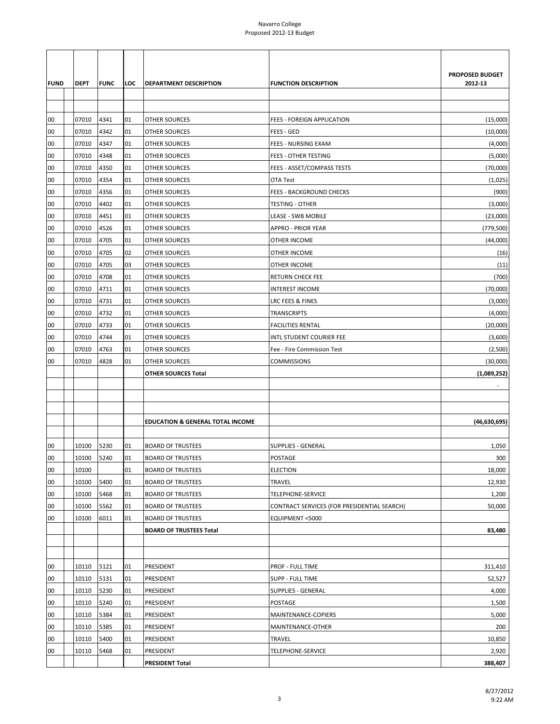| <b>FUND</b> | DEPT       | <b>FUNC</b> | LOC | DEPARTMENT DESCRIPTION                      | <b>FUNCTION DESCRIPTION</b>                 | PROPOSED BUDGET<br>2012-13 |
|-------------|------------|-------------|-----|---------------------------------------------|---------------------------------------------|----------------------------|
|             |            |             |     |                                             |                                             |                            |
| 00          | 07010      | 4341        | 01  | <b>OTHER SOURCES</b>                        | FEES - FOREIGN APPLICATION                  | (15,000)                   |
| 00          | 07010      | 4342        | 01  | OTHER SOURCES                               | FEES - GED                                  | (10,000)                   |
| 00          | 07010      | 4347        | 01  | <b>OTHER SOURCES</b>                        | FEES - NURSING EXAM                         | (4,000)                    |
| 00          | 07010      | 4348        | 01  | OTHER SOURCES                               | FEES - OTHER TESTING                        | (5,000)                    |
| 00          | 07010      | 4350        | 01  | <b>OTHER SOURCES</b>                        | FEES - ASSET/COMPASS TESTS                  | (70,000)                   |
| 00          | 07010      | 4354        | 01  | <b>OTHER SOURCES</b>                        | OTA Test                                    | (1,025)                    |
| 00          | 07010      | 4356        | 01  | <b>OTHER SOURCES</b>                        | <b>FEES - BACKGROUND CHECKS</b>             | (900)                      |
| 00          | 07010      | 4402        | 01  | <b>OTHER SOURCES</b>                        | <b>TESTING - OTHER</b>                      | (3,000)                    |
| 00          | 07010      | 4451        | 01  | OTHER SOURCES                               | LEASE - SWB MOBILE                          | (23,000)                   |
| 00          | 07010      | 4526        | 01  | <b>OTHER SOURCES</b>                        | APPRO - PRIOR YEAR                          | (779, 500)                 |
| 00          | 07010      | 4705        | 01  | <b>OTHER SOURCES</b>                        | <b>OTHER INCOME</b>                         | (44,000)                   |
| 00          | 07010      | 4705        | 02  | <b>OTHER SOURCES</b>                        | OTHER INCOME                                | (16)                       |
| 00          | 07010      | 4705        | 03  | <b>OTHER SOURCES</b>                        | OTHER INCOME                                | (11)                       |
| 00          | 07010      | 4708        | 01  | OTHER SOURCES                               | RETURN CHECK FEE                            | (700)                      |
| 00          | 07010      | 4711        | 01  | <b>OTHER SOURCES</b>                        | INTEREST INCOME                             | (70,000)                   |
| 00          | 07010      | 4731        | 01  | <b>OTHER SOURCES</b>                        | LRC FEES & FINES                            | (3,000)                    |
| 00          | 07010      | 4732        | 01  | <b>OTHER SOURCES</b>                        | TRANSCRIPTS                                 | (4,000)                    |
| 00          | 07010      | 4733        | 01  | <b>OTHER SOURCES</b>                        | <b>FACILITIES RENTAL</b>                    | (20,000)                   |
| 00          | 07010      | 4744        | 01  | OTHER SOURCES                               | INTL STUDENT COURIER FEE                    | (3,600)                    |
| 00          | 07010      | 4763        | 01  | <b>OTHER SOURCES</b>                        | Fee - Fire Commission Test                  | (2,500)                    |
| 00          | 07010      | 4828        | 01  | <b>OTHER SOURCES</b>                        | <b>COMMISSIONS</b>                          | (30,000)                   |
|             |            |             |     | <b>OTHER SOURCES Total</b>                  |                                             | (1,089,252)                |
|             |            |             |     |                                             |                                             |                            |
|             |            |             |     |                                             |                                             |                            |
|             |            |             |     |                                             |                                             |                            |
|             |            |             |     | <b>EDUCATION &amp; GENERAL TOTAL INCOME</b> |                                             | (46,630,695)               |
| 00          | 10100      | 5230        | 01  | <b>BOARD OF TRUSTEES</b>                    | SUPPLIES - GENERAL                          | 1,050                      |
| 00          | 10100 5240 |             | 01  | <b>BOARD OF TRUSTEES</b>                    | <b>POSTAGE</b>                              | 300                        |
| 00          | 10100      |             | 01  | <b>BOARD OF TRUSTEES</b>                    | <b>ELECTION</b>                             | 18,000                     |
| 00          | 10100      | 5400        | 01  | <b>BOARD OF TRUSTEES</b>                    | <b>TRAVEL</b>                               | 12,930                     |
| 00          | 10100      | 5468        | 01  | <b>BOARD OF TRUSTEES</b>                    | TELEPHONE-SERVICE                           | 1,200                      |
| 00          | 10100      | 5562        | 01  | <b>BOARD OF TRUSTEES</b>                    | CONTRACT SERVICES (FOR PRESIDENTIAL SEARCH) | 50,000                     |
| 00          | 10100      | 6011        | 01  | <b>BOARD OF TRUSTEES</b>                    | EQUIPMENT <5000                             |                            |
|             |            |             |     | <b>BOARD OF TRUSTEES Total</b>              |                                             | 83,480                     |
|             |            |             |     |                                             |                                             |                            |
|             |            |             |     |                                             |                                             |                            |
| 00          | 10110      | 5121        | 01  | PRESIDENT                                   | <b>PROF - FULL TIME</b>                     | 311,410                    |
| 00          | 10110      | 5131        | 01  | PRESIDENT                                   | <b>SUPP - FULL TIME</b>                     | 52,527                     |
| 00          | 10110      | 5230        | 01  | PRESIDENT                                   | <b>SUPPLIES - GENERAL</b>                   | 4,000                      |
| 00          | 10110      | 5240        | 01  | PRESIDENT                                   | POSTAGE                                     | 1,500                      |
| 00          | 10110      | 5384        | 01  | PRESIDENT                                   | MAINTENANCE-COPIERS                         | 5,000                      |
| 00          | 10110      | 5385        | 01  | PRESIDENT                                   | MAINTENANCE-OTHER                           | 200                        |
| 00          | 10110      | 5400        | 01  | PRESIDENT                                   | TRAVEL                                      | 10,850                     |
| 00          | 10110      | 5468        | 01  | PRESIDENT                                   | TELEPHONE-SERVICE                           | 2,920                      |
|             |            |             |     | <b>PRESIDENT Total</b>                      |                                             | 388,407                    |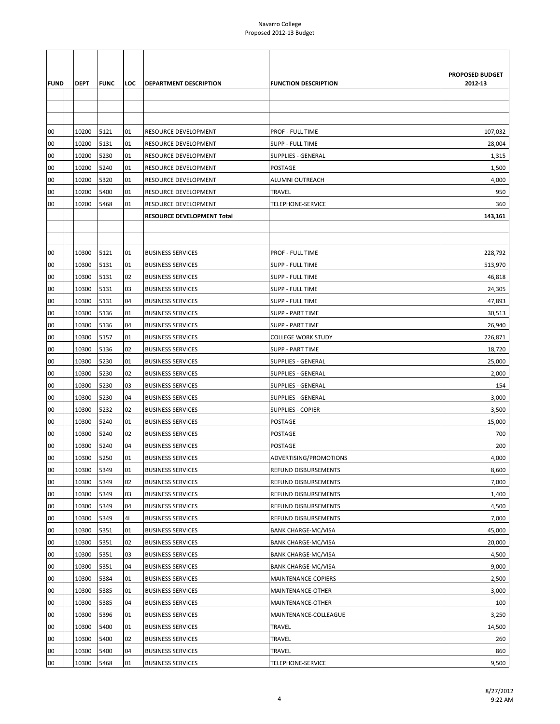|             |             |             |     |                            |                             | <b>PROPOSED BUDGET</b> |
|-------------|-------------|-------------|-----|----------------------------|-----------------------------|------------------------|
| <b>FUND</b> | <b>DEPT</b> | <b>FUNC</b> | LOC | DEPARTMENT DESCRIPTION     | <b>FUNCTION DESCRIPTION</b> | 2012-13                |
|             |             |             |     |                            |                             |                        |
|             |             |             |     |                            |                             |                        |
|             |             |             |     |                            |                             |                        |
| 00          | 10200       | 5121        | 01  | RESOURCE DEVELOPMENT       | PROF - FULL TIME            | 107,032                |
| 00          | 10200       | 5131        | 01  | RESOURCE DEVELOPMENT       | SUPP - FULL TIME            | 28,004                 |
| 00          | 10200       | 5230        | 01  | RESOURCE DEVELOPMENT       | <b>SUPPLIES - GENERAL</b>   | 1,315                  |
| 00          | 10200       | 5240        | 01  | RESOURCE DEVELOPMENT       | <b>POSTAGE</b>              | 1,500                  |
| 00          | 10200       | 5320        | 01  | RESOURCE DEVELOPMENT       | ALUMNI OUTREACH             | 4,000                  |
| 00          | 10200       | 5400        | 01  | RESOURCE DEVELOPMENT       | TRAVEL                      | 950                    |
| 00          | 10200       | 5468        | 01  | RESOURCE DEVELOPMENT       | TELEPHONE-SERVICE           | 360                    |
|             |             |             |     | RESOURCE DEVELOPMENT Total |                             | 143,161                |
|             |             |             |     |                            |                             |                        |
|             |             |             |     |                            |                             |                        |
| 00          | 10300       | 5121        | 01  | <b>BUSINESS SERVICES</b>   | PROF - FULL TIME            | 228,792                |
| 00          | 10300       | 5131        | 01  | <b>BUSINESS SERVICES</b>   | SUPP - FULL TIME            | 513,970                |
| 00          | 10300       | 5131        | 02  | <b>BUSINESS SERVICES</b>   | SUPP - FULL TIME            | 46,818                 |
| 00          | 10300       | 5131        | 03  | <b>BUSINESS SERVICES</b>   | <b>SUPP - FULL TIME</b>     | 24,305                 |
| 00          | 10300       | 5131        | 04  | <b>BUSINESS SERVICES</b>   | SUPP - FULL TIME            | 47,893                 |
| 00          | 10300       | 5136        | 01  | <b>BUSINESS SERVICES</b>   | <b>SUPP - PART TIME</b>     | 30,513                 |
| 00          | 10300       | 5136        | 04  | <b>BUSINESS SERVICES</b>   | <b>SUPP - PART TIME</b>     | 26,940                 |
| 00          | 10300       | 5157        | 01  | <b>BUSINESS SERVICES</b>   | <b>COLLEGE WORK STUDY</b>   | 226,871                |
| 00          | 10300       | 5136        | 02  | <b>BUSINESS SERVICES</b>   | <b>SUPP - PART TIME</b>     | 18,720                 |
| 00          | 10300       | 5230        | 01  | <b>BUSINESS SERVICES</b>   | <b>SUPPLIES - GENERAL</b>   | 25,000                 |
| 00          | 10300       | 5230        | 02  | <b>BUSINESS SERVICES</b>   | <b>SUPPLIES - GENERAL</b>   | 2,000                  |
| 00          | 10300       | 5230        | 03  | <b>BUSINESS SERVICES</b>   | <b>SUPPLIES - GENERAL</b>   | 154                    |
| 00          | 10300       | 5230        | 04  | <b>BUSINESS SERVICES</b>   | <b>SUPPLIES - GENERAL</b>   | 3,000                  |
| 00          | 10300       | 5232        | 02  | <b>BUSINESS SERVICES</b>   | <b>SUPPLIES - COPIER</b>    | 3,500                  |
| 00          | 10300       | 5240        | 01  | <b>BUSINESS SERVICES</b>   | POSTAGE                     | 15,000                 |
| 00          | 10300       | 5240        | 02  | <b>BUSINESS SERVICES</b>   | POSTAGE                     | 700                    |
| 00          | 10300       | 5240        | 04  | <b>BUSINESS SERVICES</b>   | POSTAGE                     | 200                    |
| 00          | 10300       | 5250        | 01  | <b>BUSINESS SERVICES</b>   | ADVERTISING/PROMOTIONS      | 4,000                  |
| 00          | 10300       | 5349        | 01  | <b>BUSINESS SERVICES</b>   | REFUND DISBURSEMENTS        | 8,600                  |
| 00          | 10300       | 5349        | 02  | <b>BUSINESS SERVICES</b>   | REFUND DISBURSEMENTS        | 7,000                  |
| 00          | 10300       | 5349        | 03  | <b>BUSINESS SERVICES</b>   | REFUND DISBURSEMENTS        | 1,400                  |
| 00          | 10300       | 5349        | 04  | <b>BUSINESS SERVICES</b>   | REFUND DISBURSEMENTS        | 4,500                  |
| 00          | 10300       | 5349        | 41  | <b>BUSINESS SERVICES</b>   | REFUND DISBURSEMENTS        | 7,000                  |
| 00          | 10300       | 5351        | 01  | <b>BUSINESS SERVICES</b>   | <b>BANK CHARGE-MC/VISA</b>  | 45,000                 |
| 00          | 10300       | 5351        | 02  | <b>BUSINESS SERVICES</b>   | <b>BANK CHARGE-MC/VISA</b>  | 20,000                 |
| 00          | 10300       | 5351        | 03  | <b>BUSINESS SERVICES</b>   | <b>BANK CHARGE-MC/VISA</b>  | 4,500                  |
| 00          | 10300       | 5351        | 04  | <b>BUSINESS SERVICES</b>   | <b>BANK CHARGE-MC/VISA</b>  | 9,000                  |
| 00          | 10300       | 5384        | 01  | <b>BUSINESS SERVICES</b>   | MAINTENANCE-COPIERS         | 2,500                  |
| 00          | 10300       | 5385        | 01  | <b>BUSINESS SERVICES</b>   | MAINTENANCE-OTHER           | 3,000                  |
| 00          | 10300       | 5385        | 04  | <b>BUSINESS SERVICES</b>   | MAINTENANCE-OTHER           | 100                    |
| 00          | 10300       | 5396        | 01  | <b>BUSINESS SERVICES</b>   | MAINTENANCE-COLLEAGUE       | 3,250                  |
| 00          | 10300       | 5400        | 01  | <b>BUSINESS SERVICES</b>   | TRAVEL                      | 14,500                 |
| 00          | 10300       | 5400        | 02  | <b>BUSINESS SERVICES</b>   | TRAVEL                      | 260                    |
| 00          | 10300       | 5400        | 04  | <b>BUSINESS SERVICES</b>   | TRAVEL                      | 860                    |
| 00          | 10300       | 5468        | 01  | <b>BUSINESS SERVICES</b>   | TELEPHONE-SERVICE           | 9,500                  |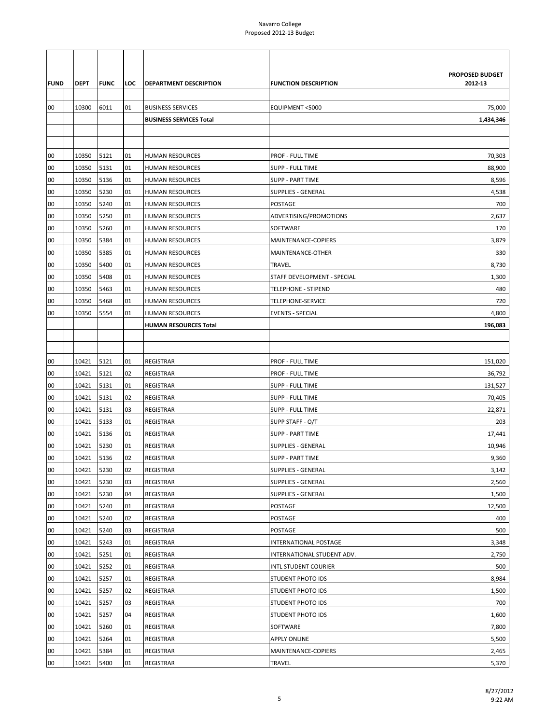|             |                |              |          |                                |                                               | PROPOSED BUDGET |
|-------------|----------------|--------------|----------|--------------------------------|-----------------------------------------------|-----------------|
| <b>FUND</b> | <b>DEPT</b>    | <b>FUNC</b>  | LOC      | <b>DEPARTMENT DESCRIPTION</b>  | <b>FUNCTION DESCRIPTION</b>                   | 2012-13         |
|             |                |              |          |                                |                                               |                 |
| 00          | 10300          | 6011         | 01       | <b>BUSINESS SERVICES</b>       | EQUIPMENT <5000                               | 75,000          |
|             |                |              |          | <b>BUSINESS SERVICES Total</b> |                                               | 1,434,346       |
|             |                |              |          |                                |                                               |                 |
|             |                |              |          |                                |                                               |                 |
| 00          | 10350          | 5121         | 01       | HUMAN RESOURCES                | PROF - FULL TIME                              | 70,303          |
| 00          | 10350          | 5131         | 01       | HUMAN RESOURCES                | SUPP - FULL TIME                              | 88,900          |
| 00          | 10350          | 5136         | 01       | <b>HUMAN RESOURCES</b>         | <b>SUPP - PART TIME</b>                       | 8,596           |
| 00          | 10350          | 5230         | 01       | HUMAN RESOURCES                | SUPPLIES - GENERAL                            | 4,538           |
| 00          | 10350          | 5240         | 01       | HUMAN RESOURCES                | POSTAGE                                       | 700             |
| 00          | 10350          | 5250         | 01       | HUMAN RESOURCES                | ADVERTISING/PROMOTIONS                        | 2,637           |
| 00          | 10350          | 5260         | 01       | <b>HUMAN RESOURCES</b>         | SOFTWARE                                      | 170             |
| 00          | 10350          | 5384         | 01       | <b>HUMAN RESOURCES</b>         | MAINTENANCE-COPIERS                           | 3,879           |
| 00          | 10350          | 5385         | 01       | <b>HUMAN RESOURCES</b>         | MAINTENANCE-OTHER                             | 330             |
| 00          | 10350          | 5400         | 01       | HUMAN RESOURCES                | <b>TRAVEL</b>                                 | 8,730           |
| 00          | 10350          | 5408         | 01       | <b>HUMAN RESOURCES</b>         | STAFF DEVELOPMENT - SPECIAL                   | 1,300           |
| 00          | 10350          | 5463         | 01       | <b>HUMAN RESOURCES</b>         | <b>TELEPHONE - STIPEND</b>                    | 480             |
| 00          | 10350          | 5468         | 01       | <b>HUMAN RESOURCES</b>         | TELEPHONE-SERVICE                             | 720             |
| 00          | 10350          | 5554         | 01       | HUMAN RESOURCES                | <b>EVENTS - SPECIAL</b>                       | 4,800           |
|             |                |              |          | <b>HUMAN RESOURCES Total</b>   |                                               | 196,083         |
|             |                |              |          |                                |                                               |                 |
|             |                |              |          |                                |                                               |                 |
| 00          | 10421          | 5121         | 01       | <b>REGISTRAR</b>               | <b>PROF - FULL TIME</b>                       | 151,020         |
| 00          | 10421          | 5121         | 02       | <b>REGISTRAR</b>               | PROF - FULL TIME                              | 36,792          |
| 00          | 10421          | 5131         | 01       | <b>REGISTRAR</b>               | SUPP - FULL TIME                              | 131,527         |
| 00          | 10421          | 5131         | 02       | <b>REGISTRAR</b>               | SUPP - FULL TIME                              | 70,405          |
| 00          | 10421          | 5131         | 03       | <b>REGISTRAR</b>               | SUPP - FULL TIME                              | 22,871          |
| 00          | 10421          | 5133         | 01       | REGISTRAR                      | SUPP STAFF - O/T                              | 203             |
| 00          | 10421          | 5136         | 01       | <b>REGISTRAR</b>               | <b>SUPP - PART TIME</b>                       | 17,441          |
| 00          | 10421          | 5230         | 01       | REGISTRAR                      | SUPPLIES - GENERAL                            | 10,946          |
| 00          | 10421          | 5136         | 02       | <b>REGISTRAR</b>               | <b>SUPP - PART TIME</b>                       | 9,360           |
| 00          | 10421          | 5230         | 02       | <b>REGISTRAR</b>               | <b>SUPPLIES - GENERAL</b>                     | 3,142           |
| 00          | 10421          | 5230         | 03       | REGISTRAR                      | <b>SUPPLIES - GENERAL</b>                     | 2,560           |
| 00          | 10421          | 5230         | 04       | REGISTRAR                      | SUPPLIES - GENERAL                            | 1,500           |
| 00          | 10421          | 5240         | 01       | REGISTRAR                      | POSTAGE                                       | 12,500          |
| 00          | 10421<br>10421 | 5240<br>5240 | 02<br>03 | REGISTRAR                      | POSTAGE<br>POSTAGE                            | 400<br>500      |
| 00<br>00    | 10421          | 5243         | 01       | REGISTRAR<br>REGISTRAR         | INTERNATIONAL POSTAGE                         | 3,348           |
|             |                |              |          |                                |                                               |                 |
| 00          | 10421          | 5251         | 01       | REGISTRAR                      | INTERNATIONAL STUDENT ADV.                    | 2,750           |
| 00          | 10421          | 5252         | 01       | REGISTRAR                      | INTL STUDENT COURIER                          | 500             |
| 00<br>00    | 10421<br>10421 | 5257<br>5257 | 01<br>02 | REGISTRAR<br>REGISTRAR         | STUDENT PHOTO IDS<br><b>STUDENT PHOTO IDS</b> | 8,984<br>1,500  |
| 00          | 10421          | 5257         | 03       |                                | STUDENT PHOTO IDS                             | 700             |
| 00          | 10421          | 5257         | 04       | REGISTRAR<br>REGISTRAR         | <b>STUDENT PHOTO IDS</b>                      | 1,600           |
| 00          | 10421          | 5260         | 01       | REGISTRAR                      | SOFTWARE                                      | 7,800           |
| 00          | 10421          | 5264         | 01       | <b>REGISTRAR</b>               | <b>APPLY ONLINE</b>                           | 5,500           |
| 00          | 10421          | 5384         | 01       | REGISTRAR                      | MAINTENANCE-COPIERS                           | 2,465           |
| 00          | 10421          | 5400         | 01       | REGISTRAR                      | TRAVEL                                        | 5,370           |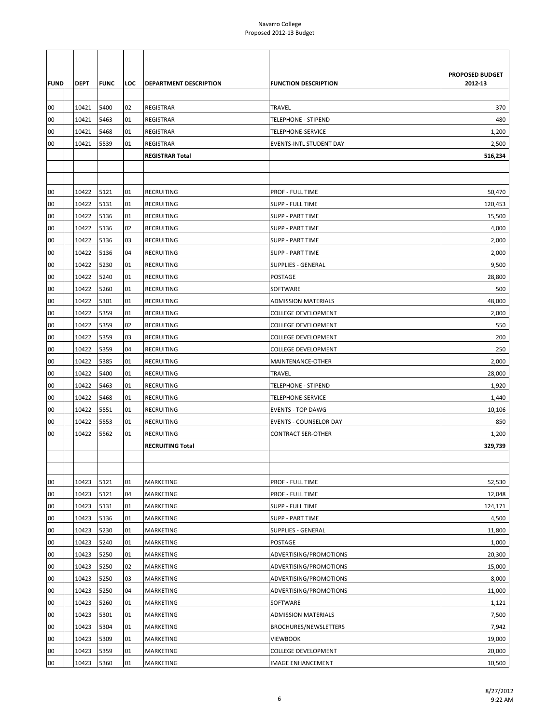| PROPOSED BUDGET<br>2012-13<br><b>FUND</b><br><b>DEPT</b><br><b>FUNC</b><br>LOC<br><b>DEPARTMENT DESCRIPTION</b><br><b>FUNCTION DESCRIPTION</b><br>10421<br>5400<br>02<br><b>TRAVEL</b><br>00<br><b>REGISTRAR</b><br>370<br>5463<br>480<br>00<br>10421<br>01<br><b>REGISTRAR</b><br><b>TELEPHONE - STIPEND</b><br>00<br>10421<br>5468<br>01<br>REGISTRAR<br>TELEPHONE-SERVICE<br>1,200<br>00<br>10421<br>5539<br>01<br><b>REGISTRAR</b><br>EVENTS-INTL STUDENT DAY<br>2,500<br><b>REGISTRAR Total</b><br>516,234<br>10422<br>5121<br><b>RECRUITING</b><br>PROF - FULL TIME<br>50,470<br>00<br>01<br>00<br>10422<br>5131<br>01<br><b>RECRUITING</b><br><b>SUPP - FULL TIME</b><br>120,453<br>00<br>10422<br>5136<br><b>RECRUITING</b><br><b>SUPP - PART TIME</b><br>15,500<br>01<br>10422<br>5136<br>02<br><b>RECRUITING</b><br><b>SUPP - PART TIME</b><br>4,000<br>00<br>10422<br>5136<br>2,000<br>00<br>03<br><b>RECRUITING</b><br><b>SUPP - PART TIME</b><br>00<br>10422<br>5136<br>04<br><b>RECRUITING</b><br><b>SUPP - PART TIME</b><br>2,000<br>00<br>10422<br>5230<br>01<br><b>RECRUITING</b><br><b>SUPPLIES - GENERAL</b><br>9,500<br>00<br>10422<br>5240<br><b>RECRUITING</b><br>POSTAGE<br>28,800<br>01<br>10422<br>5260<br><b>RECRUITING</b><br>SOFTWARE<br>500<br>00<br>01<br>5301<br>48,000<br>00<br>10422<br>01<br><b>RECRUITING</b><br><b>ADMISSION MATERIALS</b><br>00<br>10422<br>5359<br>01<br><b>RECRUITING</b><br><b>COLLEGE DEVELOPMENT</b><br>2,000<br>00<br>10422<br>5359<br>02<br><b>RECRUITING</b><br><b>COLLEGE DEVELOPMENT</b><br>550<br>200<br>00<br>10422<br>5359<br>03<br><b>RECRUITING</b><br><b>COLLEGE DEVELOPMENT</b><br>10422<br>5359<br><b>RECRUITING</b><br>250<br>00<br>04<br><b>COLLEGE DEVELOPMENT</b><br>10422<br>5385<br>2,000<br>00<br>01<br><b>RECRUITING</b><br>MAINTENANCE-OTHER<br>00<br>10422<br>5400<br>01<br><b>RECRUITING</b><br><b>TRAVEL</b><br>28,000<br>00<br>10422<br>5463<br>01<br><b>RECRUITING</b><br><b>TELEPHONE - STIPEND</b><br>1,920<br>00<br>10422<br>5468<br><b>RECRUITING</b><br><b>TELEPHONE-SERVICE</b><br>1,440<br>01<br>10422<br>5551<br><b>RECRUITING</b><br>00<br>01<br><b>EVENTS - TOP DAWG</b><br>10,106<br>850<br>00<br>10422<br>5553<br>01<br><b>RECRUITING</b><br><b>EVENTS - COUNSELOR DAY</b><br>00<br>10422<br>5562<br>01<br><b>RECRUITING</b><br><b>CONTRACT SER-OTHER</b><br>1,200<br><b>RECRUITING Total</b><br>329,739<br>10423<br>5121<br>52,530<br>00<br>01<br><b>MARKETING</b><br><b>PROF - FULL TIME</b><br>10423<br>5121<br>12,048<br>00<br>04<br>MARKETING<br>PROF - FULL TIME<br>00<br>10423<br>5131<br>01<br>MARKETING<br><b>SUPP - FULL TIME</b><br>124,171<br>00<br>5136<br>10423<br>01<br>MARKETING<br><b>SUPP - PART TIME</b><br>4,500<br>5230<br>00<br>10423<br>01<br>MARKETING<br>SUPPLIES - GENERAL<br>11,800<br>00<br>10423<br>5240<br>01<br>POSTAGE<br>1,000<br>MARKETING<br>10423<br>5250<br>ADVERTISING/PROMOTIONS<br>20,300<br>00<br>01<br>MARKETING<br>02<br>00<br>10423<br>5250<br>MARKETING<br>ADVERTISING/PROMOTIONS<br>15,000<br>5250<br>03<br>ADVERTISING/PROMOTIONS<br>8,000<br>00<br>10423<br>MARKETING<br>00<br>10423<br>5250<br>04<br>MARKETING<br>ADVERTISING/PROMOTIONS<br>11,000<br>00<br>10423<br>5260<br>01<br>MARKETING<br>SOFTWARE<br>1,121<br>10423<br>5301<br>7,500<br>00<br>01<br>MARKETING<br><b>ADMISSION MATERIALS</b><br>00<br>10423<br>5304<br>01<br>MARKETING<br>BROCHURES/NEWSLETTERS<br>7,942<br>00<br>5309<br>10423<br>01<br>MARKETING<br><b>VIEWBOOK</b><br>19,000<br>00<br>10423<br>5359<br>01<br>MARKETING<br><b>COLLEGE DEVELOPMENT</b><br>20,000<br>00<br>10423<br>5360<br>01<br>MARKETING<br>10,500<br><b>IMAGE ENHANCEMENT</b> |  |  |  |  |
|---------------------------------------------------------------------------------------------------------------------------------------------------------------------------------------------------------------------------------------------------------------------------------------------------------------------------------------------------------------------------------------------------------------------------------------------------------------------------------------------------------------------------------------------------------------------------------------------------------------------------------------------------------------------------------------------------------------------------------------------------------------------------------------------------------------------------------------------------------------------------------------------------------------------------------------------------------------------------------------------------------------------------------------------------------------------------------------------------------------------------------------------------------------------------------------------------------------------------------------------------------------------------------------------------------------------------------------------------------------------------------------------------------------------------------------------------------------------------------------------------------------------------------------------------------------------------------------------------------------------------------------------------------------------------------------------------------------------------------------------------------------------------------------------------------------------------------------------------------------------------------------------------------------------------------------------------------------------------------------------------------------------------------------------------------------------------------------------------------------------------------------------------------------------------------------------------------------------------------------------------------------------------------------------------------------------------------------------------------------------------------------------------------------------------------------------------------------------------------------------------------------------------------------------------------------------------------------------------------------------------------------------------------------------------------------------------------------------------------------------------------------------------------------------------------------------------------------------------------------------------------------------------------------------------------------------------------------------------------------------------------------------------------------------------------------------------------------------------------------------------------------------------------------------------------------------------------------------------------------------------------------------------------------------------------------------------------------------------------------------------------------------------------------------------------------------------------------------------------------------------------------------------------------------------------------------------------------------------------------------------------------------------------------------------|--|--|--|--|
|                                                                                                                                                                                                                                                                                                                                                                                                                                                                                                                                                                                                                                                                                                                                                                                                                                                                                                                                                                                                                                                                                                                                                                                                                                                                                                                                                                                                                                                                                                                                                                                                                                                                                                                                                                                                                                                                                                                                                                                                                                                                                                                                                                                                                                                                                                                                                                                                                                                                                                                                                                                                                                                                                                                                                                                                                                                                                                                                                                                                                                                                                                                                                                                                                                                                                                                                                                                                                                                                                                                                                                                                                                                                           |  |  |  |  |
|                                                                                                                                                                                                                                                                                                                                                                                                                                                                                                                                                                                                                                                                                                                                                                                                                                                                                                                                                                                                                                                                                                                                                                                                                                                                                                                                                                                                                                                                                                                                                                                                                                                                                                                                                                                                                                                                                                                                                                                                                                                                                                                                                                                                                                                                                                                                                                                                                                                                                                                                                                                                                                                                                                                                                                                                                                                                                                                                                                                                                                                                                                                                                                                                                                                                                                                                                                                                                                                                                                                                                                                                                                                                           |  |  |  |  |
|                                                                                                                                                                                                                                                                                                                                                                                                                                                                                                                                                                                                                                                                                                                                                                                                                                                                                                                                                                                                                                                                                                                                                                                                                                                                                                                                                                                                                                                                                                                                                                                                                                                                                                                                                                                                                                                                                                                                                                                                                                                                                                                                                                                                                                                                                                                                                                                                                                                                                                                                                                                                                                                                                                                                                                                                                                                                                                                                                                                                                                                                                                                                                                                                                                                                                                                                                                                                                                                                                                                                                                                                                                                                           |  |  |  |  |
|                                                                                                                                                                                                                                                                                                                                                                                                                                                                                                                                                                                                                                                                                                                                                                                                                                                                                                                                                                                                                                                                                                                                                                                                                                                                                                                                                                                                                                                                                                                                                                                                                                                                                                                                                                                                                                                                                                                                                                                                                                                                                                                                                                                                                                                                                                                                                                                                                                                                                                                                                                                                                                                                                                                                                                                                                                                                                                                                                                                                                                                                                                                                                                                                                                                                                                                                                                                                                                                                                                                                                                                                                                                                           |  |  |  |  |
|                                                                                                                                                                                                                                                                                                                                                                                                                                                                                                                                                                                                                                                                                                                                                                                                                                                                                                                                                                                                                                                                                                                                                                                                                                                                                                                                                                                                                                                                                                                                                                                                                                                                                                                                                                                                                                                                                                                                                                                                                                                                                                                                                                                                                                                                                                                                                                                                                                                                                                                                                                                                                                                                                                                                                                                                                                                                                                                                                                                                                                                                                                                                                                                                                                                                                                                                                                                                                                                                                                                                                                                                                                                                           |  |  |  |  |
|                                                                                                                                                                                                                                                                                                                                                                                                                                                                                                                                                                                                                                                                                                                                                                                                                                                                                                                                                                                                                                                                                                                                                                                                                                                                                                                                                                                                                                                                                                                                                                                                                                                                                                                                                                                                                                                                                                                                                                                                                                                                                                                                                                                                                                                                                                                                                                                                                                                                                                                                                                                                                                                                                                                                                                                                                                                                                                                                                                                                                                                                                                                                                                                                                                                                                                                                                                                                                                                                                                                                                                                                                                                                           |  |  |  |  |
|                                                                                                                                                                                                                                                                                                                                                                                                                                                                                                                                                                                                                                                                                                                                                                                                                                                                                                                                                                                                                                                                                                                                                                                                                                                                                                                                                                                                                                                                                                                                                                                                                                                                                                                                                                                                                                                                                                                                                                                                                                                                                                                                                                                                                                                                                                                                                                                                                                                                                                                                                                                                                                                                                                                                                                                                                                                                                                                                                                                                                                                                                                                                                                                                                                                                                                                                                                                                                                                                                                                                                                                                                                                                           |  |  |  |  |
|                                                                                                                                                                                                                                                                                                                                                                                                                                                                                                                                                                                                                                                                                                                                                                                                                                                                                                                                                                                                                                                                                                                                                                                                                                                                                                                                                                                                                                                                                                                                                                                                                                                                                                                                                                                                                                                                                                                                                                                                                                                                                                                                                                                                                                                                                                                                                                                                                                                                                                                                                                                                                                                                                                                                                                                                                                                                                                                                                                                                                                                                                                                                                                                                                                                                                                                                                                                                                                                                                                                                                                                                                                                                           |  |  |  |  |
|                                                                                                                                                                                                                                                                                                                                                                                                                                                                                                                                                                                                                                                                                                                                                                                                                                                                                                                                                                                                                                                                                                                                                                                                                                                                                                                                                                                                                                                                                                                                                                                                                                                                                                                                                                                                                                                                                                                                                                                                                                                                                                                                                                                                                                                                                                                                                                                                                                                                                                                                                                                                                                                                                                                                                                                                                                                                                                                                                                                                                                                                                                                                                                                                                                                                                                                                                                                                                                                                                                                                                                                                                                                                           |  |  |  |  |
|                                                                                                                                                                                                                                                                                                                                                                                                                                                                                                                                                                                                                                                                                                                                                                                                                                                                                                                                                                                                                                                                                                                                                                                                                                                                                                                                                                                                                                                                                                                                                                                                                                                                                                                                                                                                                                                                                                                                                                                                                                                                                                                                                                                                                                                                                                                                                                                                                                                                                                                                                                                                                                                                                                                                                                                                                                                                                                                                                                                                                                                                                                                                                                                                                                                                                                                                                                                                                                                                                                                                                                                                                                                                           |  |  |  |  |
|                                                                                                                                                                                                                                                                                                                                                                                                                                                                                                                                                                                                                                                                                                                                                                                                                                                                                                                                                                                                                                                                                                                                                                                                                                                                                                                                                                                                                                                                                                                                                                                                                                                                                                                                                                                                                                                                                                                                                                                                                                                                                                                                                                                                                                                                                                                                                                                                                                                                                                                                                                                                                                                                                                                                                                                                                                                                                                                                                                                                                                                                                                                                                                                                                                                                                                                                                                                                                                                                                                                                                                                                                                                                           |  |  |  |  |
|                                                                                                                                                                                                                                                                                                                                                                                                                                                                                                                                                                                                                                                                                                                                                                                                                                                                                                                                                                                                                                                                                                                                                                                                                                                                                                                                                                                                                                                                                                                                                                                                                                                                                                                                                                                                                                                                                                                                                                                                                                                                                                                                                                                                                                                                                                                                                                                                                                                                                                                                                                                                                                                                                                                                                                                                                                                                                                                                                                                                                                                                                                                                                                                                                                                                                                                                                                                                                                                                                                                                                                                                                                                                           |  |  |  |  |
|                                                                                                                                                                                                                                                                                                                                                                                                                                                                                                                                                                                                                                                                                                                                                                                                                                                                                                                                                                                                                                                                                                                                                                                                                                                                                                                                                                                                                                                                                                                                                                                                                                                                                                                                                                                                                                                                                                                                                                                                                                                                                                                                                                                                                                                                                                                                                                                                                                                                                                                                                                                                                                                                                                                                                                                                                                                                                                                                                                                                                                                                                                                                                                                                                                                                                                                                                                                                                                                                                                                                                                                                                                                                           |  |  |  |  |
|                                                                                                                                                                                                                                                                                                                                                                                                                                                                                                                                                                                                                                                                                                                                                                                                                                                                                                                                                                                                                                                                                                                                                                                                                                                                                                                                                                                                                                                                                                                                                                                                                                                                                                                                                                                                                                                                                                                                                                                                                                                                                                                                                                                                                                                                                                                                                                                                                                                                                                                                                                                                                                                                                                                                                                                                                                                                                                                                                                                                                                                                                                                                                                                                                                                                                                                                                                                                                                                                                                                                                                                                                                                                           |  |  |  |  |
|                                                                                                                                                                                                                                                                                                                                                                                                                                                                                                                                                                                                                                                                                                                                                                                                                                                                                                                                                                                                                                                                                                                                                                                                                                                                                                                                                                                                                                                                                                                                                                                                                                                                                                                                                                                                                                                                                                                                                                                                                                                                                                                                                                                                                                                                                                                                                                                                                                                                                                                                                                                                                                                                                                                                                                                                                                                                                                                                                                                                                                                                                                                                                                                                                                                                                                                                                                                                                                                                                                                                                                                                                                                                           |  |  |  |  |
|                                                                                                                                                                                                                                                                                                                                                                                                                                                                                                                                                                                                                                                                                                                                                                                                                                                                                                                                                                                                                                                                                                                                                                                                                                                                                                                                                                                                                                                                                                                                                                                                                                                                                                                                                                                                                                                                                                                                                                                                                                                                                                                                                                                                                                                                                                                                                                                                                                                                                                                                                                                                                                                                                                                                                                                                                                                                                                                                                                                                                                                                                                                                                                                                                                                                                                                                                                                                                                                                                                                                                                                                                                                                           |  |  |  |  |
|                                                                                                                                                                                                                                                                                                                                                                                                                                                                                                                                                                                                                                                                                                                                                                                                                                                                                                                                                                                                                                                                                                                                                                                                                                                                                                                                                                                                                                                                                                                                                                                                                                                                                                                                                                                                                                                                                                                                                                                                                                                                                                                                                                                                                                                                                                                                                                                                                                                                                                                                                                                                                                                                                                                                                                                                                                                                                                                                                                                                                                                                                                                                                                                                                                                                                                                                                                                                                                                                                                                                                                                                                                                                           |  |  |  |  |
|                                                                                                                                                                                                                                                                                                                                                                                                                                                                                                                                                                                                                                                                                                                                                                                                                                                                                                                                                                                                                                                                                                                                                                                                                                                                                                                                                                                                                                                                                                                                                                                                                                                                                                                                                                                                                                                                                                                                                                                                                                                                                                                                                                                                                                                                                                                                                                                                                                                                                                                                                                                                                                                                                                                                                                                                                                                                                                                                                                                                                                                                                                                                                                                                                                                                                                                                                                                                                                                                                                                                                                                                                                                                           |  |  |  |  |
|                                                                                                                                                                                                                                                                                                                                                                                                                                                                                                                                                                                                                                                                                                                                                                                                                                                                                                                                                                                                                                                                                                                                                                                                                                                                                                                                                                                                                                                                                                                                                                                                                                                                                                                                                                                                                                                                                                                                                                                                                                                                                                                                                                                                                                                                                                                                                                                                                                                                                                                                                                                                                                                                                                                                                                                                                                                                                                                                                                                                                                                                                                                                                                                                                                                                                                                                                                                                                                                                                                                                                                                                                                                                           |  |  |  |  |
|                                                                                                                                                                                                                                                                                                                                                                                                                                                                                                                                                                                                                                                                                                                                                                                                                                                                                                                                                                                                                                                                                                                                                                                                                                                                                                                                                                                                                                                                                                                                                                                                                                                                                                                                                                                                                                                                                                                                                                                                                                                                                                                                                                                                                                                                                                                                                                                                                                                                                                                                                                                                                                                                                                                                                                                                                                                                                                                                                                                                                                                                                                                                                                                                                                                                                                                                                                                                                                                                                                                                                                                                                                                                           |  |  |  |  |
|                                                                                                                                                                                                                                                                                                                                                                                                                                                                                                                                                                                                                                                                                                                                                                                                                                                                                                                                                                                                                                                                                                                                                                                                                                                                                                                                                                                                                                                                                                                                                                                                                                                                                                                                                                                                                                                                                                                                                                                                                                                                                                                                                                                                                                                                                                                                                                                                                                                                                                                                                                                                                                                                                                                                                                                                                                                                                                                                                                                                                                                                                                                                                                                                                                                                                                                                                                                                                                                                                                                                                                                                                                                                           |  |  |  |  |
|                                                                                                                                                                                                                                                                                                                                                                                                                                                                                                                                                                                                                                                                                                                                                                                                                                                                                                                                                                                                                                                                                                                                                                                                                                                                                                                                                                                                                                                                                                                                                                                                                                                                                                                                                                                                                                                                                                                                                                                                                                                                                                                                                                                                                                                                                                                                                                                                                                                                                                                                                                                                                                                                                                                                                                                                                                                                                                                                                                                                                                                                                                                                                                                                                                                                                                                                                                                                                                                                                                                                                                                                                                                                           |  |  |  |  |
|                                                                                                                                                                                                                                                                                                                                                                                                                                                                                                                                                                                                                                                                                                                                                                                                                                                                                                                                                                                                                                                                                                                                                                                                                                                                                                                                                                                                                                                                                                                                                                                                                                                                                                                                                                                                                                                                                                                                                                                                                                                                                                                                                                                                                                                                                                                                                                                                                                                                                                                                                                                                                                                                                                                                                                                                                                                                                                                                                                                                                                                                                                                                                                                                                                                                                                                                                                                                                                                                                                                                                                                                                                                                           |  |  |  |  |
|                                                                                                                                                                                                                                                                                                                                                                                                                                                                                                                                                                                                                                                                                                                                                                                                                                                                                                                                                                                                                                                                                                                                                                                                                                                                                                                                                                                                                                                                                                                                                                                                                                                                                                                                                                                                                                                                                                                                                                                                                                                                                                                                                                                                                                                                                                                                                                                                                                                                                                                                                                                                                                                                                                                                                                                                                                                                                                                                                                                                                                                                                                                                                                                                                                                                                                                                                                                                                                                                                                                                                                                                                                                                           |  |  |  |  |
|                                                                                                                                                                                                                                                                                                                                                                                                                                                                                                                                                                                                                                                                                                                                                                                                                                                                                                                                                                                                                                                                                                                                                                                                                                                                                                                                                                                                                                                                                                                                                                                                                                                                                                                                                                                                                                                                                                                                                                                                                                                                                                                                                                                                                                                                                                                                                                                                                                                                                                                                                                                                                                                                                                                                                                                                                                                                                                                                                                                                                                                                                                                                                                                                                                                                                                                                                                                                                                                                                                                                                                                                                                                                           |  |  |  |  |
|                                                                                                                                                                                                                                                                                                                                                                                                                                                                                                                                                                                                                                                                                                                                                                                                                                                                                                                                                                                                                                                                                                                                                                                                                                                                                                                                                                                                                                                                                                                                                                                                                                                                                                                                                                                                                                                                                                                                                                                                                                                                                                                                                                                                                                                                                                                                                                                                                                                                                                                                                                                                                                                                                                                                                                                                                                                                                                                                                                                                                                                                                                                                                                                                                                                                                                                                                                                                                                                                                                                                                                                                                                                                           |  |  |  |  |
|                                                                                                                                                                                                                                                                                                                                                                                                                                                                                                                                                                                                                                                                                                                                                                                                                                                                                                                                                                                                                                                                                                                                                                                                                                                                                                                                                                                                                                                                                                                                                                                                                                                                                                                                                                                                                                                                                                                                                                                                                                                                                                                                                                                                                                                                                                                                                                                                                                                                                                                                                                                                                                                                                                                                                                                                                                                                                                                                                                                                                                                                                                                                                                                                                                                                                                                                                                                                                                                                                                                                                                                                                                                                           |  |  |  |  |
|                                                                                                                                                                                                                                                                                                                                                                                                                                                                                                                                                                                                                                                                                                                                                                                                                                                                                                                                                                                                                                                                                                                                                                                                                                                                                                                                                                                                                                                                                                                                                                                                                                                                                                                                                                                                                                                                                                                                                                                                                                                                                                                                                                                                                                                                                                                                                                                                                                                                                                                                                                                                                                                                                                                                                                                                                                                                                                                                                                                                                                                                                                                                                                                                                                                                                                                                                                                                                                                                                                                                                                                                                                                                           |  |  |  |  |
|                                                                                                                                                                                                                                                                                                                                                                                                                                                                                                                                                                                                                                                                                                                                                                                                                                                                                                                                                                                                                                                                                                                                                                                                                                                                                                                                                                                                                                                                                                                                                                                                                                                                                                                                                                                                                                                                                                                                                                                                                                                                                                                                                                                                                                                                                                                                                                                                                                                                                                                                                                                                                                                                                                                                                                                                                                                                                                                                                                                                                                                                                                                                                                                                                                                                                                                                                                                                                                                                                                                                                                                                                                                                           |  |  |  |  |
|                                                                                                                                                                                                                                                                                                                                                                                                                                                                                                                                                                                                                                                                                                                                                                                                                                                                                                                                                                                                                                                                                                                                                                                                                                                                                                                                                                                                                                                                                                                                                                                                                                                                                                                                                                                                                                                                                                                                                                                                                                                                                                                                                                                                                                                                                                                                                                                                                                                                                                                                                                                                                                                                                                                                                                                                                                                                                                                                                                                                                                                                                                                                                                                                                                                                                                                                                                                                                                                                                                                                                                                                                                                                           |  |  |  |  |
|                                                                                                                                                                                                                                                                                                                                                                                                                                                                                                                                                                                                                                                                                                                                                                                                                                                                                                                                                                                                                                                                                                                                                                                                                                                                                                                                                                                                                                                                                                                                                                                                                                                                                                                                                                                                                                                                                                                                                                                                                                                                                                                                                                                                                                                                                                                                                                                                                                                                                                                                                                                                                                                                                                                                                                                                                                                                                                                                                                                                                                                                                                                                                                                                                                                                                                                                                                                                                                                                                                                                                                                                                                                                           |  |  |  |  |
|                                                                                                                                                                                                                                                                                                                                                                                                                                                                                                                                                                                                                                                                                                                                                                                                                                                                                                                                                                                                                                                                                                                                                                                                                                                                                                                                                                                                                                                                                                                                                                                                                                                                                                                                                                                                                                                                                                                                                                                                                                                                                                                                                                                                                                                                                                                                                                                                                                                                                                                                                                                                                                                                                                                                                                                                                                                                                                                                                                                                                                                                                                                                                                                                                                                                                                                                                                                                                                                                                                                                                                                                                                                                           |  |  |  |  |
|                                                                                                                                                                                                                                                                                                                                                                                                                                                                                                                                                                                                                                                                                                                                                                                                                                                                                                                                                                                                                                                                                                                                                                                                                                                                                                                                                                                                                                                                                                                                                                                                                                                                                                                                                                                                                                                                                                                                                                                                                                                                                                                                                                                                                                                                                                                                                                                                                                                                                                                                                                                                                                                                                                                                                                                                                                                                                                                                                                                                                                                                                                                                                                                                                                                                                                                                                                                                                                                                                                                                                                                                                                                                           |  |  |  |  |
|                                                                                                                                                                                                                                                                                                                                                                                                                                                                                                                                                                                                                                                                                                                                                                                                                                                                                                                                                                                                                                                                                                                                                                                                                                                                                                                                                                                                                                                                                                                                                                                                                                                                                                                                                                                                                                                                                                                                                                                                                                                                                                                                                                                                                                                                                                                                                                                                                                                                                                                                                                                                                                                                                                                                                                                                                                                                                                                                                                                                                                                                                                                                                                                                                                                                                                                                                                                                                                                                                                                                                                                                                                                                           |  |  |  |  |
|                                                                                                                                                                                                                                                                                                                                                                                                                                                                                                                                                                                                                                                                                                                                                                                                                                                                                                                                                                                                                                                                                                                                                                                                                                                                                                                                                                                                                                                                                                                                                                                                                                                                                                                                                                                                                                                                                                                                                                                                                                                                                                                                                                                                                                                                                                                                                                                                                                                                                                                                                                                                                                                                                                                                                                                                                                                                                                                                                                                                                                                                                                                                                                                                                                                                                                                                                                                                                                                                                                                                                                                                                                                                           |  |  |  |  |
|                                                                                                                                                                                                                                                                                                                                                                                                                                                                                                                                                                                                                                                                                                                                                                                                                                                                                                                                                                                                                                                                                                                                                                                                                                                                                                                                                                                                                                                                                                                                                                                                                                                                                                                                                                                                                                                                                                                                                                                                                                                                                                                                                                                                                                                                                                                                                                                                                                                                                                                                                                                                                                                                                                                                                                                                                                                                                                                                                                                                                                                                                                                                                                                                                                                                                                                                                                                                                                                                                                                                                                                                                                                                           |  |  |  |  |
|                                                                                                                                                                                                                                                                                                                                                                                                                                                                                                                                                                                                                                                                                                                                                                                                                                                                                                                                                                                                                                                                                                                                                                                                                                                                                                                                                                                                                                                                                                                                                                                                                                                                                                                                                                                                                                                                                                                                                                                                                                                                                                                                                                                                                                                                                                                                                                                                                                                                                                                                                                                                                                                                                                                                                                                                                                                                                                                                                                                                                                                                                                                                                                                                                                                                                                                                                                                                                                                                                                                                                                                                                                                                           |  |  |  |  |
|                                                                                                                                                                                                                                                                                                                                                                                                                                                                                                                                                                                                                                                                                                                                                                                                                                                                                                                                                                                                                                                                                                                                                                                                                                                                                                                                                                                                                                                                                                                                                                                                                                                                                                                                                                                                                                                                                                                                                                                                                                                                                                                                                                                                                                                                                                                                                                                                                                                                                                                                                                                                                                                                                                                                                                                                                                                                                                                                                                                                                                                                                                                                                                                                                                                                                                                                                                                                                                                                                                                                                                                                                                                                           |  |  |  |  |
|                                                                                                                                                                                                                                                                                                                                                                                                                                                                                                                                                                                                                                                                                                                                                                                                                                                                                                                                                                                                                                                                                                                                                                                                                                                                                                                                                                                                                                                                                                                                                                                                                                                                                                                                                                                                                                                                                                                                                                                                                                                                                                                                                                                                                                                                                                                                                                                                                                                                                                                                                                                                                                                                                                                                                                                                                                                                                                                                                                                                                                                                                                                                                                                                                                                                                                                                                                                                                                                                                                                                                                                                                                                                           |  |  |  |  |
|                                                                                                                                                                                                                                                                                                                                                                                                                                                                                                                                                                                                                                                                                                                                                                                                                                                                                                                                                                                                                                                                                                                                                                                                                                                                                                                                                                                                                                                                                                                                                                                                                                                                                                                                                                                                                                                                                                                                                                                                                                                                                                                                                                                                                                                                                                                                                                                                                                                                                                                                                                                                                                                                                                                                                                                                                                                                                                                                                                                                                                                                                                                                                                                                                                                                                                                                                                                                                                                                                                                                                                                                                                                                           |  |  |  |  |
|                                                                                                                                                                                                                                                                                                                                                                                                                                                                                                                                                                                                                                                                                                                                                                                                                                                                                                                                                                                                                                                                                                                                                                                                                                                                                                                                                                                                                                                                                                                                                                                                                                                                                                                                                                                                                                                                                                                                                                                                                                                                                                                                                                                                                                                                                                                                                                                                                                                                                                                                                                                                                                                                                                                                                                                                                                                                                                                                                                                                                                                                                                                                                                                                                                                                                                                                                                                                                                                                                                                                                                                                                                                                           |  |  |  |  |
|                                                                                                                                                                                                                                                                                                                                                                                                                                                                                                                                                                                                                                                                                                                                                                                                                                                                                                                                                                                                                                                                                                                                                                                                                                                                                                                                                                                                                                                                                                                                                                                                                                                                                                                                                                                                                                                                                                                                                                                                                                                                                                                                                                                                                                                                                                                                                                                                                                                                                                                                                                                                                                                                                                                                                                                                                                                                                                                                                                                                                                                                                                                                                                                                                                                                                                                                                                                                                                                                                                                                                                                                                                                                           |  |  |  |  |
|                                                                                                                                                                                                                                                                                                                                                                                                                                                                                                                                                                                                                                                                                                                                                                                                                                                                                                                                                                                                                                                                                                                                                                                                                                                                                                                                                                                                                                                                                                                                                                                                                                                                                                                                                                                                                                                                                                                                                                                                                                                                                                                                                                                                                                                                                                                                                                                                                                                                                                                                                                                                                                                                                                                                                                                                                                                                                                                                                                                                                                                                                                                                                                                                                                                                                                                                                                                                                                                                                                                                                                                                                                                                           |  |  |  |  |
|                                                                                                                                                                                                                                                                                                                                                                                                                                                                                                                                                                                                                                                                                                                                                                                                                                                                                                                                                                                                                                                                                                                                                                                                                                                                                                                                                                                                                                                                                                                                                                                                                                                                                                                                                                                                                                                                                                                                                                                                                                                                                                                                                                                                                                                                                                                                                                                                                                                                                                                                                                                                                                                                                                                                                                                                                                                                                                                                                                                                                                                                                                                                                                                                                                                                                                                                                                                                                                                                                                                                                                                                                                                                           |  |  |  |  |
|                                                                                                                                                                                                                                                                                                                                                                                                                                                                                                                                                                                                                                                                                                                                                                                                                                                                                                                                                                                                                                                                                                                                                                                                                                                                                                                                                                                                                                                                                                                                                                                                                                                                                                                                                                                                                                                                                                                                                                                                                                                                                                                                                                                                                                                                                                                                                                                                                                                                                                                                                                                                                                                                                                                                                                                                                                                                                                                                                                                                                                                                                                                                                                                                                                                                                                                                                                                                                                                                                                                                                                                                                                                                           |  |  |  |  |
|                                                                                                                                                                                                                                                                                                                                                                                                                                                                                                                                                                                                                                                                                                                                                                                                                                                                                                                                                                                                                                                                                                                                                                                                                                                                                                                                                                                                                                                                                                                                                                                                                                                                                                                                                                                                                                                                                                                                                                                                                                                                                                                                                                                                                                                                                                                                                                                                                                                                                                                                                                                                                                                                                                                                                                                                                                                                                                                                                                                                                                                                                                                                                                                                                                                                                                                                                                                                                                                                                                                                                                                                                                                                           |  |  |  |  |
|                                                                                                                                                                                                                                                                                                                                                                                                                                                                                                                                                                                                                                                                                                                                                                                                                                                                                                                                                                                                                                                                                                                                                                                                                                                                                                                                                                                                                                                                                                                                                                                                                                                                                                                                                                                                                                                                                                                                                                                                                                                                                                                                                                                                                                                                                                                                                                                                                                                                                                                                                                                                                                                                                                                                                                                                                                                                                                                                                                                                                                                                                                                                                                                                                                                                                                                                                                                                                                                                                                                                                                                                                                                                           |  |  |  |  |
|                                                                                                                                                                                                                                                                                                                                                                                                                                                                                                                                                                                                                                                                                                                                                                                                                                                                                                                                                                                                                                                                                                                                                                                                                                                                                                                                                                                                                                                                                                                                                                                                                                                                                                                                                                                                                                                                                                                                                                                                                                                                                                                                                                                                                                                                                                                                                                                                                                                                                                                                                                                                                                                                                                                                                                                                                                                                                                                                                                                                                                                                                                                                                                                                                                                                                                                                                                                                                                                                                                                                                                                                                                                                           |  |  |  |  |
|                                                                                                                                                                                                                                                                                                                                                                                                                                                                                                                                                                                                                                                                                                                                                                                                                                                                                                                                                                                                                                                                                                                                                                                                                                                                                                                                                                                                                                                                                                                                                                                                                                                                                                                                                                                                                                                                                                                                                                                                                                                                                                                                                                                                                                                                                                                                                                                                                                                                                                                                                                                                                                                                                                                                                                                                                                                                                                                                                                                                                                                                                                                                                                                                                                                                                                                                                                                                                                                                                                                                                                                                                                                                           |  |  |  |  |
|                                                                                                                                                                                                                                                                                                                                                                                                                                                                                                                                                                                                                                                                                                                                                                                                                                                                                                                                                                                                                                                                                                                                                                                                                                                                                                                                                                                                                                                                                                                                                                                                                                                                                                                                                                                                                                                                                                                                                                                                                                                                                                                                                                                                                                                                                                                                                                                                                                                                                                                                                                                                                                                                                                                                                                                                                                                                                                                                                                                                                                                                                                                                                                                                                                                                                                                                                                                                                                                                                                                                                                                                                                                                           |  |  |  |  |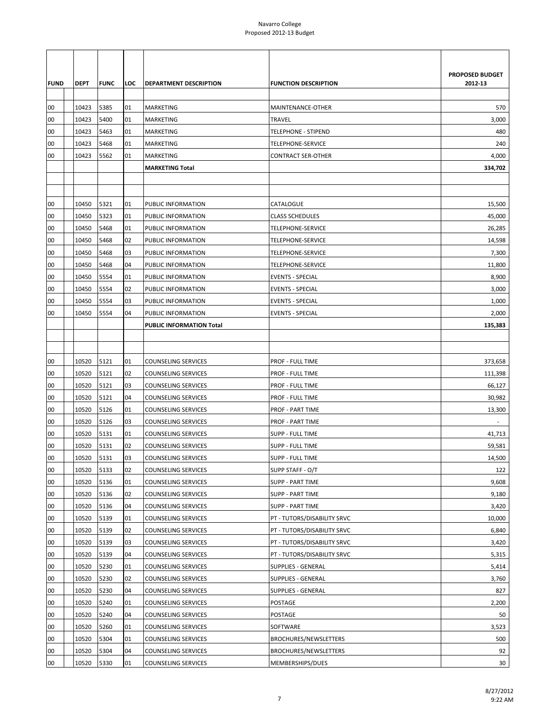|             |       |             |     |                            |                              | <b>PROPOSED BUDGET</b> |
|-------------|-------|-------------|-----|----------------------------|------------------------------|------------------------|
| <b>FUND</b> | DEPT  | <b>FUNC</b> | LOC | DEPARTMENT DESCRIPTION     | <b>FUNCTION DESCRIPTION</b>  | 2012-13                |
| 00          | 10423 | 5385        | 01  | MARKETING                  | MAINTENANCE-OTHER            | 570                    |
| 00          | 10423 | 5400        | 01  | MARKETING                  | <b>TRAVEL</b>                | 3,000                  |
| 00          | 10423 | 5463        | 01  | MARKETING                  | TELEPHONE - STIPEND          | 480                    |
| 00          | 10423 | 5468        | 01  | MARKETING                  | TELEPHONE-SERVICE            | 240                    |
| 00          | 10423 | 5562        | 01  | MARKETING                  | <b>CONTRACT SER-OTHER</b>    | 4,000                  |
|             |       |             |     | <b>MARKETING Total</b>     |                              | 334,702                |
|             |       |             |     |                            |                              |                        |
|             |       |             |     |                            |                              |                        |
| 00          | 10450 | 5321        | 01  | PUBLIC INFORMATION         | CATALOGUE                    | 15,500                 |
| 00          | 10450 | 5323        | 01  | PUBLIC INFORMATION         | <b>CLASS SCHEDULES</b>       | 45,000                 |
| 00          | 10450 | 5468        | 01  | <b>PUBLIC INFORMATION</b>  | TELEPHONE-SERVICE            | 26,285                 |
| 00          | 10450 | 5468        | 02  | <b>PUBLIC INFORMATION</b>  | <b>TELEPHONE-SERVICE</b>     | 14,598                 |
| 00          | 10450 | 5468        | 03  | PUBLIC INFORMATION         | TELEPHONE-SERVICE            | 7,300                  |
| 00          | 10450 | 5468        | 04  | PUBLIC INFORMATION         | <b>TELEPHONE-SERVICE</b>     | 11,800                 |
| 00          | 10450 | 5554        | 01  | PUBLIC INFORMATION         | <b>EVENTS - SPECIAL</b>      | 8,900                  |
| 00          | 10450 | 5554        | 02  | PUBLIC INFORMATION         | <b>EVENTS - SPECIAL</b>      | 3,000                  |
| 00          | 10450 | 5554        | 03  | <b>PUBLIC INFORMATION</b>  | <b>EVENTS - SPECIAL</b>      | 1,000                  |
| 00          | 10450 | 5554        | 04  | PUBLIC INFORMATION         | <b>EVENTS - SPECIAL</b>      | 2,000                  |
|             |       |             |     | PUBLIC INFORMATION Total   |                              | 135,383                |
|             |       |             |     |                            |                              |                        |
|             |       |             |     |                            |                              |                        |
| 00          | 10520 | 5121        | 01  | <b>COUNSELING SERVICES</b> | <b>PROF - FULL TIME</b>      | 373,658                |
| 00          | 10520 | 5121        | 02  | <b>COUNSELING SERVICES</b> | PROF - FULL TIME             | 111,398                |
| 00          | 10520 | 5121        | 03  | <b>COUNSELING SERVICES</b> | <b>PROF - FULL TIME</b>      | 66,127                 |
| 00          | 10520 | 5121        | 04  | <b>COUNSELING SERVICES</b> | PROF - FULL TIME             | 30,982                 |
| 00          | 10520 | 5126        | 01  | <b>COUNSELING SERVICES</b> | <b>PROF - PART TIME</b>      | 13,300                 |
| 00          | 10520 | 5126        | 03  | <b>COUNSELING SERVICES</b> | <b>PROF - PART TIME</b>      |                        |
| 00          | 10520 | 5131        | 01  | <b>COUNSELING SERVICES</b> | SUPP - FULL TIME             | 41,713                 |
| 00          | 10520 | 5131        | 02  | <b>COUNSELING SERVICES</b> | <b>SUPP - FULL TIME</b>      | 59,581                 |
| 00          | 10520 | 5131        | 03  | <b>COUNSELING SERVICES</b> | <b>SUPP - FULL TIME</b>      | 14,500                 |
| 00          | 10520 | 5133        | 02  | <b>COUNSELING SERVICES</b> | SUPP STAFF - O/T             | 122                    |
| 00          | 10520 | 5136        | 01  | <b>COUNSELING SERVICES</b> | <b>SUPP - PART TIME</b>      | 9,608                  |
| 00          | 10520 | 5136        | 02  | <b>COUNSELING SERVICES</b> | SUPP - PART TIME             | 9,180                  |
| 00          | 10520 | 5136        | 04  | <b>COUNSELING SERVICES</b> | <b>SUPP - PART TIME</b>      | 3,420                  |
| 00          | 10520 | 5139        | 01  | <b>COUNSELING SERVICES</b> | PT - TUTORS/DISABILITY SRVC  | 10,000                 |
| 00          | 10520 | 5139        | 02  | <b>COUNSELING SERVICES</b> | PT - TUTORS/DISABILITY SRVC  | 6,840                  |
| 00          | 10520 | 5139        | 03  | <b>COUNSELING SERVICES</b> | PT - TUTORS/DISABILITY SRVC  | 3,420                  |
| 00          | 10520 | 5139        | 04  | <b>COUNSELING SERVICES</b> | PT - TUTORS/DISABILITY SRVC  | 5,315                  |
| 00          | 10520 | 5230        | 01  | <b>COUNSELING SERVICES</b> | <b>SUPPLIES - GENERAL</b>    | 5,414                  |
| 00          | 10520 | 5230        | 02  | <b>COUNSELING SERVICES</b> | <b>SUPPLIES - GENERAL</b>    | 3,760                  |
| 00          | 10520 | 5230        | 04  | <b>COUNSELING SERVICES</b> | <b>SUPPLIES - GENERAL</b>    | 827                    |
| 00          | 10520 | 5240        | 01  | <b>COUNSELING SERVICES</b> | POSTAGE                      | 2,200                  |
| 00          | 10520 | 5240        | 04  | <b>COUNSELING SERVICES</b> | POSTAGE                      | 50                     |
| 00          | 10520 | 5260        | 01  | <b>COUNSELING SERVICES</b> | SOFTWARE                     | 3,523                  |
| 00          | 10520 | 5304        | 01  | <b>COUNSELING SERVICES</b> | BROCHURES/NEWSLETTERS        | 500                    |
| 00          | 10520 | 5304        | 04  | <b>COUNSELING SERVICES</b> | <b>BROCHURES/NEWSLETTERS</b> | 92                     |
| 00          | 10520 | 5330        | 01  | <b>COUNSELING SERVICES</b> | MEMBERSHIPS/DUES             | 30                     |
|             |       |             |     |                            |                              |                        |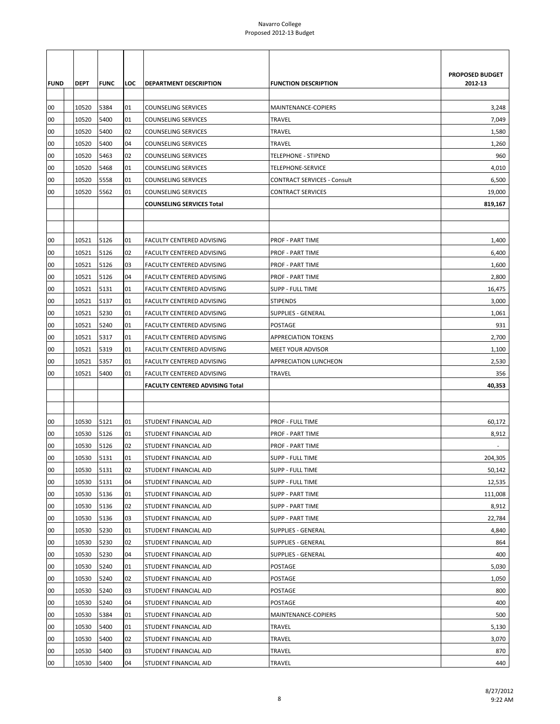|             |             |             |     |                                  |                                    | <b>PROPOSED BUDGET</b> |
|-------------|-------------|-------------|-----|----------------------------------|------------------------------------|------------------------|
| <b>FUND</b> | <b>DEPT</b> | <b>FUNC</b> | LOC | <b>DEPARTMENT DESCRIPTION</b>    | <b>FUNCTION DESCRIPTION</b>        | 2012-13                |
|             |             |             |     |                                  |                                    |                        |
| 00          | 10520       | 5384        | 01  | <b>COUNSELING SERVICES</b>       | MAINTENANCE-COPIERS                | 3,248                  |
| 00          | 10520       | 5400        | 01  | <b>COUNSELING SERVICES</b>       | <b>TRAVEL</b>                      | 7,049                  |
| 00          | 10520       | 5400        | 02  | <b>COUNSELING SERVICES</b>       | <b>TRAVEL</b>                      | 1,580                  |
| 00          | 10520       | 5400        | 04  | <b>COUNSELING SERVICES</b>       | <b>TRAVEL</b>                      | 1,260                  |
| 00          | 10520       | 5463        | 02  | <b>COUNSELING SERVICES</b>       | <b>TELEPHONE - STIPEND</b>         | 960                    |
| 00          | 10520       | 5468        | 01  | <b>COUNSELING SERVICES</b>       | TELEPHONE-SERVICE                  | 4,010                  |
| 00          | 10520       | 5558        | 01  | <b>COUNSELING SERVICES</b>       | <b>CONTRACT SERVICES - Consult</b> | 6,500                  |
| 00          | 10520       | 5562        | 01  | <b>COUNSELING SERVICES</b>       | <b>CONTRACT SERVICES</b>           | 19,000                 |
|             |             |             |     | <b>COUNSELING SERVICES Total</b> |                                    | 819,167                |
|             |             |             |     |                                  |                                    |                        |
|             |             |             |     |                                  |                                    |                        |
| 00          | 10521       | 5126        | 01  | <b>FACULTY CENTERED ADVISING</b> | <b>PROF - PART TIME</b>            | 1,400                  |
| 00          | 10521       | 5126        | 02  | FACULTY CENTERED ADVISING        | <b>PROF - PART TIME</b>            | 6,400                  |
| 00          | 10521       | 5126        | 03  | FACULTY CENTERED ADVISING        | <b>PROF - PART TIME</b>            | 1,600                  |
| 00          | 10521       | 5126        | 04  | FACULTY CENTERED ADVISING        | <b>PROF - PART TIME</b>            | 2,800                  |
| 00          | 10521       | 5131        | 01  | FACULTY CENTERED ADVISING        | <b>SUPP - FULL TIME</b>            | 16,475                 |
| 00          | 10521       | 5137        | 01  | FACULTY CENTERED ADVISING        | <b>STIPENDS</b>                    | 3,000                  |
| 00          | 10521       | 5230        | 01  | FACULTY CENTERED ADVISING        | <b>SUPPLIES - GENERAL</b>          | 1,061                  |
| 00          | 10521       | 5240        | 01  | FACULTY CENTERED ADVISING        | POSTAGE                            | 931                    |
| 00          | 10521       | 5317        | 01  | FACULTY CENTERED ADVISING        | <b>APPRECIATION TOKENS</b>         | 2,700                  |
| 00          | 10521       | 5319        | 01  | FACULTY CENTERED ADVISING        | <b>MEET YOUR ADVISOR</b>           | 1,100                  |
| 00          | 10521       | 5357        | 01  | <b>FACULTY CENTERED ADVISING</b> | APPRECIATION LUNCHEON              | 2,530                  |
| 00          | 10521       | 5400        | 01  | FACULTY CENTERED ADVISING        | <b>TRAVEL</b>                      | 356                    |
|             |             |             |     | FACULTY CENTERED ADVISING Total  |                                    | 40,353                 |
|             |             |             |     |                                  |                                    |                        |
|             |             |             |     |                                  |                                    |                        |
| 00          | 10530       | 5121        | 01  | <b>STUDENT FINANCIAL AID</b>     | <b>PROF - FULL TIME</b>            | 60,172                 |
| 00          | 10530       | 5126        | 01  | STUDENT FINANCIAL AID            | <b>PROF - PART TIME</b>            | 8,912                  |
| 00          | 10530       | 5126        | 02  | STUDENT FINANCIAL AID            | <b>PROF - PART TIME</b>            |                        |
| 00          | 10530       | 5131        | 01  | STUDENT FINANCIAL AID            | <b>SUPP - FULL TIME</b>            | 204,305                |
| 00          | 10530       | 5131        | 02  | STUDENT FINANCIAL AID            | <b>SUPP - FULL TIME</b>            | 50,142                 |
| 00          | 10530       | 5131        | 04  | STUDENT FINANCIAL AID            | <b>SUPP - FULL TIME</b>            | 12,535                 |
| 00          | 10530       | 5136        | 01  | STUDENT FINANCIAL AID            | <b>SUPP - PART TIME</b>            | 111,008                |
| 00          | 10530       | 5136        | 02  | STUDENT FINANCIAL AID            | <b>SUPP - PART TIME</b>            | 8,912                  |
| 00          | 10530       | 5136        | 03  | STUDENT FINANCIAL AID            | <b>SUPP - PART TIME</b>            | 22,784                 |
| 00          | 10530       | 5230        | 01  | STUDENT FINANCIAL AID            | <b>SUPPLIES - GENERAL</b>          | 4,840                  |
| 00          | 10530       | 5230        | 02  | STUDENT FINANCIAL AID            | <b>SUPPLIES - GENERAL</b>          | 864                    |
| 00          | 10530       | 5230        | 04  | STUDENT FINANCIAL AID            | <b>SUPPLIES - GENERAL</b>          | 400                    |
| 00          | 10530       | 5240        | 01  | STUDENT FINANCIAL AID            | POSTAGE                            | 5,030                  |
| 00          | 10530       | 5240        | 02  | STUDENT FINANCIAL AID            | POSTAGE                            | 1,050                  |
| 00          | 10530       | 5240        | 03  | STUDENT FINANCIAL AID            | POSTAGE                            | 800                    |
| 00          | 10530       | 5240        | 04  | STUDENT FINANCIAL AID            | POSTAGE                            | 400                    |
| 00          | 10530       | 5384        | 01  | STUDENT FINANCIAL AID            | MAINTENANCE-COPIERS                | 500                    |
| 00          | 10530       | 5400        | 01  | STUDENT FINANCIAL AID            | TRAVEL                             | 5,130                  |
| 00          | 10530       | 5400        | 02  | STUDENT FINANCIAL AID            | TRAVEL                             | 3,070                  |
| 00          | 10530       | 5400        | 03  | STUDENT FINANCIAL AID            | TRAVEL                             | 870                    |
| 00          | 10530       | 5400        | 04  | STUDENT FINANCIAL AID            | TRAVEL                             | 440                    |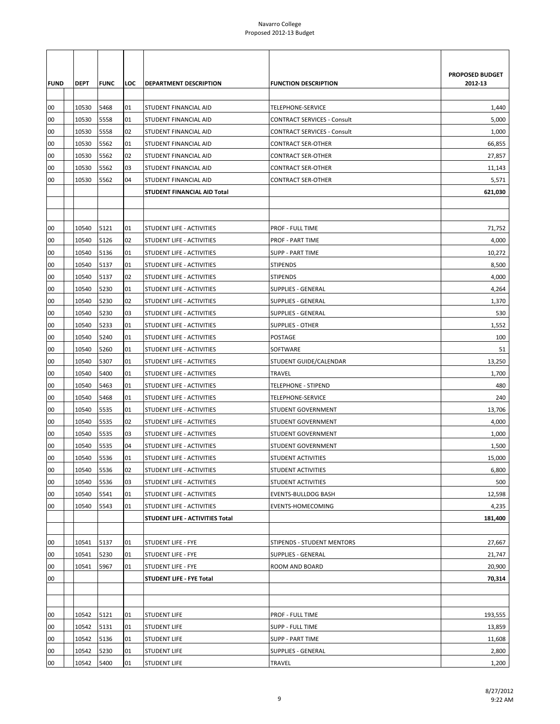| <b>FUND</b><br>00 | <b>DEPT</b><br>10530 | <b>FUNC</b><br>5468 | LOC<br>01 | <b>DEPARTMENT DESCRIPTION</b><br>STUDENT FINANCIAL AID | <b>FUNCTION DESCRIPTION</b><br>TELEPHONE-SERVICE | PROPOSED BUDGET<br>2012-13<br>1,440 |
|-------------------|----------------------|---------------------|-----------|--------------------------------------------------------|--------------------------------------------------|-------------------------------------|
| 00                | 10530                | 5558                | 01        | <b>STUDENT FINANCIAL AID</b>                           | <b>CONTRACT SERVICES - Consult</b>               | 5,000                               |
| 00                | 10530                | 5558                | 02        | STUDENT FINANCIAL AID                                  | <b>CONTRACT SERVICES - Consult</b>               | 1,000                               |
| 00                | 10530                | 5562                | 01        | STUDENT FINANCIAL AID                                  | <b>CONTRACT SER-OTHER</b>                        | 66,855                              |
| 00                | 10530                | 5562                | 02        | STUDENT FINANCIAL AID                                  | <b>CONTRACT SER-OTHER</b>                        | 27,857                              |
| 00                | 10530                | 5562                | 03        | STUDENT FINANCIAL AID                                  | <b>CONTRACT SER-OTHER</b>                        | 11,143                              |
| 00                | 10530                | 5562                | 04        | STUDENT FINANCIAL AID                                  | <b>CONTRACT SER-OTHER</b>                        | 5,571                               |
|                   |                      |                     |           | STUDENT FINANCIAL AID Total                            |                                                  | 621,030                             |
|                   |                      |                     |           |                                                        |                                                  |                                     |
|                   |                      |                     |           |                                                        |                                                  |                                     |
| 00                | 10540                | 5121                | 01        | STUDENT LIFE - ACTIVITIES                              | <b>PROF - FULL TIME</b>                          | 71,752                              |
| 00                | 10540                | 5126                | 02        | STUDENT LIFE - ACTIVITIES                              | <b>PROF - PART TIME</b>                          | 4,000                               |
| 00                | 10540                | 5136                | 01        | STUDENT LIFE - ACTIVITIES                              | <b>SUPP - PART TIME</b>                          | 10,272                              |
| 00                | 10540                | 5137                | 01        | STUDENT LIFE - ACTIVITIES                              | <b>STIPENDS</b>                                  | 8,500                               |
| 00                | 10540                | 5137                | 02        | STUDENT LIFE - ACTIVITIES                              | <b>STIPENDS</b>                                  | 4,000                               |
| 00                | 10540                | 5230                | 01        | STUDENT LIFE - ACTIVITIES                              | <b>SUPPLIES - GENERAL</b>                        | 4,264                               |
| 00                | 10540                | 5230                | 02        | STUDENT LIFE - ACTIVITIES                              | <b>SUPPLIES - GENERAL</b>                        | 1,370                               |
| 00                | 10540                | 5230                | 03        | STUDENT LIFE - ACTIVITIES                              | <b>SUPPLIES - GENERAL</b>                        | 530                                 |
| 00                | 10540                | 5233                | 01        | STUDENT LIFE - ACTIVITIES                              | <b>SUPPLIES - OTHER</b>                          | 1,552                               |
| 00                | 10540                | 5240                | 01        | STUDENT LIFE - ACTIVITIES                              | POSTAGE                                          | 100                                 |
| 00                | 10540                | 5260                | 01        | STUDENT LIFE - ACTIVITIES                              | SOFTWARE                                         | 51                                  |
| 00                | 10540                | 5307                | 01        | STUDENT LIFE - ACTIVITIES                              | STUDENT GUIDE/CALENDAR                           | 13,250                              |
| 00                | 10540                | 5400                | 01        | STUDENT LIFE - ACTIVITIES                              | <b>TRAVEL</b>                                    | 1,700                               |
| 00                | 10540                | 5463                | 01        | STUDENT LIFE - ACTIVITIES                              | <b>TELEPHONE - STIPEND</b>                       | 480                                 |
| 00                | 10540                | 5468                | 01        | STUDENT LIFE - ACTIVITIES                              | TELEPHONE-SERVICE                                | 240                                 |
| 00                | 10540                | 5535                | 01        | STUDENT LIFE - ACTIVITIES                              | <b>STUDENT GOVERNMENT</b>                        | 13,706                              |
| 00                | 10540                | 5535                | 02        | STUDENT LIFE - ACTIVITIES                              | <b>STUDENT GOVERNMENT</b>                        | 4,000                               |
| 00                | 10540                | 5535                | 03        | STUDENT LIFE - ACTIVITIES                              | <b>STUDENT GOVERNMENT</b>                        | 1,000                               |
| 00                | 10540                | 5535                | 04        | STUDENT LIFE - ACTIVITIES                              | <b>STUDENT GOVERNMENT</b>                        | 1,500                               |
| 00                | 10540                | 5536                | 01        | STUDENT LIFE - ACTIVITIES                              | <b>STUDENT ACTIVITIES</b>                        | 15,000                              |
| 00                | 10540                | 5536                | 02        | STUDENT LIFE - ACTIVITIES                              | STUDENT ACTIVITIES                               | 6,800                               |
| 00                | 10540                | 5536                | 03        | STUDENT LIFE - ACTIVITIES                              | STUDENT ACTIVITIES                               | 500                                 |
| 00                | 10540                | 5541                | 01        | STUDENT LIFE - ACTIVITIES                              | <b>EVENTS-BULLDOG BASH</b>                       | 12,598                              |
| 00                | 10540                | 5543                | 01        | STUDENT LIFE - ACTIVITIES                              | EVENTS-HOMECOMING                                | 4,235                               |
|                   |                      |                     |           | STUDENT LIFE - ACTIVITIES Total                        |                                                  | 181,400                             |
|                   |                      |                     |           |                                                        |                                                  |                                     |
| 00                | 10541                | 5137                | 01        | <b>STUDENT LIFE - FYE</b>                              | <b>STIPENDS - STUDENT MENTORS</b>                | 27,667                              |
| 00                | 10541                | 5230                | 01        | STUDENT LIFE - FYE                                     | SUPPLIES - GENERAL                               | 21,747                              |
| 00                | 10541                | 5967                | 01        | STUDENT LIFE - FYE                                     | ROOM AND BOARD                                   | 20,900                              |
| 00                |                      |                     |           | STUDENT LIFE - FYE Total                               |                                                  | 70,314                              |
|                   |                      |                     |           |                                                        |                                                  |                                     |
|                   |                      |                     |           |                                                        |                                                  |                                     |
| 00                | 10542                | 5121                | 01        | <b>STUDENT LIFE</b>                                    | PROF - FULL TIME                                 | 193,555                             |
| 00                | 10542                | 5131                | 01        | <b>STUDENT LIFE</b>                                    | <b>SUPP - FULL TIME</b>                          | 13,859                              |
| 00                | 10542                | 5136                | 01        | <b>STUDENT LIFE</b>                                    | <b>SUPP - PART TIME</b>                          | 11,608                              |
| 00                | 10542                | 5230                | 01        | <b>STUDENT LIFE</b>                                    | <b>SUPPLIES - GENERAL</b>                        | 2,800                               |
| 00                | 10542                | 5400                | 01        | <b>STUDENT LIFE</b>                                    | <b>TRAVEL</b>                                    | 1,200                               |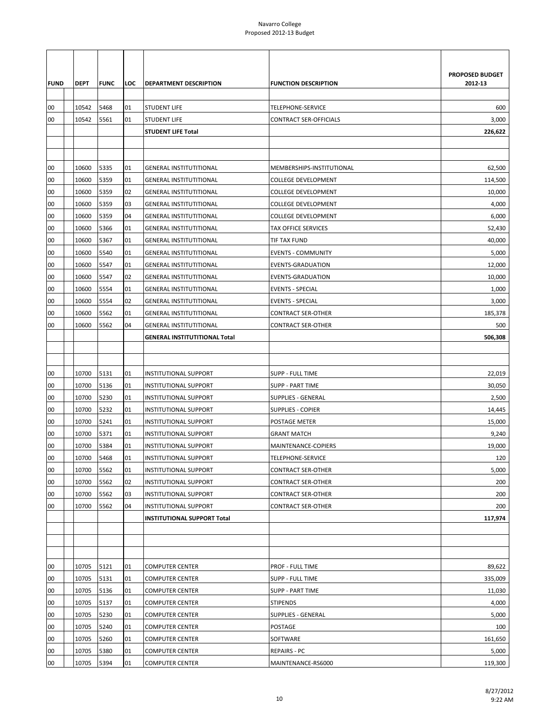| <b>FUND</b> | DEPT  | <b>FUNC</b> | LOC | DEPARTMENT DESCRIPTION               | <b>FUNCTION DESCRIPTION</b>   | PROPOSED BUDGET<br>2012-13 |
|-------------|-------|-------------|-----|--------------------------------------|-------------------------------|----------------------------|
|             |       |             |     |                                      |                               |                            |
| 00          | 10542 | 5468        | 01  | <b>STUDENT LIFE</b>                  | TELEPHONE-SERVICE             | 600                        |
| 00          | 10542 | 5561        | 01  | <b>STUDENT LIFE</b>                  | <b>CONTRACT SER-OFFICIALS</b> | 3,000                      |
|             |       |             |     | <b>STUDENT LIFE Total</b>            |                               | 226,622                    |
|             |       |             |     |                                      |                               |                            |
|             |       |             |     |                                      |                               |                            |
| 00          | 10600 | 5335        | 01  | <b>GENERAL INSTITUTITIONAL</b>       | MEMBERSHIPS-INSTITUTIONAL     | 62,500                     |
| 00          | 10600 | 5359        | 01  | <b>GENERAL INSTITUTITIONAL</b>       | COLLEGE DEVELOPMENT           | 114,500                    |
| 00          | 10600 | 5359        | 02  | <b>GENERAL INSTITUTITIONAL</b>       | <b>COLLEGE DEVELOPMENT</b>    | 10,000                     |
| 00          | 10600 | 5359        | 03  | <b>GENERAL INSTITUTITIONAL</b>       | <b>COLLEGE DEVELOPMENT</b>    | 4,000                      |
| 00          | 10600 | 5359        | 04  | <b>GENERAL INSTITUTITIONAL</b>       | <b>COLLEGE DEVELOPMENT</b>    | 6,000                      |
| 00          | 10600 | 5366        | 01  | <b>GENERAL INSTITUTITIONAL</b>       | <b>TAX OFFICE SERVICES</b>    | 52,430                     |
| 00          | 10600 | 5367        | 01  | <b>GENERAL INSTITUTITIONAL</b>       | TIF TAX FUND                  | 40,000                     |
| 00          | 10600 | 5540        | 01  | <b>GENERAL INSTITUTITIONAL</b>       | <b>EVENTS - COMMUNITY</b>     | 5,000                      |
| 00          | 10600 | 5547        | 01  | <b>GENERAL INSTITUTITIONAL</b>       | EVENTS-GRADUATION             | 12,000                     |
| 00          | 10600 | 5547        | 02  | <b>GENERAL INSTITUTITIONAL</b>       | <b>EVENTS-GRADUATION</b>      | 10,000                     |
| 00          | 10600 | 5554        | 01  | <b>GENERAL INSTITUTITIONAL</b>       | <b>EVENTS - SPECIAL</b>       | 1,000                      |
| 00          | 10600 | 5554        | 02  | <b>GENERAL INSTITUTITIONAL</b>       | <b>EVENTS - SPECIAL</b>       | 3,000                      |
| 00          | 10600 | 5562        | 01  | <b>GENERAL INSTITUTITIONAL</b>       | <b>CONTRACT SER-OTHER</b>     | 185,378                    |
| 00          | 10600 | 5562        | 04  | <b>GENERAL INSTITUTITIONAL</b>       | <b>CONTRACT SER-OTHER</b>     | 500                        |
|             |       |             |     | <b>GENERAL INSTITUTITIONAL Total</b> |                               | 506,308                    |
|             |       |             |     |                                      |                               |                            |
|             |       |             |     |                                      |                               |                            |
| 00          | 10700 | 5131        | 01  | <b>INSTITUTIONAL SUPPORT</b>         | SUPP - FULL TIME              | 22,019                     |
| 00          | 10700 | 5136        | 01  | <b>INSTITUTIONAL SUPPORT</b>         | SUPP - PART TIME              | 30,050                     |
| 00          | 10700 | 5230        | 01  | <b>INSTITUTIONAL SUPPORT</b>         | SUPPLIES - GENERAL            | 2,500                      |
| 00          | 10700 | 5232        | 01  | <b>INSTITUTIONAL SUPPORT</b>         | <b>SUPPLIES - COPIER</b>      | 14,445                     |
| 00          | 10700 | 5241        | 01  | <b>INSTITUTIONAL SUPPORT</b>         | POSTAGE METER                 | 15,000                     |
| 00          | 10700 | 5371        | 01  | <b>INSTITUTIONAL SUPPORT</b>         | <b>GRANT MATCH</b>            | 9,240                      |
| 00          | 10700 | 5384        | 01  | <b>INSTITUTIONAL SUPPORT</b>         | MAINTENANCE-COPIERS           | 19,000                     |
| 00          | 10700 | 5468        | 01  | <b>INSTITUTIONAL SUPPORT</b>         | <b>TELEPHONE-SERVICE</b>      | 120                        |
| 00          | 10700 | 5562        | 01  | <b>INSTITUTIONAL SUPPORT</b>         | <b>CONTRACT SER-OTHER</b>     | 5,000                      |
| 00          | 10700 | 5562        | 02  | <b>INSTITUTIONAL SUPPORT</b>         | <b>CONTRACT SER-OTHER</b>     | 200                        |
| 00          | 10700 | 5562        | 03  | INSTITUTIONAL SUPPORT                | CONTRACT SER-OTHER            | 200                        |
| 00          | 10700 | 5562        | 04  | <b>INSTITUTIONAL SUPPORT</b>         | <b>CONTRACT SER-OTHER</b>     | 200                        |
|             |       |             |     | <b>INSTITUTIONAL SUPPORT Total</b>   |                               | 117,974                    |
|             |       |             |     |                                      |                               |                            |
|             |       |             |     |                                      |                               |                            |
|             |       |             |     |                                      |                               |                            |
| 00          | 10705 | 5121        | 01  | <b>COMPUTER CENTER</b>               | PROF - FULL TIME              | 89,622                     |
| 00          | 10705 | 5131        | 01  | <b>COMPUTER CENTER</b>               | SUPP - FULL TIME              | 335,009                    |
| 00          | 10705 | 5136        | 01  | <b>COMPUTER CENTER</b>               | <b>SUPP - PART TIME</b>       | 11,030                     |
| 00          | 10705 | 5137        | 01  | <b>COMPUTER CENTER</b>               | <b>STIPENDS</b>               | 4,000                      |
| 00          | 10705 | 5230        | 01  | <b>COMPUTER CENTER</b>               | SUPPLIES - GENERAL            | 5,000                      |
| 00          | 10705 | 5240        | 01  | <b>COMPUTER CENTER</b>               | POSTAGE                       | 100                        |
| 00          | 10705 | 5260        | 01  | <b>COMPUTER CENTER</b>               | SOFTWARE                      | 161,650                    |
| 00          | 10705 | 5380        | 01  | <b>COMPUTER CENTER</b>               | <b>REPAIRS - PC</b>           | 5,000                      |
| 00          | 10705 | 5394        | 01  | <b>COMPUTER CENTER</b>               | MAINTENANCE-RS6000            | 119,300                    |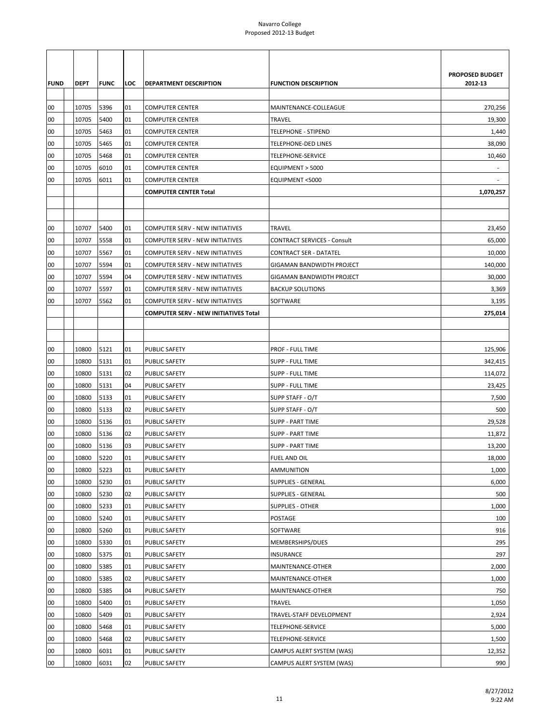| <b>FUND</b> | <b>DEPT</b>    | <b>FUNC</b>  | LOC      | <b>DEPARTMENT DESCRIPTION</b>                    | <b>FUNCTION DESCRIPTION</b>                     | PROPOSED BUDGET<br>2012-13 |
|-------------|----------------|--------------|----------|--------------------------------------------------|-------------------------------------------------|----------------------------|
|             |                |              |          |                                                  |                                                 |                            |
| 00<br>00    | 10705<br>10705 | 5396<br>5400 | 01       | <b>COMPUTER CENTER</b>                           | MAINTENANCE-COLLEAGUE                           | 270,256                    |
| 00          | 10705          | 5463         | 01<br>01 | <b>COMPUTER CENTER</b>                           | <b>TRAVEL</b><br>TELEPHONE - STIPEND            | 19,300                     |
|             |                |              |          | <b>COMPUTER CENTER</b>                           |                                                 | 1,440                      |
| 00          | 10705<br>10705 | 5465<br>5468 | 01<br>01 | <b>COMPUTER CENTER</b><br><b>COMPUTER CENTER</b> | <b>TELEPHONE-DED LINES</b><br>TELEPHONE-SERVICE | 38,090                     |
| 00<br>00    | 10705          | 6010         | 01       | <b>COMPUTER CENTER</b>                           | EQUIPMENT > 5000                                | 10,460                     |
| 00          | 10705          | 6011         | 01       | <b>COMPUTER CENTER</b>                           | EQUIPMENT <5000                                 |                            |
|             |                |              |          | <b>COMPUTER CENTER Total</b>                     |                                                 | 1,070,257                  |
|             |                |              |          |                                                  |                                                 |                            |
|             |                |              |          |                                                  |                                                 |                            |
| 00          | 10707          | 5400         | 01       | COMPUTER SERV - NEW INITIATIVES                  | <b>TRAVEL</b>                                   | 23,450                     |
| 00          | 10707          | 5558         | 01       | COMPUTER SERV - NEW INITIATIVES                  | <b>CONTRACT SERVICES - Consult</b>              | 65,000                     |
| 00          | 10707          | 5567         | 01       | <b>COMPUTER SERV - NEW INITIATIVES</b>           | CONTRACT SER - DATATEL                          | 10,000                     |
| 00          | 10707          | 5594         | 01       | COMPUTER SERV - NEW INITIATIVES                  | GIGAMAN BANDWIDTH PROJECT                       | 140,000                    |
| 00          | 10707          | 5594         | 04       | <b>COMPUTER SERV - NEW INITIATIVES</b>           | GIGAMAN BANDWIDTH PROJECT                       | 30,000                     |
| 00          | 10707          | 5597         | 01       | <b>COMPUTER SERV - NEW INITIATIVES</b>           | <b>BACKUP SOLUTIONS</b>                         | 3,369                      |
| 00          | 10707          | 5562         | 01       | <b>COMPUTER SERV - NEW INITIATIVES</b>           | SOFTWARE                                        | 3,195                      |
|             |                |              |          | <b>COMPUTER SERV - NEW INITIATIVES Total</b>     |                                                 | 275,014                    |
|             |                |              |          |                                                  |                                                 |                            |
|             |                |              |          |                                                  |                                                 |                            |
| 00          | 10800          | 5121         | 01       | PUBLIC SAFETY                                    | PROF - FULL TIME                                | 125,906                    |
| 00          | 10800          | 5131         | 01       | PUBLIC SAFETY                                    | <b>SUPP - FULL TIME</b>                         | 342,415                    |
| 00          | 10800          | 5131         | 02       | PUBLIC SAFETY                                    | SUPP - FULL TIME                                | 114,072                    |
| 00          | 10800          | 5131         | 04       | PUBLIC SAFETY                                    | <b>SUPP - FULL TIME</b>                         | 23,425                     |
| 00          | 10800          | 5133         | 01       | PUBLIC SAFETY                                    | SUPP STAFF - O/T                                | 7,500                      |
| 00          | 10800          | 5133         | 02       | PUBLIC SAFETY                                    | SUPP STAFF - O/T                                | 500                        |
| 00          | 10800          | 5136         | 01       | PUBLIC SAFETY                                    | <b>SUPP - PART TIME</b>                         | 29,528                     |
| 00          | 10800          | 5136         | 02       | PUBLIC SAFETY                                    | SUPP - PART TIME                                | 11,872                     |
| 00          | 10800          | 5136         | 03       | PUBLIC SAFETY                                    | <b>SUPP - PART TIME</b>                         | 13,200                     |
| 00          | 10800          | 5220         | 01       | <b>PUBLIC SAFETY</b>                             | <b>FUEL AND OIL</b>                             | 18,000                     |
| 00          | 10800          | 5223         | 01       | PUBLIC SAFETY                                    | AMMUNITION                                      | 1,000                      |
| 00          | 10800          | 5230         | 01       | PUBLIC SAFETY                                    | <b>SUPPLIES - GENERAL</b>                       | 6,000                      |
| 00          | 10800          | 5230         | 02       | PUBLIC SAFETY                                    | SUPPLIES - GENERAL                              | 500                        |
| 00          | 10800          | 5233         | 01       | PUBLIC SAFETY                                    | <b>SUPPLIES - OTHER</b>                         | 1,000                      |
| 00          | 10800          | 5240         | 01       | PUBLIC SAFETY                                    | POSTAGE                                         | 100                        |
| 00          | 10800          | 5260         | 01       | PUBLIC SAFETY                                    | SOFTWARE                                        | 916                        |
| 00          | 10800          | 5330         | 01       | <b>PUBLIC SAFETY</b>                             | MEMBERSHIPS/DUES                                | 295                        |
| 00          | 10800          | 5375         | 01       | PUBLIC SAFETY                                    | <b>INSURANCE</b>                                | 297                        |
| 00          | 10800          | 5385         | 01       | PUBLIC SAFETY                                    | MAINTENANCE-OTHER                               | 2,000                      |
| 00          | 10800          | 5385         | 02       | PUBLIC SAFETY                                    | MAINTENANCE-OTHER                               | 1,000                      |
| 00          | 10800          | 5385         | 04       | PUBLIC SAFETY                                    | MAINTENANCE-OTHER                               | 750                        |
| 00          | 10800          | 5400         | 01       | PUBLIC SAFETY                                    | TRAVEL                                          | 1,050                      |
| 00          | 10800          | 5409         | 01       | PUBLIC SAFETY                                    | TRAVEL-STAFF DEVELOPMENT                        | 2,924                      |
| 00          | 10800          | 5468         | 01       | PUBLIC SAFETY                                    | TELEPHONE-SERVICE                               | 5,000                      |
| 00          | 10800          | 5468         | 02       | PUBLIC SAFETY                                    | TELEPHONE-SERVICE                               | 1,500                      |
| 00          | 10800          | 6031         | 01       | PUBLIC SAFETY                                    | CAMPUS ALERT SYSTEM (WAS)                       | 12,352                     |
| 00          | 10800          | 6031         | 02       | PUBLIC SAFETY                                    | CAMPUS ALERT SYSTEM (WAS)                       | 990                        |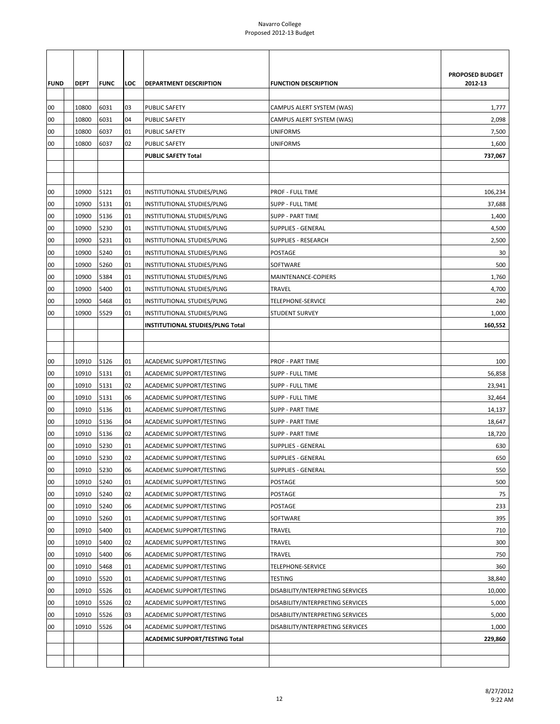| <b>FUND</b> | <b>DEPT</b> | <b>FUNC</b> | LOC | <b>DEPARTMENT DESCRIPTION</b>    | <b>FUNCTION DESCRIPTION</b>      | PROPOSED BUDGET<br>2012-13 |
|-------------|-------------|-------------|-----|----------------------------------|----------------------------------|----------------------------|
| 00          | 10800       | 6031        | 03  | <b>PUBLIC SAFETY</b>             | CAMPUS ALERT SYSTEM (WAS)        | 1,777                      |
| 00          | 10800       | 6031        | 04  | PUBLIC SAFETY                    | CAMPUS ALERT SYSTEM (WAS)        | 2,098                      |
| 00          | 10800       | 6037        | 01  | PUBLIC SAFETY                    | <b>UNIFORMS</b>                  | 7,500                      |
| 00          | 10800       | 6037        | 02  | PUBLIC SAFETY                    | <b>UNIFORMS</b>                  | 1,600                      |
|             |             |             |     | <b>PUBLIC SAFETY Total</b>       |                                  | 737,067                    |
|             |             |             |     |                                  |                                  |                            |
|             |             |             |     |                                  |                                  |                            |
| 00          | 10900       | 5121        | 01  | INSTITUTIONAL STUDIES/PLNG       | PROF - FULL TIME                 | 106,234                    |
| 00          | 10900       | 5131        | 01  | INSTITUTIONAL STUDIES/PLNG       | SUPP - FULL TIME                 | 37,688                     |
| 00          | 10900       | 5136        | 01  | INSTITUTIONAL STUDIES/PLNG       | <b>SUPP - PART TIME</b>          | 1,400                      |
| 00          | 10900       | 5230        | 01  | INSTITUTIONAL STUDIES/PLNG       | <b>SUPPLIES - GENERAL</b>        | 4,500                      |
| 00          | 10900       | 5231        | 01  | INSTITUTIONAL STUDIES/PLNG       | <b>SUPPLIES - RESEARCH</b>       | 2,500                      |
| 00          | 10900       | 5240        | 01  | INSTITUTIONAL STUDIES/PLNG       | POSTAGE                          | 30                         |
| 00          | 10900       | 5260        | 01  | INSTITUTIONAL STUDIES/PLNG       | SOFTWARE                         | 500                        |
| 00          | 10900       | 5384        | 01  | INSTITUTIONAL STUDIES/PLNG       | MAINTENANCE-COPIERS              | 1,760                      |
| 00          | 10900       | 5400        | 01  | INSTITUTIONAL STUDIES/PLNG       | <b>TRAVEL</b>                    | 4,700                      |
| 00          | 10900       | 5468        | 01  | INSTITUTIONAL STUDIES/PLNG       | TELEPHONE-SERVICE                | 240                        |
| 00          | 10900       | 5529        | 01  | INSTITUTIONAL STUDIES/PLNG       | <b>STUDENT SURVEY</b>            | 1,000                      |
|             |             |             |     | INSTITUTIONAL STUDIES/PLNG Total |                                  | 160,552                    |
|             |             |             |     |                                  |                                  |                            |
|             |             |             |     |                                  |                                  |                            |
| 00          | 10910       | 5126        | 01  | <b>ACADEMIC SUPPORT/TESTING</b>  | <b>PROF - PART TIME</b>          | 100                        |
| 00          | 10910       | 5131        | 01  | ACADEMIC SUPPORT/TESTING         | SUPP - FULL TIME                 | 56,858                     |
| 00          | 10910       | 5131        | 02  | ACADEMIC SUPPORT/TESTING         | SUPP - FULL TIME                 | 23,941                     |
| 00          | 10910       | 5131        | 06  | ACADEMIC SUPPORT/TESTING         | <b>SUPP - FULL TIME</b>          | 32,464                     |
| 00          | 10910       | 5136        | 01  | <b>ACADEMIC SUPPORT/TESTING</b>  | <b>SUPP - PART TIME</b>          | 14,137                     |
| 00          | 10910       | 5136        | 04  | ACADEMIC SUPPORT/TESTING         | <b>SUPP - PART TIME</b>          | 18,647                     |
| 00          | 10910       | 5136        | 02  | ACADEMIC SUPPORT/TESTING         | <b>SUPP - PART TIME</b>          | 18,720                     |
| 00          | 10910       | 5230        | 01  | ACADEMIC SUPPORT/TESTING         | <b>SUPPLIES - GENERAL</b>        | 630                        |
| 00          | 10910       | 5230        | 02  | <b>ACADEMIC SUPPORT/TESTING</b>  | SUPPLIES - GENERAL               | 650                        |
| 00          | 10910       | 5230        | 06  | ACADEMIC SUPPORT/TESTING         | <b>SUPPLIES - GENERAL</b>        | 550                        |
| 00          | 10910       | 5240        | 01  | ACADEMIC SUPPORT/TESTING         | POSTAGE                          | 500                        |
| 00          | 10910       | 5240        | 02  | ACADEMIC SUPPORT/TESTING         | POSTAGE                          | 75                         |
| 00          | 10910       | 5240        | 06  | ACADEMIC SUPPORT/TESTING         | POSTAGE                          | 233                        |
| 00          | 10910       | 5260        | 01  | ACADEMIC SUPPORT/TESTING         | SOFTWARE                         | 395                        |
| 00          | 10910       | 5400        | 01  | ACADEMIC SUPPORT/TESTING         | TRAVEL                           | 710                        |
| 00          | 10910       | 5400        | 02  | ACADEMIC SUPPORT/TESTING         | <b>TRAVEL</b>                    | 300                        |
| 00          | 10910       | 5400        | 06  | ACADEMIC SUPPORT/TESTING         | TRAVEL                           | 750                        |
| 00          | 10910       | 5468        | 01  | ACADEMIC SUPPORT/TESTING         | TELEPHONE-SERVICE                | 360                        |
| 00          | 10910       | 5520        | 01  | ACADEMIC SUPPORT/TESTING         | TESTING                          | 38,840                     |
| 00          | 10910       | 5526        | 01  | ACADEMIC SUPPORT/TESTING         | DISABILITY/INTERPRETING SERVICES | 10,000                     |
| 00          | 10910       | 5526        | 02  | ACADEMIC SUPPORT/TESTING         | DISABILITY/INTERPRETING SERVICES | 5,000                      |
| 00          | 10910       | 5526        | 03  | ACADEMIC SUPPORT/TESTING         | DISABILITY/INTERPRETING SERVICES | 5,000                      |
| 00          | 10910       | 5526        | 04  | ACADEMIC SUPPORT/TESTING         | DISABILITY/INTERPRETING SERVICES | 1,000                      |
|             |             |             |     | ACADEMIC SUPPORT/TESTING Total   |                                  | 229,860                    |
|             |             |             |     |                                  |                                  |                            |
|             |             |             |     |                                  |                                  |                            |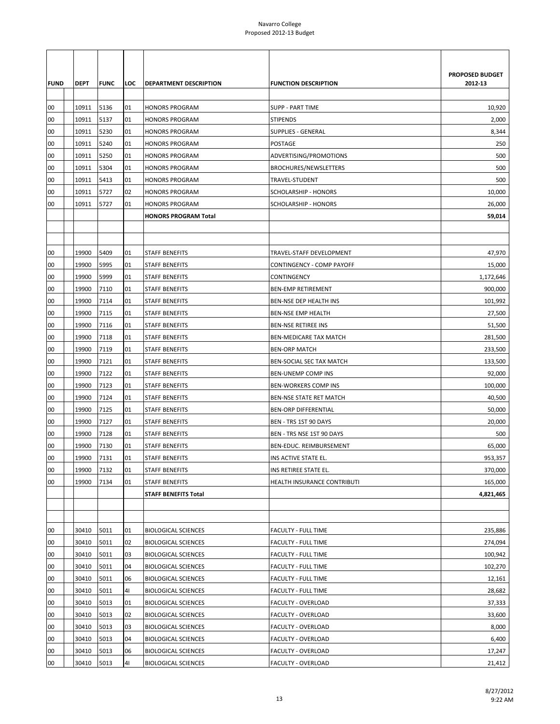| <b>FUND</b> | DEPT  | <b>FUNC</b> | LOC | <b>DEPARTMENT DESCRIPTION</b> | <b>FUNCTION DESCRIPTION</b>  | PROPOSED BUDGET<br>2012-13 |
|-------------|-------|-------------|-----|-------------------------------|------------------------------|----------------------------|
| 00          | 10911 | 5136        | 01  | <b>HONORS PROGRAM</b>         | <b>SUPP - PART TIME</b>      | 10,920                     |
| 00          | 10911 | 5137        | 01  | <b>HONORS PROGRAM</b>         | <b>STIPENDS</b>              | 2,000                      |
| 00          | 10911 | 5230        | 01  | <b>HONORS PROGRAM</b>         | SUPPLIES - GENERAL           | 8,344                      |
| 00          | 10911 | 5240        | 01  | <b>HONORS PROGRAM</b>         | POSTAGE                      | 250                        |
| 00          | 10911 | 5250        | 01  | <b>HONORS PROGRAM</b>         | ADVERTISING/PROMOTIONS       | 500                        |
| 00          | 10911 | 5304        | 01  | <b>HONORS PROGRAM</b>         | <b>BROCHURES/NEWSLETTERS</b> | 500                        |
| 00          | 10911 | 5413        | 01  | <b>HONORS PROGRAM</b>         | TRAVEL-STUDENT               | 500                        |
| 00          | 10911 | 5727        | 02  | <b>HONORS PROGRAM</b>         | SCHOLARSHIP - HONORS         | 10,000                     |
| 00          | 10911 | 5727        | 01  | <b>HONORS PROGRAM</b>         | SCHOLARSHIP - HONORS         | 26,000                     |
|             |       |             |     | <b>HONORS PROGRAM Total</b>   |                              | 59,014                     |
|             |       |             |     |                               |                              |                            |
|             |       |             |     |                               |                              |                            |
| 00          | 19900 | 5409        | 01  | <b>STAFF BENEFITS</b>         | TRAVEL-STAFF DEVELOPMENT     | 47,970                     |
| 00          | 19900 | 5995        | 01  | <b>STAFF BENEFITS</b>         | CONTINGENCY - COMP PAYOFF    | 15,000                     |
| 00          | 19900 | 5999        | 01  | <b>STAFF BENEFITS</b>         | CONTINGENCY                  | 1,172,646                  |
| 00          | 19900 | 7110        | 01  | <b>STAFF BENEFITS</b>         | <b>BEN-EMP RETIREMENT</b>    | 900,000                    |
| 00          | 19900 | 7114        | 01  | <b>STAFF BENEFITS</b>         | BEN-NSE DEP HEALTH INS       | 101,992                    |
| 00          | 19900 | 7115        | 01  | STAFF BENEFITS                | <b>BEN-NSE EMP HEALTH</b>    | 27,500                     |
| 00          | 19900 | 7116        | 01  | <b>STAFF BENEFITS</b>         | <b>BEN-NSE RETIREE INS</b>   | 51,500                     |
| 00          | 19900 | 7118        | 01  | <b>STAFF BENEFITS</b>         | BEN-MEDICARE TAX MATCH       | 281,500                    |
| 00          | 19900 | 7119        | 01  | <b>STAFF BENEFITS</b>         | <b>BEN-ORP MATCH</b>         | 233,500                    |
| 00          | 19900 | 7121        | 01  | <b>STAFF BENEFITS</b>         | BEN-SOCIAL SEC TAX MATCH     | 133,500                    |
| 00          | 19900 | 7122        | 01  | <b>STAFF BENEFITS</b>         | <b>BEN-UNEMP COMP INS</b>    | 92,000                     |
| 00          | 19900 | 7123        | 01  | <b>STAFF BENEFITS</b>         | <b>BEN-WORKERS COMP INS</b>  | 100,000                    |
| 00          | 19900 | 7124        | 01  | <b>STAFF BENEFITS</b>         | BEN-NSE STATE RET MATCH      | 40,500                     |
| 00          | 19900 | 7125        | 01  | <b>STAFF BENEFITS</b>         | <b>BEN-ORP DIFFERENTIAL</b>  | 50,000                     |
| 00          | 19900 | 7127        | 01  | STAFF BENEFITS                | BEN - TRS 1ST 90 DAYS        | 20,000                     |
| 00          | 19900 | 7128        | 01  | STAFF BENEFITS                | BEN - TRS NSE 1ST 90 DAYS    | 500                        |
| 00          | 19900 | 7130        | 01  | <b>STAFF BENEFITS</b>         | BEN-EDUC. REIMBURSEMENT      | 65,000                     |
| 00          | 19900 | 7131        | 01  | <b>STAFF BENEFITS</b>         | INS ACTIVE STATE EL.         | 953,357                    |
| 00          | 19900 | 7132        | 01  | <b>STAFF BENEFITS</b>         | INS RETIREE STATE EL.        | 370,000                    |
| 00          | 19900 | 7134        | 01  | <b>STAFF BENEFITS</b>         | HEALTH INSURANCE CONTRIBUTI  | 165,000                    |
|             |       |             |     | <b>STAFF BENEFITS Total</b>   |                              | 4,821,465                  |
|             |       |             |     |                               |                              |                            |
|             |       |             |     |                               |                              |                            |
| 00          | 30410 | 5011        | 01  | <b>BIOLOGICAL SCIENCES</b>    | <b>FACULTY - FULL TIME</b>   | 235,886                    |
| 00          | 30410 | 5011        | 02  | <b>BIOLOGICAL SCIENCES</b>    | <b>FACULTY - FULL TIME</b>   | 274,094                    |
| 00          | 30410 | 5011        | 03  | <b>BIOLOGICAL SCIENCES</b>    | FACULTY - FULL TIME          | 100,942                    |
| 00          | 30410 | 5011        | 04  | <b>BIOLOGICAL SCIENCES</b>    | <b>FACULTY - FULL TIME</b>   | 102,270                    |
| 00          | 30410 | 5011        | 06  | <b>BIOLOGICAL SCIENCES</b>    | FACULTY - FULL TIME          | 12,161                     |
| 00          | 30410 | 5011        | 41  | <b>BIOLOGICAL SCIENCES</b>    | FACULTY - FULL TIME          | 28,682                     |
| 00          | 30410 | 5013        | 01  | <b>BIOLOGICAL SCIENCES</b>    | FACULTY - OVERLOAD           | 37,333                     |
| 00          | 30410 | 5013        | 02  | <b>BIOLOGICAL SCIENCES</b>    | FACULTY - OVERLOAD           | 33,600                     |
| 00          | 30410 | 5013        | 03  | <b>BIOLOGICAL SCIENCES</b>    | FACULTY - OVERLOAD           | 8,000                      |
| 00          | 30410 | 5013        | 04  | <b>BIOLOGICAL SCIENCES</b>    | <b>FACULTY - OVERLOAD</b>    | 6,400                      |
| 00          | 30410 | 5013        | 06  | <b>BIOLOGICAL SCIENCES</b>    | FACULTY - OVERLOAD           | 17,247                     |
| 00          | 30410 | 5013        | 41  | <b>BIOLOGICAL SCIENCES</b>    | FACULTY - OVERLOAD           | 21,412                     |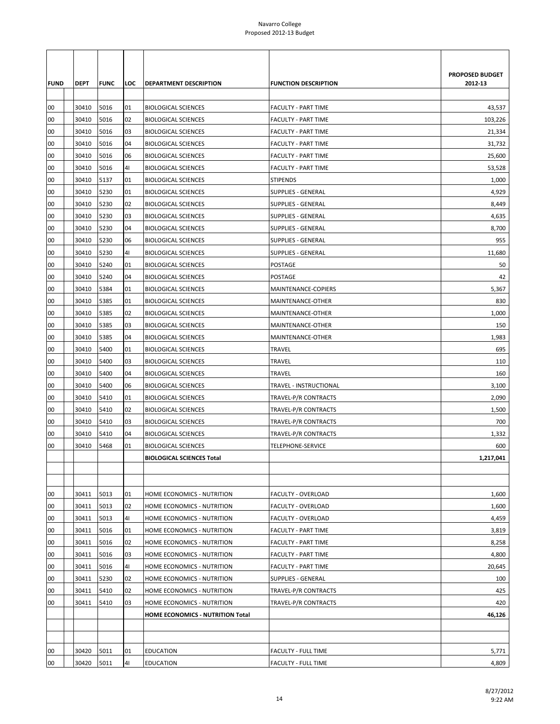| <b>FUND</b><br>00 | <b>DEPT</b><br>30410 | <b>FUNC</b><br>5016 | LOC<br>01      | <b>DEPARTMENT DESCRIPTION</b><br><b>BIOLOGICAL SCIENCES</b>    | <b>FUNCTION DESCRIPTION</b><br><b>FACULTY - PART TIME</b> | PROPOSED BUDGET<br>2012-13<br>43,537 |
|-------------------|----------------------|---------------------|----------------|----------------------------------------------------------------|-----------------------------------------------------------|--------------------------------------|
| 00                | 30410                | 5016                | 02             | <b>BIOLOGICAL SCIENCES</b>                                     | <b>FACULTY - PART TIME</b>                                | 103,226                              |
| 00                | 30410                | 5016                | 03             | <b>BIOLOGICAL SCIENCES</b>                                     | <b>FACULTY - PART TIME</b>                                | 21,334                               |
| 00                | 30410                | 5016                | 04             | <b>BIOLOGICAL SCIENCES</b>                                     | <b>FACULTY - PART TIME</b>                                | 31,732                               |
| 00                | 30410                | 5016                | 06             | <b>BIOLOGICAL SCIENCES</b>                                     | <b>FACULTY - PART TIME</b>                                | 25,600                               |
| 00                | 30410                | 5016                | 4 <sub>l</sub> | <b>BIOLOGICAL SCIENCES</b>                                     | <b>FACULTY - PART TIME</b>                                | 53,528                               |
| 00                | 30410                | 5137                | 01             | <b>BIOLOGICAL SCIENCES</b>                                     | <b>STIPENDS</b>                                           | 1,000                                |
| 00                | 30410                | 5230                | 01             | <b>BIOLOGICAL SCIENCES</b>                                     | <b>SUPPLIES - GENERAL</b>                                 | 4,929                                |
| 00                | 30410                | 5230                | 02             | <b>BIOLOGICAL SCIENCES</b>                                     | <b>SUPPLIES - GENERAL</b>                                 | 8,449                                |
| 00                | 30410                | 5230                | 03             | <b>BIOLOGICAL SCIENCES</b>                                     | <b>SUPPLIES - GENERAL</b>                                 | 4,635                                |
| 00                | 30410                | 5230                | 04             | <b>BIOLOGICAL SCIENCES</b>                                     | <b>SUPPLIES - GENERAL</b>                                 | 8,700                                |
| 00                | 30410                | 5230                | 06             | <b>BIOLOGICAL SCIENCES</b>                                     | <b>SUPPLIES - GENERAL</b>                                 | 955                                  |
| 00                | 30410                | 5230                | 41             | <b>BIOLOGICAL SCIENCES</b>                                     | <b>SUPPLIES - GENERAL</b>                                 | 11,680                               |
| 00                | 30410                | 5240                | 01             | <b>BIOLOGICAL SCIENCES</b>                                     | POSTAGE                                                   | 50                                   |
| 00                | 30410                | 5240                | 04             | <b>BIOLOGICAL SCIENCES</b>                                     | POSTAGE                                                   | 42                                   |
| 00                | 30410                | 5384                | 01             | <b>BIOLOGICAL SCIENCES</b>                                     | MAINTENANCE-COPIERS                                       | 5,367                                |
| 00                | 30410                | 5385                | 01             | <b>BIOLOGICAL SCIENCES</b>                                     | MAINTENANCE-OTHER                                         | 830                                  |
| 00                | 30410                | 5385                | 02             | <b>BIOLOGICAL SCIENCES</b>                                     | MAINTENANCE-OTHER                                         | 1,000                                |
| 00                | 30410                | 5385                | 03             | <b>BIOLOGICAL SCIENCES</b>                                     | MAINTENANCE-OTHER                                         | 150                                  |
| 00                | 30410                | 5385                | 04             | <b>BIOLOGICAL SCIENCES</b>                                     | MAINTENANCE-OTHER                                         | 1,983                                |
| 00                | 30410                | 5400                | 01             | <b>BIOLOGICAL SCIENCES</b>                                     | <b>TRAVEL</b>                                             | 695                                  |
| 00                | 30410                | 5400                | 03             | <b>BIOLOGICAL SCIENCES</b>                                     | <b>TRAVEL</b>                                             | 110                                  |
| 00                | 30410                | 5400                | 04             | <b>BIOLOGICAL SCIENCES</b>                                     | TRAVEL                                                    | 160                                  |
| 00                | 30410                | 5400                | 06             | <b>BIOLOGICAL SCIENCES</b>                                     | TRAVEL - INSTRUCTIONAL                                    | 3,100                                |
| 00                | 30410                | 5410                | 01             | <b>BIOLOGICAL SCIENCES</b>                                     | TRAVEL-P/R CONTRACTS                                      | 2,090                                |
| 00<br>00          | 30410                | 5410<br>5410        | 02             | <b>BIOLOGICAL SCIENCES</b>                                     | TRAVEL-P/R CONTRACTS                                      | 1,500<br>700                         |
|                   | 30410                |                     | 03             | <b>BIOLOGICAL SCIENCES</b>                                     | TRAVEL-P/R CONTRACTS                                      |                                      |
| 00                | 30410                | 5410                | 04             | <b>BIOLOGICAL SCIENCES</b>                                     | TRAVEL-P/R CONTRACTS                                      | 1,332                                |
| 00                | 30410                | 5468                | 01             | <b>BIOLOGICAL SCIENCES</b><br><b>BIOLOGICAL SCIENCES Total</b> | TELEPHONE-SERVICE                                         | 600<br>1,217,041                     |
|                   |                      |                     |                |                                                                |                                                           |                                      |
|                   |                      |                     |                |                                                                |                                                           |                                      |
| 00                | 30411                | 5013                | 01             | HOME ECONOMICS - NUTRITION                                     | FACULTY - OVERLOAD                                        | 1,600                                |
| 00                | 30411                | 5013                | 02             | HOME ECONOMICS - NUTRITION                                     | <b>FACULTY - OVERLOAD</b>                                 | 1,600                                |
| 00                | 30411                | 5013                | 41             | HOME ECONOMICS - NUTRITION                                     | <b>FACULTY - OVERLOAD</b>                                 | 4,459                                |
| 00                | 30411                | 5016                | 01             | HOME ECONOMICS - NUTRITION                                     | <b>FACULTY - PART TIME</b>                                | 3,819                                |
| 00                | 30411                | 5016                | 02             | HOME ECONOMICS - NUTRITION                                     | <b>FACULTY - PART TIME</b>                                | 8,258                                |
| 00                | 30411                | 5016                | 03             | HOME ECONOMICS - NUTRITION                                     | <b>FACULTY - PART TIME</b>                                | 4,800                                |
| 00                | 30411                | 5016                | 41             | HOME ECONOMICS - NUTRITION                                     | <b>FACULTY - PART TIME</b>                                | 20,645                               |
| 00                | 30411                | 5230                | 02             | HOME ECONOMICS - NUTRITION                                     | <b>SUPPLIES - GENERAL</b>                                 | 100                                  |
| 00                | 30411                | 5410                | 02             | HOME ECONOMICS - NUTRITION                                     | TRAVEL-P/R CONTRACTS                                      | 425                                  |
| 00                | 30411                | 5410                | 03             | HOME ECONOMICS - NUTRITION                                     | TRAVEL-P/R CONTRACTS                                      | 420                                  |
|                   |                      |                     |                | HOME ECONOMICS - NUTRITION Total                               |                                                           | 46,126                               |
|                   |                      |                     |                |                                                                |                                                           |                                      |
|                   |                      |                     |                |                                                                |                                                           |                                      |
| 00                | 30420                | 5011                | 01             | <b>EDUCATION</b>                                               | FACULTY - FULL TIME                                       | 5,771                                |
| 00                | 30420                | 5011                | 41             | <b>EDUCATION</b>                                               | FACULTY - FULL TIME                                       | 4,809                                |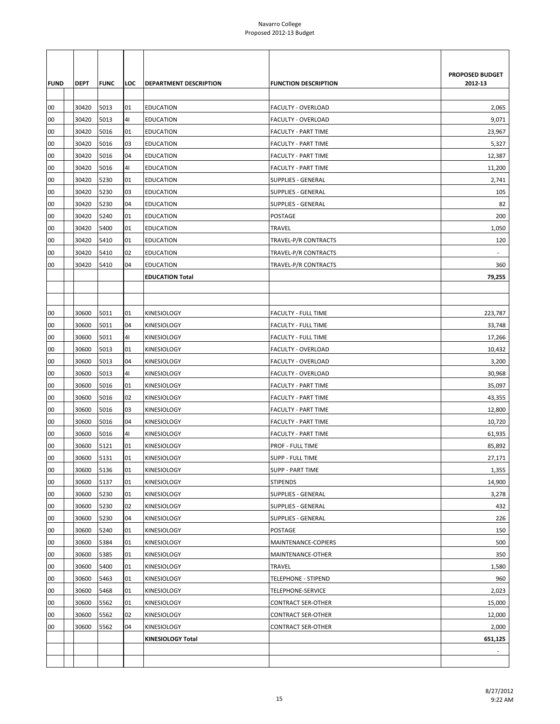| <b>FUND</b> | <b>DEPT</b> | <b>FUNC</b> | LOC            | <b>DEPARTMENT DESCRIPTION</b>              | <b>FUNCTION DESCRIPTION</b> | <b>PROPOSED BUDGET</b><br>2012-13 |
|-------------|-------------|-------------|----------------|--------------------------------------------|-----------------------------|-----------------------------------|
|             |             |             |                |                                            |                             |                                   |
| 00          | 30420       | 5013        | 01             | <b>EDUCATION</b>                           | FACULTY - OVERLOAD          | 2,065                             |
| 00          | 30420       | 5013        | 41             | <b>EDUCATION</b>                           | FACULTY - OVERLOAD          | 9,071                             |
| 00          | 30420       | 5016        | 01             | <b>EDUCATION</b>                           | <b>FACULTY - PART TIME</b>  | 23,967                            |
| 00          | 30420       | 5016        | 03             | <b>EDUCATION</b>                           | <b>FACULTY - PART TIME</b>  | 5,327                             |
| 00          | 30420       | 5016        | 04             | <b>EDUCATION</b>                           | <b>FACULTY - PART TIME</b>  | 12,387                            |
| 00          | 30420       | 5016        | 41             | <b>EDUCATION</b>                           | <b>FACULTY - PART TIME</b>  | 11,200                            |
| 00          | 30420       | 5230        | 01             | <b>EDUCATION</b>                           | SUPPLIES - GENERAL          | 2,741                             |
| 00          | 30420       | 5230        | 03             | <b>EDUCATION</b>                           | <b>SUPPLIES - GENERAL</b>   | 105                               |
| 00          | 30420       | 5230        | 04             | <b>EDUCATION</b>                           | <b>SUPPLIES - GENERAL</b>   | 82                                |
| 00          | 30420       | 5240        | 01             | <b>EDUCATION</b>                           | POSTAGE                     | 200                               |
| 00          | 30420       | 5400        | 01             | <b>EDUCATION</b>                           | <b>TRAVEL</b>               | 1,050                             |
| 00          | 30420       | 5410        | 01             | <b>EDUCATION</b>                           | TRAVEL-P/R CONTRACTS        | 120                               |
| 00          | 30420       | 5410        | 02             | <b>EDUCATION</b>                           | TRAVEL-P/R CONTRACTS        |                                   |
| 00          | 30420       | 5410        | 04             | <b>EDUCATION</b><br><b>EDUCATION Total</b> | TRAVEL-P/R CONTRACTS        | 360<br>79,255                     |
|             |             |             |                |                                            |                             |                                   |
|             |             |             |                |                                            |                             |                                   |
| 00          | 30600       | 5011        | 01             | <b>KINESIOLOGY</b>                         | <b>FACULTY - FULL TIME</b>  | 223,787                           |
| 00          | 30600       | 5011        | 04             | KINESIOLOGY                                | FACULTY - FULL TIME         | 33,748                            |
| 00          | 30600       | 5011        | 41             | KINESIOLOGY                                | <b>FACULTY - FULL TIME</b>  | 17,266                            |
| 00          | 30600       | 5013        | 01             | <b>KINESIOLOGY</b>                         | FACULTY - OVERLOAD          | 10,432                            |
| 00          | 30600       | 5013        | 04             | <b>KINESIOLOGY</b>                         | FACULTY - OVERLOAD          | 3,200                             |
| 00          | 30600       | 5013        | 4 <sub>1</sub> | <b>KINESIOLOGY</b>                         | FACULTY - OVERLOAD          | 30,968                            |
| 00          | 30600       | 5016        | 01             | KINESIOLOGY                                | <b>FACULTY - PART TIME</b>  | 35,097                            |
| 00          | 30600       | 5016        | 02             | <b>KINESIOLOGY</b>                         | <b>FACULTY - PART TIME</b>  | 43,355                            |
| 00          | 30600       | 5016        | 03             | <b>KINESIOLOGY</b>                         | <b>FACULTY - PART TIME</b>  | 12,800                            |
| 00          | 30600       | 5016        | 04             | KINESIOLOGY                                | <b>FACULTY - PART TIME</b>  | 10,720                            |
| 00          | 30600       | 5016        | 4 <sub>l</sub> | KINESIOLOGY                                | <b>FACULTY - PART TIME</b>  | 61,935                            |
| 00          | 30600       | 5121        | 01             | <b>KINESIOLOGY</b>                         | PROF - FULL TIME            | 85,892                            |
| 00          | 30600       | 5131        | 01             | KINESIOLOGY                                | <b>SUPP - FULL TIME</b>     | 27,171                            |
| 00          | 30600       | 5136        | 01             | <b>KINESIOLOGY</b>                         | <b>SUPP - PART TIME</b>     | 1,355                             |
| 00          | 30600       | 5137        | 01             | KINESIOLOGY                                | <b>STIPENDS</b>             | 14,900                            |
| 00          | 30600       | 5230        | 01             | <b>KINESIOLOGY</b>                         | <b>SUPPLIES - GENERAL</b>   | 3,278                             |
| 00          | 30600       | 5230        | 02             | KINESIOLOGY                                | <b>SUPPLIES - GENERAL</b>   | 432                               |
| 00          | 30600       | 5230        | 04             | KINESIOLOGY                                | <b>SUPPLIES - GENERAL</b>   | 226                               |
| 00          | 30600       | 5240        | 01             | <b>KINESIOLOGY</b>                         | POSTAGE                     | 150                               |
| 00          | 30600       | 5384        | 01             | KINESIOLOGY                                | MAINTENANCE-COPIERS         | 500                               |
| 00          | 30600       | 5385        | 01             | KINESIOLOGY                                | MAINTENANCE-OTHER           | 350                               |
| 00          | 30600       | 5400        | 01             | KINESIOLOGY                                | TRAVEL                      | 1,580                             |
| 00          | 30600       | 5463        | 01             | KINESIOLOGY                                | <b>TELEPHONE - STIPEND</b>  | 960                               |
| 00          | 30600       | 5468        | 01             | <b>KINESIOLOGY</b>                         | TELEPHONE-SERVICE           | 2,023                             |
| 00          | 30600       | 5562        | 01             | KINESIOLOGY                                | <b>CONTRACT SER-OTHER</b>   | 15,000                            |
| 00          | 30600       | 5562        | 02             | KINESIOLOGY                                | <b>CONTRACT SER-OTHER</b>   | 12,000                            |
| 00          | 30600       | 5562        | 04             | KINESIOLOGY                                | <b>CONTRACT SER-OTHER</b>   | 2,000                             |
|             |             |             |                | KINESIOLOGY Total                          |                             | 651,125                           |
|             |             |             |                |                                            |                             |                                   |
|             |             |             |                |                                            |                             |                                   |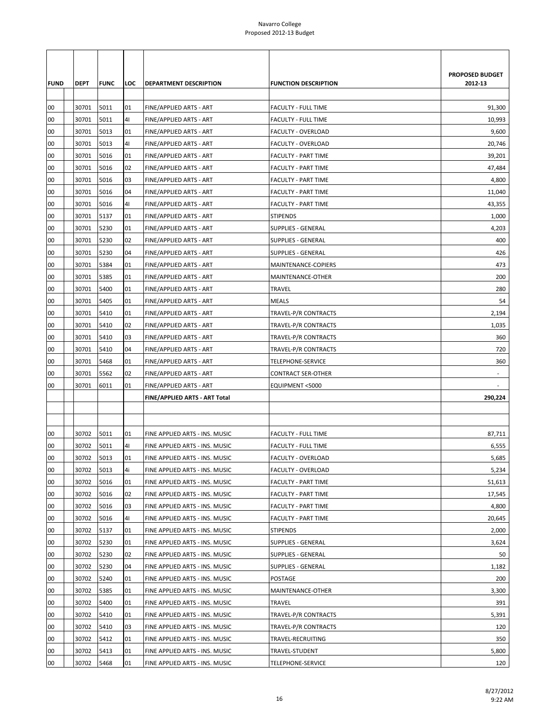|             |             |             |     |                                |                             | PROPOSED BUDGET |
|-------------|-------------|-------------|-----|--------------------------------|-----------------------------|-----------------|
| <b>FUND</b> | <b>DEPT</b> | <b>FUNC</b> | LOC | DEPARTMENT DESCRIPTION         | <b>FUNCTION DESCRIPTION</b> | 2012-13         |
| 00          | 30701       | 5011        | 01  | FINE/APPLIED ARTS - ART        | <b>FACULTY - FULL TIME</b>  | 91,300          |
| 00          | 30701       | 5011        | 41  | FINE/APPLIED ARTS - ART        | <b>FACULTY - FULL TIME</b>  | 10,993          |
| 00          | 30701       | 5013        | 01  | FINE/APPLIED ARTS - ART        | FACULTY - OVERLOAD          | 9,600           |
| 00          | 30701       | 5013        | 41  | FINE/APPLIED ARTS - ART        | <b>FACULTY - OVERLOAD</b>   | 20,746          |
| 00          | 30701       | 5016        | 01  | FINE/APPLIED ARTS - ART        | <b>FACULTY - PART TIME</b>  | 39,201          |
| 00          | 30701       | 5016        | 02  | FINE/APPLIED ARTS - ART        | <b>FACULTY - PART TIME</b>  | 47,484          |
| 00          | 30701       | 5016        | 03  | FINE/APPLIED ARTS - ART        | FACULTY - PART TIME         | 4,800           |
| 00          | 30701       | 5016        | 04  | FINE/APPLIED ARTS - ART        | <b>FACULTY - PART TIME</b>  | 11,040          |
| 00          | 30701       | 5016        | 41  | FINE/APPLIED ARTS - ART        | <b>FACULTY - PART TIME</b>  | 43,355          |
| 00          | 30701       | 5137        | 01  | FINE/APPLIED ARTS - ART        | <b>STIPENDS</b>             | 1,000           |
| 00          | 30701       | 5230        | 01  | FINE/APPLIED ARTS - ART        | <b>SUPPLIES - GENERAL</b>   | 4,203           |
| 00          | 30701       | 5230        | 02  | FINE/APPLIED ARTS - ART        | <b>SUPPLIES - GENERAL</b>   | 400             |
| 00          | 30701       | 5230        | 04  | FINE/APPLIED ARTS - ART        | <b>SUPPLIES - GENERAL</b>   | 426             |
| 00          | 30701       | 5384        | 01  | FINE/APPLIED ARTS - ART        | MAINTENANCE-COPIERS         | 473             |
| 00          | 30701       | 5385        | 01  | FINE/APPLIED ARTS - ART        | MAINTENANCE-OTHER           | 200             |
| 00          | 30701       | 5400        | 01  | FINE/APPLIED ARTS - ART        | TRAVEL                      | 280             |
| 00          | 30701       | 5405        | 01  | FINE/APPLIED ARTS - ART        | MEALS                       | 54              |
| 00          | 30701       | 5410        | 01  | FINE/APPLIED ARTS - ART        | TRAVEL-P/R CONTRACTS        | 2,194           |
| 00          | 30701       | 5410        | 02  | FINE/APPLIED ARTS - ART        | TRAVEL-P/R CONTRACTS        | 1,035           |
| 00          | 30701       | 5410        | 03  | FINE/APPLIED ARTS - ART        | TRAVEL-P/R CONTRACTS        | 360             |
| 00          | 30701       | 5410        | 04  | FINE/APPLIED ARTS - ART        | TRAVEL-P/R CONTRACTS        | 720             |
| 00          | 30701       | 5468        | 01  | FINE/APPLIED ARTS - ART        | TELEPHONE-SERVICE           | 360             |
| 00          | 30701       | 5562        | 02  | FINE/APPLIED ARTS - ART        | CONTRACT SER-OTHER          |                 |
| 00          | 30701       | 6011        | 01  | FINE/APPLIED ARTS - ART        | EQUIPMENT <5000             |                 |
|             |             |             |     | FINE/APPLIED ARTS - ART Total  |                             | 290,224         |
|             |             |             |     |                                |                             |                 |
|             |             |             |     |                                |                             |                 |
| 00          | 30702       | 5011        | 01  | FINE APPLIED ARTS - INS. MUSIC | <b>FACULTY - FULL TIME</b>  | 87,711          |
| 00          | 30702       | 5011        | 41  | FINE APPLIED ARTS - INS. MUSIC | FACULTY - FULL TIME         | 6,555           |
| 00          | 30702       | 5013        | 01  | FINE APPLIED ARTS - INS. MUSIC | FACULTY - OVERLOAD          | 5,685           |
| 00          | 30702       | 5013        | 4i  | FINE APPLIED ARTS - INS. MUSIC | <b>FACULTY - OVERLOAD</b>   | 5,234           |
| 00          | 30702       | 5016        | 01  | FINE APPLIED ARTS - INS. MUSIC | <b>FACULTY - PART TIME</b>  | 51,613          |
| 00          | 30702       | 5016        | 02  | FINE APPLIED ARTS - INS. MUSIC | <b>FACULTY - PART TIME</b>  | 17,545          |
| 00          | 30702       | 5016        | 03  | FINE APPLIED ARTS - INS. MUSIC | <b>FACULTY - PART TIME</b>  | 4,800           |
| 00          | 30702       | 5016        | 41  | FINE APPLIED ARTS - INS. MUSIC | <b>FACULTY - PART TIME</b>  | 20,645          |
| 00          | 30702       | 5137        | 01  | FINE APPLIED ARTS - INS. MUSIC | <b>STIPENDS</b>             | 2,000           |
| 00          | 30702       | 5230        | 01  | FINE APPLIED ARTS - INS. MUSIC | SUPPLIES - GENERAL          | 3,624           |
| 00          | 30702       | 5230        | 02  | FINE APPLIED ARTS - INS. MUSIC | <b>SUPPLIES - GENERAL</b>   | 50              |
| 00          | 30702       | 5230        | 04  | FINE APPLIED ARTS - INS. MUSIC | <b>SUPPLIES - GENERAL</b>   | 1,182           |
| 00          | 30702       | 5240        | 01  | FINE APPLIED ARTS - INS. MUSIC | POSTAGE                     | 200             |
| 00          | 30702       | 5385        | 01  | FINE APPLIED ARTS - INS. MUSIC | MAINTENANCE-OTHER           | 3,300           |
| 00          | 30702       | 5400        | 01  | FINE APPLIED ARTS - INS. MUSIC | TRAVEL                      | 391             |
| 00          | 30702       | 5410        | 01  | FINE APPLIED ARTS - INS. MUSIC | TRAVEL-P/R CONTRACTS        | 5,391           |
| 00          | 30702       | 5410        | 03  | FINE APPLIED ARTS - INS. MUSIC | TRAVEL-P/R CONTRACTS        | 120             |
| 00          | 30702       | 5412        | 01  | FINE APPLIED ARTS - INS. MUSIC | TRAVEL-RECRUITING           | 350             |
| 00          | 30702       | 5413        | 01  | FINE APPLIED ARTS - INS. MUSIC | TRAVEL-STUDENT              | 5,800           |
| 00          | 30702       | 5468        | 01  | FINE APPLIED ARTS - INS. MUSIC | TELEPHONE-SERVICE           | 120             |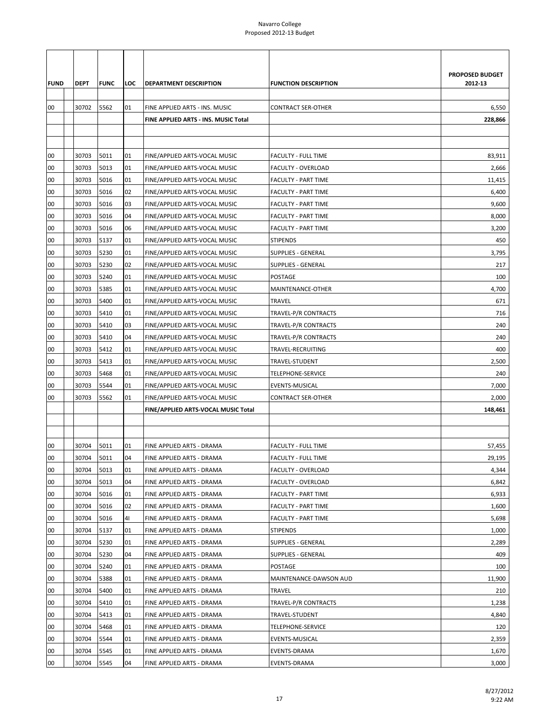|             |             |             |     |                                      |                             | PROPOSED BUDGET |
|-------------|-------------|-------------|-----|--------------------------------------|-----------------------------|-----------------|
| <b>FUND</b> | <b>DEPT</b> | <b>FUNC</b> | LOC | DEPARTMENT DESCRIPTION               | <b>FUNCTION DESCRIPTION</b> | 2012-13         |
|             |             |             |     |                                      |                             |                 |
| 00          | 30702       | 5562        | 01  | FINE APPLIED ARTS - INS. MUSIC       | <b>CONTRACT SER-OTHER</b>   | 6,550           |
|             |             |             |     | FINE APPLIED ARTS - INS. MUSIC Total |                             | 228,866         |
|             |             |             |     |                                      |                             |                 |
| 00          | 30703       | 5011        | 01  | FINE/APPLIED ARTS-VOCAL MUSIC        | <b>FACULTY - FULL TIME</b>  | 83,911          |
| 00          | 30703       | 5013        | 01  | FINE/APPLIED ARTS-VOCAL MUSIC        | FACULTY - OVERLOAD          | 2,666           |
| 00          | 30703       | 5016        | 01  | FINE/APPLIED ARTS-VOCAL MUSIC        | <b>FACULTY - PART TIME</b>  | 11,415          |
| 00          | 30703       | 5016        | 02  | FINE/APPLIED ARTS-VOCAL MUSIC        | <b>FACULTY - PART TIME</b>  | 6,400           |
| 00          | 30703       | 5016        | 03  | FINE/APPLIED ARTS-VOCAL MUSIC        | <b>FACULTY - PART TIME</b>  | 9,600           |
| 00          | 30703       | 5016        | 04  | FINE/APPLIED ARTS-VOCAL MUSIC        | <b>FACULTY - PART TIME</b>  | 8,000           |
| 00          | 30703       | 5016        | 06  | FINE/APPLIED ARTS-VOCAL MUSIC        | <b>FACULTY - PART TIME</b>  | 3,200           |
| 00          | 30703       | 5137        | 01  | FINE/APPLIED ARTS-VOCAL MUSIC        | <b>STIPENDS</b>             | 450             |
| 00          | 30703       | 5230        | 01  | FINE/APPLIED ARTS-VOCAL MUSIC        | <b>SUPPLIES - GENERAL</b>   | 3,795           |
| 00          | 30703       | 5230        | 02  | FINE/APPLIED ARTS-VOCAL MUSIC        | <b>SUPPLIES - GENERAL</b>   | 217             |
| 00          | 30703       | 5240        | 01  | FINE/APPLIED ARTS-VOCAL MUSIC        | POSTAGE                     | 100             |
| 00          | 30703       | 5385        | 01  | FINE/APPLIED ARTS-VOCAL MUSIC        | MAINTENANCE-OTHER           | 4,700           |
| 00          | 30703       | 5400        | 01  | FINE/APPLIED ARTS-VOCAL MUSIC        | TRAVEL                      | 671             |
| 00          | 30703       | 5410        | 01  | FINE/APPLIED ARTS-VOCAL MUSIC        | TRAVEL-P/R CONTRACTS        | 716             |
| 00          | 30703       | 5410        | 03  | FINE/APPLIED ARTS-VOCAL MUSIC        | TRAVEL-P/R CONTRACTS        | 240             |
| 00          | 30703       | 5410        | 04  | FINE/APPLIED ARTS-VOCAL MUSIC        | TRAVEL-P/R CONTRACTS        | 240             |
| 00          | 30703       | 5412        | 01  | FINE/APPLIED ARTS-VOCAL MUSIC        | TRAVEL-RECRUITING           | 400             |
| 00          | 30703       | 5413        | 01  | FINE/APPLIED ARTS-VOCAL MUSIC        | TRAVEL-STUDENT              | 2,500           |
| 00          | 30703       | 5468        | 01  | FINE/APPLIED ARTS-VOCAL MUSIC        | TELEPHONE-SERVICE           | 240             |
| 00          | 30703       | 5544        | 01  | FINE/APPLIED ARTS-VOCAL MUSIC        | EVENTS-MUSICAL              | 7,000           |
| 00          | 30703       | 5562        | 01  | FINE/APPLIED ARTS-VOCAL MUSIC        | <b>CONTRACT SER-OTHER</b>   | 2,000           |
|             |             |             |     | FINE/APPLIED ARTS-VOCAL MUSIC Total  |                             | 148,461         |
|             |             |             |     |                                      |                             |                 |
|             |             |             |     |                                      |                             |                 |
| 00          | 30704       | 5011        | 01  | FINE APPLIED ARTS - DRAMA            | FACULTY - FULL TIME         | 57,455          |
| 00          | 30704       | 5011        | 04  | FINE APPLIED ARTS - DRAMA            | <b>FACULTY - FULL TIME</b>  | 29.195          |
| 00          | 30704       | 5013        | 01  | FINE APPLIED ARTS - DRAMA            | <b>FACULTY - OVERLOAD</b>   | 4,344           |
| 00          | 30704       | 5013        | 04  | FINE APPLIED ARTS - DRAMA            | FACULTY - OVERLOAD          | 6,842           |
| 00          | 30704       | 5016        | 01  | FINE APPLIED ARTS - DRAMA            | <b>FACULTY - PART TIME</b>  | 6,933           |
| 00          | 30704       | 5016        | 02  | FINE APPLIED ARTS - DRAMA            | <b>FACULTY - PART TIME</b>  | 1,600           |
| 00          | 30704       | 5016        | 41  | FINE APPLIED ARTS - DRAMA            | <b>FACULTY - PART TIME</b>  | 5,698           |
| 00          | 30704       | 5137        | 01  | FINE APPLIED ARTS - DRAMA            | <b>STIPENDS</b>             | 1,000           |
| 00          | 30704       | 5230        | 01  | FINE APPLIED ARTS - DRAMA            | <b>SUPPLIES - GENERAL</b>   | 2,289           |
| 00          | 30704       | 5230        | 04  | FINE APPLIED ARTS - DRAMA            | <b>SUPPLIES - GENERAL</b>   | 409             |
| 00          | 30704       | 5240        | 01  | FINE APPLIED ARTS - DRAMA            | POSTAGE                     | 100             |
| 00          | 30704       | 5388        | 01  | FINE APPLIED ARTS - DRAMA            | MAINTENANCE-DAWSON AUD      | 11,900          |
| 00          | 30704       | 5400        | 01  | FINE APPLIED ARTS - DRAMA            | TRAVEL                      | 210             |
| 00          | 30704       | 5410        | 01  | FINE APPLIED ARTS - DRAMA            | TRAVEL-P/R CONTRACTS        | 1,238           |
| 00          | 30704       | 5413        | 01  | FINE APPLIED ARTS - DRAMA            | TRAVEL-STUDENT              | 4,840           |
| 00          | 30704       | 5468        | 01  | FINE APPLIED ARTS - DRAMA            | TELEPHONE-SERVICE           | 120             |
| 00          | 30704       | 5544        | 01  | FINE APPLIED ARTS - DRAMA            | EVENTS-MUSICAL              | 2,359           |
| 00          | 30704       | 5545        | 01  | FINE APPLIED ARTS - DRAMA            | EVENTS-DRAMA                | 1,670           |
| 00          | 30704       | 5545        | 04  | FINE APPLIED ARTS - DRAMA            | EVENTS-DRAMA                | 3,000           |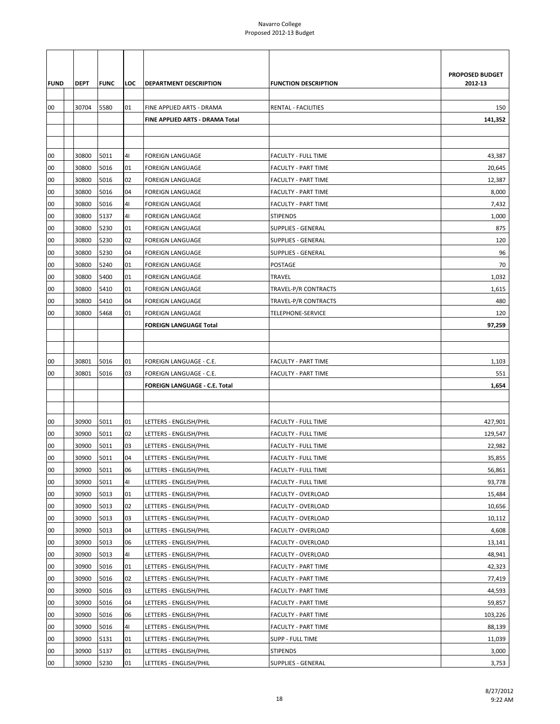|             |             |             |     |                                 |                             | PROPOSED BUDGET |
|-------------|-------------|-------------|-----|---------------------------------|-----------------------------|-----------------|
| <b>FUND</b> | <b>DEPT</b> | <b>FUNC</b> | LOC | <b>DEPARTMENT DESCRIPTION</b>   | <b>FUNCTION DESCRIPTION</b> | 2012-13         |
|             |             |             |     |                                 |                             |                 |
| 00          | 30704       | 5580        | 01  | FINE APPLIED ARTS - DRAMA       | <b>RENTAL - FACILITIES</b>  | 150             |
|             |             |             |     | FINE APPLIED ARTS - DRAMA Total |                             | 141,352         |
|             |             |             |     |                                 |                             |                 |
|             |             |             |     |                                 |                             |                 |
| 00          | 30800       | 5011        | 41  | FOREIGN LANGUAGE                | <b>FACULTY - FULL TIME</b>  | 43,387          |
| 00          | 30800       | 5016        | 01  | <b>FOREIGN LANGUAGE</b>         | <b>FACULTY - PART TIME</b>  | 20,645          |
| 00          | 30800       | 5016        | 02  | <b>FOREIGN LANGUAGE</b>         | <b>FACULTY - PART TIME</b>  | 12,387          |
| 00          | 30800       | 5016        | 04  | <b>FOREIGN LANGUAGE</b>         | <b>FACULTY - PART TIME</b>  | 8,000           |
| 00          | 30800       | 5016        | 41  | <b>FOREIGN LANGUAGE</b>         | <b>FACULTY - PART TIME</b>  | 7,432           |
| 00          | 30800       | 5137        | 41  | FOREIGN LANGUAGE                | <b>STIPENDS</b>             | 1,000           |
| 00          | 30800       | 5230        | 01  | <b>FOREIGN LANGUAGE</b>         | <b>SUPPLIES - GENERAL</b>   | 875             |
| 00          | 30800       | 5230        | 02  | <b>FOREIGN LANGUAGE</b>         | SUPPLIES - GENERAL          | 120             |
| 00          | 30800       | 5230        | 04  | <b>FOREIGN LANGUAGE</b>         | <b>SUPPLIES - GENERAL</b>   | 96              |
| 00          | 30800       | 5240        | 01  | <b>FOREIGN LANGUAGE</b>         | POSTAGE                     | 70              |
| 00          | 30800       | 5400        | 01  | FOREIGN LANGUAGE                | TRAVEL                      | 1,032           |
| 00          | 30800       | 5410        | 01  | <b>FOREIGN LANGUAGE</b>         | TRAVEL-P/R CONTRACTS        | 1,615           |
| 00          | 30800       | 5410        | 04  | <b>FOREIGN LANGUAGE</b>         | TRAVEL-P/R CONTRACTS        | 480             |
| 00          | 30800       | 5468        | 01  | <b>FOREIGN LANGUAGE</b>         | TELEPHONE-SERVICE           | 120             |
|             |             |             |     | <b>FOREIGN LANGUAGE Total</b>   |                             | 97,259          |
|             |             |             |     |                                 |                             |                 |
|             |             |             |     |                                 |                             |                 |
| 00          | 30801       | 5016        | 01  | FOREIGN LANGUAGE - C.E.         | <b>FACULTY - PART TIME</b>  | 1,103           |
| 00          | 30801       | 5016        | 03  | FOREIGN LANGUAGE - C.E.         | <b>FACULTY - PART TIME</b>  | 551             |
|             |             |             |     | FOREIGN LANGUAGE - C.E. Total   |                             | 1,654           |
|             |             |             |     |                                 |                             |                 |
|             |             |             |     |                                 |                             |                 |
| 00          | 30900       | 5011        | 01  | LETTERS - ENGLISH/PHIL          | <b>FACULTY - FULL TIME</b>  | 427,901         |
| 00          | 30900       | 5011        | 02  | LETTERS - ENGLISH/PHIL          | <b>FACULTY - FULL TIME</b>  | 129,547         |
| 00          | 30900       | 5011        | 03  | LETTERS - ENGLISH/PHIL          | <b>FACULTY - FULL TIME</b>  | 22,982          |
| 00          | 30900       | 5011        | 04  | LETTERS - ENGLISH/PHIL          | <b>FACULTY - FULL TIME</b>  | 35,855          |
| 00          | 30900       | 5011        | 06  | LETTERS - ENGLISH/PHIL          | FACULTY - FULL TIME         | 56,861          |
| 00          | 30900       | 5011        | 41  | LETTERS - ENGLISH/PHIL          | FACULTY - FULL TIME         | 93,778          |
| 00          | 30900       | 5013        | 01  | LETTERS - ENGLISH/PHIL          | FACULTY - OVERLOAD          | 15,484          |
| 00          | 30900       | 5013        | 02  | LETTERS - ENGLISH/PHIL          | FACULTY - OVERLOAD          | 10,656          |
| 00          | 30900       | 5013        | 03  | LETTERS - ENGLISH/PHIL          | FACULTY - OVERLOAD          | 10,112          |
| 00          | 30900       | 5013        | 04  | LETTERS - ENGLISH/PHIL          | FACULTY - OVERLOAD          | 4,608           |
| 00          | 30900       | 5013        | 06  | LETTERS - ENGLISH/PHIL          | <b>FACULTY - OVERLOAD</b>   | 13,141          |
| 00          | 30900       | 5013        | 41  | LETTERS - ENGLISH/PHIL          | <b>FACULTY - OVERLOAD</b>   | 48,941          |
| 00          | 30900       | 5016        | 01  | LETTERS - ENGLISH/PHIL          | <b>FACULTY - PART TIME</b>  | 42,323          |
| 00          | 30900       | 5016        | 02  | LETTERS - ENGLISH/PHIL          | <b>FACULTY - PART TIME</b>  | 77,419          |
| 00          | 30900       | 5016        | 03  | LETTERS - ENGLISH/PHIL          | FACULTY - PART TIME         | 44,593          |
| 00          | 30900       | 5016        | 04  | LETTERS - ENGLISH/PHIL          | <b>FACULTY - PART TIME</b>  | 59,857          |
| 00          | 30900       | 5016        | 06  | LETTERS - ENGLISH/PHIL          | <b>FACULTY - PART TIME</b>  | 103,226         |
| 00          | 30900       | 5016        | 41  | LETTERS - ENGLISH/PHIL          | FACULTY - PART TIME         | 88,139          |
| 00          | 30900       | 5131        | 01  | LETTERS - ENGLISH/PHIL          | SUPP - FULL TIME            | 11,039          |
| 00          | 30900       | 5137        | 01  | LETTERS - ENGLISH/PHIL          | <b>STIPENDS</b>             | 3,000           |
| 00          | 30900       | 5230        | 01  | LETTERS - ENGLISH/PHIL          | <b>SUPPLIES - GENERAL</b>   | 3,753           |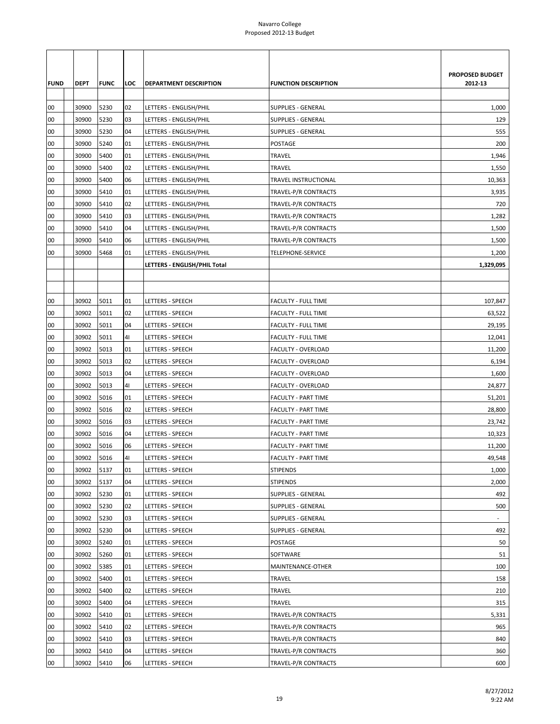|             |       |             |     |                              |                             | PROPOSED BUDGET          |
|-------------|-------|-------------|-----|------------------------------|-----------------------------|--------------------------|
| <b>FUND</b> | DEPT  | <b>FUNC</b> | LOC | DEPARTMENT DESCRIPTION       | <b>FUNCTION DESCRIPTION</b> | 2012-13                  |
|             |       |             |     |                              |                             |                          |
| 00          | 30900 | 5230        | 02  | LETTERS - ENGLISH/PHIL       | <b>SUPPLIES - GENERAL</b>   | 1,000                    |
| 00          | 30900 | 5230        | 03  | LETTERS - ENGLISH/PHIL       | SUPPLIES - GENERAL          | 129                      |
| 00          | 30900 | 5230        | 04  | LETTERS - ENGLISH/PHIL       | <b>SUPPLIES - GENERAL</b>   | 555                      |
| 00          | 30900 | 5240        | 01  | LETTERS - ENGLISH/PHIL       | POSTAGE                     | 200                      |
| 00          | 30900 | 5400        | 01  | LETTERS - ENGLISH/PHIL       | TRAVEL                      | 1,946                    |
| 00          | 30900 | 5400        | 02  | LETTERS - ENGLISH/PHIL       | TRAVEL                      | 1,550                    |
| 00          | 30900 | 5400        | 06  | LETTERS - ENGLISH/PHIL       | TRAVEL INSTRUCTIONAL        | 10,363                   |
| 00          | 30900 | 5410        | 01  | LETTERS - ENGLISH/PHIL       | TRAVEL-P/R CONTRACTS        | 3,935                    |
| 00          | 30900 | 5410        | 02  | LETTERS - ENGLISH/PHIL       | TRAVEL-P/R CONTRACTS        | 720                      |
| 00          | 30900 | 5410        | 03  | LETTERS - ENGLISH/PHIL       | TRAVEL-P/R CONTRACTS        | 1,282                    |
| 00          | 30900 | 5410        | 04  | LETTERS - ENGLISH/PHIL       | TRAVEL-P/R CONTRACTS        | 1,500                    |
| 00          | 30900 | 5410        | 06  | LETTERS - ENGLISH/PHIL       | TRAVEL-P/R CONTRACTS        | 1,500                    |
| 00          | 30900 | 5468        | 01  | LETTERS - ENGLISH/PHIL       | TELEPHONE-SERVICE           | 1,200                    |
|             |       |             |     | LETTERS - ENGLISH/PHIL Total |                             | 1,329,095                |
|             |       |             |     |                              |                             |                          |
|             |       |             |     |                              |                             |                          |
| 00          | 30902 | 5011        | 01  | LETTERS - SPEECH             | <b>FACULTY - FULL TIME</b>  | 107,847                  |
| 00          | 30902 | 5011        | 02  | LETTERS - SPEECH             | FACULTY - FULL TIME         | 63,522                   |
| 00          | 30902 | 5011        | 04  | LETTERS - SPEECH             | <b>FACULTY - FULL TIME</b>  | 29,195                   |
| 00          | 30902 | 5011        | 41  | LETTERS - SPEECH             | <b>FACULTY - FULL TIME</b>  | 12,041                   |
| 00          | 30902 | 5013        | 01  | LETTERS - SPEECH             | <b>FACULTY - OVERLOAD</b>   | 11,200                   |
| 00          | 30902 | 5013        | 02  | LETTERS - SPEECH             | <b>FACULTY - OVERLOAD</b>   | 6,194                    |
| 00          | 30902 | 5013        | 04  | LETTERS - SPEECH             | FACULTY - OVERLOAD          | 1,600                    |
| 00          | 30902 | 5013        | 41  | LETTERS - SPEECH             | FACULTY - OVERLOAD          | 24,877                   |
| 00          | 30902 | 5016        | 01  | LETTERS - SPEECH             | <b>FACULTY - PART TIME</b>  | 51,201                   |
| 00          | 30902 | 5016        | 02  | LETTERS - SPEECH             | <b>FACULTY - PART TIME</b>  | 28,800                   |
| 00          | 30902 | 5016        | 03  | LETTERS - SPEECH             | <b>FACULTY - PART TIME</b>  | 23,742                   |
| 00          | 30902 | 5016        | 04  | LETTERS - SPEECH             | <b>FACULTY - PART TIME</b>  | 10,323                   |
| 00          | 30902 | 5016        | 06  | LETTERS - SPEECH             | <b>FACULTY - PART TIME</b>  | 11,200                   |
| 00          | 30902 | 5016        | 41  | LETTERS - SPEECH             | <b>FACULTY - PART TIME</b>  | 49,548                   |
| 00          | 30902 | 5137        | 01  | LETTERS - SPEECH             | <b>STIPENDS</b>             | 1,000                    |
| 00          | 30902 | 5137        | 04  | LETTERS - SPEECH             | <b>STIPENDS</b>             | 2,000                    |
| 00          | 30902 | 5230        | 01  | LETTERS - SPEECH             | <b>SUPPLIES - GENERAL</b>   | 492                      |
| 00          | 30902 | 5230        | 02  | LETTERS - SPEECH             | <b>SUPPLIES - GENERAL</b>   | 500                      |
| 00          | 30902 | 5230        | 03  | LETTERS - SPEECH             | <b>SUPPLIES - GENERAL</b>   | $\overline{\phantom{a}}$ |
| 00          | 30902 | 5230        | 04  | LETTERS - SPEECH             | SUPPLIES - GENERAL          | 492                      |
| 00          | 30902 | 5240        | 01  | LETTERS - SPEECH             | POSTAGE                     | 50                       |
| 00          | 30902 | 5260        | 01  | LETTERS - SPEECH             | SOFTWARE                    | 51                       |
| 00          | 30902 | 5385        | 01  | LETTERS - SPEECH             | MAINTENANCE-OTHER           | 100                      |
| 00          | 30902 | 5400        | 01  | LETTERS - SPEECH             | TRAVEL                      | 158                      |
| 00          | 30902 | 5400        | 02  | LETTERS - SPEECH             | TRAVEL                      | 210                      |
| 00          | 30902 | 5400        | 04  | LETTERS - SPEECH             | TRAVEL                      | 315                      |
| 00          | 30902 | 5410        | 01  | LETTERS - SPEECH             | TRAVEL-P/R CONTRACTS        | 5,331                    |
| 00          | 30902 | 5410        | 02  | LETTERS - SPEECH             | TRAVEL-P/R CONTRACTS        | 965                      |
| 00          | 30902 | 5410        | 03  | LETTERS - SPEECH             | TRAVEL-P/R CONTRACTS        | 840                      |
| 00          | 30902 | 5410        | 04  | LETTERS - SPEECH             | TRAVEL-P/R CONTRACTS        | 360                      |
| 00          | 30902 | 5410        | 06  | LETTERS - SPEECH             | TRAVEL-P/R CONTRACTS        | 600                      |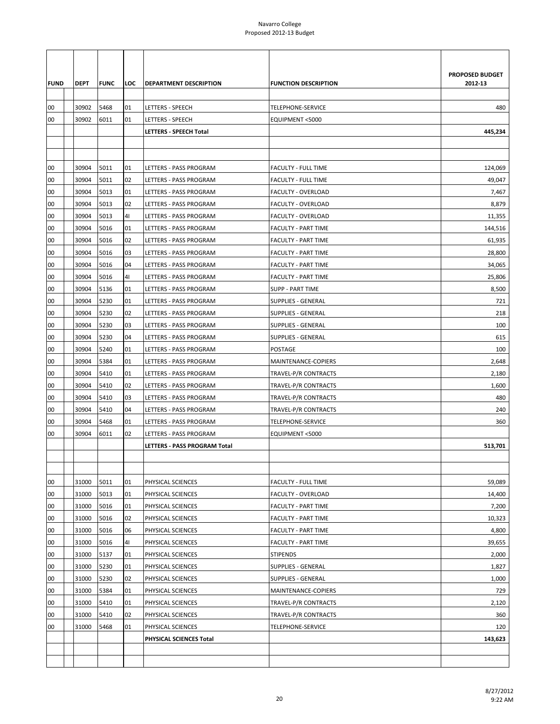| <b>FUND</b> | DEPT  | <b>FUNC</b> | LOC | <b>DEPARTMENT DESCRIPTION</b> | <b>FUNCTION DESCRIPTION</b> | PROPOSED BUDGET<br>2012-13 |
|-------------|-------|-------------|-----|-------------------------------|-----------------------------|----------------------------|
|             |       |             |     |                               |                             |                            |
| 00          | 30902 | 5468        | 01  | LETTERS - SPEECH              | TELEPHONE-SERVICE           | 480                        |
| 00          | 30902 | 6011        | 01  | LETTERS - SPEECH              | EQUIPMENT <5000             |                            |
|             |       |             |     | LETTERS - SPEECH Total        |                             | 445,234                    |
|             |       |             |     |                               |                             |                            |
|             |       |             |     |                               |                             |                            |
| 00          | 30904 | 5011        | 01  | LETTERS - PASS PROGRAM        | <b>FACULTY - FULL TIME</b>  | 124,069                    |
| 00          | 30904 | 5011        | 02  | LETTERS - PASS PROGRAM        | <b>FACULTY - FULL TIME</b>  | 49,047                     |
| 00          | 30904 | 5013        | 01  | LETTERS - PASS PROGRAM        | FACULTY - OVERLOAD          | 7,467                      |
| 00          | 30904 | 5013        | 02  | LETTERS - PASS PROGRAM        | <b>FACULTY - OVERLOAD</b>   | 8,879                      |
| 00          | 30904 | 5013        | 41  | LETTERS - PASS PROGRAM        | <b>FACULTY - OVERLOAD</b>   | 11,355                     |
| 00          | 30904 | 5016        | 01  | <b>LETTERS - PASS PROGRAM</b> | <b>FACULTY - PART TIME</b>  | 144,516                    |
| 00          | 30904 | 5016        | 02  | LETTERS - PASS PROGRAM        | <b>FACULTY - PART TIME</b>  | 61,935                     |
| 00          | 30904 | 5016        | 03  | LETTERS - PASS PROGRAM        | <b>FACULTY - PART TIME</b>  | 28,800                     |
| 00          | 30904 | 5016        | 04  | LETTERS - PASS PROGRAM        | <b>FACULTY - PART TIME</b>  | 34,065                     |
| 00          | 30904 | 5016        | 41  | LETTERS - PASS PROGRAM        | <b>FACULTY - PART TIME</b>  | 25,806                     |
| 00          | 30904 | 5136        | 01  | LETTERS - PASS PROGRAM        | <b>SUPP - PART TIME</b>     | 8,500                      |
| 00          | 30904 | 5230        | 01  | LETTERS - PASS PROGRAM        | <b>SUPPLIES - GENERAL</b>   | 721                        |
| 00          | 30904 | 5230        | 02  | LETTERS - PASS PROGRAM        | <b>SUPPLIES - GENERAL</b>   | 218                        |
| 00          | 30904 | 5230        | 03  | LETTERS - PASS PROGRAM        | <b>SUPPLIES - GENERAL</b>   | 100                        |
| 00          | 30904 | 5230        | 04  | LETTERS - PASS PROGRAM        | <b>SUPPLIES - GENERAL</b>   | 615                        |
| 00          | 30904 | 5240        | 01  | LETTERS - PASS PROGRAM        | <b>POSTAGE</b>              | 100                        |
| 00          | 30904 | 5384        | 01  | LETTERS - PASS PROGRAM        | MAINTENANCE-COPIERS         | 2,648                      |
| 00          | 30904 | 5410        | 01  | LETTERS - PASS PROGRAM        | TRAVEL-P/R CONTRACTS        | 2,180                      |
| 00          | 30904 | 5410        | 02  | LETTERS - PASS PROGRAM        | TRAVEL-P/R CONTRACTS        | 1,600                      |
| 00          | 30904 | 5410        | 03  | LETTERS - PASS PROGRAM        | TRAVEL-P/R CONTRACTS        | 480                        |
| 00          | 30904 | 5410        | 04  | <b>LETTERS - PASS PROGRAM</b> | TRAVEL-P/R CONTRACTS        | 240                        |
| 00          | 30904 | 5468        | 01  | LETTERS - PASS PROGRAM        | <b>TELEPHONE-SERVICE</b>    | 360                        |
| 00          | 30904 | 6011        | 02  | LETTERS - PASS PROGRAM        | EQUIPMENT <5000             |                            |
|             |       |             |     | LETTERS - PASS PROGRAM Total  |                             | 513,701                    |
|             |       |             |     |                               |                             |                            |
|             |       |             |     |                               |                             |                            |
| 00          | 31000 | 5011        | 01  | PHYSICAL SCIENCES             | <b>FACULTY - FULL TIME</b>  | 59,089                     |
| 00          | 31000 | 5013        | 01  | PHYSICAL SCIENCES             | <b>FACULTY - OVERLOAD</b>   | 14,400                     |
| 00          | 31000 | 5016        | 01  | PHYSICAL SCIENCES             | <b>FACULTY - PART TIME</b>  | 7,200                      |
| 00          | 31000 | 5016        | 02  | PHYSICAL SCIENCES             | <b>FACULTY - PART TIME</b>  | 10,323                     |
| 00          | 31000 | 5016        | 06  | PHYSICAL SCIENCES             | <b>FACULTY - PART TIME</b>  | 4,800                      |
| 00          | 31000 | 5016        | 41  | PHYSICAL SCIENCES             | <b>FACULTY - PART TIME</b>  | 39,655                     |
| 00          | 31000 | 5137        | 01  | PHYSICAL SCIENCES             | <b>STIPENDS</b>             | 2,000                      |
| 00          | 31000 | 5230        | 01  | PHYSICAL SCIENCES             | <b>SUPPLIES - GENERAL</b>   | 1,827                      |
| 00          | 31000 | 5230        | 02  | PHYSICAL SCIENCES             | <b>SUPPLIES - GENERAL</b>   | 1,000                      |
| 00          | 31000 | 5384        | 01  | PHYSICAL SCIENCES             | MAINTENANCE-COPIERS         | 729                        |
| 00          | 31000 | 5410        | 01  | PHYSICAL SCIENCES             | TRAVEL-P/R CONTRACTS        | 2,120                      |
| 00          | 31000 | 5410        | 02  | PHYSICAL SCIENCES             | TRAVEL-P/R CONTRACTS        | 360                        |
| 00          | 31000 | 5468        | 01  | PHYSICAL SCIENCES             | TELEPHONE-SERVICE           | 120                        |
|             |       |             |     | PHYSICAL SCIENCES Total       |                             | 143,623                    |
|             |       |             |     |                               |                             |                            |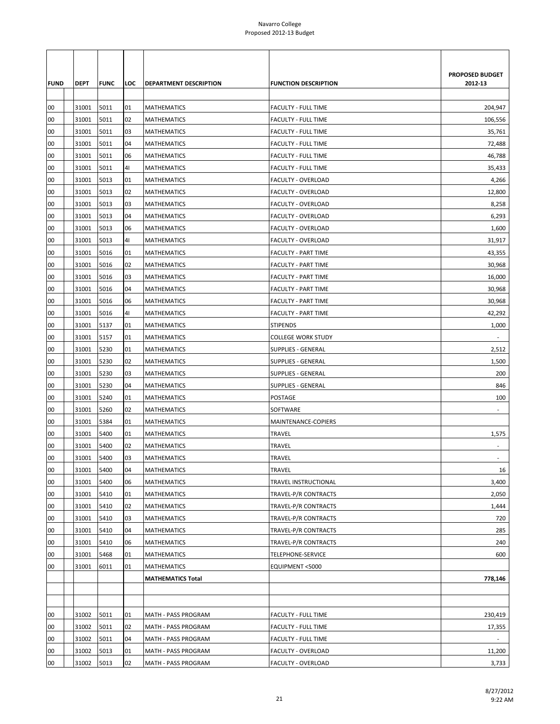|             |       |             |     |                          |                             | PROPOSED BUDGET          |
|-------------|-------|-------------|-----|--------------------------|-----------------------------|--------------------------|
| <b>FUND</b> | DEPT  | <b>FUNC</b> | LOC | DEPARTMENT DESCRIPTION   | <b>FUNCTION DESCRIPTION</b> | 2012-13                  |
|             |       |             |     |                          |                             |                          |
| 00          | 31001 | 5011        | 01  | <b>MATHEMATICS</b>       | <b>FACULTY - FULL TIME</b>  | 204,947                  |
| 00          | 31001 | 5011        | 02  | <b>MATHEMATICS</b>       | <b>FACULTY - FULL TIME</b>  | 106,556                  |
| 00          | 31001 | 5011        | 03  | <b>MATHEMATICS</b>       | <b>FACULTY - FULL TIME</b>  | 35,761                   |
| 00          | 31001 | 5011        | 04  | <b>MATHEMATICS</b>       | <b>FACULTY - FULL TIME</b>  | 72,488                   |
| 00          | 31001 | 5011        | 06  | <b>MATHEMATICS</b>       | <b>FACULTY - FULL TIME</b>  | 46,788                   |
| 00          | 31001 | 5011        | 41  | <b>MATHEMATICS</b>       | <b>FACULTY - FULL TIME</b>  | 35,433                   |
| 00          | 31001 | 5013        | 01  | <b>MATHEMATICS</b>       | FACULTY - OVERLOAD          | 4,266                    |
| 00          | 31001 | 5013        | 02  | <b>MATHEMATICS</b>       | <b>FACULTY - OVERLOAD</b>   | 12,800                   |
| 00          | 31001 | 5013        | 03  | <b>MATHEMATICS</b>       | <b>FACULTY - OVERLOAD</b>   | 8,258                    |
| 00          | 31001 | 5013        | 04  | <b>MATHEMATICS</b>       | <b>FACULTY - OVERLOAD</b>   | 6,293                    |
| 00          | 31001 | 5013        | 06  | <b>MATHEMATICS</b>       | FACULTY - OVERLOAD          | 1,600                    |
| 00          | 31001 | 5013        | 41  | <b>MATHEMATICS</b>       | <b>FACULTY - OVERLOAD</b>   | 31,917                   |
| 00          | 31001 | 5016        | 01  | <b>MATHEMATICS</b>       | <b>FACULTY - PART TIME</b>  | 43,355                   |
| 00          | 31001 | 5016        | 02  | <b>MATHEMATICS</b>       | <b>FACULTY - PART TIME</b>  | 30,968                   |
| 00          | 31001 | 5016        | 03  | <b>MATHEMATICS</b>       | <b>FACULTY - PART TIME</b>  | 16,000                   |
| 00          | 31001 | 5016        | 04  | <b>MATHEMATICS</b>       | <b>FACULTY - PART TIME</b>  | 30,968                   |
| 00          | 31001 | 5016        | 06  | <b>MATHEMATICS</b>       | <b>FACULTY - PART TIME</b>  | 30,968                   |
| 00          | 31001 | 5016        | 41  | <b>MATHEMATICS</b>       | <b>FACULTY - PART TIME</b>  | 42,292                   |
| 00          | 31001 | 5137        | 01  | <b>MATHEMATICS</b>       | <b>STIPENDS</b>             | 1,000                    |
| 00          | 31001 | 5157        | 01  | <b>MATHEMATICS</b>       | <b>COLLEGE WORK STUDY</b>   |                          |
| 00          | 31001 | 5230        | 01  | <b>MATHEMATICS</b>       | <b>SUPPLIES - GENERAL</b>   | 2,512                    |
| 00          | 31001 | 5230        | 02  | <b>MATHEMATICS</b>       | <b>SUPPLIES - GENERAL</b>   | 1,500                    |
| 00          | 31001 | 5230        | 03  | <b>MATHEMATICS</b>       | <b>SUPPLIES - GENERAL</b>   | 200                      |
| 00          | 31001 | 5230        | 04  | <b>MATHEMATICS</b>       | <b>SUPPLIES - GENERAL</b>   | 846                      |
| 00          | 31001 | 5240        | 01  | <b>MATHEMATICS</b>       | POSTAGE                     | 100                      |
| 00          | 31001 | 5260        | 02  | <b>MATHEMATICS</b>       | SOFTWARE                    |                          |
| 00          | 31001 | 5384        | 01  | <b>MATHEMATICS</b>       | MAINTENANCE-COPIERS         |                          |
| 00          | 31001 | 5400        | 01  | <b>MATHEMATICS</b>       | TRAVEL                      | 1,575                    |
| 00          | 31001 | 5400        | 02  | <b>MATHEMATICS</b>       | TRAVEL                      | $\overline{\phantom{a}}$ |
| 00          | 31001 | 5400        | 03  | <b>MATHEMATICS</b>       | <b>TRAVEL</b>               |                          |
| 00          | 31001 | 5400        | 04  | MATHEMATICS              | TRAVEL                      | 16                       |
| 00          | 31001 | 5400        | 06  | <b>MATHEMATICS</b>       | TRAVEL INSTRUCTIONAL        | 3,400                    |
| 00          | 31001 | 5410        | 01  | MATHEMATICS              | TRAVEL-P/R CONTRACTS        | 2,050                    |
| 00          | 31001 | 5410        | 02  | MATHEMATICS              | TRAVEL-P/R CONTRACTS        | 1,444                    |
| 00          | 31001 | 5410        | 03  | <b>MATHEMATICS</b>       | TRAVEL-P/R CONTRACTS        | 720                      |
| 00          | 31001 | 5410        | 04  | <b>MATHEMATICS</b>       | TRAVEL-P/R CONTRACTS        | 285                      |
| 00          | 31001 | 5410        | 06  | <b>MATHEMATICS</b>       |                             | 240                      |
|             |       |             |     |                          | TRAVEL-P/R CONTRACTS        |                          |
| 00          | 31001 | 5468        | 01  | MATHEMATICS              | TELEPHONE-SERVICE           | 600                      |
| 00          | 31001 | 6011        | 01  | <b>MATHEMATICS</b>       | EQUIPMENT <5000             |                          |
|             |       |             |     | <b>MATHEMATICS Total</b> |                             | 778,146                  |
|             |       |             |     |                          |                             |                          |
|             |       |             |     |                          |                             |                          |
| 00          | 31002 | 5011        | 01  | MATH - PASS PROGRAM      | <b>FACULTY - FULL TIME</b>  | 230,419                  |
| 00          | 31002 | 5011        | 02  | MATH - PASS PROGRAM      | <b>FACULTY - FULL TIME</b>  | 17,355                   |
| 00          | 31002 | 5011        | 04  | MATH - PASS PROGRAM      | <b>FACULTY - FULL TIME</b>  |                          |
| 00          | 31002 | 5013        | 01  | MATH - PASS PROGRAM      | FACULTY - OVERLOAD          | 11,200                   |
| 00          | 31002 | 5013        | 02  | MATH - PASS PROGRAM      | FACULTY - OVERLOAD          | 3,733                    |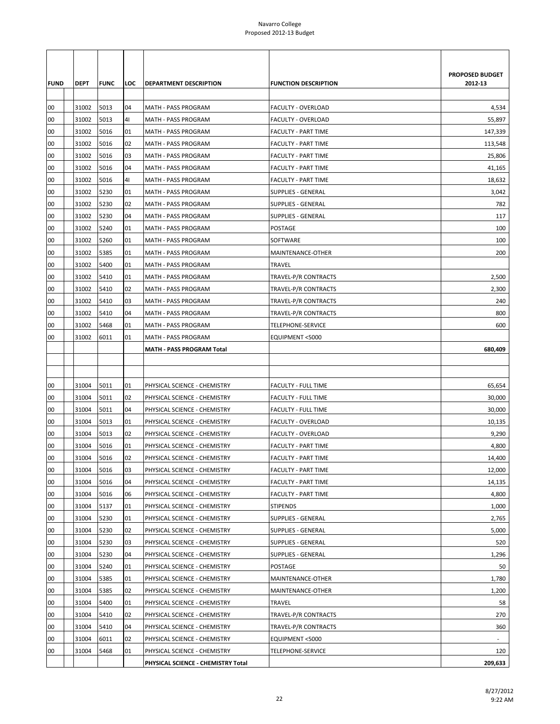| <b>FUND</b> | <b>DEPT</b> | <b>FUNC</b> | LOC | <b>DEPARTMENT DESCRIPTION</b>      | <b>FUNCTION DESCRIPTION</b> | PROPOSED BUDGET<br>2012-13 |
|-------------|-------------|-------------|-----|------------------------------------|-----------------------------|----------------------------|
| 00          | 31002       | 5013        | 04  | <b>MATH - PASS PROGRAM</b>         | <b>FACULTY - OVERLOAD</b>   | 4,534                      |
| 00          | 31002       | 5013        | 41  | MATH - PASS PROGRAM                | FACULTY - OVERLOAD          | 55,897                     |
| 00          | 31002       | 5016        | 01  | MATH - PASS PROGRAM                | <b>FACULTY - PART TIME</b>  | 147,339                    |
| 00          | 31002       | 5016        | 02  | MATH - PASS PROGRAM                | <b>FACULTY - PART TIME</b>  | 113,548                    |
| 00          | 31002       | 5016        | 03  | MATH - PASS PROGRAM                | <b>FACULTY - PART TIME</b>  | 25,806                     |
| 00          | 31002       | 5016        | 04  | MATH - PASS PROGRAM                | <b>FACULTY - PART TIME</b>  | 41,165                     |
| 00          | 31002       | 5016        | 41  | MATH - PASS PROGRAM                | <b>FACULTY - PART TIME</b>  | 18,632                     |
| 00          | 31002       | 5230        | 01  | MATH - PASS PROGRAM                | SUPPLIES - GENERAL          | 3,042                      |
| 00          | 31002       | 5230        | 02  | MATH - PASS PROGRAM                | <b>SUPPLIES - GENERAL</b>   | 782                        |
| 00          | 31002       | 5230        | 04  | MATH - PASS PROGRAM                | <b>SUPPLIES - GENERAL</b>   | 117                        |
| 00          | 31002       | 5240        | 01  | MATH - PASS PROGRAM                | POSTAGE                     | 100                        |
| 00          | 31002       | 5260        | 01  | MATH - PASS PROGRAM                | SOFTWARE                    | 100                        |
| 00          | 31002       | 5385        | 01  | MATH - PASS PROGRAM                | MAINTENANCE-OTHER           | 200                        |
| 00          | 31002       | 5400        | 01  | MATH - PASS PROGRAM                | <b>TRAVEL</b>               |                            |
| 00          | 31002       | 5410        | 01  | MATH - PASS PROGRAM                | TRAVEL-P/R CONTRACTS        | 2,500                      |
| 00          | 31002       | 5410        | 02  | MATH - PASS PROGRAM                | TRAVEL-P/R CONTRACTS        | 2,300                      |
| 00          | 31002       | 5410        | 03  | MATH - PASS PROGRAM                | TRAVEL-P/R CONTRACTS        | 240                        |
| 00          | 31002       | 5410        | 04  | MATH - PASS PROGRAM                | TRAVEL-P/R CONTRACTS        | 800                        |
| 00          | 31002       | 5468        | 01  | MATH - PASS PROGRAM                | TELEPHONE-SERVICE           | 600                        |
| 00          | 31002       | 6011        | 01  | MATH - PASS PROGRAM                | EQUIPMENT <5000             |                            |
|             |             |             |     | <b>MATH - PASS PROGRAM Total</b>   |                             | 680,409                    |
|             |             |             |     |                                    |                             |                            |
| 00          | 31004       | 5011        | 01  | PHYSICAL SCIENCE - CHEMISTRY       | <b>FACULTY - FULL TIME</b>  | 65,654                     |
| 00          | 31004       | 5011        | 02  | PHYSICAL SCIENCE - CHEMISTRY       | FACULTY - FULL TIME         | 30,000                     |
| 00          | 31004       | 5011        | 04  | PHYSICAL SCIENCE - CHEMISTRY       | <b>FACULTY - FULL TIME</b>  | 30,000                     |
| 00          | 31004       | 5013        | 01  | PHYSICAL SCIENCE - CHEMISTRY       | FACULTY - OVERLOAD          | 10,135                     |
| 00          | 31004       | 5013        | 02  | PHYSICAL SCIENCE - CHEMISTRY       | FACULTY - OVERLOAD          | 9,290                      |
| 00          | 31004       | 5016        | 01  | PHYSICAL SCIENCE - CHEMISTRY       | <b>FACULTY - PART TIME</b>  | 4,800                      |
| 00          | 31004       | 5016        | 02  | PHYSICAL SCIENCE - CHEMISTRY       | <b>FACULTY - PART TIME</b>  | 14,400                     |
| 00          | 31004       | 5016        | 03  | PHYSICAL SCIENCE - CHEMISTRY       | <b>FACULTY - PART TIME</b>  | 12,000                     |
| 00          | 31004       | 5016        | 04  | PHYSICAL SCIENCE - CHEMISTRY       | FACULTY - PART TIME         | 14,135                     |
| 00          | 31004       | 5016        | 06  | PHYSICAL SCIENCE - CHEMISTRY       | FACULTY - PART TIME         | 4,800                      |
| 00          | 31004       | 5137        | 01  | PHYSICAL SCIENCE - CHEMISTRY       | <b>STIPENDS</b>             | 1,000                      |
| 00          | 31004       | 5230        | 01  | PHYSICAL SCIENCE - CHEMISTRY       | <b>SUPPLIES - GENERAL</b>   | 2,765                      |
| 00          | 31004       | 5230        | 02  | PHYSICAL SCIENCE - CHEMISTRY       | <b>SUPPLIES - GENERAL</b>   | 5,000                      |
| 00          | 31004       | 5230        | 03  | PHYSICAL SCIENCE - CHEMISTRY       | <b>SUPPLIES - GENERAL</b>   | 520                        |
| 00          | 31004       | 5230        | 04  | PHYSICAL SCIENCE - CHEMISTRY       | SUPPLIES - GENERAL          | 1,296                      |
| 00          | 31004       | 5240        | 01  | PHYSICAL SCIENCE - CHEMISTRY       | POSTAGE                     | 50                         |
| 00          | 31004       | 5385        | 01  | PHYSICAL SCIENCE - CHEMISTRY       | MAINTENANCE-OTHER           | 1,780                      |
| 00          | 31004       | 5385        | 02  | PHYSICAL SCIENCE - CHEMISTRY       | MAINTENANCE-OTHER           | 1,200                      |
| 00          | 31004       | 5400        | 01  | PHYSICAL SCIENCE - CHEMISTRY       | <b>TRAVEL</b>               | 58                         |
| 00          | 31004       | 5410        | 02  | PHYSICAL SCIENCE - CHEMISTRY       | TRAVEL-P/R CONTRACTS        | 270                        |
| 00          | 31004       | 5410        | 04  | PHYSICAL SCIENCE - CHEMISTRY       | TRAVEL-P/R CONTRACTS        | 360                        |
| 00          | 31004       | 6011        | 02  | PHYSICAL SCIENCE - CHEMISTRY       | EQUIPMENT <5000             | $\sim$                     |
| 00          | 31004       | 5468        | 01  | PHYSICAL SCIENCE - CHEMISTRY       | TELEPHONE-SERVICE           | 120                        |
|             |             |             |     | PHYSICAL SCIENCE - CHEMISTRY Total |                             | 209,633                    |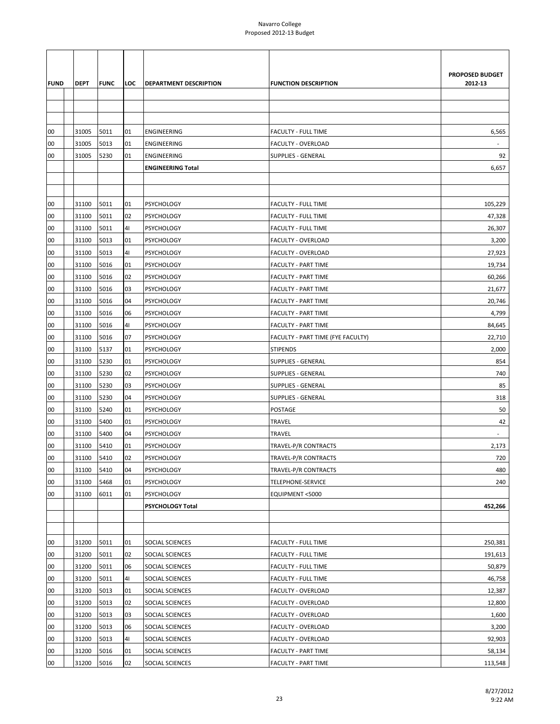| <b>FUND</b> | DEPT       | <b>FUNC</b> | LOC            | DEPARTMENT DESCRIPTION   | <b>FUNCTION DESCRIPTION</b>       | PROPOSED BUDGET<br>2012-13 |
|-------------|------------|-------------|----------------|--------------------------|-----------------------------------|----------------------------|
|             |            |             |                |                          |                                   |                            |
|             |            |             |                |                          |                                   |                            |
| 00          | 31005      | 5011        | 01             | ENGINEERING              | <b>FACULTY - FULL TIME</b>        | 6,565                      |
| 00          | 31005      | 5013        | 01             | ENGINEERING              | <b>FACULTY - OVERLOAD</b>         |                            |
| 00          | 31005      | 5230        | 01             | ENGINEERING              | <b>SUPPLIES - GENERAL</b>         | 92                         |
|             |            |             |                | <b>ENGINEERING Total</b> |                                   | 6,657                      |
|             |            |             |                |                          |                                   |                            |
|             |            |             |                |                          |                                   |                            |
| 00          | 31100      | 5011        | 01             | <b>PSYCHOLOGY</b>        | <b>FACULTY - FULL TIME</b>        | 105,229                    |
| 00          | 31100      | 5011        | 02             | <b>PSYCHOLOGY</b>        | <b>FACULTY - FULL TIME</b>        | 47,328                     |
| 00          | 31100      | 5011        | 4 <sub>1</sub> | <b>PSYCHOLOGY</b>        | <b>FACULTY - FULL TIME</b>        | 26,307                     |
| 00          | 31100      | 5013        | 01             | <b>PSYCHOLOGY</b>        | <b>FACULTY - OVERLOAD</b>         | 3,200                      |
| 00          | 31100      | 5013        | 41             | <b>PSYCHOLOGY</b>        | FACULTY - OVERLOAD                | 27,923                     |
| 00          | 31100      | 5016        | 01             | <b>PSYCHOLOGY</b>        | <b>FACULTY - PART TIME</b>        | 19,734                     |
| 00          | 31100      | 5016        | 02             | <b>PSYCHOLOGY</b>        | <b>FACULTY - PART TIME</b>        | 60,266                     |
| 00          | 31100      | 5016        | 03             | <b>PSYCHOLOGY</b>        | <b>FACULTY - PART TIME</b>        | 21,677                     |
| 00          | 31100      | 5016        | 04             | <b>PSYCHOLOGY</b>        | <b>FACULTY - PART TIME</b>        | 20,746                     |
| 00          | 31100      | 5016        | 06             | <b>PSYCHOLOGY</b>        | <b>FACULTY - PART TIME</b>        | 4,799                      |
| 00          | 31100      | 5016        | 41             | <b>PSYCHOLOGY</b>        | <b>FACULTY - PART TIME</b>        | 84,645                     |
| 00          | 31100      | 5016        | 07             | <b>PSYCHOLOGY</b>        | FACULTY - PART TIME (FYE FACULTY) | 22,710                     |
| 00          | 31100      | 5137        | 01             | <b>PSYCHOLOGY</b>        | <b>STIPENDS</b>                   | 2,000                      |
| 00          | 31100      | 5230        | 01             | <b>PSYCHOLOGY</b>        | <b>SUPPLIES - GENERAL</b>         | 854                        |
| 00          | 31100      | 5230        | 02             | <b>PSYCHOLOGY</b>        | <b>SUPPLIES - GENERAL</b>         | 740                        |
| 00          | 31100      | 5230        | 03             | <b>PSYCHOLOGY</b>        | <b>SUPPLIES - GENERAL</b>         | 85                         |
| 00          | 31100      | 5230        | 04             | <b>PSYCHOLOGY</b>        | <b>SUPPLIES - GENERAL</b>         | 318                        |
| 00          | 31100      | 5240        | 01             | <b>PSYCHOLOGY</b>        | <b>POSTAGE</b>                    | 50                         |
| 00          | 31100      | 5400        | 01             | <b>PSYCHOLOGY</b>        | <b>TRAVEL</b>                     | 42                         |
| 00          | 31100      | 5400        | 04             | <b>PSYCHOLOGY</b>        | <b>TRAVEL</b>                     |                            |
| 00          | 31100      | 5410        | 01             | <b>PSYCHOLOGY</b>        | TRAVEL-P/R CONTRACTS              | 2,173                      |
| 00          | 31100 5410 |             | 02             | <b>PSYCHOLOGY</b>        | TRAVEL-P/R CONTRACTS              | 720                        |
| 00          | 31100      | 5410        | 04             | <b>PSYCHOLOGY</b>        | TRAVEL-P/R CONTRACTS              | 480                        |
| 00          | 31100      | 5468        | 01             | <b>PSYCHOLOGY</b>        | TELEPHONE-SERVICE                 | 240                        |
| 00          | 31100      | 6011        | 01             | <b>PSYCHOLOGY</b>        | EQUIPMENT <5000                   |                            |
|             |            |             |                | PSYCHOLOGY Total         |                                   | 452,266                    |
|             |            |             |                |                          |                                   |                            |
|             |            |             |                |                          |                                   |                            |
| 00          | 31200      | 5011        | 01             | SOCIAL SCIENCES          | <b>FACULTY - FULL TIME</b>        | 250,381                    |
| 00          | 31200      | 5011        | 02             | SOCIAL SCIENCES          | <b>FACULTY - FULL TIME</b>        | 191,613                    |
| 00          | 31200      | 5011        | 06             | SOCIAL SCIENCES          | <b>FACULTY - FULL TIME</b>        | 50,879                     |
| 00          | 31200      | 5011        | 41             | SOCIAL SCIENCES          | <b>FACULTY - FULL TIME</b>        | 46,758                     |
| 00          | 31200      | 5013        | 01             | SOCIAL SCIENCES          | <b>FACULTY - OVERLOAD</b>         | 12,387                     |
| 00          | 31200      | 5013        | 02             | SOCIAL SCIENCES          | <b>FACULTY - OVERLOAD</b>         | 12,800                     |
| 00          | 31200      | 5013        | 03             | SOCIAL SCIENCES          | FACULTY - OVERLOAD                | 1,600                      |
| 00          | 31200      | 5013        | 06             | SOCIAL SCIENCES          | <b>FACULTY - OVERLOAD</b>         | 3,200                      |
| 00          | 31200      | 5013        | 41             | SOCIAL SCIENCES          | <b>FACULTY - OVERLOAD</b>         | 92,903                     |
| 00          | 31200      | 5016        | 01             | SOCIAL SCIENCES          | <b>FACULTY - PART TIME</b>        | 58,134                     |
| ${\bf 00}$  | 31200      | 5016        | 02             | SOCIAL SCIENCES          | <b>FACULTY - PART TIME</b>        | 113,548                    |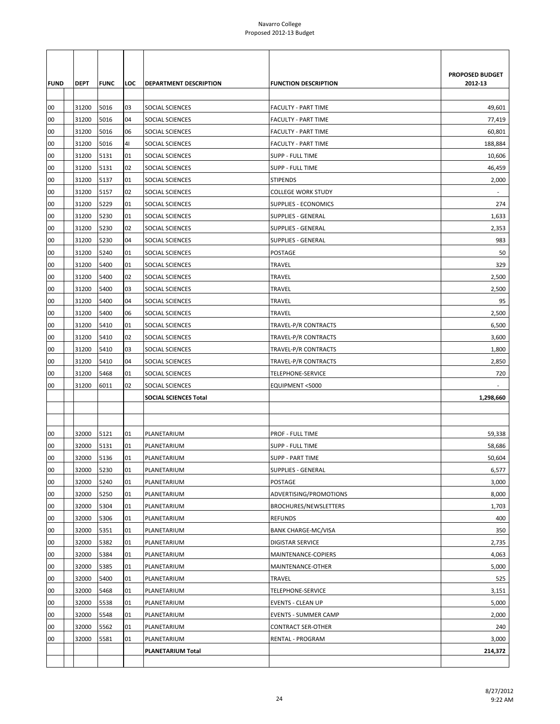|             |                |              |          |                              |                                                    | PROPOSED BUDGET |
|-------------|----------------|--------------|----------|------------------------------|----------------------------------------------------|-----------------|
| <b>FUND</b> | <b>DEPT</b>    | <b>FUNC</b>  | LOC      | DEPARTMENT DESCRIPTION       | <b>FUNCTION DESCRIPTION</b>                        | 2012-13         |
|             |                |              |          |                              |                                                    |                 |
| 00          | 31200          | 5016         | 03       | SOCIAL SCIENCES              | <b>FACULTY - PART TIME</b>                         | 49,601          |
| 00          | 31200          | 5016         | 04       | SOCIAL SCIENCES              | <b>FACULTY - PART TIME</b>                         | 77,419          |
| 00          | 31200          | 5016         | 06       | SOCIAL SCIENCES              | <b>FACULTY - PART TIME</b>                         | 60,801          |
| 00          | 31200          | 5016         | 41       | SOCIAL SCIENCES              | <b>FACULTY - PART TIME</b>                         | 188,884         |
| 00          | 31200          | 5131         | 01       | SOCIAL SCIENCES              | <b>SUPP - FULL TIME</b>                            | 10,606          |
| 00          | 31200          | 5131         | 02       | SOCIAL SCIENCES              | <b>SUPP - FULL TIME</b>                            | 46,459          |
| 00          | 31200          | 5137         | 01       | SOCIAL SCIENCES              | <b>STIPENDS</b>                                    | 2,000           |
| 00          | 31200          | 5157         | 02       | SOCIAL SCIENCES              | <b>COLLEGE WORK STUDY</b>                          |                 |
| 00          | 31200          | 5229         | 01       | SOCIAL SCIENCES              | SUPPLIES - ECONOMICS                               | 274             |
| 00          | 31200          | 5230         | 01       | SOCIAL SCIENCES              | SUPPLIES - GENERAL                                 | 1,633           |
| 00          | 31200          | 5230         | 02       | SOCIAL SCIENCES              | <b>SUPPLIES - GENERAL</b>                          | 2,353           |
| 00          | 31200          | 5230         | 04       | SOCIAL SCIENCES              | <b>SUPPLIES - GENERAL</b>                          | 983             |
| 00          | 31200          | 5240         | 01       | SOCIAL SCIENCES              | POSTAGE                                            | 50              |
| 00          | 31200          | 5400         | 01       | SOCIAL SCIENCES              | TRAVEL                                             | 329             |
| 00          | 31200          | 5400         | 02       | SOCIAL SCIENCES              | TRAVEL                                             | 2,500           |
| 00          | 31200          | 5400         | 03       | SOCIAL SCIENCES              | TRAVEL                                             | 2,500           |
| 00          | 31200          | 5400         | 04       | SOCIAL SCIENCES              | TRAVEL                                             | 95              |
| 00          | 31200          | 5400         | 06       | SOCIAL SCIENCES              | <b>TRAVEL</b>                                      | 2,500           |
| 00          | 31200          | 5410         | 01       | SOCIAL SCIENCES              | TRAVEL-P/R CONTRACTS                               | 6,500           |
| 00          | 31200          | 5410         | 02       | SOCIAL SCIENCES              | TRAVEL-P/R CONTRACTS                               | 3,600           |
| 00          | 31200          | 5410         | 03       | SOCIAL SCIENCES              | TRAVEL-P/R CONTRACTS                               | 1,800           |
| 00          | 31200          | 5410         | 04       | SOCIAL SCIENCES              | TRAVEL-P/R CONTRACTS                               | 2,850           |
| 00          | 31200          | 5468         | 01       | SOCIAL SCIENCES              | TELEPHONE-SERVICE                                  | 720             |
| 00          | 31200          | 6011         | 02       | SOCIAL SCIENCES              | EQUIPMENT <5000                                    |                 |
|             |                |              |          | <b>SOCIAL SCIENCES Total</b> |                                                    | 1,298,660       |
|             |                |              |          |                              |                                                    |                 |
|             |                |              | 01       |                              |                                                    |                 |
| 00<br>00    | 32000<br>32000 | 5121<br>5131 | 01       | PLANETARIUM<br>PLANETARIUM   | <b>PROF - FULL TIME</b><br><b>SUPP - FULL TIME</b> | 59,338          |
| 00          | 32000 5136     |              | 01       | PLANETARIUM                  | <b>SUPP - PART TIME</b>                            | 58,686          |
| 00          | 32000          | 5230         | 01       | PLANETARIUM                  | <b>SUPPLIES - GENERAL</b>                          | 50,604          |
| 00          | 32000          | 5240         | 01       |                              | POSTAGE                                            | 6,577<br>3,000  |
| 00          |                |              | 01       | PLANETARIUM                  | ADVERTISING/PROMOTIONS                             |                 |
|             | 32000          | 5250         |          | PLANETARIUM                  | BROCHURES/NEWSLETTERS                              | 8,000           |
| 00<br>00    | 32000<br>32000 | 5304<br>5306 | 01<br>01 | PLANETARIUM<br>PLANETARIUM   | <b>REFUNDS</b>                                     | 1,703<br>400    |
| 00          | 32000          | 5351         | 01       | PLANETARIUM                  | <b>BANK CHARGE-MC/VISA</b>                         | 350             |
| 00          | 32000          | 5382         | 01       | PLANETARIUM                  | <b>DIGISTAR SERVICE</b>                            | 2,735           |
| 00          |                | 5384         | 01       |                              |                                                    |                 |
| 00          | 32000<br>32000 |              |          | PLANETARIUM<br>PLANETARIUM   | MAINTENANCE-COPIERS<br>MAINTENANCE-OTHER           | 4,063           |
| 00          | 32000          | 5385<br>5400 | 01<br>01 |                              |                                                    | 5,000<br>525    |
| 00          | 32000          | 5468         | 01       | PLANETARIUM<br>PLANETARIUM   | TRAVEL<br><b>TELEPHONE-SERVICE</b>                 | 3,151           |
| 00          | 32000          | 5538         | 01       | PLANETARIUM                  | <b>EVENTS - CLEAN UP</b>                           | 5,000           |
|             |                |              | 01       |                              |                                                    |                 |
| 00<br>00    | 32000          | 5548         |          | PLANETARIUM                  | <b>EVENTS - SUMMER CAMP</b>                        | 2,000           |
| 00          | 32000<br>32000 | 5562<br>5581 | 01<br>01 | PLANETARIUM<br>PLANETARIUM   | CONTRACT SER-OTHER<br>RENTAL - PROGRAM             | 240<br>3,000    |
|             |                |              |          | PLANETARIUM Total            |                                                    | 214,372         |
|             |                |              |          |                              |                                                    |                 |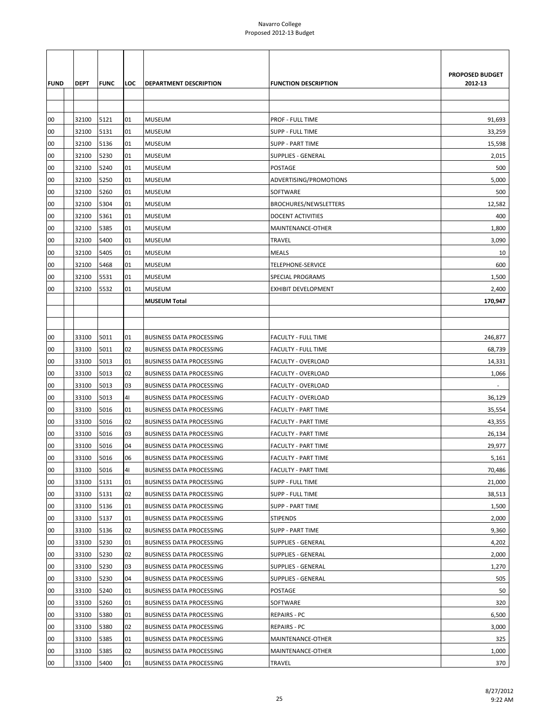|             |             |             |     |                                 |                             | PROPOSED BUDGET |
|-------------|-------------|-------------|-----|---------------------------------|-----------------------------|-----------------|
| <b>FUND</b> | <b>DEPT</b> | <b>FUNC</b> | LOC | <b>DEPARTMENT DESCRIPTION</b>   | <b>FUNCTION DESCRIPTION</b> | 2012-13         |
|             |             |             |     |                                 |                             |                 |
|             |             |             |     |                                 |                             |                 |
| 00          | 32100       | 5121        | 01  | <b>MUSEUM</b>                   | PROF - FULL TIME            | 91,693          |
| 00          | 32100       | 5131        | 01  | MUSEUM                          | SUPP - FULL TIME            | 33,259          |
| 00          | 32100       | 5136        | 01  | <b>MUSEUM</b>                   | <b>SUPP - PART TIME</b>     | 15,598          |
| 00          | 32100       | 5230        | 01  | MUSEUM                          | <b>SUPPLIES - GENERAL</b>   | 2,015           |
| 00          | 32100       | 5240        | 01  | <b>MUSEUM</b>                   | POSTAGE                     | 500             |
| 00          | 32100       | 5250        | 01  | <b>MUSEUM</b>                   | ADVERTISING/PROMOTIONS      | 5,000           |
| 00          | 32100       | 5260        | 01  | <b>MUSEUM</b>                   | SOFTWARE                    | 500             |
| 00          | 32100       | 5304        | 01  | <b>MUSEUM</b>                   | BROCHURES/NEWSLETTERS       | 12,582          |
| 00          | 32100       | 5361        | 01  | MUSEUM                          | <b>DOCENT ACTIVITIES</b>    | 400             |
| 00          | 32100       | 5385        | 01  | <b>MUSEUM</b>                   | MAINTENANCE-OTHER           | 1,800           |
| 00          | 32100       | 5400        | 01  | <b>MUSEUM</b>                   | <b>TRAVEL</b>               | 3,090           |
| 00          | 32100       | 5405        | 01  | <b>MUSEUM</b>                   | <b>MEALS</b>                | 10              |
| 00          | 32100       | 5468        | 01  | <b>MUSEUM</b>                   | TELEPHONE-SERVICE           | 600             |
| 00          | 32100       | 5531        | 01  | MUSEUM                          | <b>SPECIAL PROGRAMS</b>     | 1,500           |
| 00          | 32100       | 5532        | 01  | <b>MUSEUM</b>                   | <b>EXHIBIT DEVELOPMENT</b>  | 2,400           |
|             |             |             |     | <b>MUSEUM Total</b>             |                             | 170,947         |
|             |             |             |     |                                 |                             |                 |
|             |             |             |     |                                 |                             |                 |
| 00          | 33100       | 5011        | 01  | <b>BUSINESS DATA PROCESSING</b> | <b>FACULTY - FULL TIME</b>  | 246,877         |
| 00          | 33100       | 5011        | 02  | <b>BUSINESS DATA PROCESSING</b> | <b>FACULTY - FULL TIME</b>  | 68,739          |
| 00          | 33100       | 5013        | 01  | <b>BUSINESS DATA PROCESSING</b> | FACULTY - OVERLOAD          | 14,331          |
| 00          | 33100       | 5013        | 02  | <b>BUSINESS DATA PROCESSING</b> | FACULTY - OVERLOAD          | 1,066           |
| 00          | 33100       | 5013        | 03  | <b>BUSINESS DATA PROCESSING</b> | FACULTY - OVERLOAD          |                 |
| 00          | 33100       | 5013        | 41  | <b>BUSINESS DATA PROCESSING</b> | FACULTY - OVERLOAD          | 36,129          |
| 00          | 33100       | 5016        | 01  | <b>BUSINESS DATA PROCESSING</b> | <b>FACULTY - PART TIME</b>  | 35,554          |
| 00          | 33100       | 5016        | 02  | <b>BUSINESS DATA PROCESSING</b> | <b>FACULTY - PART TIME</b>  | 43,355          |
| 00          | 33100       | 5016        | 03  | <b>BUSINESS DATA PROCESSING</b> | <b>FACULTY - PART TIME</b>  | 26,134          |
| 00          | 33100       | 5016        | 04  | <b>BUSINESS DATA PROCESSING</b> | <b>FACULTY - PART TIME</b>  | 29,977          |
| 00          | 33100       | 5016        | 06  | <b>BUSINESS DATA PROCESSING</b> | <b>FACULTY - PART TIME</b>  | 5,161           |
| 00          | 33100       | 5016        | 41  | <b>BUSINESS DATA PROCESSING</b> | <b>FACULTY - PART TIME</b>  | 70,486          |
| 00          | 33100       | 5131        | 01  | <b>BUSINESS DATA PROCESSING</b> | <b>SUPP - FULL TIME</b>     | 21,000          |
| 00          | 33100       | 5131        | 02  | <b>BUSINESS DATA PROCESSING</b> | <b>SUPP - FULL TIME</b>     | 38,513          |
| 00          | 33100       | 5136        | 01  | <b>BUSINESS DATA PROCESSING</b> | <b>SUPP - PART TIME</b>     | 1,500           |
| 00          | 33100       | 5137        | 01  | <b>BUSINESS DATA PROCESSING</b> | <b>STIPENDS</b>             | 2,000           |
| 00          | 33100       | 5136        | 02  | <b>BUSINESS DATA PROCESSING</b> | <b>SUPP - PART TIME</b>     | 9,360           |
| 00          | 33100       | 5230        | 01  | <b>BUSINESS DATA PROCESSING</b> | <b>SUPPLIES - GENERAL</b>   | 4,202           |
| 00          | 33100       | 5230        | 02  | <b>BUSINESS DATA PROCESSING</b> | <b>SUPPLIES - GENERAL</b>   | 2,000           |
| 00          | 33100       | 5230        | 03  | <b>BUSINESS DATA PROCESSING</b> | <b>SUPPLIES - GENERAL</b>   | 1,270           |
| 00          | 33100       | 5230        | 04  | <b>BUSINESS DATA PROCESSING</b> | <b>SUPPLIES - GENERAL</b>   | 505             |
| 00          | 33100       | 5240        | 01  | <b>BUSINESS DATA PROCESSING</b> | POSTAGE                     | 50              |
| 00          | 33100       | 5260        | 01  | <b>BUSINESS DATA PROCESSING</b> | SOFTWARE                    | 320             |
| 00          | 33100       | 5380        | 01  | <b>BUSINESS DATA PROCESSING</b> | REPAIRS - PC                | 6,500           |
| 00          | 33100       | 5380        | 02  | <b>BUSINESS DATA PROCESSING</b> | <b>REPAIRS - PC</b>         | 3,000           |
| 00          | 33100       | 5385        | 01  | <b>BUSINESS DATA PROCESSING</b> | MAINTENANCE-OTHER           | 325             |
| 00          | 33100       | 5385        | 02  | <b>BUSINESS DATA PROCESSING</b> | MAINTENANCE-OTHER           | 1,000           |
| ${\bf 00}$  | 33100       | 5400        | 01  | <b>BUSINESS DATA PROCESSING</b> | TRAVEL                      | 370             |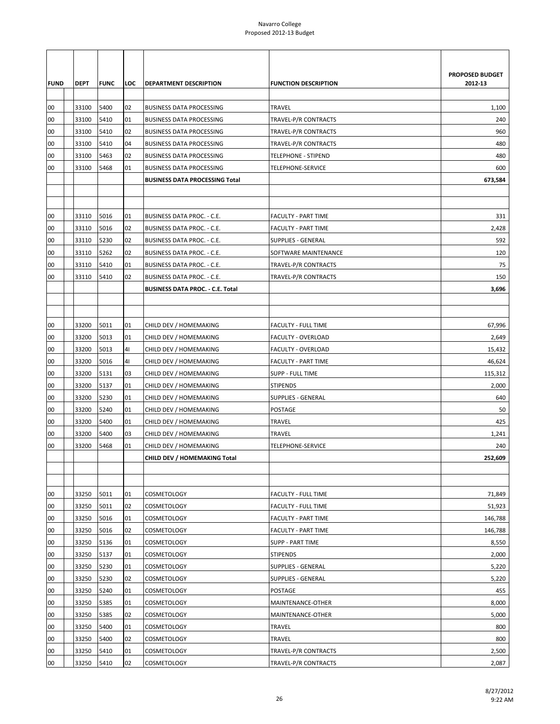|             |             |             |                |                                         |                             | <b>PROPOSED BUDGET</b> |
|-------------|-------------|-------------|----------------|-----------------------------------------|-----------------------------|------------------------|
| <b>FUND</b> | <b>DEPT</b> | <b>FUNC</b> | LOC            | <b>DEPARTMENT DESCRIPTION</b>           | <b>FUNCTION DESCRIPTION</b> | 2012-13                |
|             |             |             |                |                                         |                             |                        |
| 00          | 33100       | 5400        | 02             | <b>BUSINESS DATA PROCESSING</b>         | <b>TRAVEL</b>               | 1,100                  |
| 00          | 33100       | 5410        | 01             | <b>BUSINESS DATA PROCESSING</b>         | TRAVEL-P/R CONTRACTS        | 240                    |
| 00          | 33100       | 5410        | 02             | <b>BUSINESS DATA PROCESSING</b>         | TRAVEL-P/R CONTRACTS        | 960                    |
| 00          | 33100       | 5410        | 04             | <b>BUSINESS DATA PROCESSING</b>         | TRAVEL-P/R CONTRACTS        | 480                    |
| 00          | 33100       | 5463        | 02             | <b>BUSINESS DATA PROCESSING</b>         | <b>TELEPHONE - STIPEND</b>  | 480                    |
| 00          | 33100       | 5468        | 01             | <b>BUSINESS DATA PROCESSING</b>         | TELEPHONE-SERVICE           | 600                    |
|             |             |             |                | <b>BUSINESS DATA PROCESSING Total</b>   |                             | 673,584                |
|             |             |             |                |                                         |                             |                        |
|             |             |             | 01             |                                         |                             |                        |
| 00          | 33110       | 5016        |                | BUSINESS DATA PROC. - C.E.              | <b>FACULTY - PART TIME</b>  | 331                    |
| 00          | 33110       | 5016        | 02             | BUSINESS DATA PROC. - C.E.              | <b>FACULTY - PART TIME</b>  | 2,428                  |
| 00          | 33110       | 5230        | 02             | BUSINESS DATA PROC. - C.E.              | <b>SUPPLIES - GENERAL</b>   | 592                    |
| 00          | 33110       | 5262        | 02             | BUSINESS DATA PROC. - C.E.              | SOFTWARE MAINTENANCE        | 120                    |
| 00          | 33110       | 5410        | 01             | BUSINESS DATA PROC. - C.E.              | TRAVEL-P/R CONTRACTS        | 75                     |
| 00          | 33110       | 5410        | 02             | BUSINESS DATA PROC. - C.E.              | TRAVEL-P/R CONTRACTS        | 150                    |
|             |             |             |                | <b>BUSINESS DATA PROC. - C.E. Total</b> |                             | 3,696                  |
|             |             |             |                |                                         |                             |                        |
| 00          | 33200       | 5011        | 01             | CHILD DEV / HOMEMAKING                  | <b>FACULTY - FULL TIME</b>  | 67,996                 |
| 00          | 33200       | 5013        | 01             | CHILD DEV / HOMEMAKING                  | FACULTY - OVERLOAD          | 2,649                  |
| 00          | 33200       | 5013        | 41             | CHILD DEV / HOMEMAKING                  | <b>FACULTY - OVERLOAD</b>   | 15,432                 |
| 00          | 33200       | 5016        | 4 <sub>1</sub> | CHILD DEV / HOMEMAKING                  | <b>FACULTY - PART TIME</b>  | 46,624                 |
| 00          | 33200       | 5131        | 03             | CHILD DEV / HOMEMAKING                  | <b>SUPP - FULL TIME</b>     | 115,312                |
| 00          | 33200       | 5137        | 01             | CHILD DEV / HOMEMAKING                  | <b>STIPENDS</b>             | 2,000                  |
| 00          | 33200       | 5230        | 01             | CHILD DEV / HOMEMAKING                  | SUPPLIES - GENERAL          | 640                    |
| 00          | 33200       | 5240        | 01             | CHILD DEV / HOMEMAKING                  | POSTAGE                     | 50                     |
| 00          | 33200       | 5400        | 01             | CHILD DEV / HOMEMAKING                  | <b>TRAVEL</b>               | 425                    |
| 00          | 33200       | 5400        | 03             | CHILD DEV / HOMEMAKING                  | TRAVEL                      | 1,241                  |
| 00          | 33200       | 5468        | 01             | CHILD DEV / HOMEMAKING                  | TELEPHONE-SERVICE           | 240                    |
|             |             |             |                | CHILD DEV / HOMEMAKING Total            |                             | 252,609                |
|             |             |             |                |                                         |                             |                        |
|             |             |             |                |                                         |                             |                        |
| 00          | 33250       | 5011        | 01             | COSMETOLOGY                             | <b>FACULTY - FULL TIME</b>  | 71,849                 |
| 00          | 33250       | 5011        | 02             | COSMETOLOGY                             | <b>FACULTY - FULL TIME</b>  | 51,923                 |
| 00          | 33250       | 5016        | 01             | COSMETOLOGY                             | <b>FACULTY - PART TIME</b>  | 146,788                |
| 00          | 33250       | 5016        | 02             | COSMETOLOGY                             | <b>FACULTY - PART TIME</b>  | 146,788                |
| 00          | 33250       | 5136        | 01             | COSMETOLOGY                             | <b>SUPP - PART TIME</b>     | 8,550                  |
| 00          | 33250       | 5137        | 01             | COSMETOLOGY                             | <b>STIPENDS</b>             | 2,000                  |
| 00          | 33250       | 5230        | 01             | COSMETOLOGY                             | SUPPLIES - GENERAL          | 5,220                  |
| 00          | 33250       | 5230        | 02             | COSMETOLOGY                             | <b>SUPPLIES - GENERAL</b>   | 5,220                  |
| 00          | 33250       | 5240        | 01             | COSMETOLOGY                             | POSTAGE                     | 455                    |
| 00          | 33250       | 5385        | 01             | COSMETOLOGY                             | MAINTENANCE-OTHER           | 8,000                  |
| 00          | 33250       | 5385        | 02             | COSMETOLOGY                             | MAINTENANCE-OTHER           | 5,000                  |
| 00          | 33250       | 5400        | 01             | COSMETOLOGY                             | TRAVEL                      | 800                    |
| 00          | 33250       | 5400        | 02             | COSMETOLOGY                             | TRAVEL                      | 800                    |
| 00          | 33250       | 5410        | 01             | COSMETOLOGY                             | TRAVEL-P/R CONTRACTS        | 2,500                  |
| 00          | 33250       | 5410        | 02             | COSMETOLOGY                             | TRAVEL-P/R CONTRACTS        | 2,087                  |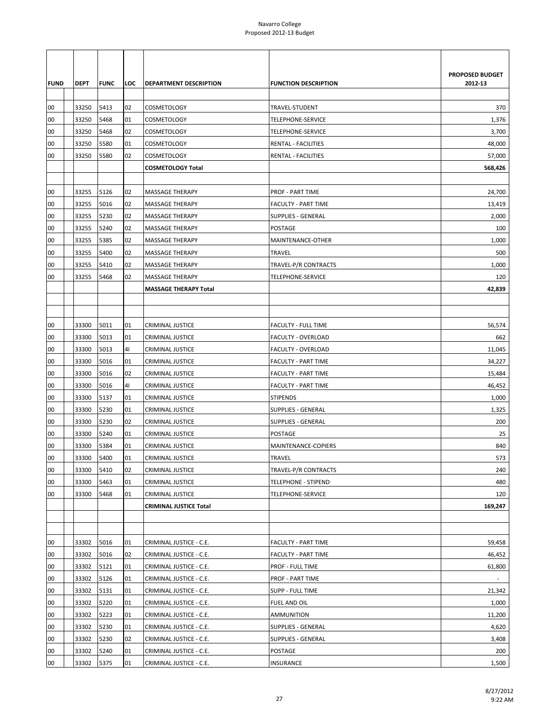| <b>FUND</b> | DEPT  | <b>FUNC</b> | LOC | DEPARTMENT DESCRIPTION        | <b>FUNCTION DESCRIPTION</b> | PROPOSED BUDGET<br>2012-13 |
|-------------|-------|-------------|-----|-------------------------------|-----------------------------|----------------------------|
| 00          | 33250 | 5413        | 02  | COSMETOLOGY                   | TRAVEL-STUDENT              | 370                        |
| 00          | 33250 | 5468        | 01  | COSMETOLOGY                   | TELEPHONE-SERVICE           | 1,376                      |
| 00          | 33250 | 5468        | 02  | COSMETOLOGY                   | TELEPHONE-SERVICE           | 3,700                      |
| 00          | 33250 | 5580        | 01  | COSMETOLOGY                   | RENTAL - FACILITIES         | 48,000                     |
| 00          | 33250 | 5580        | 02  | COSMETOLOGY                   | RENTAL - FACILITIES         | 57,000                     |
|             |       |             |     | <b>COSMETOLOGY Total</b>      |                             | 568,426                    |
|             |       |             |     |                               |                             |                            |
| 00          | 33255 | 5126        | 02  | MASSAGE THERAPY               | <b>PROF - PART TIME</b>     | 24,700                     |
| 00          | 33255 | 5016        | 02  | MASSAGE THERAPY               | <b>FACULTY - PART TIME</b>  | 13,419                     |
| 00          | 33255 | 5230        | 02  | MASSAGE THERAPY               | <b>SUPPLIES - GENERAL</b>   | 2,000                      |
| 00          | 33255 | 5240        | 02  | MASSAGE THERAPY               | <b>POSTAGE</b>              | 100                        |
| 00          | 33255 | 5385        | 02  | MASSAGE THERAPY               | MAINTENANCE-OTHER           | 1,000                      |
| 00          | 33255 | 5400        | 02  | <b>MASSAGE THERAPY</b>        | <b>TRAVEL</b>               | 500                        |
| 00          | 33255 | 5410        | 02  | MASSAGE THERAPY               | TRAVEL-P/R CONTRACTS        | 1,000                      |
| 00          | 33255 | 5468        | 02  | MASSAGE THERAPY               | TELEPHONE-SERVICE           | 120                        |
|             |       |             |     | <b>MASSAGE THERAPY Total</b>  |                             | 42,839                     |
|             |       |             |     |                               |                             |                            |
|             |       |             |     |                               |                             |                            |
| 00          | 33300 | 5011        | 01  | <b>CRIMINAL JUSTICE</b>       | <b>FACULTY - FULL TIME</b>  | 56,574                     |
| 00          | 33300 | 5013        | 01  | <b>CRIMINAL JUSTICE</b>       | <b>FACULTY - OVERLOAD</b>   | 662                        |
| 00          | 33300 | 5013        | 41  | <b>CRIMINAL JUSTICE</b>       | FACULTY - OVERLOAD          | 11,045                     |
| 00          | 33300 | 5016        | 01  | <b>CRIMINAL JUSTICE</b>       | <b>FACULTY - PART TIME</b>  | 34,227                     |
| 00          | 33300 | 5016        | 02  | CRIMINAL JUSTICE              | <b>FACULTY - PART TIME</b>  | 15,484                     |
| 00          | 33300 | 5016        | 41  | CRIMINAL JUSTICE              | <b>FACULTY - PART TIME</b>  | 46,452                     |
| 00          | 33300 | 5137        | 01  | CRIMINAL JUSTICE              | <b>STIPENDS</b>             | 1,000                      |
| 00          | 33300 | 5230        | 01  | <b>CRIMINAL JUSTICE</b>       | <b>SUPPLIES - GENERAL</b>   | 1,325                      |
| 00          | 33300 | 5230        | 02  | CRIMINAL JUSTICE              | <b>SUPPLIES - GENERAL</b>   | 200                        |
| 00          | 33300 | 5240        | 01  | CRIMINAL JUSTICE              | POSTAGE                     | 25                         |
| 00          | 33300 | 5384        | 01  | <b>CRIMINAL JUSTICE</b>       | MAINTENANCE-COPIERS         | 840                        |
| 00          | 33300 | 5400        | 01  | <b>CRIMINAL JUSTICE</b>       | <b>TRAVEL</b>               | 573                        |
| 00          | 33300 | 5410        | 02  | <b>CRIMINAL JUSTICE</b>       | TRAVEL-P/R CONTRACTS        | 240                        |
| 00          | 33300 | 5463        | 01  | <b>CRIMINAL JUSTICE</b>       | <b>TELEPHONE - STIPEND</b>  | 480                        |
| 00          | 33300 | 5468        | 01  | CRIMINAL JUSTICE              | TELEPHONE-SERVICE           | 120                        |
|             |       |             |     | <b>CRIMINAL JUSTICE Total</b> |                             | 169,247                    |
|             |       |             |     |                               |                             |                            |
|             |       |             |     |                               |                             |                            |
| 00          | 33302 | 5016        | 01  | CRIMINAL JUSTICE - C.E.       | <b>FACULTY - PART TIME</b>  | 59,458                     |
| 00          | 33302 | 5016        | 02  | CRIMINAL JUSTICE - C.E.       | FACULTY - PART TIME         | 46,452                     |
| 00          | 33302 | 5121        | 01  | CRIMINAL JUSTICE - C.E.       | PROF - FULL TIME            | 61,800                     |
| 00          | 33302 | 5126        | 01  | CRIMINAL JUSTICE - C.E.       | <b>PROF - PART TIME</b>     |                            |
| 00          | 33302 | 5131        | 01  | CRIMINAL JUSTICE - C.E.       | <b>SUPP - FULL TIME</b>     | 21,342                     |
| 00          | 33302 | 5220        | 01  | CRIMINAL JUSTICE - C.E.       | FUEL AND OIL                | 1,000                      |
| 00          | 33302 | 5223        | 01  | CRIMINAL JUSTICE - C.E.       | <b>AMMUNITION</b>           | 11,200                     |
| 00          | 33302 | 5230        | 01  | CRIMINAL JUSTICE - C.E.       | <b>SUPPLIES - GENERAL</b>   | 4,620                      |
| 00          | 33302 | 5230        | 02  | CRIMINAL JUSTICE - C.E.       | <b>SUPPLIES - GENERAL</b>   | 3,408                      |
| 00          | 33302 | 5240        | 01  | CRIMINAL JUSTICE - C.E.       | POSTAGE                     | 200                        |
| $00\,$      | 33302 | 5375        | 01  | CRIMINAL JUSTICE - C.E.       | <b>INSURANCE</b>            | 1,500                      |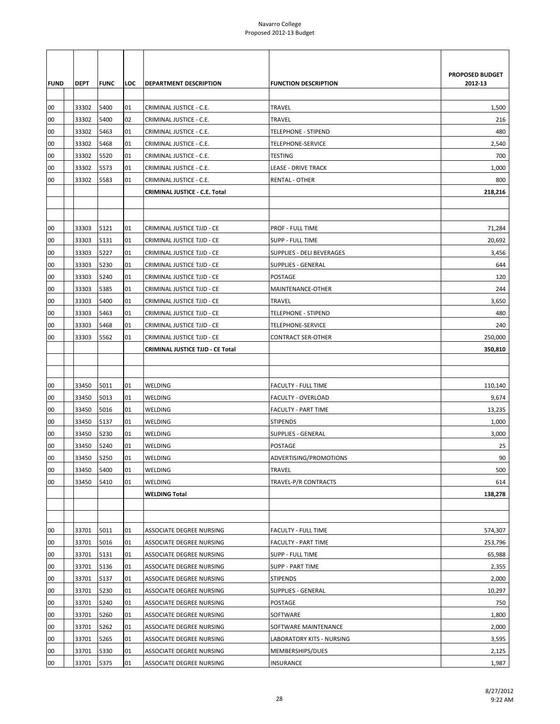|             |             |             |     |                                  |                             | PROPOSED BUDGET |
|-------------|-------------|-------------|-----|----------------------------------|-----------------------------|-----------------|
| <b>FUND</b> | <b>DEPT</b> | <b>FUNC</b> | LOC | DEPARTMENT DESCRIPTION           | <b>FUNCTION DESCRIPTION</b> | 2012-13         |
|             |             |             |     |                                  |                             |                 |
| 00          | 33302       | 5400        | 01  | CRIMINAL JUSTICE - C.E.          | <b>TRAVEL</b>               | 1,500           |
| 00          | 33302       | 5400        | 02  | CRIMINAL JUSTICE - C.E.          | <b>TRAVEL</b>               | 216             |
| 00          | 33302       | 5463        | 01  | CRIMINAL JUSTICE - C.E.          | TELEPHONE - STIPEND         | 480             |
| 00          | 33302       | 5468        | 01  | CRIMINAL JUSTICE - C.E.          | TELEPHONE-SERVICE           | 2,540           |
| 00          | 33302       | 5520        | 01  | CRIMINAL JUSTICE - C.E.          | TESTING                     | 700             |
| 00          | 33302       | 5573        | 01  | CRIMINAL JUSTICE - C.E.          | <b>LEASE - DRIVE TRACK</b>  | 1,000           |
| 00          | 33302       | 5583        | 01  | CRIMINAL JUSTICE - C.E.          | <b>RENTAL - OTHER</b>       | 800             |
|             |             |             |     | CRIMINAL JUSTICE - C.E. Total    |                             | 218,216         |
|             |             |             |     |                                  |                             |                 |
|             |             |             |     |                                  |                             |                 |
| 00          | 33303       | 5121        | 01  | CRIMINAL JUSTICE TJJD - CE       | PROF - FULL TIME            | 71,284          |
| 00          | 33303       | 5131        | 01  | CRIMINAL JUSTICE TJJD - CE       | <b>SUPP - FULL TIME</b>     | 20,692          |
| 00          | 33303       | 5227        | 01  | CRIMINAL JUSTICE TJJD - CE       | SUPPLIES - DELI BEVERAGES   | 3,456           |
| 00          | 33303       | 5230        | 01  | CRIMINAL JUSTICE TJJD - CE       | <b>SUPPLIES - GENERAL</b>   | 644             |
| 00          | 33303       | 5240        | 01  | CRIMINAL JUSTICE TJJD - CE       | POSTAGE                     | 120             |
| 00          | 33303       | 5385        | 01  | CRIMINAL JUSTICE TJJD - CE       | MAINTENANCE-OTHER           | 244             |
| 00          | 33303       | 5400        | 01  | CRIMINAL JUSTICE TJJD - CE       | <b>TRAVEL</b>               | 3,650           |
| 00          | 33303       | 5463        | 01  | CRIMINAL JUSTICE TJJD - CE       | TELEPHONE - STIPEND         | 480             |
| 00          | 33303       | 5468        | 01  | CRIMINAL JUSTICE TJJD - CE       | TELEPHONE-SERVICE           | 240             |
| 00          | 33303       | 5562        | 01  | CRIMINAL JUSTICE TJJD - CE       | <b>CONTRACT SER-OTHER</b>   | 250,000         |
|             |             |             |     | CRIMINAL JUSTICE TJJD - CE Total |                             | 350,810         |
|             |             |             |     |                                  |                             |                 |
|             |             |             |     |                                  |                             |                 |
| 00          | 33450       | 5011        | 01  | WELDING                          | <b>FACULTY - FULL TIME</b>  | 110,140         |
| 00          | 33450       | 5013        | 01  | WELDING                          | FACULTY - OVERLOAD          | 9,674           |
| 00          | 33450       | 5016        | 01  | WELDING                          | <b>FACULTY - PART TIME</b>  | 13,235          |
| 00          | 33450       | 5137        | 01  | WELDING                          | <b>STIPENDS</b>             | 1,000           |
| 00          | 33450       | 5230        | 01  | WELDING                          | <b>SUPPLIES - GENERAL</b>   | 3,000           |
| 00          | 33450       | 5240        | 01  | WELDING                          | POSTAGE                     | 25              |
| 00          | 33450       | 5250        | 01  | WELDING                          | ADVERTISING/PROMOTIONS      | 90              |
| 00          | 33450       | 5400        | 01  | WELDING                          | TRAVEL                      | 500             |
| 00          | 33450       | 5410        | 01  | WELDING                          | TRAVEL-P/R CONTRACTS        | 614             |
|             |             |             |     | <b>WELDING Total</b>             |                             | 138,278         |
|             |             |             |     |                                  |                             |                 |
|             |             |             |     |                                  |                             |                 |
| 00          | 33701       | 5011        | 01  | ASSOCIATE DEGREE NURSING         | <b>FACULTY - FULL TIME</b>  | 574,307         |
| 00          | 33701       | 5016        | 01  | ASSOCIATE DEGREE NURSING         | <b>FACULTY - PART TIME</b>  | 253,796         |
| 00          | 33701       | 5131        | 01  | ASSOCIATE DEGREE NURSING         | SUPP - FULL TIME            | 65,988          |
| 00          | 33701       | 5136        | 01  | ASSOCIATE DEGREE NURSING         | <b>SUPP - PART TIME</b>     | 2,355           |
| 00          | 33701       | 5137        | 01  | ASSOCIATE DEGREE NURSING         | <b>STIPENDS</b>             | 2,000           |
| 00          | 33701       | 5230        | 01  | ASSOCIATE DEGREE NURSING         | SUPPLIES - GENERAL          | 10,297          |
| 00          | 33701       | 5240        | 01  | ASSOCIATE DEGREE NURSING         | POSTAGE                     | 750             |
| 00          | 33701       | 5260        | 01  | ASSOCIATE DEGREE NURSING         | SOFTWARE                    | 1,800           |
| 00          | 33701       | 5262        | 01  | ASSOCIATE DEGREE NURSING         | SOFTWARE MAINTENANCE        | 2,000           |
| 00          | 33701       | 5265        | 01  | ASSOCIATE DEGREE NURSING         | LABORATORY KITS - NURSING   | 3,595           |
| 00          | 33701       | 5330        | 01  | ASSOCIATE DEGREE NURSING         | MEMBERSHIPS/DUES            | 2,125           |
| 00          | 33701       | 5375        | 01  | ASSOCIATE DEGREE NURSING         | INSURANCE                   | 1,987           |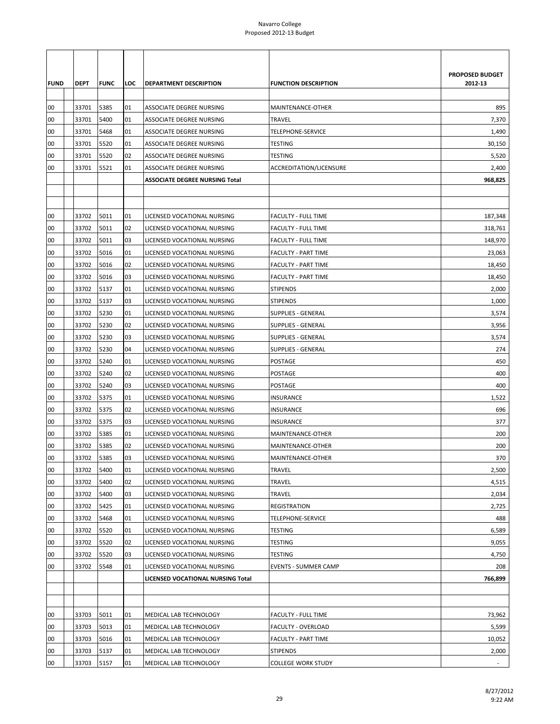|             |             |              |     |                                       |                             | PROPOSED BUDGET |
|-------------|-------------|--------------|-----|---------------------------------------|-----------------------------|-----------------|
| <b>FUND</b> | <b>DEPT</b> | <b>IFUNC</b> | LOC | DEPARTMENT DESCRIPTION                | <b>FUNCTION DESCRIPTION</b> | 2012-13         |
|             |             |              |     |                                       |                             |                 |
| 00          | 33701       | 5385         | 01  | ASSOCIATE DEGREE NURSING              | MAINTENANCE-OTHER           | 895             |
| 00          | 33701       | 5400         | 01  | ASSOCIATE DEGREE NURSING              | <b>TRAVEL</b>               | 7,370           |
| 00          | 33701       | 5468         | 01  | ASSOCIATE DEGREE NURSING              | TELEPHONE-SERVICE           | 1,490           |
| 00          | 33701       | 5520         | 01  | ASSOCIATE DEGREE NURSING              | <b>TESTING</b>              | 30,150          |
| 00          | 33701       | 5520         | 02  | ASSOCIATE DEGREE NURSING              | <b>TESTING</b>              | 5,520           |
| 00          | 33701       | 5521         | 01  | ASSOCIATE DEGREE NURSING              | ACCREDITATION/LICENSURE     | 2,400           |
|             |             |              |     | <b>ASSOCIATE DEGREE NURSING Total</b> |                             | 968,825         |
|             |             |              |     |                                       |                             |                 |
|             |             |              |     |                                       |                             |                 |
| 00          | 33702       | 5011         | 01  | LICENSED VOCATIONAL NURSING           | <b>FACULTY - FULL TIME</b>  | 187,348         |
| 00          | 33702       | 5011         | 02  | LICENSED VOCATIONAL NURSING           | <b>FACULTY - FULL TIME</b>  | 318,761         |
| 00          | 33702       | 5011         | 03  | LICENSED VOCATIONAL NURSING           | <b>FACULTY - FULL TIME</b>  | 148,970         |
| 00          | 33702       | 5016         | 01  | LICENSED VOCATIONAL NURSING           | <b>FACULTY - PART TIME</b>  | 23,063          |
| 00          | 33702       | 5016         | 02  | LICENSED VOCATIONAL NURSING           | FACULTY - PART TIME         | 18,450          |
| 00          | 33702       | 5016         | 03  | LICENSED VOCATIONAL NURSING           | <b>FACULTY - PART TIME</b>  | 18,450          |
| 00          | 33702       | 5137         | 01  | LICENSED VOCATIONAL NURSING           | <b>STIPENDS</b>             | 2,000           |
| 00          | 33702       | 5137         | 03  | LICENSED VOCATIONAL NURSING           | <b>STIPENDS</b>             | 1,000           |
| 00          | 33702       | 5230         | 01  | LICENSED VOCATIONAL NURSING           | <b>SUPPLIES - GENERAL</b>   | 3,574           |
| 00          | 33702       | 5230         | 02  | LICENSED VOCATIONAL NURSING           | SUPPLIES - GENERAL          | 3,956           |
| 00          | 33702       | 5230         | 03  | LICENSED VOCATIONAL NURSING           | <b>SUPPLIES - GENERAL</b>   | 3,574           |
| 00          | 33702       | 5230         | 04  | LICENSED VOCATIONAL NURSING           | SUPPLIES - GENERAL          | 274             |
| 00          | 33702       | 5240         | 01  | LICENSED VOCATIONAL NURSING           | POSTAGE                     | 450             |
| 00          | 33702       | 5240         | 02  | LICENSED VOCATIONAL NURSING           | POSTAGE                     | 400             |
| 00          | 33702       | 5240         | 03  | LICENSED VOCATIONAL NURSING           | POSTAGE                     | 400             |
| 00          | 33702       | 5375         | 01  | LICENSED VOCATIONAL NURSING           | <b>INSURANCE</b>            | 1,522           |
| 00          | 33702       | 5375         | 02  | LICENSED VOCATIONAL NURSING           | <b>INSURANCE</b>            | 696             |
| 00          | 33702       | 5375         | 03  | LICENSED VOCATIONAL NURSING           | <b>INSURANCE</b>            | 377             |
| 00          | 33702       | 5385         | 01  | LICENSED VOCATIONAL NURSING           | MAINTENANCE-OTHER           | 200             |
| 00          | 33702       | 5385         | 02  | LICENSED VOCATIONAL NURSING           | MAINTENANCE-OTHER           | 200             |
| 00          | 33702       | 5385         | 03  | LICENSED VOCATIONAL NURSING           | MAINTENANCE-OTHER           | 370             |
| 00          | 33702       | 5400         | 01  | LICENSED VOCATIONAL NURSING           | TRAVEL                      | 2,500           |
| 00          | 33702       | 5400         | 02  | LICENSED VOCATIONAL NURSING           | <b>TRAVEL</b>               | 4,515           |
| 00          | 33702       | 5400         | 03  | LICENSED VOCATIONAL NURSING           | TRAVEL                      | 2,034           |
| 00          | 33702       | 5425         | 01  | LICENSED VOCATIONAL NURSING           | REGISTRATION                | 2,725           |
| 00          | 33702       | 5468         | 01  | LICENSED VOCATIONAL NURSING           | TELEPHONE-SERVICE           | 488             |
| 00          | 33702       | 5520         | 01  | LICENSED VOCATIONAL NURSING           | <b>TESTING</b>              | 6,589           |
| 00          | 33702       | 5520         | 02  | LICENSED VOCATIONAL NURSING           | TESTING                     | 9,055           |
| 00          | 33702       | 5520         | 03  | LICENSED VOCATIONAL NURSING           | <b>TESTING</b>              | 4,750           |
| 00          | 33702       | 5548         | 01  | LICENSED VOCATIONAL NURSING           | <b>EVENTS - SUMMER CAMP</b> | 208             |
|             |             |              |     | LICENSED VOCATIONAL NURSING Total     |                             | 766,899         |
|             |             |              |     |                                       |                             |                 |
|             |             |              |     |                                       |                             |                 |
| 00          | 33703       | 5011         | 01  | MEDICAL LAB TECHNOLOGY                | <b>FACULTY - FULL TIME</b>  | 73,962          |
| 00          | 33703       | 5013         | 01  | MEDICAL LAB TECHNOLOGY                | FACULTY - OVERLOAD          | 5,599           |
| 00          | 33703       | 5016         | 01  | MEDICAL LAB TECHNOLOGY                | FACULTY - PART TIME         | 10,052          |
| 00          | 33703       | 5137         | 01  | MEDICAL LAB TECHNOLOGY                | <b>STIPENDS</b>             | 2,000           |
| 00          | 33703       | 5157         | 01  | MEDICAL LAB TECHNOLOGY                | <b>COLLEGE WORK STUDY</b>   |                 |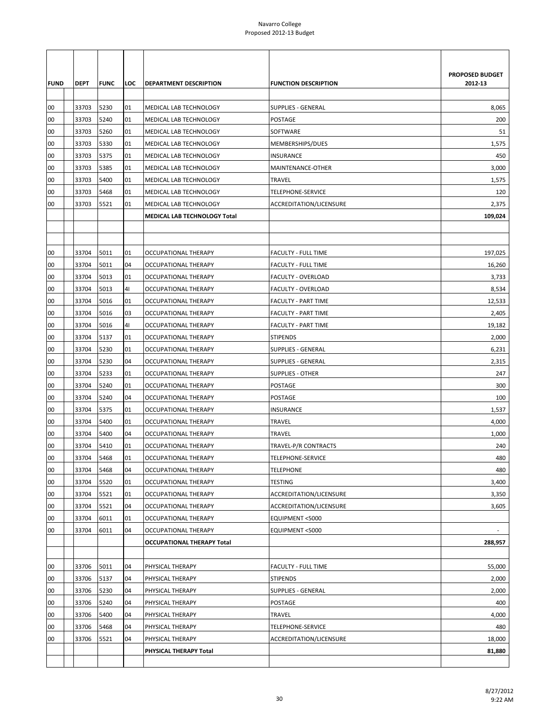|             |             |             |                |                                   |                             | <b>PROPOSED BUDGET</b> |
|-------------|-------------|-------------|----------------|-----------------------------------|-----------------------------|------------------------|
| <b>FUND</b> | <b>DEPT</b> | <b>FUNC</b> | LOC            | <b>DEPARTMENT DESCRIPTION</b>     | <b>FUNCTION DESCRIPTION</b> | 2012-13                |
| 00          | 33703       | 5230        | 01             | MEDICAL LAB TECHNOLOGY            | <b>SUPPLIES - GENERAL</b>   | 8,065                  |
| 00          | 33703       | 5240        | 01             | MEDICAL LAB TECHNOLOGY            | <b>POSTAGE</b>              | 200                    |
| 00          | 33703       | 5260        | 01             | MEDICAL LAB TECHNOLOGY            | SOFTWARE                    | 51                     |
| 00          | 33703       | 5330        | 01             | MEDICAL LAB TECHNOLOGY            | MEMBERSHIPS/DUES            | 1,575                  |
| 00          | 33703       | 5375        | 01             | MEDICAL LAB TECHNOLOGY            | INSURANCE                   | 450                    |
| 00          | 33703       | 5385        | 01             | MEDICAL LAB TECHNOLOGY            | MAINTENANCE-OTHER           | 3,000                  |
| 00          | 33703       | 5400        | 01             | MEDICAL LAB TECHNOLOGY            | <b>TRAVEL</b>               | 1,575                  |
| 00          | 33703       | 5468        | 01             | MEDICAL LAB TECHNOLOGY            | TELEPHONE-SERVICE           | 120                    |
| 00          | 33703       | 5521        | 01             | MEDICAL LAB TECHNOLOGY            | ACCREDITATION/LICENSURE     | 2,375                  |
|             |             |             |                | MEDICAL LAB TECHNOLOGY Total      |                             | 109,024                |
|             |             |             |                |                                   |                             |                        |
|             |             |             |                |                                   |                             |                        |
| 00          | 33704       | 5011        | 01             | <b>OCCUPATIONAL THERAPY</b>       | <b>FACULTY - FULL TIME</b>  | 197,025                |
| 00          | 33704       | 5011        | 04             | OCCUPATIONAL THERAPY              | <b>FACULTY - FULL TIME</b>  | 16,260                 |
| 00          | 33704       | 5013        | 01             | <b>OCCUPATIONAL THERAPY</b>       | FACULTY - OVERLOAD          | 3,733                  |
| 00          | 33704       | 5013        | 41             | OCCUPATIONAL THERAPY              | FACULTY - OVERLOAD          | 8,534                  |
| 00          | 33704       | 5016        | 01             | OCCUPATIONAL THERAPY              | <b>FACULTY - PART TIME</b>  | 12,533                 |
| 00          | 33704       | 5016        | 03             | OCCUPATIONAL THERAPY              | <b>FACULTY - PART TIME</b>  | 2,405                  |
| 00          | 33704       | 5016        | 4 <sub>1</sub> | OCCUPATIONAL THERAPY              | FACULTY - PART TIME         | 19,182                 |
| 00          | 33704       | 5137        | 01             | <b>OCCUPATIONAL THERAPY</b>       | <b>STIPENDS</b>             | 2,000                  |
| 00          | 33704       | 5230        | 01             | OCCUPATIONAL THERAPY              | <b>SUPPLIES - GENERAL</b>   | 6,231                  |
| 00          | 33704       | 5230        | 04             | <b>OCCUPATIONAL THERAPY</b>       | <b>SUPPLIES - GENERAL</b>   | 2,315                  |
| 00          | 33704       | 5233        | 01             | OCCUPATIONAL THERAPY              | <b>SUPPLIES - OTHER</b>     | 247                    |
| 00          | 33704       | 5240        | 01             | OCCUPATIONAL THERAPY              | POSTAGE                     | 300                    |
| 00          | 33704       | 5240        | 04             | OCCUPATIONAL THERAPY              | POSTAGE                     | 100                    |
| 00          | 33704       | 5375        | 01             | OCCUPATIONAL THERAPY              | INSURANCE                   | 1,537                  |
| 00          | 33704       | 5400        | 01             | <b>OCCUPATIONAL THERAPY</b>       | <b>TRAVEL</b>               | 4,000                  |
| 00          | 33704       | 5400        | 04             | <b>OCCUPATIONAL THERAPY</b>       | TRAVEL                      | 1,000                  |
| 00          | 33704       | 5410        | 01             | OCCUPATIONAL THERAPY              | TRAVEL-P/R CONTRACTS        | 240                    |
| 00          | 33704       | 5468        | 01             | <b>OCCUPATIONAL THERAPY</b>       | <b>TELEPHONE-SERVICE</b>    | 480                    |
| 00          | 33704       | 5468        | 04             | OCCUPATIONAL THERAPY              | <b>TELEPHONE</b>            | 480                    |
| 00          | 33704       | 5520        | 01             | OCCUPATIONAL THERAPY              | TESTING                     | 3,400                  |
| 00          | 33704       | 5521        | 01             | <b>OCCUPATIONAL THERAPY</b>       | ACCREDITATION/LICENSURE     | 3,350                  |
| 00          | 33704       | 5521        | 04             | OCCUPATIONAL THERAPY              | ACCREDITATION/LICENSURE     | 3,605                  |
| 00          | 33704       | 6011        | 01             | OCCUPATIONAL THERAPY              | EQUIPMENT <5000             |                        |
| 00          | 33704       | 6011        | 04             | OCCUPATIONAL THERAPY              | EQUIPMENT <5000             | $\blacksquare$         |
|             |             |             |                | <b>OCCUPATIONAL THERAPY Total</b> |                             | 288,957                |
|             |             |             |                |                                   |                             |                        |
| 00          | 33706       | 5011        | 04             | PHYSICAL THERAPY                  | <b>FACULTY - FULL TIME</b>  | 55,000                 |
| 00          | 33706       | 5137        | 04             | PHYSICAL THERAPY                  | <b>STIPENDS</b>             | 2,000                  |
| 00          | 33706       | 5230        | 04             | PHYSICAL THERAPY                  | SUPPLIES - GENERAL          | 2,000                  |
| 00          | 33706       | 5240        | 04             | PHYSICAL THERAPY                  | POSTAGE                     | 400                    |
| 00          | 33706       | 5400        | 04             | PHYSICAL THERAPY                  | TRAVEL                      | 4,000                  |
| 00          | 33706       | 5468        | 04             | PHYSICAL THERAPY                  | TELEPHONE-SERVICE           | 480                    |
| 00          | 33706       | 5521        | 04             | PHYSICAL THERAPY                  | ACCREDITATION/LICENSURE     | 18,000                 |
|             |             |             |                | PHYSICAL THERAPY Total            |                             | 81,880                 |
|             |             |             |                |                                   |                             |                        |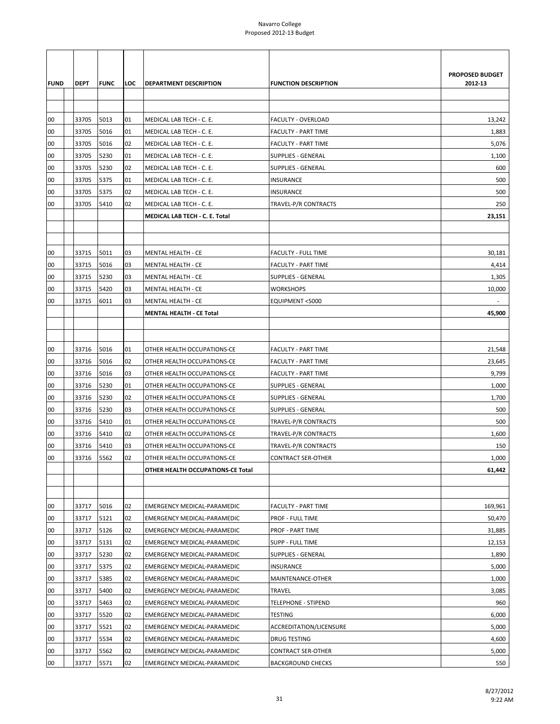|             |             |             |     |                                    |                             | <b>PROPOSED BUDGET</b> |
|-------------|-------------|-------------|-----|------------------------------------|-----------------------------|------------------------|
| <b>FUND</b> | <b>DEPT</b> | <b>FUNC</b> | LOC | <b>DEPARTMENT DESCRIPTION</b>      | <b>FUNCTION DESCRIPTION</b> | 2012-13                |
|             |             |             |     |                                    |                             |                        |
|             |             |             |     |                                    |                             |                        |
| 00          | 33705       | 5013        | 01  | MEDICAL LAB TECH - C. E.           | FACULTY - OVERLOAD          | 13,242                 |
| 00          | 33705       | 5016        | 01  | MEDICAL LAB TECH - C. E.           | <b>FACULTY - PART TIME</b>  | 1,883                  |
| 00          | 33705       | 5016        | 02  | MEDICAL LAB TECH - C. E.           | <b>FACULTY - PART TIME</b>  | 5,076                  |
| 00          | 33705       | 5230        | 01  | MEDICAL LAB TECH - C. E.           | <b>SUPPLIES - GENERAL</b>   | 1,100                  |
| 00          | 33705       | 5230        | 02  | MEDICAL LAB TECH - C. E.           | <b>SUPPLIES - GENERAL</b>   | 600                    |
| 00          | 33705       | 5375        | 01  | MEDICAL LAB TECH - C. E.           | INSURANCE                   | 500                    |
| 00          | 33705       | 5375        | 02  | MEDICAL LAB TECH - C. E.           | INSURANCE                   | 500                    |
| 00          | 33705       | 5410        | 02  | MEDICAL LAB TECH - C. E.           | TRAVEL-P/R CONTRACTS        | 250                    |
|             |             |             |     | MEDICAL LAB TECH - C. E. Total     |                             | 23,151                 |
|             |             |             |     |                                    |                             |                        |
|             |             |             |     |                                    |                             |                        |
| 00          | 33715       | 5011        | 03  | <b>MENTAL HEALTH - CE</b>          | <b>FACULTY - FULL TIME</b>  | 30,181                 |
| 00          | 33715       | 5016        | 03  | <b>MENTAL HEALTH - CE</b>          | <b>FACULTY - PART TIME</b>  | 4,414                  |
| 00          | 33715       | 5230        | 03  | <b>MENTAL HEALTH - CE</b>          | <b>SUPPLIES - GENERAL</b>   | 1,305                  |
| 00          | 33715       | 5420        | 03  | MENTAL HEALTH - CE                 | <b>WORKSHOPS</b>            | 10,000                 |
| 00          | 33715       | 6011        | 03  | <b>MENTAL HEALTH - CE</b>          | EQUIPMENT <5000             |                        |
|             |             |             |     | <b>MENTAL HEALTH - CE Total</b>    |                             | 45,900                 |
|             |             |             |     |                                    |                             |                        |
|             |             |             |     |                                    |                             |                        |
| 00          | 33716       | 5016        | 01  | OTHER HEALTH OCCUPATIONS-CE        | <b>FACULTY - PART TIME</b>  | 21,548                 |
| 00          | 33716       | 5016        | 02  | OTHER HEALTH OCCUPATIONS-CE        | FACULTY - PART TIME         | 23,645                 |
| 00          | 33716       | 5016        | 03  | OTHER HEALTH OCCUPATIONS-CE        | <b>FACULTY - PART TIME</b>  | 9,799                  |
| 00          | 33716       | 5230        | 01  | OTHER HEALTH OCCUPATIONS-CE        | SUPPLIES - GENERAL          | 1,000                  |
| 00          | 33716       | 5230        | 02  | OTHER HEALTH OCCUPATIONS-CE        | <b>SUPPLIES - GENERAL</b>   | 1,700                  |
| 00          | 33716       | 5230        | 03  | OTHER HEALTH OCCUPATIONS-CE        | <b>SUPPLIES - GENERAL</b>   | 500                    |
| 00          | 33716       | 5410        | 01  | OTHER HEALTH OCCUPATIONS-CE        | TRAVEL-P/R CONTRACTS        | 500                    |
| 00          | 33716       | 5410        | 02  | OTHER HEALTH OCCUPATIONS-CE        | TRAVEL-P/R CONTRACTS        | 1,600                  |
| 00          | 33716       | 5410        | 03  | OTHER HEALTH OCCUPATIONS-CE        | <b>TRAVEL-P/R CONTRACTS</b> | 150                    |
| 00          | 33716       | 5562        | 02  | <b>OTHER HEALTH OCCUPATIONS-CE</b> | <b>CONTRACT SER-OTHER</b>   | 1,000                  |
|             |             |             |     | OTHER HEALTH OCCUPATIONS-CE Total  |                             | 61,442                 |
|             |             |             |     |                                    |                             |                        |
|             |             |             |     |                                    |                             |                        |
| 00          | 33717       | 5016        | 02  | EMERGENCY MEDICAL-PARAMEDIC        | <b>FACULTY - PART TIME</b>  | 169,961                |
| 00          | 33717       | 5121        | 02  | EMERGENCY MEDICAL-PARAMEDIC        | <b>PROF - FULL TIME</b>     | 50,470                 |
| 00          | 33717       | 5126        | 02  | <b>EMERGENCY MEDICAL-PARAMEDIC</b> | <b>PROF - PART TIME</b>     | 31,885                 |
| 00          | 33717       | 5131        | 02  | EMERGENCY MEDICAL-PARAMEDIC        | SUPP - FULL TIME            | 12,153                 |
| 00          | 33717       | 5230        | 02  | EMERGENCY MEDICAL-PARAMEDIC        | SUPPLIES - GENERAL          | 1,890                  |
| 00          | 33717       | 5375        | 02  | EMERGENCY MEDICAL-PARAMEDIC        | <b>INSURANCE</b>            | 5,000                  |
| 00          | 33717       | 5385        | 02  | EMERGENCY MEDICAL-PARAMEDIC        | MAINTENANCE-OTHER           | 1,000                  |
| 00          | 33717       | 5400        | 02  | EMERGENCY MEDICAL-PARAMEDIC        | <b>TRAVEL</b>               | 3,085                  |
| 00          | 33717       | 5463        | 02  | EMERGENCY MEDICAL-PARAMEDIC        | <b>TELEPHONE - STIPEND</b>  | 960                    |
| 00          | 33717       | 5520        | 02  | EMERGENCY MEDICAL-PARAMEDIC        | TESTING                     | 6,000                  |
| 00          | 33717       | 5521        | 02  | EMERGENCY MEDICAL-PARAMEDIC        | ACCREDITATION/LICENSURE     | 5,000                  |
| 00          | 33717       | 5534        | 02  | EMERGENCY MEDICAL-PARAMEDIC        | DRUG TESTING                | 4,600                  |
| 00          | 33717       | 5562        | 02  | EMERGENCY MEDICAL-PARAMEDIC        | <b>CONTRACT SER-OTHER</b>   | 5,000                  |
| 00          | 33717       | 5571        | 02  | EMERGENCY MEDICAL-PARAMEDIC        | <b>BACKGROUND CHECKS</b>    | 550                    |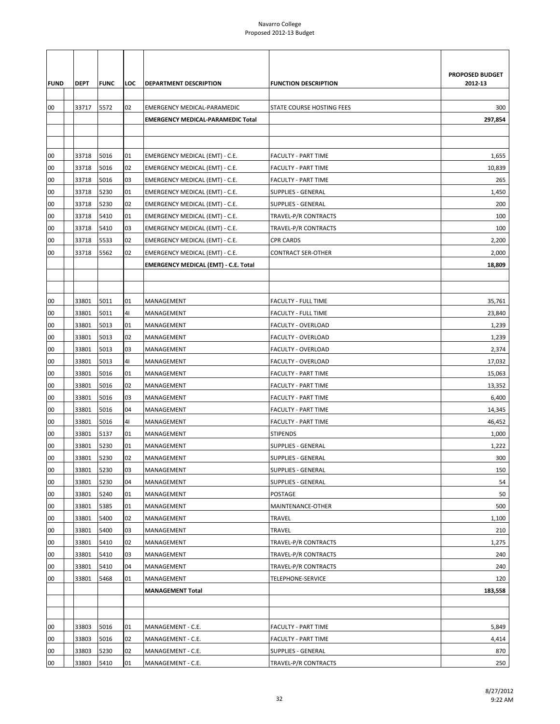|             |             |             |     |                                             |                                  | PROPOSED BUDGET |
|-------------|-------------|-------------|-----|---------------------------------------------|----------------------------------|-----------------|
| <b>FUND</b> | <b>DEPT</b> | <b>FUNC</b> | LOC | <b>DEPARTMENT DESCRIPTION</b>               | <b>FUNCTION DESCRIPTION</b>      | 2012-13         |
| 00          | 33717       | 5572        | 02  | EMERGENCY MEDICAL-PARAMEDIC                 | <b>STATE COURSE HOSTING FEES</b> | 300             |
|             |             |             |     | <b>EMERGENCY MEDICAL-PARAMEDIC Total</b>    |                                  | 297,854         |
|             |             |             |     |                                             |                                  |                 |
|             |             |             |     |                                             |                                  |                 |
| 00          | 33718       | 5016        | 01  | EMERGENCY MEDICAL (EMT) - C.E.              | <b>FACULTY - PART TIME</b>       | 1,655           |
| 00          | 33718       | 5016        | 02  | EMERGENCY MEDICAL (EMT) - C.E.              | <b>FACULTY - PART TIME</b>       | 10,839          |
| 00          | 33718       | 5016        | 03  | EMERGENCY MEDICAL (EMT) - C.E.              | <b>FACULTY - PART TIME</b>       | 265             |
| 00          | 33718       | 5230        | 01  | EMERGENCY MEDICAL (EMT) - C.E.              | SUPPLIES - GENERAL               | 1,450           |
| 00          | 33718       | 5230        | 02  | EMERGENCY MEDICAL (EMT) - C.E.              | SUPPLIES - GENERAL               | 200             |
| 00          | 33718       | 5410        | 01  | EMERGENCY MEDICAL (EMT) - C.E.              | TRAVEL-P/R CONTRACTS             | 100             |
| 00          | 33718       | 5410        | 03  | EMERGENCY MEDICAL (EMT) - C.E.              | TRAVEL-P/R CONTRACTS             | 100             |
| 00          | 33718       | 5533        | 02  | EMERGENCY MEDICAL (EMT) - C.E.              | <b>CPR CARDS</b>                 | 2,200           |
| 00          | 33718       | 5562        | 02  | EMERGENCY MEDICAL (EMT) - C.E.              | <b>CONTRACT SER-OTHER</b>        | 2,000           |
|             |             |             |     | <b>EMERGENCY MEDICAL (EMT) - C.E. Total</b> |                                  | 18,809          |
|             |             |             |     |                                             |                                  |                 |
|             |             |             |     |                                             |                                  |                 |
| 00          | 33801       | 5011        | 01  | MANAGEMENT                                  | <b>FACULTY - FULL TIME</b>       | 35,761          |
| 00          | 33801       | 5011        | 41  | MANAGEMENT                                  | <b>FACULTY - FULL TIME</b>       | 23,840          |
| 00          | 33801       | 5013        | 01  | MANAGEMENT                                  | FACULTY - OVERLOAD               | 1,239           |
| 00          | 33801       | 5013        | 02  | MANAGEMENT                                  | FACULTY - OVERLOAD               | 1,239           |
| 00          | 33801       | 5013        | 03  | MANAGEMENT                                  | FACULTY - OVERLOAD               | 2,374           |
| 00          | 33801       | 5013        | 41  | MANAGEMENT                                  | FACULTY - OVERLOAD               | 17,032          |
| 00          | 33801       | 5016        | 01  | MANAGEMENT                                  | <b>FACULTY - PART TIME</b>       | 15,063          |
| 00          | 33801       | 5016        | 02  | MANAGEMENT                                  | <b>FACULTY - PART TIME</b>       | 13,352          |
| 00          | 33801       | 5016        | 03  | MANAGEMENT                                  | <b>FACULTY - PART TIME</b>       | 6,400           |
| 00          | 33801       | 5016        | 04  | MANAGEMENT                                  | <b>FACULTY - PART TIME</b>       | 14,345          |
| 00          | 33801       | 5016        | 41  | MANAGEMENT                                  | <b>FACULTY - PART TIME</b>       | 46,452          |
| 00          | 33801       | 5137        | 01  | MANAGEMENT                                  | <b>STIPENDS</b>                  | 1,000           |
| 00          | 33801       | 5230        | 01  | MANAGEMENT                                  | SUPPLIES - GENERAL               | 1,222           |
| 00          | 33801       | 5230        | 02  | MANAGEMENT                                  | <b>SUPPLIES - GENERAL</b>        | 300             |
| 00          | 33801       | 5230        | 03  | MANAGEMENT                                  | <b>SUPPLIES - GENERAL</b>        | 150             |
| 00          | 33801       | 5230        | 04  | MANAGEMENT                                  | <b>SUPPLIES - GENERAL</b>        | 54              |
| 00          | 33801       | 5240        | 01  | MANAGEMENT                                  | POSTAGE                          | 50              |
| 00          | 33801       | 5385        | 01  | MANAGEMENT                                  | MAINTENANCE-OTHER                | 500             |
| 00          | 33801       | 5400        | 02  | MANAGEMENT                                  | TRAVEL                           | 1,100           |
| 00          | 33801       | 5400        | 03  | MANAGEMENT                                  | TRAVEL                           | 210             |
| 00          | 33801       | 5410        | 02  | MANAGEMENT                                  | TRAVEL-P/R CONTRACTS             | 1,275           |
| 00          | 33801       | 5410        | 03  | MANAGEMENT                                  | TRAVEL-P/R CONTRACTS             | 240             |
| 00          | 33801       | 5410        | 04  | MANAGEMENT                                  | TRAVEL-P/R CONTRACTS             | 240             |
| 00          | 33801       | 5468        | 01  | MANAGEMENT                                  | TELEPHONE-SERVICE                | 120             |
|             |             |             |     | <b>MANAGEMENT Total</b>                     |                                  | 183,558         |
|             |             |             |     |                                             |                                  |                 |
|             |             |             |     |                                             |                                  |                 |
| 00          | 33803       | 5016        | 01  | MANAGEMENT - C.E.                           | <b>FACULTY - PART TIME</b>       | 5,849           |
| 00          | 33803       | 5016        | 02  | MANAGEMENT - C.E.                           | <b>FACULTY - PART TIME</b>       | 4,414           |
| 00          | 33803       | 5230        | 02  | MANAGEMENT - C.E.                           | <b>SUPPLIES - GENERAL</b>        | 870             |
| 00          | 33803       | 5410        | 01  | MANAGEMENT - C.E.                           | TRAVEL-P/R CONTRACTS             | 250             |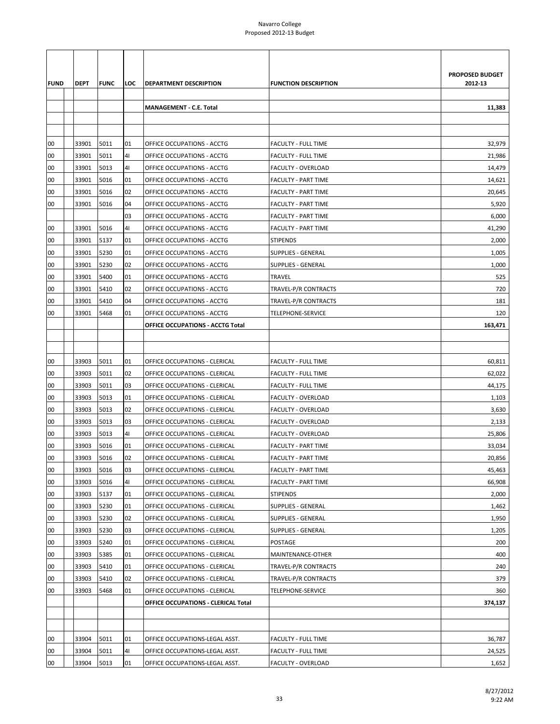| <b>FUND</b> | DEPT  | <b>FUNC</b> | LOC            | DEPARTMENT DESCRIPTION              | <b>FUNCTION DESCRIPTION</b> | <b>PROPOSED BUDGET</b><br>2012-13 |
|-------------|-------|-------------|----------------|-------------------------------------|-----------------------------|-----------------------------------|
|             |       |             |                | <b>MANAGEMENT - C.E. Total</b>      |                             | 11,383                            |
|             |       |             |                |                                     |                             |                                   |
|             |       |             |                |                                     |                             |                                   |
| 00          | 33901 | 5011        | 01             | OFFICE OCCUPATIONS - ACCTG          | <b>FACULTY - FULL TIME</b>  | 32,979                            |
| 00          | 33901 | 5011        | 41             | OFFICE OCCUPATIONS - ACCTG          | <b>FACULTY - FULL TIME</b>  | 21,986                            |
| 00          | 33901 | 5013        | 4 <sub>1</sub> | OFFICE OCCUPATIONS - ACCTG          | FACULTY - OVERLOAD          | 14,479                            |
| 00          | 33901 | 5016        | 01             | OFFICE OCCUPATIONS - ACCTG          | <b>FACULTY - PART TIME</b>  | 14,621                            |
| 00          | 33901 | 5016        | 02             | OFFICE OCCUPATIONS - ACCTG          | <b>FACULTY - PART TIME</b>  | 20,645                            |
| 00          | 33901 | 5016        | 04             | OFFICE OCCUPATIONS - ACCTG          | <b>FACULTY - PART TIME</b>  | 5,920                             |
|             |       |             | 03             | OFFICE OCCUPATIONS - ACCTG          | <b>FACULTY - PART TIME</b>  | 6,000                             |
| 00          | 33901 | 5016        | 4 <sub>1</sub> | OFFICE OCCUPATIONS - ACCTG          | <b>FACULTY - PART TIME</b>  | 41,290                            |
| 00          | 33901 | 5137        | 01             | OFFICE OCCUPATIONS - ACCTG          | <b>STIPENDS</b>             | 2,000                             |
| 00          | 33901 | 5230        | 01             | OFFICE OCCUPATIONS - ACCTG          | <b>SUPPLIES - GENERAL</b>   | 1,005                             |
| 00          | 33901 | 5230        | 02             | OFFICE OCCUPATIONS - ACCTG          | SUPPLIES - GENERAL          | 1,000                             |
| 00          | 33901 | 5400        | 01             | OFFICE OCCUPATIONS - ACCTG          | TRAVEL                      | 525                               |
| 00          | 33901 | 5410        | 02             | OFFICE OCCUPATIONS - ACCTG          | TRAVEL-P/R CONTRACTS        | 720                               |
| 00          | 33901 | 5410        | 04             | OFFICE OCCUPATIONS - ACCTG          | TRAVEL-P/R CONTRACTS        | 181                               |
| 00          | 33901 | 5468        | 01             | OFFICE OCCUPATIONS - ACCTG          | TELEPHONE-SERVICE           | 120                               |
|             |       |             |                | OFFICE OCCUPATIONS - ACCTG Total    |                             | 163,471                           |
|             |       |             |                |                                     |                             |                                   |
|             |       |             |                |                                     |                             |                                   |
| 00          | 33903 | 5011        | 01             | OFFICE OCCUPATIONS - CLERICAL       | <b>FACULTY - FULL TIME</b>  | 60,811                            |
| 00          | 33903 | 5011        | 02             | OFFICE OCCUPATIONS - CLERICAL       | <b>FACULTY - FULL TIME</b>  | 62,022                            |
| 00          | 33903 | 5011        | 03             | OFFICE OCCUPATIONS - CLERICAL       | <b>FACULTY - FULL TIME</b>  | 44,175                            |
| 00          | 33903 | 5013        | 01             | OFFICE OCCUPATIONS - CLERICAL       | FACULTY - OVERLOAD          | 1,103                             |
| 00          | 33903 | 5013        | 02             | OFFICE OCCUPATIONS - CLERICAL       | FACULTY - OVERLOAD          | 3,630                             |
| 00          | 33903 | 5013        | 03             | OFFICE OCCUPATIONS - CLERICAL       | FACULTY - OVERLOAD          | 2,133                             |
| 00          | 33903 | 5013        | 41             | OFFICE OCCUPATIONS - CLERICAL       | FACULTY - OVERLOAD          | 25,806                            |
| 00          | 33903 | 5016        | 01             | OFFICE OCCUPATIONS - CLERICAL       | <b>FACULTY - PART TIME</b>  | 33,034                            |
| 00          | 33903 | 5016        | 02             | OFFICE OCCUPATIONS - CLERICAL       | <b>FACULTY - PART TIME</b>  | 20,856                            |
| 00          | 33903 | 5016        | 03             | OFFICE OCCUPATIONS - CLERICAL       | <b>FACULTY - PART TIME</b>  | 45,463                            |
| 00          | 33903 | 5016        | 41             | OFFICE OCCUPATIONS - CLERICAL       | <b>FACULTY - PART TIME</b>  | 66,908                            |
| 00          | 33903 | 5137        | 01             | OFFICE OCCUPATIONS - CLERICAL       | STIPENDS                    | 2,000                             |
| 00          | 33903 | 5230        | 01             | OFFICE OCCUPATIONS - CLERICAL       | <b>SUPPLIES - GENERAL</b>   | 1,462                             |
| 00          | 33903 | 5230        | 02             | OFFICE OCCUPATIONS - CLERICAL       | <b>SUPPLIES - GENERAL</b>   | 1,950                             |
| 00          | 33903 | 5230        | 03             | OFFICE OCCUPATIONS - CLERICAL       | <b>SUPPLIES - GENERAL</b>   | 1,205                             |
| 00          | 33903 | 5240        | 01             | OFFICE OCCUPATIONS - CLERICAL       | POSTAGE                     | 200                               |
| 00          | 33903 | 5385        | 01             | OFFICE OCCUPATIONS - CLERICAL       | MAINTENANCE-OTHER           | 400                               |
| 00          | 33903 | 5410        | 01             | OFFICE OCCUPATIONS - CLERICAL       | TRAVEL-P/R CONTRACTS        | 240                               |
| 00          | 33903 | 5410        | 02             | OFFICE OCCUPATIONS - CLERICAL       | TRAVEL-P/R CONTRACTS        | 379                               |
| 00          | 33903 | 5468        | 01             | OFFICE OCCUPATIONS - CLERICAL       | TELEPHONE-SERVICE           | 360                               |
|             |       |             |                | OFFICE OCCUPATIONS - CLERICAL Total |                             | 374,137                           |
|             |       |             |                |                                     |                             |                                   |
|             |       |             |                |                                     |                             |                                   |
| 00          | 33904 | 5011        | 01             | OFFICE OCCUPATIONS-LEGAL ASST.      | FACULTY - FULL TIME         | 36,787                            |
| 00          | 33904 | 5011        | 41             | OFFICE OCCUPATIONS-LEGAL ASST.      | FACULTY - FULL TIME         | 24,525                            |
| 00          | 33904 | 5013        | 01             | OFFICE OCCUPATIONS-LEGAL ASST.      | <b>FACULTY - OVERLOAD</b>   | 1,652                             |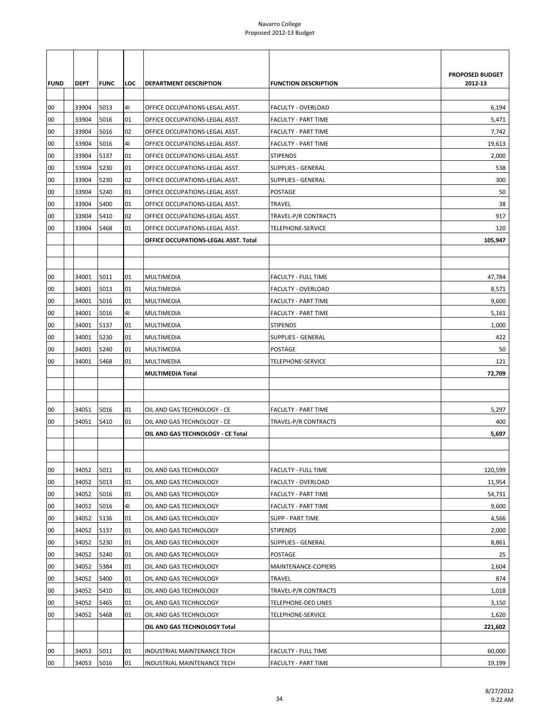|             |             |             |     |                                      |                             | PROPOSED BUDGET |
|-------------|-------------|-------------|-----|--------------------------------------|-----------------------------|-----------------|
| <b>FUND</b> | <b>DEPT</b> | <b>FUNC</b> | LOC | DEPARTMENT DESCRIPTION               | <b>FUNCTION DESCRIPTION</b> | 2012-13         |
|             |             |             |     |                                      |                             |                 |
| 00          | 33904       | 5013        | 41  | OFFICE OCCUPATIONS-LEGAL ASST.       | <b>FACULTY - OVERLOAD</b>   | 6,194           |
| 00          | 33904       | 5016        | 01  | OFFICE OCCUPATIONS-LEGAL ASST.       | <b>FACULTY - PART TIME</b>  | 5,471           |
| 00          | 33904       | 5016        | 02  | OFFICE OCCUPATIONS-LEGAL ASST.       | <b>FACULTY - PART TIME</b>  | 7,742           |
| 00          | 33904       | 5016        | 41  | OFFICE OCCUPATIONS-LEGAL ASST.       | <b>FACULTY - PART TIME</b>  | 19,613          |
| 00          | 33904       | 5137        | 01  | OFFICE OCCUPATIONS-LEGAL ASST.       | <b>STIPENDS</b>             | 2,000           |
| 00          | 33904       | 5230        | 01  | OFFICE OCCUPATIONS-LEGAL ASST.       | <b>SUPPLIES - GENERAL</b>   | 538             |
| 00          | 33904       | 5230        | 02  | OFFICE OCCUPATIONS-LEGAL ASST.       | <b>SUPPLIES - GENERAL</b>   | 300             |
| 00          | 33904       | 5240        | 01  | OFFICE OCCUPATIONS-LEGAL ASST.       | POSTAGE                     | 50              |
| 00          | 33904       | 5400        | 01  | OFFICE OCCUPATIONS-LEGAL ASST.       | TRAVEL                      | 38              |
| 00          | 33904       | 5410        | 02  | OFFICE OCCUPATIONS-LEGAL ASST.       | TRAVEL-P/R CONTRACTS        | 917             |
| 00          | 33904       | 5468        | 01  | OFFICE OCCUPATIONS-LEGAL ASST.       | TELEPHONE-SERVICE           | 120             |
|             |             |             |     | OFFICE OCCUPATIONS-LEGAL ASST. Total |                             | 105,947         |
|             |             |             |     |                                      |                             |                 |
|             |             |             |     |                                      |                             |                 |
| 00          | 34001       | 5011        | 01  | MULTIMEDIA                           | <b>FACULTY - FULL TIME</b>  | 47,784          |
| 00          | 34001       | 5013        | 01  | <b>MULTIMEDIA</b>                    | <b>FACULTY - OVERLOAD</b>   | 8,571           |
| 00          | 34001       | 5016        | 01  | <b>MULTIMEDIA</b>                    | <b>FACULTY - PART TIME</b>  | 9,600           |
| 00          | 34001       | 5016        | 41  | MULTIMEDIA                           | <b>FACULTY - PART TIME</b>  | 5,161           |
| 00          | 34001       | 5137        | 01  | MULTIMEDIA                           | <b>STIPENDS</b>             | 1,000           |
| 00          | 34001       | 5230        | 01  | <b>MULTIMEDIA</b>                    | <b>SUPPLIES - GENERAL</b>   | 422             |
| 00          | 34001       | 5240        | 01  | <b>MULTIMEDIA</b>                    | <b>POSTAGE</b>              | 50              |
| 00          | 34001       | 5468        | 01  | <b>MULTIMEDIA</b>                    | <b>TELEPHONE-SERVICE</b>    | 121             |
|             |             |             |     | <b>MULTIMEDIA Total</b>              |                             | 72,709          |
|             |             |             |     |                                      |                             |                 |
|             |             |             |     |                                      |                             |                 |
| 00          | 34051       | 5016        | 01  | OIL AND GAS TECHNOLOGY - CE          | <b>FACULTY - PART TIME</b>  | 5,297           |
| 00          | 34051       | 5410        | 01  | OIL AND GAS TECHNOLOGY - CE          | <b>TRAVEL-P/R CONTRACTS</b> | 400             |
|             |             |             |     | OIL AND GAS TECHNOLOGY - CE Total    |                             | 5,697           |
|             |             |             |     |                                      |                             |                 |
|             |             |             |     |                                      |                             |                 |
| 00          | 34052       | 5011        | 01  | OIL AND GAS TECHNOLOGY               | <b>FACULTY - FULL TIME</b>  | 120,599         |
| 00          | 34052       | 5013        | 01  | OIL AND GAS TECHNOLOGY               | FACULTY - OVERLOAD          | 11,954          |
| 00          | 34052       | 5016        | 01  | OIL AND GAS TECHNOLOGY               | <b>FACULTY - PART TIME</b>  | 54,731          |
| 00          | 34052       | 5016        | 41  | OIL AND GAS TECHNOLOGY               | FACULTY - PART TIME         | 9,600           |
| 00          | 34052       | 5136        | 01  | OIL AND GAS TECHNOLOGY               | <b>SUPP - PART TIME</b>     | 4,566           |
| 00          | 34052       | 5137        | 01  | OIL AND GAS TECHNOLOGY               | <b>STIPENDS</b>             | 2,000           |
| 00          | 34052       | 5230        | 01  | OIL AND GAS TECHNOLOGY               | <b>SUPPLIES - GENERAL</b>   | 8,861           |
| 00          | 34052       | 5240        | 01  | OIL AND GAS TECHNOLOGY               | POSTAGE                     | 25              |
| 00          | 34052       | 5384        | 01  | OIL AND GAS TECHNOLOGY               | MAINTENANCE-COPIERS         | 2,604           |
| 00          | 34052       | 5400        | 01  | OIL AND GAS TECHNOLOGY               | TRAVEL                      | 874             |
| 00          | 34052       | 5410        | 01  | OIL AND GAS TECHNOLOGY               | TRAVEL-P/R CONTRACTS        | 1,018           |
| 00          | 34052       | 5465        | 01  | OIL AND GAS TECHNOLOGY               | TELEPHONE-DED LINES         | 3,150           |
| 00          | 34052       | 5468        | 01  | OIL AND GAS TECHNOLOGY               | TELEPHONE-SERVICE           | 1,620           |
|             |             |             |     | OIL AND GAS TECHNOLOGY Total         |                             | 221,602         |
|             |             |             |     |                                      |                             |                 |
| 00          | 34053       | 5011        | 01  | INDUSTRIAL MAINTENANCE TECH          | FACULTY - FULL TIME         | 60,000          |
| 00          | 34053       | 5016        | 01  | INDUSTRIAL MAINTENANCE TECH          | <b>FACULTY - PART TIME</b>  | 19,199          |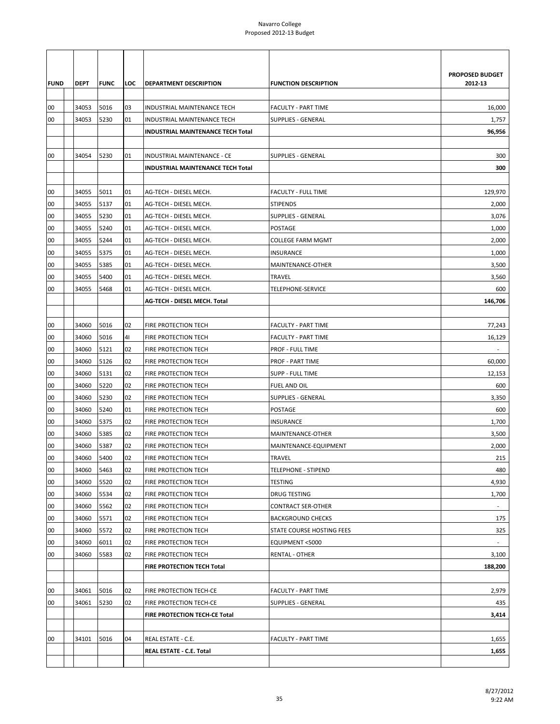|             |                |              |          |                                              |                                           | PROPOSED BUDGET |
|-------------|----------------|--------------|----------|----------------------------------------------|-------------------------------------------|-----------------|
| <b>FUND</b> | DEPT           | <b>FUNC</b>  | LOC      | DEPARTMENT DESCRIPTION                       | <b>FUNCTION DESCRIPTION</b>               | 2012-13         |
| 00          | 34053          | 5016         | 03       | INDUSTRIAL MAINTENANCE TECH                  | <b>FACULTY - PART TIME</b>                | 16,000          |
| 00          | 34053          | 5230         | 01       | INDUSTRIAL MAINTENANCE TECH                  | <b>SUPPLIES - GENERAL</b>                 | 1,757           |
|             |                |              |          | INDUSTRIAL MAINTENANCE TECH Total            |                                           | 96,956          |
|             |                |              |          |                                              |                                           |                 |
| 00          | 34054          | 5230         | 01       | INDUSTRIAL MAINTENANCE - CE                  | <b>SUPPLIES - GENERAL</b>                 | 300             |
|             |                |              |          | INDUSTRIAL MAINTENANCE TECH Total            |                                           | 300             |
|             |                |              |          |                                              |                                           |                 |
| 00          | 34055          | 5011         | 01       | AG-TECH - DIESEL MECH.                       | <b>FACULTY - FULL TIME</b>                | 129,970         |
| 00          | 34055          | 5137         | 01       | AG-TECH - DIESEL MECH.                       | <b>STIPENDS</b>                           | 2,000           |
| 00          | 34055          | 5230         | 01       | AG-TECH - DIESEL MECH.                       | <b>SUPPLIES - GENERAL</b>                 | 3,076           |
| 00          | 34055          | 5240         | 01       | AG-TECH - DIESEL MECH.                       | <b>POSTAGE</b>                            | 1,000           |
| 00          | 34055          | 5244         | 01       | AG-TECH - DIESEL MECH.                       | <b>COLLEGE FARM MGMT</b>                  | 2,000           |
| 00          | 34055          | 5375         | 01       | AG-TECH - DIESEL MECH.                       | <b>INSURANCE</b>                          | 1,000           |
| 00          | 34055          | 5385         | 01       | AG-TECH - DIESEL MECH.                       | MAINTENANCE-OTHER                         | 3,500           |
| 00          | 34055          | 5400         | 01       | AG-TECH - DIESEL MECH.                       | TRAVEL                                    | 3,560           |
| 00          | 34055          | 5468         | 01       | AG-TECH - DIESEL MECH.                       | TELEPHONE-SERVICE                         | 600             |
|             |                |              |          | AG-TECH - DIESEL MECH. Total                 |                                           | 146,706         |
|             |                |              |          |                                              |                                           |                 |
| 00          | 34060          | 5016         | 02       | FIRE PROTECTION TECH                         | <b>FACULTY - PART TIME</b>                | 77,243          |
| 00          | 34060          | 5016         | 41       | FIRE PROTECTION TECH                         | <b>FACULTY - PART TIME</b>                | 16,129          |
| 00          | 34060          | 5121         | 02       | FIRE PROTECTION TECH                         | <b>PROF - FULL TIME</b>                   |                 |
| 00          | 34060          | 5126         | 02       | FIRE PROTECTION TECH                         | <b>PROF - PART TIME</b>                   | 60,000          |
| 00          | 34060          | 5131         | 02       | FIRE PROTECTION TECH                         | <b>SUPP - FULL TIME</b>                   | 12,153          |
| 00          | 34060          | 5220         | 02       | FIRE PROTECTION TECH                         | FUEL AND OIL                              | 600             |
| 00          | 34060          | 5230         | 02       | FIRE PROTECTION TECH                         | <b>SUPPLIES - GENERAL</b>                 | 3,350           |
| 00          | 34060          | 5240         | 01       | FIRE PROTECTION TECH                         | POSTAGE                                   | 600             |
| 00          | 34060          | 5375         | 02       | FIRE PROTECTION TECH                         | <b>INSURANCE</b>                          | 1,700           |
| 00          | 34060          | 5385         | 02       | FIRE PROTECTION TECH                         | MAINTENANCE-OTHER                         | 3,500           |
| 00          | 34060          | 5387         | 02       | FIRE PROTECTION TECH                         | MAINTENANCE-EQUIPMENT                     | 2,000           |
| 00          | 34060          | 5400         | 02       | FIRE PROTECTION TECH                         | <b>TRAVEL</b>                             | 215             |
| 00          | 34060<br>34060 | 5463         | 02<br>02 | FIRE PROTECTION TECH                         | <b>TELEPHONE - STIPEND</b><br>TESTING     | 480             |
| 00<br>00    | 34060          | 5520<br>5534 | 02       | FIRE PROTECTION TECH                         |                                           | 4,930           |
| 00          | 34060          | 5562         | 02       | FIRE PROTECTION TECH<br>FIRE PROTECTION TECH | DRUG TESTING<br><b>CONTRACT SER-OTHER</b> | 1,700           |
| 00          | 34060          | 5571         | 02       | FIRE PROTECTION TECH                         | <b>BACKGROUND CHECKS</b>                  | 175             |
| 00          | 34060          | 5572         | 02       | FIRE PROTECTION TECH                         | STATE COURSE HOSTING FEES                 | 325             |
| 00          | 34060          | 6011         | 02       | FIRE PROTECTION TECH                         | EQUIPMENT <5000                           | $\sim$          |
| 00          | 34060          | 5583         | 02       | FIRE PROTECTION TECH                         | RENTAL - OTHER                            | 3,100           |
|             |                |              |          | FIRE PROTECTION TECH Total                   |                                           | 188,200         |
|             |                |              |          |                                              |                                           |                 |
| 00          | 34061          | 5016         | 02       | FIRE PROTECTION TECH-CE                      | <b>FACULTY - PART TIME</b>                | 2,979           |
| 00          | 34061          | 5230         | 02       | FIRE PROTECTION TECH-CE                      | <b>SUPPLIES - GENERAL</b>                 | 435             |
|             |                |              |          | FIRE PROTECTION TECH-CE Total                |                                           | 3,414           |
|             |                |              |          |                                              |                                           |                 |
| 00          | 34101          | 5016         | 04       | REAL ESTATE - C.E.                           | <b>FACULTY - PART TIME</b>                | 1,655           |
|             |                |              |          | REAL ESTATE - C.E. Total                     |                                           | 1,655           |
|             |                |              |          |                                              |                                           |                 |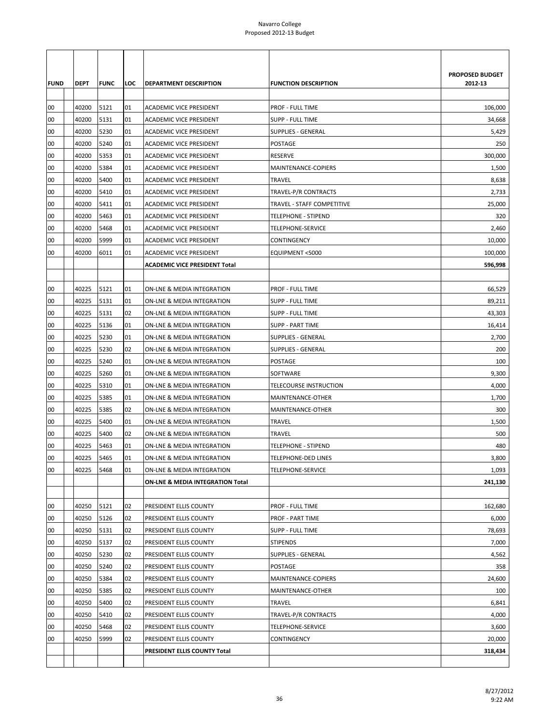| <b>FUND</b> | DEPT           | <b>FUNC</b>  | LOC      | DEPARTMENT DESCRIPTION                           | <b>FUNCTION DESCRIPTION</b>                | PROPOSED BUDGET<br>2012-13 |
|-------------|----------------|--------------|----------|--------------------------------------------------|--------------------------------------------|----------------------------|
| 00          | 40200          | 5121         | 01       | <b>ACADEMIC VICE PRESIDENT</b>                   | <b>PROF - FULL TIME</b>                    | 106,000                    |
| 00          | 40200          | 5131         | 01       | ACADEMIC VICE PRESIDENT                          | <b>SUPP - FULL TIME</b>                    | 34,668                     |
| 00          | 40200          | 5230         | 01       | ACADEMIC VICE PRESIDENT                          | SUPPLIES - GENERAL                         | 5,429                      |
| 00          | 40200          | 5240         | 01       | ACADEMIC VICE PRESIDENT                          | POSTAGE                                    | 250                        |
| 00          | 40200          | 5353         | 01       | ACADEMIC VICE PRESIDENT                          | <b>RESERVE</b>                             | 300,000                    |
| 00          | 40200          | 5384         | 01       | <b>ACADEMIC VICE PRESIDENT</b>                   | MAINTENANCE-COPIERS                        | 1,500                      |
| 00          | 40200          | 5400         | 01       | ACADEMIC VICE PRESIDENT                          | TRAVEL                                     | 8,638                      |
| 00          | 40200          | 5410         | 01       | ACADEMIC VICE PRESIDENT                          | TRAVEL-P/R CONTRACTS                       | 2,733                      |
| 00          | 40200          | 5411         | 01       | ACADEMIC VICE PRESIDENT                          | TRAVEL - STAFF COMPETITIVE                 | 25,000                     |
| 00          | 40200          | 5463         | 01       | ACADEMIC VICE PRESIDENT                          | <b>TELEPHONE - STIPEND</b>                 | 320                        |
| 00          | 40200          | 5468         | 01       | <b>ACADEMIC VICE PRESIDENT</b>                   | TELEPHONE-SERVICE                          | 2,460                      |
| 00          | 40200          | 5999         | 01       | <b>ACADEMIC VICE PRESIDENT</b>                   | CONTINGENCY                                | 10,000                     |
| 00          | 40200          | 6011         | 01       | ACADEMIC VICE PRESIDENT                          | EQUIPMENT <5000                            | 100,000                    |
|             |                |              |          | <b>ACADEMIC VICE PRESIDENT Total</b>             |                                            | 596,998                    |
| 00          | 40225          | 5121         | 01       | ON-LNE & MEDIA INTEGRATION                       | <b>PROF - FULL TIME</b>                    | 66.529                     |
| 00          | 40225          | 5131         | 01       | ON-LNE & MEDIA INTEGRATION                       | <b>SUPP - FULL TIME</b>                    | 89,211                     |
| 00          | 40225          | 5131         | 02       | ON-LNE & MEDIA INTEGRATION                       | <b>SUPP - FULL TIME</b>                    | 43,303                     |
| 00          | 40225          | 5136         | 01       | ON-LNE & MEDIA INTEGRATION                       | <b>SUPP - PART TIME</b>                    | 16,414                     |
| 00          | 40225          | 5230         | 01       | ON-LNE & MEDIA INTEGRATION                       | <b>SUPPLIES - GENERAL</b>                  | 2,700                      |
| 00          | 40225          | 5230         | 02       | ON-LNE & MEDIA INTEGRATION                       | <b>SUPPLIES - GENERAL</b>                  | 200                        |
| 00          | 40225          | 5240         | 01       | ON-LNE & MEDIA INTEGRATION                       | <b>POSTAGE</b>                             | 100                        |
| 00          | 40225          | 5260         | 01       | ON-LNE & MEDIA INTEGRATION                       | SOFTWARE                                   | 9,300                      |
| 00          | 40225          | 5310         | 01       | ON-LNE & MEDIA INTEGRATION                       | TELECOURSE INSTRUCTION                     | 4,000                      |
| 00          | 40225          | 5385         | 01       | ON-LNE & MEDIA INTEGRATION                       | MAINTENANCE-OTHER                          | 1,700                      |
| 00          | 40225          | 5385         | 02       | ON-LNE & MEDIA INTEGRATION                       | MAINTENANCE-OTHER                          | 300                        |
| 00          | 40225          | 5400         | 01       | ON-LNE & MEDIA INTEGRATION                       | <b>TRAVEL</b>                              | 1,500                      |
| 00          | 40225          | 5400         | 02       | ON-LNE & MEDIA INTEGRATION                       | TRAVEL                                     | 500                        |
| 00          | 40225          | 5463         | 01       | ON-LNE & MEDIA INTEGRATION                       | <b>TELEPHONE - STIPEND</b>                 | 480                        |
| 00          | 40225          | 5465         | 01       | ON-LNE & MEDIA INTEGRATION                       | <b>TELEPHONE-DED LINES</b>                 | 3,800                      |
| 00          | 40225          | 5468         | 01       | ON-LNE & MEDIA INTEGRATION                       | TELEPHONE-SERVICE                          | 1,093                      |
|             |                |              |          | ON-LNE & MEDIA INTEGRATION Total                 |                                            | 241,130                    |
|             |                |              |          |                                                  |                                            |                            |
| 00          | 40250          | 5121         | 02       | PRESIDENT ELLIS COUNTY                           | PROF - FULL TIME                           | 162,680                    |
| 00          | 40250          | 5126         | 02<br>02 | PRESIDENT ELLIS COUNTY                           | PROF - PART TIME                           | 6,000                      |
| 00<br>00    | 40250<br>40250 | 5131<br>5137 | 02       | PRESIDENT ELLIS COUNTY<br>PRESIDENT ELLIS COUNTY | <b>SUPP - FULL TIME</b><br><b>STIPENDS</b> | 78,693<br>7,000            |
|             |                |              |          | PRESIDENT ELLIS COUNTY                           |                                            |                            |
| 00<br>00    | 40250          | 5230<br>5240 | 02<br>02 |                                                  | SUPPLIES - GENERAL<br>POSTAGE              | 4,562<br>358               |
| 00          | 40250<br>40250 |              | 02       | PRESIDENT ELLIS COUNTY                           |                                            |                            |
| 00          | 40250          | 5384<br>5385 | 02       | PRESIDENT ELLIS COUNTY<br>PRESIDENT ELLIS COUNTY | MAINTENANCE-COPIERS<br>MAINTENANCE-OTHER   | 24,600<br>100              |
| 00          | 40250          | 5400         | 02       | PRESIDENT ELLIS COUNTY                           | <b>TRAVEL</b>                              | 6,841                      |
| 00          | 40250          | 5410         | 02       | PRESIDENT ELLIS COUNTY                           | TRAVEL-P/R CONTRACTS                       | 4,000                      |
| 00          | 40250          | 5468         | 02       | PRESIDENT ELLIS COUNTY                           | TELEPHONE-SERVICE                          | 3,600                      |
| 00          | 40250          | 5999         | 02       | PRESIDENT ELLIS COUNTY                           | CONTINGENCY                                | 20,000                     |
|             |                |              |          | PRESIDENT ELLIS COUNTY Total                     |                                            | 318,434                    |
|             |                |              |          |                                                  |                                            |                            |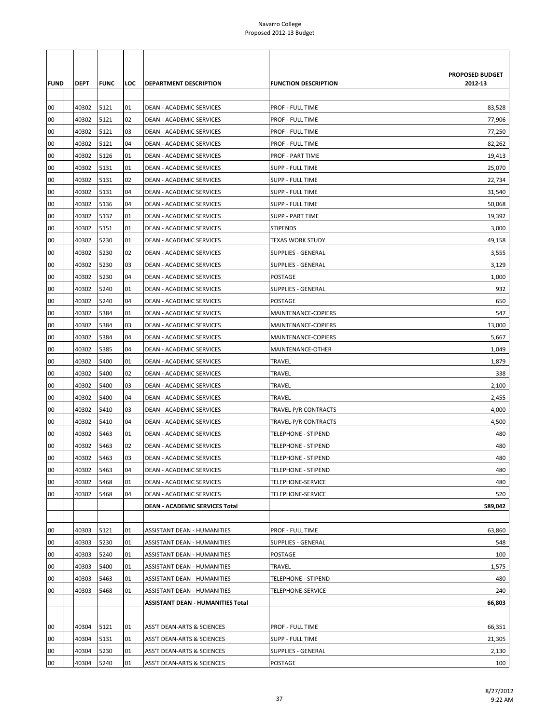| <b>FUND</b> | DEPT  | <b>FUNC</b> | LOC | <b>DEPARTMENT DESCRIPTION</b>            | <b>FUNCTION DESCRIPTION</b> | PROPOSED BUDGET<br>2012-13 |
|-------------|-------|-------------|-----|------------------------------------------|-----------------------------|----------------------------|
| 00          | 40302 | 5121        | 01  | <b>DEAN - ACADEMIC SERVICES</b>          | <b>PROF - FULL TIME</b>     | 83,528                     |
| 00          | 40302 | 5121        | 02  | DEAN - ACADEMIC SERVICES                 | <b>PROF - FULL TIME</b>     | 77,906                     |
| 00          | 40302 | 5121        | 03  | DEAN - ACADEMIC SERVICES                 | PROF - FULL TIME            | 77,250                     |
| 00          | 40302 | 5121        | 04  | DEAN - ACADEMIC SERVICES                 | <b>PROF - FULL TIME</b>     | 82,262                     |
| 00          | 40302 | 5126        | 01  | DEAN - ACADEMIC SERVICES                 | <b>PROF - PART TIME</b>     | 19,413                     |
| 00          | 40302 | 5131        | 01  | <b>DEAN - ACADEMIC SERVICES</b>          | <b>SUPP - FULL TIME</b>     | 25,070                     |
| 00          | 40302 | 5131        | 02  | DEAN - ACADEMIC SERVICES                 | <b>SUPP - FULL TIME</b>     | 22,734                     |
| 00          | 40302 | 5131        | 04  | DEAN - ACADEMIC SERVICES                 | SUPP - FULL TIME            | 31,540                     |
| 00          | 40302 | 5136        | 04  | DEAN - ACADEMIC SERVICES                 | <b>SUPP - FULL TIME</b>     | 50,068                     |
| 00          | 40302 | 5137        | 01  | DEAN - ACADEMIC SERVICES                 | <b>SUPP - PART TIME</b>     | 19,392                     |
| 00          | 40302 | 5151        | 01  | DEAN - ACADEMIC SERVICES                 | <b>STIPENDS</b>             | 3,000                      |
| 00          | 40302 | 5230        | 01  | DEAN - ACADEMIC SERVICES                 | <b>TEXAS WORK STUDY</b>     | 49,158                     |
| 00          | 40302 | 5230        | 02  | DEAN - ACADEMIC SERVICES                 | <b>SUPPLIES - GENERAL</b>   | 3,555                      |
| 00          | 40302 | 5230        | 03  | DEAN - ACADEMIC SERVICES                 | SUPPLIES - GENERAL          | 3,129                      |
| 00          | 40302 | 5230        | 04  | DEAN - ACADEMIC SERVICES                 | POSTAGE                     | 1,000                      |
| 00          | 40302 | 5240        | 01  | DEAN - ACADEMIC SERVICES                 | <b>SUPPLIES - GENERAL</b>   | 932                        |
| 00          | 40302 | 5240        | 04  | DEAN - ACADEMIC SERVICES                 | POSTAGE                     | 650                        |
| 00          | 40302 | 5384        | 01  | DEAN - ACADEMIC SERVICES                 | MAINTENANCE-COPIERS         | 547                        |
| 00          | 40302 | 5384        | 03  | DEAN - ACADEMIC SERVICES                 | MAINTENANCE-COPIERS         | 13,000                     |
| 00          | 40302 | 5384        | 04  | DEAN - ACADEMIC SERVICES                 | MAINTENANCE-COPIERS         | 5,667                      |
| 00          | 40302 | 5385        | 04  | DEAN - ACADEMIC SERVICES                 | MAINTENANCE-OTHER           | 1,049                      |
| 00          | 40302 | 5400        | 01  | DEAN - ACADEMIC SERVICES                 | TRAVEL                      | 1,879                      |
| 00          | 40302 | 5400        | 02  | DEAN - ACADEMIC SERVICES                 | TRAVEL                      | 338                        |
| 00          | 40302 | 5400        | 03  | DEAN - ACADEMIC SERVICES                 | TRAVEL                      | 2,100                      |
| 00          | 40302 | 5400        | 04  | DEAN - ACADEMIC SERVICES                 | TRAVEL                      | 2,455                      |
| 00          | 40302 | 5410        | 03  | DEAN - ACADEMIC SERVICES                 | TRAVEL-P/R CONTRACTS        | 4,000                      |
| 00          | 40302 | 5410        | 04  | DEAN - ACADEMIC SERVICES                 | TRAVEL-P/R CONTRACTS        | 4,500                      |
| 00          | 40302 | 5463        | 01  | DEAN - ACADEMIC SERVICES                 | TELEPHONE - STIPEND         | 480                        |
| 00          | 40302 | 5463        | 02  | DEAN - ACADEMIC SERVICES                 | <b>TELEPHONE - STIPEND</b>  | 480                        |
| 00          | 40302 | 5463        | 03  | DEAN - ACADEMIC SERVICES                 | <b>TELEPHONE - STIPEND</b>  | 480                        |
| 00          | 40302 | 5463        | 04  | DEAN - ACADEMIC SERVICES                 | TELEPHONE - STIPEND         | 480                        |
| 00          | 40302 | 5468        | 01  | DEAN - ACADEMIC SERVICES                 | TELEPHONE-SERVICE           | 480                        |
| 00          | 40302 | 5468        | 04  | DEAN - ACADEMIC SERVICES                 | TELEPHONE-SERVICE           | 520                        |
|             |       |             |     | <b>DEAN - ACADEMIC SERVICES Total</b>    |                             | 589,042                    |
| 00          | 40303 | 5121        | 01  | ASSISTANT DEAN - HUMANITIES              | <b>PROF - FULL TIME</b>     | 63,860                     |
| 00          | 40303 | 5230        | 01  | ASSISTANT DEAN - HUMANITIES              | <b>SUPPLIES - GENERAL</b>   | 548                        |
| 00          | 40303 | 5240        | 01  | ASSISTANT DEAN - HUMANITIES              | POSTAGE                     | 100                        |
| 00          | 40303 | 5400        | 01  | ASSISTANT DEAN - HUMANITIES              | TRAVEL                      | 1,575                      |
| 00          | 40303 | 5463        | 01  | ASSISTANT DEAN - HUMANITIES              | TELEPHONE - STIPEND         | 480                        |
| 00          | 40303 | 5468        | 01  | ASSISTANT DEAN - HUMANITIES              | TELEPHONE-SERVICE           | 240                        |
|             |       |             |     | <b>ASSISTANT DEAN - HUMANITIES Total</b> |                             | 66,803                     |
|             |       |             |     |                                          |                             |                            |
| 00          | 40304 | 5121        | 01  | ASS'T DEAN-ARTS & SCIENCES               | PROF - FULL TIME            | 66,351                     |
| 00          | 40304 | 5131        | 01  | ASS'T DEAN-ARTS & SCIENCES               | <b>SUPP - FULL TIME</b>     | 21,305                     |
| 00          | 40304 | 5230        | 01  | ASS'T DEAN-ARTS & SCIENCES               | <b>SUPPLIES - GENERAL</b>   | 2,130                      |
| $00\,$      | 40304 | 5240        | 01  | ASS'T DEAN-ARTS & SCIENCES               | POSTAGE                     | 100                        |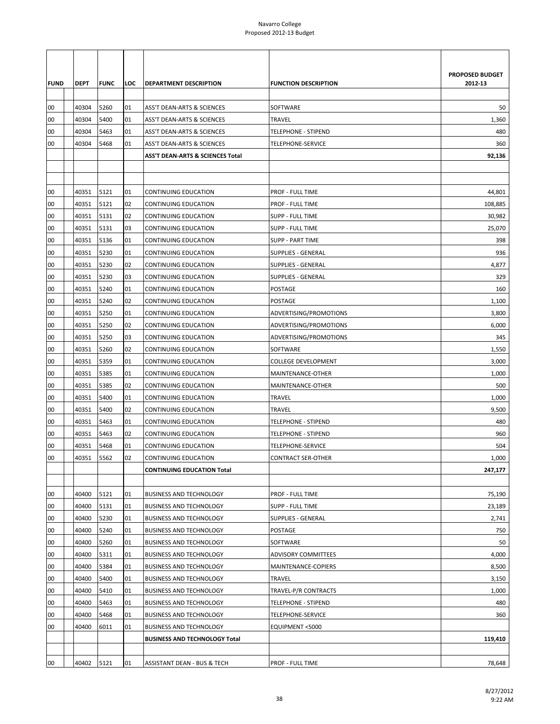|             |             |             |     |                                      |                             | PROPOSED BUDGET |
|-------------|-------------|-------------|-----|--------------------------------------|-----------------------------|-----------------|
| <b>FUND</b> | <b>DEPT</b> | <b>FUNC</b> | LOC | <b>DEPARTMENT DESCRIPTION</b>        | <b>FUNCTION DESCRIPTION</b> | 2012-13         |
| 00          | 40304       | 5260        | 01  | ASS'T DEAN-ARTS & SCIENCES           | SOFTWARE                    | 50              |
| 00          | 40304       | 5400        | 01  | ASS'T DEAN-ARTS & SCIENCES           | <b>TRAVEL</b>               | 1,360           |
| 00          | 40304       | 5463        | 01  | ASS'T DEAN-ARTS & SCIENCES           | <b>TELEPHONE - STIPEND</b>  | 480             |
| 00          | 40304       | 5468        | 01  | ASS'T DEAN-ARTS & SCIENCES           | TELEPHONE-SERVICE           | 360             |
|             |             |             |     | ASS'T DEAN-ARTS & SCIENCES Total     |                             | 92,136          |
|             |             |             |     |                                      |                             |                 |
|             |             |             |     |                                      |                             |                 |
| 00          | 40351       | 5121        | 01  | CONTINUING EDUCATION                 | PROF - FULL TIME            | 44,801          |
| 00          | 40351       | 5121        | 02  | CONTINUING EDUCATION                 | PROF - FULL TIME            | 108,885         |
| 00          | 40351       | 5131        | 02  | CONTINUING EDUCATION                 | SUPP - FULL TIME            | 30,982          |
| 00          | 40351       | 5131        | 03  | <b>CONTINUING EDUCATION</b>          | <b>SUPP - FULL TIME</b>     | 25,070          |
| 00          | 40351       | 5136        | 01  | <b>CONTINUING EDUCATION</b>          | <b>SUPP - PART TIME</b>     | 398             |
| 00          | 40351       | 5230        | 01  | CONTINUING EDUCATION                 | <b>SUPPLIES - GENERAL</b>   | 936             |
| 00          | 40351       | 5230        | 02  | CONTINUING EDUCATION                 | SUPPLIES - GENERAL          | 4,877           |
| 00          | 40351       | 5230        | 03  | CONTINUING EDUCATION                 | SUPPLIES - GENERAL          | 329             |
| 00          | 40351       | 5240        | 01  | CONTINUING EDUCATION                 | POSTAGE                     | 160             |
| 00          | 40351       | 5240        | 02  | CONTINUING EDUCATION                 | POSTAGE                     | 1,100           |
| 00          | 40351       | 5250        | 01  | CONTINUING EDUCATION                 | ADVERTISING/PROMOTIONS      | 3,800           |
| 00          | 40351       | 5250        | 02  | CONTINUING EDUCATION                 | ADVERTISING/PROMOTIONS      | 6,000           |
| 00          | 40351       | 5250        | 03  | CONTINUING EDUCATION                 | ADVERTISING/PROMOTIONS      | 345             |
| 00          | 40351       | 5260        | 02  | CONTINUING EDUCATION                 | SOFTWARE                    | 1,550           |
| 00          | 40351       | 5359        | 01  | CONTINUING EDUCATION                 | <b>COLLEGE DEVELOPMENT</b>  | 3,000           |
| 00          | 40351       | 5385        | 01  | CONTINUING EDUCATION                 | MAINTENANCE-OTHER           | 1,000           |
| 00          | 40351       | 5385        | 02  | CONTINUING EDUCATION                 | MAINTENANCE-OTHER           | 500             |
| 00          | 40351       | 5400        | 01  | CONTINUING EDUCATION                 | <b>TRAVEL</b>               | 1,000           |
| 00          | 40351       | 5400        | 02  | CONTINUING EDUCATION                 | <b>TRAVEL</b>               | 9,500           |
| 00          | 40351       | 5463        | 01  | CONTINUING EDUCATION                 | <b>TELEPHONE - STIPEND</b>  | 480             |
| 00          | 40351       | 5463        | 02  | CONTINUING EDUCATION                 | <b>TELEPHONE - STIPEND</b>  | 960             |
| 00          | 40351       | 5468        | 01  | CONTINUING EDUCATION                 | TELEPHONE-SERVICE           | 504             |
| 00          | 40351       | 5562        | 02  | <b>CONTINUING EDUCATION</b>          | <b>CONTRACT SER-OTHER</b>   | 1,000           |
|             |             |             |     | <b>CONTINUING EDUCATION Total</b>    |                             | 247,177         |
|             |             |             |     |                                      |                             |                 |
| 00          | 40400       | 5121        | 01  | <b>BUSINESS AND TECHNOLOGY</b>       | PROF - FULL TIME            | 75,190          |
| 00          | 40400       | 5131        | 01  | <b>BUSINESS AND TECHNOLOGY</b>       | SUPP - FULL TIME            | 23,189          |
| 00          | 40400       | 5230        | 01  | <b>BUSINESS AND TECHNOLOGY</b>       | SUPPLIES - GENERAL          | 2,741           |
| 00          | 40400       | 5240        | 01  | <b>BUSINESS AND TECHNOLOGY</b>       | POSTAGE                     | 750             |
| 00          | 40400       | 5260        | 01  | <b>BUSINESS AND TECHNOLOGY</b>       | SOFTWARE                    | 50              |
| 00          | 40400       | 5311        | 01  | <b>BUSINESS AND TECHNOLOGY</b>       | ADVISORY COMMITTEES         | 4,000           |
| 00          | 40400       | 5384        | 01  | <b>BUSINESS AND TECHNOLOGY</b>       | MAINTENANCE-COPIERS         | 8,500           |
| 00          | 40400       | 5400        | 01  | <b>BUSINESS AND TECHNOLOGY</b>       | TRAVEL                      | 3,150           |
| 00          | 40400       | 5410        | 01  | <b>BUSINESS AND TECHNOLOGY</b>       | TRAVEL-P/R CONTRACTS        | 1,000           |
| 00          | 40400       | 5463        | 01  | <b>BUSINESS AND TECHNOLOGY</b>       | <b>TELEPHONE - STIPEND</b>  | 480             |
| 00          | 40400       | 5468        | 01  | <b>BUSINESS AND TECHNOLOGY</b>       | TELEPHONE-SERVICE           | 360             |
| 00          | 40400       | 6011        | 01  | <b>BUSINESS AND TECHNOLOGY</b>       | EQUIPMENT <5000             |                 |
|             |             |             |     | <b>BUSINESS AND TECHNOLOGY Total</b> |                             | 119,410         |
|             |             |             |     |                                      |                             |                 |
| 00          | 40402       | 5121        | 01  | ASSISTANT DEAN - BUS & TECH          | PROF - FULL TIME            | 78,648          |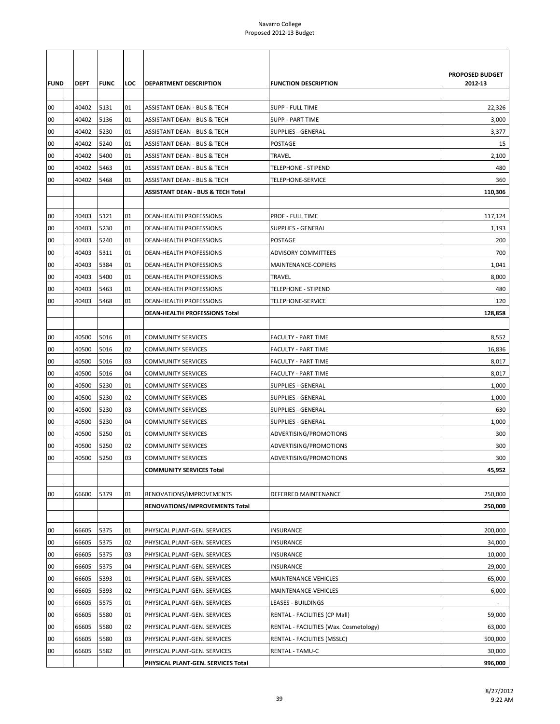|             |             |             |     |                                        |                                        | <b>PROPOSED BUDGET</b> |
|-------------|-------------|-------------|-----|----------------------------------------|----------------------------------------|------------------------|
| <b>FUND</b> | <b>DEPT</b> | <b>FUNC</b> | LOC | <b>DEPARTMENT DESCRIPTION</b>          | <b>FUNCTION DESCRIPTION</b>            | 2012-13                |
|             |             |             |     |                                        |                                        |                        |
| 00          | 40402       | 5131        | 01  | ASSISTANT DEAN - BUS & TECH            | <b>SUPP - FULL TIME</b>                | 22,326                 |
| 00          | 40402       | 5136        | 01  | ASSISTANT DEAN - BUS & TECH            | <b>SUPP - PART TIME</b>                | 3,000                  |
| 00          | 40402       | 5230        | 01  | ASSISTANT DEAN - BUS & TECH            | <b>SUPPLIES - GENERAL</b>              | 3,377                  |
| 00          | 40402       | 5240        | 01  | ASSISTANT DEAN - BUS & TECH            | <b>POSTAGE</b>                         | 15                     |
| 00          | 40402       | 5400        | 01  | ASSISTANT DEAN - BUS & TECH            | <b>TRAVEL</b>                          | 2,100                  |
| 00          | 40402       | 5463        | 01  | <b>ASSISTANT DEAN - BUS &amp; TECH</b> | <b>TELEPHONE - STIPEND</b>             | 480                    |
| 00          | 40402       | 5468        | 01  | <b>ASSISTANT DEAN - BUS &amp; TECH</b> | TELEPHONE-SERVICE                      | 360                    |
|             |             |             |     | ASSISTANT DEAN - BUS & TECH Total      |                                        | 110,306                |
|             |             |             |     |                                        |                                        |                        |
| 00          | 40403       | 5121        | 01  | DEAN-HEALTH PROFESSIONS                | PROF - FULL TIME                       | 117,124                |
| 00          | 40403       | 5230        | 01  | DEAN-HEALTH PROFESSIONS                | SUPPLIES - GENERAL                     | 1,193                  |
| 00          | 40403       | 5240        | 01  | DEAN-HEALTH PROFESSIONS                | <b>POSTAGE</b>                         | 200                    |
| 00          | 40403       | 5311        | 01  | DEAN-HEALTH PROFESSIONS                | <b>ADVISORY COMMITTEES</b>             | 700                    |
| 00          | 40403       | 5384        | 01  | DEAN-HEALTH PROFESSIONS                | MAINTENANCE-COPIERS                    | 1,041                  |
| 00          | 40403       | 5400        | 01  | DEAN-HEALTH PROFESSIONS                | <b>TRAVEL</b>                          | 8,000                  |
| 00          | 40403       | 5463        | 01  | DEAN-HEALTH PROFESSIONS                | <b>TELEPHONE - STIPEND</b>             | 480                    |
| 00          | 40403       | 5468        | 01  | <b>DEAN-HEALTH PROFESSIONS</b>         | TELEPHONE-SERVICE                      | 120                    |
|             |             |             |     | DEAN-HEALTH PROFESSIONS Total          |                                        | 128,858                |
|             |             |             |     |                                        |                                        |                        |
| 00          | 40500       | 5016        | 01  | <b>COMMUNITY SERVICES</b>              | <b>FACULTY - PART TIME</b>             | 8,552                  |
| 00          | 40500       | 5016        | 02  | <b>COMMUNITY SERVICES</b>              | <b>FACULTY - PART TIME</b>             | 16,836                 |
| 00          | 40500       | 5016        | 03  | <b>COMMUNITY SERVICES</b>              | <b>FACULTY - PART TIME</b>             | 8,017                  |
| 00          | 40500       | 5016        | 04  | <b>COMMUNITY SERVICES</b>              | <b>FACULTY - PART TIME</b>             | 8,017                  |
| 00          | 40500       | 5230        | 01  | COMMUNITY SERVICES                     | SUPPLIES - GENERAL                     | 1,000                  |
| 00          | 40500       | 5230        | 02  | <b>COMMUNITY SERVICES</b>              | <b>SUPPLIES - GENERAL</b>              | 1,000                  |
| 00          | 40500       | 5230        | 03  | <b>COMMUNITY SERVICES</b>              | <b>SUPPLIES - GENERAL</b>              | 630                    |
| 00          | 40500       | 5230        | 04  | <b>COMMUNITY SERVICES</b>              | <b>SUPPLIES - GENERAL</b>              | 1,000                  |
| 00          | 40500       | 5250        | 01  | <b>COMMUNITY SERVICES</b>              | ADVERTISING/PROMOTIONS                 | 300                    |
| 00          | 40500       | 5250        | 02  | <b>COMMUNITY SERVICES</b>              | ADVERTISING/PROMOTIONS                 | 300                    |
| 00          | 40500       | 5250        | 03  | <b>COMMUNITY SERVICES</b>              | ADVERTISING/PROMOTIONS                 | 300                    |
|             |             |             |     | <b>COMMUNITY SERVICES Total</b>        |                                        | 45,952                 |
|             |             |             |     |                                        |                                        |                        |
| 00          | 66600       | 5379        | 01  | RENOVATIONS/IMPROVEMENTS               | DEFERRED MAINTENANCE                   | 250,000                |
|             |             |             |     | RENOVATIONS/IMPROVEMENTS Total         |                                        | 250,000                |
|             |             |             |     |                                        |                                        |                        |
| 00          | 66605       | 5375        | 01  | PHYSICAL PLANT-GEN. SERVICES           | <b>INSURANCE</b>                       | 200,000                |
| 00          | 66605       | 5375        | 02  | PHYSICAL PLANT-GEN. SERVICES           | INSURANCE                              | 34,000                 |
| 00          | 66605       | 5375        | 03  | PHYSICAL PLANT-GEN. SERVICES           | INSURANCE                              | 10,000                 |
| 00          | 66605       | 5375        | 04  | PHYSICAL PLANT-GEN. SERVICES           | INSURANCE                              | 29,000                 |
| 00          | 66605       | 5393        | 01  | PHYSICAL PLANT-GEN. SERVICES           | MAINTENANCE-VEHICLES                   | 65,000                 |
| 00          | 66605       | 5393        | 02  | PHYSICAL PLANT-GEN. SERVICES           | MAINTENANCE-VEHICLES                   | 6,000                  |
|             |             |             |     |                                        |                                        |                        |
| 00          | 66605       | 5575        | 01  | PHYSICAL PLANT-GEN. SERVICES           | LEASES - BUILDINGS                     |                        |
| 00          | 66605       | 5580        | 01  | PHYSICAL PLANT-GEN. SERVICES           | RENTAL - FACILITIES (CP Mall)          | 59,000                 |
| 00          | 66605       | 5580        | 02  | PHYSICAL PLANT-GEN. SERVICES           | RENTAL - FACILITIES (Wax. Cosmetology) | 63,000                 |
| 00          | 66605       | 5580        | 03  | PHYSICAL PLANT-GEN. SERVICES           | RENTAL - FACILITIES (MSSLC)            | 500,000                |
| 00          | 66605       | 5582        | 01  | PHYSICAL PLANT-GEN. SERVICES           | <b>RENTAL - TAMU-C</b>                 | 30,000                 |
|             |             |             |     | PHYSICAL PLANT-GEN. SERVICES Total     |                                        | 996,000                |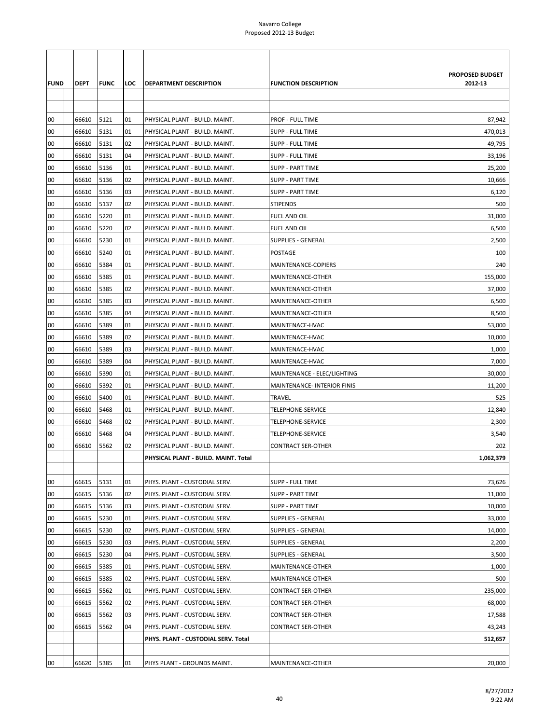|             |                |              |          |                                                                  |                                                                  | PROPOSED BUDGET |
|-------------|----------------|--------------|----------|------------------------------------------------------------------|------------------------------------------------------------------|-----------------|
| <b>FUND</b> | <b>DEPT</b>    | <b>FUNC</b>  | LOC      | DEPARTMENT DESCRIPTION                                           | <b>FUNCTION DESCRIPTION</b>                                      | 2012-13         |
|             |                |              |          |                                                                  |                                                                  |                 |
|             |                |              |          |                                                                  |                                                                  |                 |
| 00          | 66610          | 5121         | 01       | PHYSICAL PLANT - BUILD. MAINT.                                   | PROF - FULL TIME                                                 | 87,942          |
| 00          | 66610          | 5131         | 01       | PHYSICAL PLANT - BUILD. MAINT.                                   | SUPP - FULL TIME                                                 | 470,013         |
| 00          | 66610          | 5131         | 02       | PHYSICAL PLANT - BUILD. MAINT.                                   | <b>SUPP - FULL TIME</b>                                          | 49,795          |
| 00          | 66610          | 5131         | 04       | PHYSICAL PLANT - BUILD. MAINT.                                   | <b>SUPP - FULL TIME</b>                                          | 33,196          |
| 00          | 66610          | 5136         | 01       | PHYSICAL PLANT - BUILD. MAINT.                                   | <b>SUPP - PART TIME</b>                                          | 25,200          |
| 00          | 66610          | 5136         | 02       | PHYSICAL PLANT - BUILD. MAINT.                                   | <b>SUPP - PART TIME</b>                                          | 10,666          |
| 00          | 66610          | 5136         | 03       | PHYSICAL PLANT - BUILD. MAINT.                                   | <b>SUPP - PART TIME</b>                                          | 6,120           |
| 00          | 66610          | 5137         | 02       | PHYSICAL PLANT - BUILD. MAINT.                                   | <b>STIPENDS</b>                                                  | 500             |
| 00          | 66610          | 5220         | 01       | PHYSICAL PLANT - BUILD. MAINT.                                   | <b>FUEL AND OIL</b>                                              | 31,000          |
| 00          | 66610          | 5220         | 02       | PHYSICAL PLANT - BUILD. MAINT.                                   | <b>FUEL AND OIL</b>                                              | 6,500           |
| 00          | 66610          | 5230         | 01       | PHYSICAL PLANT - BUILD. MAINT.                                   | <b>SUPPLIES - GENERAL</b>                                        | 2,500           |
| 00          | 66610          | 5240         | 01       | PHYSICAL PLANT - BUILD. MAINT.                                   | POSTAGE                                                          | 100             |
| 00          | 66610          | 5384         | 01       | PHYSICAL PLANT - BUILD. MAINT.                                   | MAINTENANCE-COPIERS                                              | 240             |
| 00          | 66610          | 5385         | 01       | PHYSICAL PLANT - BUILD. MAINT.                                   | MAINTENANCE-OTHER                                                | 155,000         |
| 00          | 66610          | 5385         | 02       | PHYSICAL PLANT - BUILD. MAINT.<br>PHYSICAL PLANT - BUILD. MAINT. | MAINTENANCE-OTHER                                                | 37,000          |
| 00<br>00    | 66610<br>66610 | 5385<br>5385 | 03<br>04 |                                                                  | MAINTENANCE-OTHER                                                | 6,500           |
|             |                |              |          | PHYSICAL PLANT - BUILD. MAINT.                                   | MAINTENANCE-OTHER                                                | 8,500           |
| 00          | 66610          | 5389         | 01       | PHYSICAL PLANT - BUILD. MAINT.                                   | MAINTENACE-HVAC                                                  | 53,000          |
| 00<br>00    | 66610          | 5389<br>5389 | 02<br>03 | PHYSICAL PLANT - BUILD. MAINT.                                   | MAINTENACE-HVAC                                                  | 10,000          |
| 00          | 66610<br>66610 | 5389         |          | PHYSICAL PLANT - BUILD. MAINT.                                   | MAINTENACE-HVAC                                                  | 1,000           |
| 00          | 66610          | 5390         | 04<br>01 | PHYSICAL PLANT - BUILD. MAINT.<br>PHYSICAL PLANT - BUILD. MAINT. | MAINTENACE-HVAC                                                  | 7,000<br>30,000 |
| 00          | 66610          | 5392         | 01       | PHYSICAL PLANT - BUILD. MAINT.                                   | MAINTENANCE - ELEC/LIGHTING<br><b>MAINTENANCE-INTERIOR FINIS</b> | 11,200          |
| 00          | 66610          | 5400         | 01       | PHYSICAL PLANT - BUILD. MAINT.                                   | TRAVEL                                                           | 525             |
| 00          | 66610          | 5468         | 01       | PHYSICAL PLANT - BUILD. MAINT.                                   | TELEPHONE-SERVICE                                                | 12,840          |
| 00          | 66610          | 5468         | 02       | PHYSICAL PLANT - BUILD. MAINT.                                   | TELEPHONE-SERVICE                                                | 2,300           |
| 00          | 66610          | 5468         | 04       | PHYSICAL PLANT - BUILD. MAINT.                                   | TELEPHONE-SERVICE                                                | 3,540           |
| 00          | 66610          | 5562         | 02       | PHYSICAL PLANT - BUILD. MAINT.                                   | <b>CONTRACT SER-OTHER</b>                                        | 202             |
|             |                |              |          | PHYSICAL PLANT - BUILD, MAINT, Total                             |                                                                  | 1,062,379       |
|             |                |              |          |                                                                  |                                                                  |                 |
| 00          | 66615          | 5131         | 01       | PHYS. PLANT - CUSTODIAL SERV.                                    | <b>SUPP - FULL TIME</b>                                          | 73,626          |
| 00          | 66615          | 5136         | 02       | PHYS. PLANT - CUSTODIAL SERV.                                    | <b>SUPP - PART TIME</b>                                          | 11,000          |
| 00          | 66615          | 5136         | 03       | PHYS. PLANT - CUSTODIAL SERV.                                    | <b>SUPP - PART TIME</b>                                          | 10,000          |
| 00          | 66615          | 5230         | 01       | PHYS. PLANT - CUSTODIAL SERV.                                    | <b>SUPPLIES - GENERAL</b>                                        | 33,000          |
| 00          | 66615          | 5230         | 02       | PHYS. PLANT - CUSTODIAL SERV.                                    | <b>SUPPLIES - GENERAL</b>                                        | 14,000          |
| 00          | 66615          | 5230         | 03       | PHYS. PLANT - CUSTODIAL SERV.                                    | <b>SUPPLIES - GENERAL</b>                                        | 2,200           |
| 00          | 66615          | 5230         | 04       | PHYS. PLANT - CUSTODIAL SERV.                                    | <b>SUPPLIES - GENERAL</b>                                        | 3,500           |
| 00          | 66615          | 5385         | 01       | PHYS. PLANT - CUSTODIAL SERV.                                    | MAINTENANCE-OTHER                                                | 1,000           |
| 00          | 66615          | 5385         | 02       | PHYS. PLANT - CUSTODIAL SERV.                                    | MAINTENANCE-OTHER                                                | 500             |
| 00          | 66615          | 5562         | 01       | PHYS. PLANT - CUSTODIAL SERV.                                    | <b>CONTRACT SER-OTHER</b>                                        | 235,000         |
| 00          | 66615          | 5562         | 02       | PHYS. PLANT - CUSTODIAL SERV.                                    | CONTRACT SER-OTHER                                               | 68,000          |
| 00          | 66615          | 5562         | 03       | PHYS. PLANT - CUSTODIAL SERV.                                    | CONTRACT SER-OTHER                                               | 17,588          |
| 00          | 66615          | 5562         | 04       | PHYS. PLANT - CUSTODIAL SERV.                                    | CONTRACT SER-OTHER                                               | 43,243          |
|             |                |              |          | PHYS. PLANT - CUSTODIAL SERV. Total                              |                                                                  | 512,657         |
|             |                |              |          |                                                                  |                                                                  |                 |
| 00          | 66620          | 5385         | 01       | PHYS PLANT - GROUNDS MAINT.                                      | MAINTENANCE-OTHER                                                | 20,000          |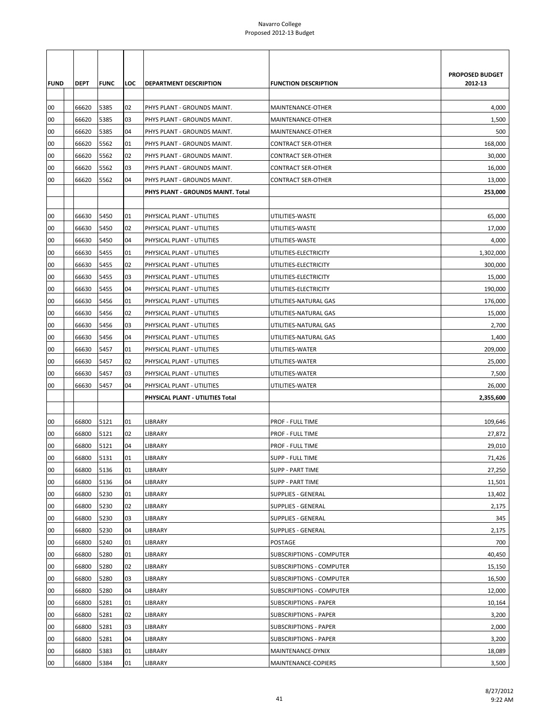|             |             |             |     |                                   |                                 | <b>PROPOSED BUDGET</b> |
|-------------|-------------|-------------|-----|-----------------------------------|---------------------------------|------------------------|
| <b>FUND</b> | <b>DEPT</b> | <b>FUNC</b> | LOC | <b>DEPARTMENT DESCRIPTION</b>     | <b>FUNCTION DESCRIPTION</b>     | 2012-13                |
|             |             |             |     |                                   |                                 |                        |
| 00          | 66620       | 5385        | 02  | PHYS PLANT - GROUNDS MAINT.       | MAINTENANCE-OTHER               | 4,000                  |
| 00          | 66620       | 5385        | 03  | PHYS PLANT - GROUNDS MAINT.       | MAINTENANCE-OTHER               | 1,500                  |
| 00          | 66620       | 5385        | 04  | PHYS PLANT - GROUNDS MAINT.       | MAINTENANCE-OTHER               | 500                    |
| 00          | 66620       | 5562        | 01  | PHYS PLANT - GROUNDS MAINT.       | <b>CONTRACT SER-OTHER</b>       | 168,000                |
| 00          | 66620       | 5562        | 02  | PHYS PLANT - GROUNDS MAINT.       | <b>CONTRACT SER-OTHER</b>       | 30,000                 |
| 00          | 66620       | 5562        | 03  | PHYS PLANT - GROUNDS MAINT.       | <b>CONTRACT SER-OTHER</b>       | 16,000                 |
| 00          | 66620       | 5562        | 04  | PHYS PLANT - GROUNDS MAINT.       | <b>CONTRACT SER-OTHER</b>       | 13,000                 |
|             |             |             |     | PHYS PLANT - GROUNDS MAINT. Total |                                 | 253,000                |
|             |             |             |     |                                   |                                 |                        |
| 00          | 66630       | 5450        | 01  | PHYSICAL PLANT - UTILITIES        | UTILITIES-WASTE                 | 65,000                 |
| 00          | 66630       | 5450        | 02  | PHYSICAL PLANT - UTILITIES        | UTILITIES-WASTE                 | 17,000                 |
| 00          | 66630       | 5450        | 04  | PHYSICAL PLANT - UTILITIES        | UTILITIES-WASTE                 | 4,000                  |
| 00          | 66630       | 5455        | 01  | PHYSICAL PLANT - UTILITIES        | UTILITIES-ELECTRICITY           | 1,302,000              |
| 00          | 66630       | 5455        | 02  | PHYSICAL PLANT - UTILITIES        | UTILITIES-ELECTRICITY           | 300,000                |
| 00          | 66630       | 5455        | 03  | PHYSICAL PLANT - UTILITIES        | UTILITIES-ELECTRICITY           | 15,000                 |
| 00          | 66630       | 5455        | 04  | PHYSICAL PLANT - UTILITIES        | UTILITIES-ELECTRICITY           | 190,000                |
| 00          | 66630       | 5456        | 01  | PHYSICAL PLANT - UTILITIES        | UTILITIES-NATURAL GAS           | 176,000                |
| 00          | 66630       | 5456        | 02  | PHYSICAL PLANT - UTILITIES        | UTILITIES-NATURAL GAS           | 15,000                 |
| 00          | 66630       | 5456        | 03  | PHYSICAL PLANT - UTILITIES        | UTILITIES-NATURAL GAS           | 2,700                  |
| 00          | 66630       | 5456        | 04  | PHYSICAL PLANT - UTILITIES        | UTILITIES-NATURAL GAS           | 1,400                  |
| 00          | 66630       | 5457        | 01  | PHYSICAL PLANT - UTILITIES        | UTILITIES-WATER                 | 209,000                |
| 00          | 66630       | 5457        | 02  | PHYSICAL PLANT - UTILITIES        | UTILITIES-WATER                 | 25,000                 |
| 00          | 66630       | 5457        | 03  | PHYSICAL PLANT - UTILITIES        | UTILITIES-WATER                 | 7,500                  |
| 00          | 66630       | 5457        | 04  | PHYSICAL PLANT - UTILITIES        | UTILITIES-WATER                 | 26,000                 |
|             |             |             |     | PHYSICAL PLANT - UTILITIES Total  |                                 | 2,355,600              |
|             |             |             |     |                                   |                                 |                        |
| 00          | 66800       | 5121        | 01  | LIBRARY                           | PROF - FULL TIME                | 109,646                |
| 00          | 66800       | 5121        | 02  | LIBRARY                           | <b>PROF - FULL TIME</b>         | 27,872                 |
| 00          | 66800       | 5121        | 04  | LIBRARY                           | <b>PROF - FULL TIME</b>         | 29,010                 |
| 00          | 66800       | 5131        | 01  | <b>LIBRARY</b>                    | <b>SUPP - FULL TIME</b>         | 71,426                 |
| 00          | 66800       | 5136        | 01  | LIBRARY                           | <b>SUPP - PART TIME</b>         | 27,250                 |
| 00          | 66800       | 5136        | 04  | LIBRARY                           | SUPP - PART TIME                | 11,501                 |
| 00          | 66800       | 5230        | 01  | LIBRARY                           | SUPPLIES - GENERAL              | 13,402                 |
| 00          | 66800       | 5230        | 02  | LIBRARY                           | SUPPLIES - GENERAL              | 2,175                  |
| 00          | 66800       | 5230        | 03  | LIBRARY                           | <b>SUPPLIES - GENERAL</b>       | 345                    |
| 00          | 66800       | 5230        | 04  | LIBRARY                           | <b>SUPPLIES - GENERAL</b>       | 2,175                  |
| 00          | 66800       | 5240        | 01  | LIBRARY                           | POSTAGE                         | 700                    |
| 00          | 66800       | 5280        | 01  | LIBRARY                           | <b>SUBSCRIPTIONS - COMPUTER</b> | 40,450                 |
| 00          | 66800       | 5280        | 02  | LIBRARY                           | SUBSCRIPTIONS - COMPUTER        | 15,150                 |
| 00          | 66800       | 5280        | 03  | LIBRARY                           | <b>SUBSCRIPTIONS - COMPUTER</b> | 16,500                 |
| 00          | 66800       | 5280        | 04  | LIBRARY                           | <b>SUBSCRIPTIONS - COMPUTER</b> | 12,000                 |
| 00          | 66800       | 5281        | 01  | LIBRARY                           | <b>SUBSCRIPTIONS - PAPER</b>    | 10,164                 |
| 00          | 66800       | 5281        | 02  | LIBRARY                           | <b>SUBSCRIPTIONS - PAPER</b>    | 3,200                  |
| 00          | 66800       | 5281        | 03  | LIBRARY                           | <b>SUBSCRIPTIONS - PAPER</b>    | 2,000                  |
| 00          | 66800       | 5281        | 04  | LIBRARY                           | <b>SUBSCRIPTIONS - PAPER</b>    | 3,200                  |
| 00          | 66800       | 5383        | 01  | LIBRARY                           | MAINTENANCE-DYNIX               | 18,089                 |
| 00          | 66800       | 5384        | 01  | LIBRARY                           | MAINTENANCE-COPIERS             | 3,500                  |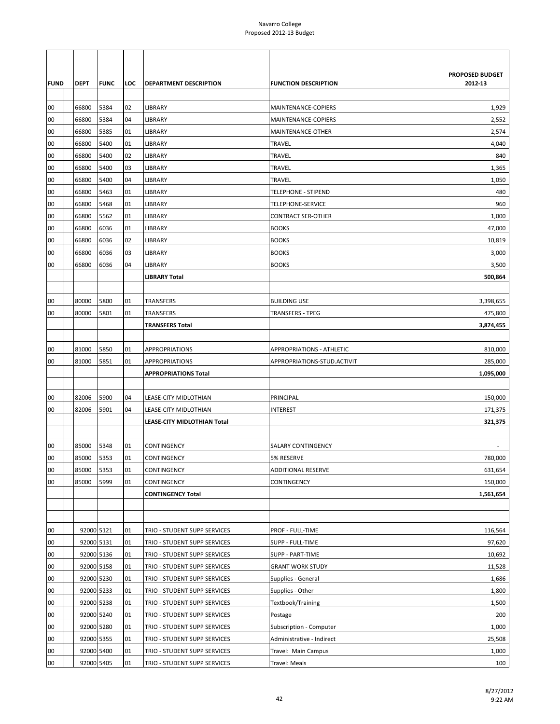|             |             |             |     |                               |                                  | PROPOSED BUDGET |
|-------------|-------------|-------------|-----|-------------------------------|----------------------------------|-----------------|
| <b>FUND</b> | <b>DEPT</b> | <b>FUNC</b> | LOC | <b>DEPARTMENT DESCRIPTION</b> | <b>FUNCTION DESCRIPTION</b>      | 2012-13         |
| 00          | 66800       | 5384        | 02  | LIBRARY                       | MAINTENANCE-COPIERS              | 1,929           |
| 00          | 66800       | 5384        | 04  | LIBRARY                       | MAINTENANCE-COPIERS              | 2,552           |
| 00          | 66800       | 5385        | 01  | LIBRARY                       | MAINTENANCE-OTHER                | 2,574           |
| 00          | 66800       | 5400        | 01  | LIBRARY                       | <b>TRAVEL</b>                    | 4,040           |
| 00          | 66800       | 5400        | 02  | LIBRARY                       | <b>TRAVEL</b>                    | 840             |
| 00          | 66800       | 5400        | 03  | LIBRARY                       | <b>TRAVEL</b>                    | 1,365           |
| 00          | 66800       | 5400        | 04  | LIBRARY                       | <b>TRAVEL</b>                    | 1,050           |
| 00          | 66800       | 5463        | 01  | LIBRARY                       | <b>TELEPHONE - STIPEND</b>       | 480             |
| 00          | 66800       | 5468        | 01  | LIBRARY                       | <b>TELEPHONE-SERVICE</b>         | 960             |
| 00          | 66800       | 5562        | 01  | LIBRARY                       | <b>CONTRACT SER-OTHER</b>        | 1,000           |
| 00          | 66800       | 6036        | 01  | LIBRARY                       | <b>BOOKS</b>                     | 47,000          |
| 00          | 66800       | 6036        | 02  | LIBRARY                       | <b>BOOKS</b>                     | 10,819          |
| 00          | 66800       | 6036        | 03  | LIBRARY                       | <b>BOOKS</b>                     | 3,000           |
| 00          | 66800       | 6036        | 04  | LIBRARY                       | <b>BOOKS</b>                     | 3,500           |
|             |             |             |     | <b>LIBRARY Total</b>          |                                  | 500,864         |
|             |             |             |     |                               |                                  |                 |
| 00          | 80000       | 5800        | 01  | TRANSFERS                     | <b>BUILDING USE</b>              | 3,398,655       |
| 00          | 80000       | 5801        | 01  | TRANSFERS                     | <b>TRANSFERS - TPEG</b>          | 475,800         |
|             |             |             |     | TRANSFERS Total               |                                  | 3,874,455       |
|             |             |             |     |                               |                                  |                 |
| 00          | 81000       | 5850        | 01  | <b>APPROPRIATIONS</b>         | <b>APPROPRIATIONS - ATHLETIC</b> | 810,000         |
| 00          | 81000       | 5851        | 01  | <b>APPROPRIATIONS</b>         | APPROPRIATIONS-STUD.ACTIVIT      | 285,000         |
|             |             |             |     | <b>APPROPRIATIONS Total</b>   |                                  | 1,095,000       |
|             |             |             |     |                               |                                  |                 |
| 00          | 82006       | 5900        | 04  | LEASE-CITY MIDLOTHIAN         | PRINCIPAL                        | 150,000         |
| 00          | 82006       | 5901        | 04  | LEASE-CITY MIDLOTHIAN         | <b>INTEREST</b>                  | 171,375         |
|             |             |             |     | LEASE-CITY MIDLOTHIAN Total   |                                  | 321,375         |
|             |             |             |     |                               |                                  |                 |
| 00          | 85000       | 5348        | 01  | CONTINGENCY                   | <b>SALARY CONTINGENCY</b>        |                 |
| 00          | 85000       | 5353        | 01  | <b>CONTINGENCY</b>            | 5% RESERVE                       | 780.000         |
| 00          | 85000       | 5353        | 01  | CONTINGENCY                   | <b>ADDITIONAL RESERVE</b>        | 631,654         |
| 00          | 85000       | 5999        | 01  | CONTINGENCY                   | CONTINGENCY                      | 150,000         |
|             |             |             |     | <b>CONTINGENCY Total</b>      |                                  | 1,561,654       |
|             |             |             |     |                               |                                  |                 |
|             |             |             |     |                               |                                  |                 |
| 00          | 92000 5121  |             | 01  | TRIO - STUDENT SUPP SERVICES  | PROF - FULL-TIME                 | 116,564         |
| 00          | 92000 5131  |             | 01  | TRIO - STUDENT SUPP SERVICES  | SUPP - FULL-TIME                 | 97,620          |
| 00          | 92000 5136  |             | 01  | TRIO - STUDENT SUPP SERVICES  | SUPP - PART-TIME                 | 10,692          |
| 00          | 92000 5158  |             | 01  | TRIO - STUDENT SUPP SERVICES  | <b>GRANT WORK STUDY</b>          | 11,528          |
| 00          | 92000 5230  |             | 01  | TRIO - STUDENT SUPP SERVICES  | Supplies - General               | 1,686           |
| 00          | 92000 5233  |             | 01  | TRIO - STUDENT SUPP SERVICES  | Supplies - Other                 | 1,800           |
| 00          | 92000 5238  |             | 01  | TRIO - STUDENT SUPP SERVICES  | Textbook/Training                | 1,500           |
| 00          | 92000 5240  |             | 01  | TRIO - STUDENT SUPP SERVICES  | Postage                          | 200             |
| 00          | 92000 5280  |             | 01  | TRIO - STUDENT SUPP SERVICES  | Subscription - Computer          | 1,000           |
| 00          | 92000 5355  |             | 01  | TRIO - STUDENT SUPP SERVICES  | Administrative - Indirect        | 25,508          |
| 00          | 92000 5400  |             | 01  | TRIO - STUDENT SUPP SERVICES  | Travel: Main Campus              | 1,000           |
| $00\,$      | 92000 5405  |             | 01  | TRIO - STUDENT SUPP SERVICES  | Travel: Meals                    | 100             |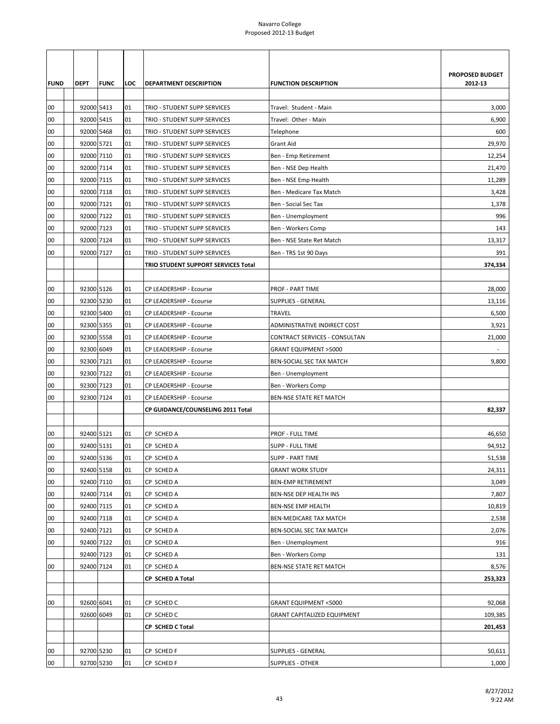| PROPOSED BUDGET<br>2012-13<br><b>FUND</b><br><b>DEPT</b><br><b>FUNC</b><br>LOC<br>DEPARTMENT DESCRIPTION<br><b>FUNCTION DESCRIPTION</b><br>92000 5413<br>00<br>3,000<br>01<br>TRIO - STUDENT SUPP SERVICES<br>Travel: Student - Main<br>92000 5415<br>00<br>01<br>6,900<br>TRIO - STUDENT SUPP SERVICES<br>Travel: Other - Main<br>92000 5468<br>00<br>Telephone<br>600<br>01<br>TRIO - STUDENT SUPP SERVICES<br>92000 5721<br>00<br>01<br>TRIO - STUDENT SUPP SERVICES<br>Grant Aid<br>29,970<br>92000 7110<br>00<br>01<br>TRIO - STUDENT SUPP SERVICES<br>Ben - Emp Retirement<br>12,254<br>92000 7114<br>00<br>01<br>TRIO - STUDENT SUPP SERVICES<br>Ben - NSE Dep Health<br>21,470<br>00<br>92000 7115<br>01<br>TRIO - STUDENT SUPP SERVICES<br>Ben - NSE Emp Health<br>11,289<br>00<br>92000 7118<br>3,428<br>01<br>TRIO - STUDENT SUPP SERVICES<br>Ben - Medicare Tax Match<br>92000 7121<br>00<br>01<br>TRIO - STUDENT SUPP SERVICES<br>Ben - Social Sec Tax<br>1,378<br>92000 7122<br>00<br>996<br>01<br>TRIO - STUDENT SUPP SERVICES<br>Ben - Unemployment<br>92000 7123<br>00<br>01<br>Ben - Workers Comp<br>TRIO - STUDENT SUPP SERVICES<br>143<br>92000 7124<br>00<br>01<br>13,317<br>TRIO - STUDENT SUPP SERVICES<br>Ben - NSE State Ret Match<br>00<br>92000 7127<br>391<br>01<br>TRIO - STUDENT SUPP SERVICES<br>Ben - TRS 1st 90 Days<br>TRIO STUDENT SUPPORT SERVICES Total<br>374,334<br>92300 5126<br>CP LEADERSHIP - Ecourse<br><b>PROF - PART TIME</b><br>28,000<br>00<br>01<br>92300 5230<br>00<br>SUPPLIES - GENERAL<br>01<br>CP LEADERSHIP - Ecourse<br>13,116<br>92300 5400<br>00<br>6,500<br>01<br>CP LEADERSHIP - Ecourse<br>TRAVEL<br>92300 5355<br>00<br>01<br>CP LEADERSHIP - Ecourse<br>ADMINISTRATIVE INDIRECT COST<br>3,921<br>92300 5558<br>00<br>CP LEADERSHIP - Ecourse<br>CONTRACT SERVICES - CONSULTAN<br>21,000<br>01<br>92300 6049<br>00<br><b>GRANT EQUIPMENT &gt;5000</b><br>01<br>CP LEADERSHIP - Ecourse<br>$\overline{\phantom{a}}$<br>00<br>92300 7121<br>01<br>9,800<br>CP LEADERSHIP - Ecourse<br>BEN-SOCIAL SEC TAX MATCH<br>92300 7122<br>00<br>01<br>CP LEADERSHIP - Ecourse<br>Ben - Unemployment<br>92300 7123<br>00<br>01<br>CP LEADERSHIP - Ecourse<br>Ben - Workers Comp<br>00<br>92300 7124<br>BEN-NSE STATE RET MATCH<br>01<br>CP LEADERSHIP - Ecourse<br>CP GUIDANCE/COUNSELING 2011 Total<br>82,337<br>92400 5121<br>00<br>CP SCHED A<br>PROF - FULL TIME<br>46,650<br>01<br>92400 5131<br>00<br>01<br>CP SCHED A<br>SUPP - FULL TIME<br>94,912<br>92400 5136<br>00<br>01<br>CP SCHED A<br><b>SUPP - PART TIME</b><br>51,538<br>92400 5158<br>00<br>CP SCHED A<br>24,311<br>01<br><b>GRANT WORK STUDY</b><br>92400 7110<br>00<br>01<br>3,049<br>CP SCHED A<br><b>BEN-EMP RETIREMENT</b><br>00<br>92400 7114<br>7,807<br>01<br>CP SCHED A<br>BEN-NSE DEP HEALTH INS<br>92400 7115<br>00<br>01<br>CP SCHED A<br><b>BEN-NSE EMP HEALTH</b><br>10,819<br>92400 7118<br>00<br>CP SCHED A<br>BEN-MEDICARE TAX MATCH<br>2,538<br>01<br>92400 7121<br>00<br>01<br>2,076<br>CP SCHED A<br>BEN-SOCIAL SEC TAX MATCH<br>00<br>92400 7122<br>916<br>01<br>CP SCHED A<br>Ben - Unemployment<br>92400 7123<br>01<br>CP SCHED A<br>Ben - Workers Comp<br>131<br>92400 7124<br>00<br>01<br>CP SCHED A<br>BEN-NSE STATE RET MATCH<br>8,576<br>CP SCHED A Total<br>253,323<br>92600 6041<br>92,068<br>00<br>01<br>CP SCHED C<br><b>GRANT EQUIPMENT &lt;5000</b><br>92600 6049<br>109,385<br>01<br>CP SCHED C<br><b>GRANT CAPITALIZED EQUIPMENT</b><br>CP SCHED C Total<br>201,453<br>92700 5230<br>01<br>CP SCHED F<br>SUPPLIES - GENERAL<br>50,611<br>00<br>92700 5230<br>00<br>01<br>CP SCHED F<br><b>SUPPLIES - OTHER</b><br>1,000 |  |  |  |  |
|---------------------------------------------------------------------------------------------------------------------------------------------------------------------------------------------------------------------------------------------------------------------------------------------------------------------------------------------------------------------------------------------------------------------------------------------------------------------------------------------------------------------------------------------------------------------------------------------------------------------------------------------------------------------------------------------------------------------------------------------------------------------------------------------------------------------------------------------------------------------------------------------------------------------------------------------------------------------------------------------------------------------------------------------------------------------------------------------------------------------------------------------------------------------------------------------------------------------------------------------------------------------------------------------------------------------------------------------------------------------------------------------------------------------------------------------------------------------------------------------------------------------------------------------------------------------------------------------------------------------------------------------------------------------------------------------------------------------------------------------------------------------------------------------------------------------------------------------------------------------------------------------------------------------------------------------------------------------------------------------------------------------------------------------------------------------------------------------------------------------------------------------------------------------------------------------------------------------------------------------------------------------------------------------------------------------------------------------------------------------------------------------------------------------------------------------------------------------------------------------------------------------------------------------------------------------------------------------------------------------------------------------------------------------------------------------------------------------------------------------------------------------------------------------------------------------------------------------------------------------------------------------------------------------------------------------------------------------------------------------------------------------------------------------------------------------------------------------------------------------------------------------------------------------------------------------------------------------------------------------------------------------------------------------------------------------------------------------------------------------------------------------------------------------------------------------------------------------------------------------------------------------------------------------------------------------------------------------------------------------------------------------------------------------------------|--|--|--|--|
|                                                                                                                                                                                                                                                                                                                                                                                                                                                                                                                                                                                                                                                                                                                                                                                                                                                                                                                                                                                                                                                                                                                                                                                                                                                                                                                                                                                                                                                                                                                                                                                                                                                                                                                                                                                                                                                                                                                                                                                                                                                                                                                                                                                                                                                                                                                                                                                                                                                                                                                                                                                                                                                                                                                                                                                                                                                                                                                                                                                                                                                                                                                                                                                                                                                                                                                                                                                                                                                                                                                                                                                                                                                                                 |  |  |  |  |
|                                                                                                                                                                                                                                                                                                                                                                                                                                                                                                                                                                                                                                                                                                                                                                                                                                                                                                                                                                                                                                                                                                                                                                                                                                                                                                                                                                                                                                                                                                                                                                                                                                                                                                                                                                                                                                                                                                                                                                                                                                                                                                                                                                                                                                                                                                                                                                                                                                                                                                                                                                                                                                                                                                                                                                                                                                                                                                                                                                                                                                                                                                                                                                                                                                                                                                                                                                                                                                                                                                                                                                                                                                                                                 |  |  |  |  |
|                                                                                                                                                                                                                                                                                                                                                                                                                                                                                                                                                                                                                                                                                                                                                                                                                                                                                                                                                                                                                                                                                                                                                                                                                                                                                                                                                                                                                                                                                                                                                                                                                                                                                                                                                                                                                                                                                                                                                                                                                                                                                                                                                                                                                                                                                                                                                                                                                                                                                                                                                                                                                                                                                                                                                                                                                                                                                                                                                                                                                                                                                                                                                                                                                                                                                                                                                                                                                                                                                                                                                                                                                                                                                 |  |  |  |  |
|                                                                                                                                                                                                                                                                                                                                                                                                                                                                                                                                                                                                                                                                                                                                                                                                                                                                                                                                                                                                                                                                                                                                                                                                                                                                                                                                                                                                                                                                                                                                                                                                                                                                                                                                                                                                                                                                                                                                                                                                                                                                                                                                                                                                                                                                                                                                                                                                                                                                                                                                                                                                                                                                                                                                                                                                                                                                                                                                                                                                                                                                                                                                                                                                                                                                                                                                                                                                                                                                                                                                                                                                                                                                                 |  |  |  |  |
|                                                                                                                                                                                                                                                                                                                                                                                                                                                                                                                                                                                                                                                                                                                                                                                                                                                                                                                                                                                                                                                                                                                                                                                                                                                                                                                                                                                                                                                                                                                                                                                                                                                                                                                                                                                                                                                                                                                                                                                                                                                                                                                                                                                                                                                                                                                                                                                                                                                                                                                                                                                                                                                                                                                                                                                                                                                                                                                                                                                                                                                                                                                                                                                                                                                                                                                                                                                                                                                                                                                                                                                                                                                                                 |  |  |  |  |
|                                                                                                                                                                                                                                                                                                                                                                                                                                                                                                                                                                                                                                                                                                                                                                                                                                                                                                                                                                                                                                                                                                                                                                                                                                                                                                                                                                                                                                                                                                                                                                                                                                                                                                                                                                                                                                                                                                                                                                                                                                                                                                                                                                                                                                                                                                                                                                                                                                                                                                                                                                                                                                                                                                                                                                                                                                                                                                                                                                                                                                                                                                                                                                                                                                                                                                                                                                                                                                                                                                                                                                                                                                                                                 |  |  |  |  |
|                                                                                                                                                                                                                                                                                                                                                                                                                                                                                                                                                                                                                                                                                                                                                                                                                                                                                                                                                                                                                                                                                                                                                                                                                                                                                                                                                                                                                                                                                                                                                                                                                                                                                                                                                                                                                                                                                                                                                                                                                                                                                                                                                                                                                                                                                                                                                                                                                                                                                                                                                                                                                                                                                                                                                                                                                                                                                                                                                                                                                                                                                                                                                                                                                                                                                                                                                                                                                                                                                                                                                                                                                                                                                 |  |  |  |  |
|                                                                                                                                                                                                                                                                                                                                                                                                                                                                                                                                                                                                                                                                                                                                                                                                                                                                                                                                                                                                                                                                                                                                                                                                                                                                                                                                                                                                                                                                                                                                                                                                                                                                                                                                                                                                                                                                                                                                                                                                                                                                                                                                                                                                                                                                                                                                                                                                                                                                                                                                                                                                                                                                                                                                                                                                                                                                                                                                                                                                                                                                                                                                                                                                                                                                                                                                                                                                                                                                                                                                                                                                                                                                                 |  |  |  |  |
|                                                                                                                                                                                                                                                                                                                                                                                                                                                                                                                                                                                                                                                                                                                                                                                                                                                                                                                                                                                                                                                                                                                                                                                                                                                                                                                                                                                                                                                                                                                                                                                                                                                                                                                                                                                                                                                                                                                                                                                                                                                                                                                                                                                                                                                                                                                                                                                                                                                                                                                                                                                                                                                                                                                                                                                                                                                                                                                                                                                                                                                                                                                                                                                                                                                                                                                                                                                                                                                                                                                                                                                                                                                                                 |  |  |  |  |
|                                                                                                                                                                                                                                                                                                                                                                                                                                                                                                                                                                                                                                                                                                                                                                                                                                                                                                                                                                                                                                                                                                                                                                                                                                                                                                                                                                                                                                                                                                                                                                                                                                                                                                                                                                                                                                                                                                                                                                                                                                                                                                                                                                                                                                                                                                                                                                                                                                                                                                                                                                                                                                                                                                                                                                                                                                                                                                                                                                                                                                                                                                                                                                                                                                                                                                                                                                                                                                                                                                                                                                                                                                                                                 |  |  |  |  |
|                                                                                                                                                                                                                                                                                                                                                                                                                                                                                                                                                                                                                                                                                                                                                                                                                                                                                                                                                                                                                                                                                                                                                                                                                                                                                                                                                                                                                                                                                                                                                                                                                                                                                                                                                                                                                                                                                                                                                                                                                                                                                                                                                                                                                                                                                                                                                                                                                                                                                                                                                                                                                                                                                                                                                                                                                                                                                                                                                                                                                                                                                                                                                                                                                                                                                                                                                                                                                                                                                                                                                                                                                                                                                 |  |  |  |  |
|                                                                                                                                                                                                                                                                                                                                                                                                                                                                                                                                                                                                                                                                                                                                                                                                                                                                                                                                                                                                                                                                                                                                                                                                                                                                                                                                                                                                                                                                                                                                                                                                                                                                                                                                                                                                                                                                                                                                                                                                                                                                                                                                                                                                                                                                                                                                                                                                                                                                                                                                                                                                                                                                                                                                                                                                                                                                                                                                                                                                                                                                                                                                                                                                                                                                                                                                                                                                                                                                                                                                                                                                                                                                                 |  |  |  |  |
|                                                                                                                                                                                                                                                                                                                                                                                                                                                                                                                                                                                                                                                                                                                                                                                                                                                                                                                                                                                                                                                                                                                                                                                                                                                                                                                                                                                                                                                                                                                                                                                                                                                                                                                                                                                                                                                                                                                                                                                                                                                                                                                                                                                                                                                                                                                                                                                                                                                                                                                                                                                                                                                                                                                                                                                                                                                                                                                                                                                                                                                                                                                                                                                                                                                                                                                                                                                                                                                                                                                                                                                                                                                                                 |  |  |  |  |
|                                                                                                                                                                                                                                                                                                                                                                                                                                                                                                                                                                                                                                                                                                                                                                                                                                                                                                                                                                                                                                                                                                                                                                                                                                                                                                                                                                                                                                                                                                                                                                                                                                                                                                                                                                                                                                                                                                                                                                                                                                                                                                                                                                                                                                                                                                                                                                                                                                                                                                                                                                                                                                                                                                                                                                                                                                                                                                                                                                                                                                                                                                                                                                                                                                                                                                                                                                                                                                                                                                                                                                                                                                                                                 |  |  |  |  |
|                                                                                                                                                                                                                                                                                                                                                                                                                                                                                                                                                                                                                                                                                                                                                                                                                                                                                                                                                                                                                                                                                                                                                                                                                                                                                                                                                                                                                                                                                                                                                                                                                                                                                                                                                                                                                                                                                                                                                                                                                                                                                                                                                                                                                                                                                                                                                                                                                                                                                                                                                                                                                                                                                                                                                                                                                                                                                                                                                                                                                                                                                                                                                                                                                                                                                                                                                                                                                                                                                                                                                                                                                                                                                 |  |  |  |  |
|                                                                                                                                                                                                                                                                                                                                                                                                                                                                                                                                                                                                                                                                                                                                                                                                                                                                                                                                                                                                                                                                                                                                                                                                                                                                                                                                                                                                                                                                                                                                                                                                                                                                                                                                                                                                                                                                                                                                                                                                                                                                                                                                                                                                                                                                                                                                                                                                                                                                                                                                                                                                                                                                                                                                                                                                                                                                                                                                                                                                                                                                                                                                                                                                                                                                                                                                                                                                                                                                                                                                                                                                                                                                                 |  |  |  |  |
|                                                                                                                                                                                                                                                                                                                                                                                                                                                                                                                                                                                                                                                                                                                                                                                                                                                                                                                                                                                                                                                                                                                                                                                                                                                                                                                                                                                                                                                                                                                                                                                                                                                                                                                                                                                                                                                                                                                                                                                                                                                                                                                                                                                                                                                                                                                                                                                                                                                                                                                                                                                                                                                                                                                                                                                                                                                                                                                                                                                                                                                                                                                                                                                                                                                                                                                                                                                                                                                                                                                                                                                                                                                                                 |  |  |  |  |
|                                                                                                                                                                                                                                                                                                                                                                                                                                                                                                                                                                                                                                                                                                                                                                                                                                                                                                                                                                                                                                                                                                                                                                                                                                                                                                                                                                                                                                                                                                                                                                                                                                                                                                                                                                                                                                                                                                                                                                                                                                                                                                                                                                                                                                                                                                                                                                                                                                                                                                                                                                                                                                                                                                                                                                                                                                                                                                                                                                                                                                                                                                                                                                                                                                                                                                                                                                                                                                                                                                                                                                                                                                                                                 |  |  |  |  |
|                                                                                                                                                                                                                                                                                                                                                                                                                                                                                                                                                                                                                                                                                                                                                                                                                                                                                                                                                                                                                                                                                                                                                                                                                                                                                                                                                                                                                                                                                                                                                                                                                                                                                                                                                                                                                                                                                                                                                                                                                                                                                                                                                                                                                                                                                                                                                                                                                                                                                                                                                                                                                                                                                                                                                                                                                                                                                                                                                                                                                                                                                                                                                                                                                                                                                                                                                                                                                                                                                                                                                                                                                                                                                 |  |  |  |  |
|                                                                                                                                                                                                                                                                                                                                                                                                                                                                                                                                                                                                                                                                                                                                                                                                                                                                                                                                                                                                                                                                                                                                                                                                                                                                                                                                                                                                                                                                                                                                                                                                                                                                                                                                                                                                                                                                                                                                                                                                                                                                                                                                                                                                                                                                                                                                                                                                                                                                                                                                                                                                                                                                                                                                                                                                                                                                                                                                                                                                                                                                                                                                                                                                                                                                                                                                                                                                                                                                                                                                                                                                                                                                                 |  |  |  |  |
|                                                                                                                                                                                                                                                                                                                                                                                                                                                                                                                                                                                                                                                                                                                                                                                                                                                                                                                                                                                                                                                                                                                                                                                                                                                                                                                                                                                                                                                                                                                                                                                                                                                                                                                                                                                                                                                                                                                                                                                                                                                                                                                                                                                                                                                                                                                                                                                                                                                                                                                                                                                                                                                                                                                                                                                                                                                                                                                                                                                                                                                                                                                                                                                                                                                                                                                                                                                                                                                                                                                                                                                                                                                                                 |  |  |  |  |
|                                                                                                                                                                                                                                                                                                                                                                                                                                                                                                                                                                                                                                                                                                                                                                                                                                                                                                                                                                                                                                                                                                                                                                                                                                                                                                                                                                                                                                                                                                                                                                                                                                                                                                                                                                                                                                                                                                                                                                                                                                                                                                                                                                                                                                                                                                                                                                                                                                                                                                                                                                                                                                                                                                                                                                                                                                                                                                                                                                                                                                                                                                                                                                                                                                                                                                                                                                                                                                                                                                                                                                                                                                                                                 |  |  |  |  |
|                                                                                                                                                                                                                                                                                                                                                                                                                                                                                                                                                                                                                                                                                                                                                                                                                                                                                                                                                                                                                                                                                                                                                                                                                                                                                                                                                                                                                                                                                                                                                                                                                                                                                                                                                                                                                                                                                                                                                                                                                                                                                                                                                                                                                                                                                                                                                                                                                                                                                                                                                                                                                                                                                                                                                                                                                                                                                                                                                                                                                                                                                                                                                                                                                                                                                                                                                                                                                                                                                                                                                                                                                                                                                 |  |  |  |  |
|                                                                                                                                                                                                                                                                                                                                                                                                                                                                                                                                                                                                                                                                                                                                                                                                                                                                                                                                                                                                                                                                                                                                                                                                                                                                                                                                                                                                                                                                                                                                                                                                                                                                                                                                                                                                                                                                                                                                                                                                                                                                                                                                                                                                                                                                                                                                                                                                                                                                                                                                                                                                                                                                                                                                                                                                                                                                                                                                                                                                                                                                                                                                                                                                                                                                                                                                                                                                                                                                                                                                                                                                                                                                                 |  |  |  |  |
|                                                                                                                                                                                                                                                                                                                                                                                                                                                                                                                                                                                                                                                                                                                                                                                                                                                                                                                                                                                                                                                                                                                                                                                                                                                                                                                                                                                                                                                                                                                                                                                                                                                                                                                                                                                                                                                                                                                                                                                                                                                                                                                                                                                                                                                                                                                                                                                                                                                                                                                                                                                                                                                                                                                                                                                                                                                                                                                                                                                                                                                                                                                                                                                                                                                                                                                                                                                                                                                                                                                                                                                                                                                                                 |  |  |  |  |
|                                                                                                                                                                                                                                                                                                                                                                                                                                                                                                                                                                                                                                                                                                                                                                                                                                                                                                                                                                                                                                                                                                                                                                                                                                                                                                                                                                                                                                                                                                                                                                                                                                                                                                                                                                                                                                                                                                                                                                                                                                                                                                                                                                                                                                                                                                                                                                                                                                                                                                                                                                                                                                                                                                                                                                                                                                                                                                                                                                                                                                                                                                                                                                                                                                                                                                                                                                                                                                                                                                                                                                                                                                                                                 |  |  |  |  |
|                                                                                                                                                                                                                                                                                                                                                                                                                                                                                                                                                                                                                                                                                                                                                                                                                                                                                                                                                                                                                                                                                                                                                                                                                                                                                                                                                                                                                                                                                                                                                                                                                                                                                                                                                                                                                                                                                                                                                                                                                                                                                                                                                                                                                                                                                                                                                                                                                                                                                                                                                                                                                                                                                                                                                                                                                                                                                                                                                                                                                                                                                                                                                                                                                                                                                                                                                                                                                                                                                                                                                                                                                                                                                 |  |  |  |  |
|                                                                                                                                                                                                                                                                                                                                                                                                                                                                                                                                                                                                                                                                                                                                                                                                                                                                                                                                                                                                                                                                                                                                                                                                                                                                                                                                                                                                                                                                                                                                                                                                                                                                                                                                                                                                                                                                                                                                                                                                                                                                                                                                                                                                                                                                                                                                                                                                                                                                                                                                                                                                                                                                                                                                                                                                                                                                                                                                                                                                                                                                                                                                                                                                                                                                                                                                                                                                                                                                                                                                                                                                                                                                                 |  |  |  |  |
|                                                                                                                                                                                                                                                                                                                                                                                                                                                                                                                                                                                                                                                                                                                                                                                                                                                                                                                                                                                                                                                                                                                                                                                                                                                                                                                                                                                                                                                                                                                                                                                                                                                                                                                                                                                                                                                                                                                                                                                                                                                                                                                                                                                                                                                                                                                                                                                                                                                                                                                                                                                                                                                                                                                                                                                                                                                                                                                                                                                                                                                                                                                                                                                                                                                                                                                                                                                                                                                                                                                                                                                                                                                                                 |  |  |  |  |
|                                                                                                                                                                                                                                                                                                                                                                                                                                                                                                                                                                                                                                                                                                                                                                                                                                                                                                                                                                                                                                                                                                                                                                                                                                                                                                                                                                                                                                                                                                                                                                                                                                                                                                                                                                                                                                                                                                                                                                                                                                                                                                                                                                                                                                                                                                                                                                                                                                                                                                                                                                                                                                                                                                                                                                                                                                                                                                                                                                                                                                                                                                                                                                                                                                                                                                                                                                                                                                                                                                                                                                                                                                                                                 |  |  |  |  |
|                                                                                                                                                                                                                                                                                                                                                                                                                                                                                                                                                                                                                                                                                                                                                                                                                                                                                                                                                                                                                                                                                                                                                                                                                                                                                                                                                                                                                                                                                                                                                                                                                                                                                                                                                                                                                                                                                                                                                                                                                                                                                                                                                                                                                                                                                                                                                                                                                                                                                                                                                                                                                                                                                                                                                                                                                                                                                                                                                                                                                                                                                                                                                                                                                                                                                                                                                                                                                                                                                                                                                                                                                                                                                 |  |  |  |  |
|                                                                                                                                                                                                                                                                                                                                                                                                                                                                                                                                                                                                                                                                                                                                                                                                                                                                                                                                                                                                                                                                                                                                                                                                                                                                                                                                                                                                                                                                                                                                                                                                                                                                                                                                                                                                                                                                                                                                                                                                                                                                                                                                                                                                                                                                                                                                                                                                                                                                                                                                                                                                                                                                                                                                                                                                                                                                                                                                                                                                                                                                                                                                                                                                                                                                                                                                                                                                                                                                                                                                                                                                                                                                                 |  |  |  |  |
|                                                                                                                                                                                                                                                                                                                                                                                                                                                                                                                                                                                                                                                                                                                                                                                                                                                                                                                                                                                                                                                                                                                                                                                                                                                                                                                                                                                                                                                                                                                                                                                                                                                                                                                                                                                                                                                                                                                                                                                                                                                                                                                                                                                                                                                                                                                                                                                                                                                                                                                                                                                                                                                                                                                                                                                                                                                                                                                                                                                                                                                                                                                                                                                                                                                                                                                                                                                                                                                                                                                                                                                                                                                                                 |  |  |  |  |
|                                                                                                                                                                                                                                                                                                                                                                                                                                                                                                                                                                                                                                                                                                                                                                                                                                                                                                                                                                                                                                                                                                                                                                                                                                                                                                                                                                                                                                                                                                                                                                                                                                                                                                                                                                                                                                                                                                                                                                                                                                                                                                                                                                                                                                                                                                                                                                                                                                                                                                                                                                                                                                                                                                                                                                                                                                                                                                                                                                                                                                                                                                                                                                                                                                                                                                                                                                                                                                                                                                                                                                                                                                                                                 |  |  |  |  |
|                                                                                                                                                                                                                                                                                                                                                                                                                                                                                                                                                                                                                                                                                                                                                                                                                                                                                                                                                                                                                                                                                                                                                                                                                                                                                                                                                                                                                                                                                                                                                                                                                                                                                                                                                                                                                                                                                                                                                                                                                                                                                                                                                                                                                                                                                                                                                                                                                                                                                                                                                                                                                                                                                                                                                                                                                                                                                                                                                                                                                                                                                                                                                                                                                                                                                                                                                                                                                                                                                                                                                                                                                                                                                 |  |  |  |  |
|                                                                                                                                                                                                                                                                                                                                                                                                                                                                                                                                                                                                                                                                                                                                                                                                                                                                                                                                                                                                                                                                                                                                                                                                                                                                                                                                                                                                                                                                                                                                                                                                                                                                                                                                                                                                                                                                                                                                                                                                                                                                                                                                                                                                                                                                                                                                                                                                                                                                                                                                                                                                                                                                                                                                                                                                                                                                                                                                                                                                                                                                                                                                                                                                                                                                                                                                                                                                                                                                                                                                                                                                                                                                                 |  |  |  |  |
|                                                                                                                                                                                                                                                                                                                                                                                                                                                                                                                                                                                                                                                                                                                                                                                                                                                                                                                                                                                                                                                                                                                                                                                                                                                                                                                                                                                                                                                                                                                                                                                                                                                                                                                                                                                                                                                                                                                                                                                                                                                                                                                                                                                                                                                                                                                                                                                                                                                                                                                                                                                                                                                                                                                                                                                                                                                                                                                                                                                                                                                                                                                                                                                                                                                                                                                                                                                                                                                                                                                                                                                                                                                                                 |  |  |  |  |
|                                                                                                                                                                                                                                                                                                                                                                                                                                                                                                                                                                                                                                                                                                                                                                                                                                                                                                                                                                                                                                                                                                                                                                                                                                                                                                                                                                                                                                                                                                                                                                                                                                                                                                                                                                                                                                                                                                                                                                                                                                                                                                                                                                                                                                                                                                                                                                                                                                                                                                                                                                                                                                                                                                                                                                                                                                                                                                                                                                                                                                                                                                                                                                                                                                                                                                                                                                                                                                                                                                                                                                                                                                                                                 |  |  |  |  |
|                                                                                                                                                                                                                                                                                                                                                                                                                                                                                                                                                                                                                                                                                                                                                                                                                                                                                                                                                                                                                                                                                                                                                                                                                                                                                                                                                                                                                                                                                                                                                                                                                                                                                                                                                                                                                                                                                                                                                                                                                                                                                                                                                                                                                                                                                                                                                                                                                                                                                                                                                                                                                                                                                                                                                                                                                                                                                                                                                                                                                                                                                                                                                                                                                                                                                                                                                                                                                                                                                                                                                                                                                                                                                 |  |  |  |  |
|                                                                                                                                                                                                                                                                                                                                                                                                                                                                                                                                                                                                                                                                                                                                                                                                                                                                                                                                                                                                                                                                                                                                                                                                                                                                                                                                                                                                                                                                                                                                                                                                                                                                                                                                                                                                                                                                                                                                                                                                                                                                                                                                                                                                                                                                                                                                                                                                                                                                                                                                                                                                                                                                                                                                                                                                                                                                                                                                                                                                                                                                                                                                                                                                                                                                                                                                                                                                                                                                                                                                                                                                                                                                                 |  |  |  |  |
|                                                                                                                                                                                                                                                                                                                                                                                                                                                                                                                                                                                                                                                                                                                                                                                                                                                                                                                                                                                                                                                                                                                                                                                                                                                                                                                                                                                                                                                                                                                                                                                                                                                                                                                                                                                                                                                                                                                                                                                                                                                                                                                                                                                                                                                                                                                                                                                                                                                                                                                                                                                                                                                                                                                                                                                                                                                                                                                                                                                                                                                                                                                                                                                                                                                                                                                                                                                                                                                                                                                                                                                                                                                                                 |  |  |  |  |
|                                                                                                                                                                                                                                                                                                                                                                                                                                                                                                                                                                                                                                                                                                                                                                                                                                                                                                                                                                                                                                                                                                                                                                                                                                                                                                                                                                                                                                                                                                                                                                                                                                                                                                                                                                                                                                                                                                                                                                                                                                                                                                                                                                                                                                                                                                                                                                                                                                                                                                                                                                                                                                                                                                                                                                                                                                                                                                                                                                                                                                                                                                                                                                                                                                                                                                                                                                                                                                                                                                                                                                                                                                                                                 |  |  |  |  |
|                                                                                                                                                                                                                                                                                                                                                                                                                                                                                                                                                                                                                                                                                                                                                                                                                                                                                                                                                                                                                                                                                                                                                                                                                                                                                                                                                                                                                                                                                                                                                                                                                                                                                                                                                                                                                                                                                                                                                                                                                                                                                                                                                                                                                                                                                                                                                                                                                                                                                                                                                                                                                                                                                                                                                                                                                                                                                                                                                                                                                                                                                                                                                                                                                                                                                                                                                                                                                                                                                                                                                                                                                                                                                 |  |  |  |  |
|                                                                                                                                                                                                                                                                                                                                                                                                                                                                                                                                                                                                                                                                                                                                                                                                                                                                                                                                                                                                                                                                                                                                                                                                                                                                                                                                                                                                                                                                                                                                                                                                                                                                                                                                                                                                                                                                                                                                                                                                                                                                                                                                                                                                                                                                                                                                                                                                                                                                                                                                                                                                                                                                                                                                                                                                                                                                                                                                                                                                                                                                                                                                                                                                                                                                                                                                                                                                                                                                                                                                                                                                                                                                                 |  |  |  |  |
|                                                                                                                                                                                                                                                                                                                                                                                                                                                                                                                                                                                                                                                                                                                                                                                                                                                                                                                                                                                                                                                                                                                                                                                                                                                                                                                                                                                                                                                                                                                                                                                                                                                                                                                                                                                                                                                                                                                                                                                                                                                                                                                                                                                                                                                                                                                                                                                                                                                                                                                                                                                                                                                                                                                                                                                                                                                                                                                                                                                                                                                                                                                                                                                                                                                                                                                                                                                                                                                                                                                                                                                                                                                                                 |  |  |  |  |
|                                                                                                                                                                                                                                                                                                                                                                                                                                                                                                                                                                                                                                                                                                                                                                                                                                                                                                                                                                                                                                                                                                                                                                                                                                                                                                                                                                                                                                                                                                                                                                                                                                                                                                                                                                                                                                                                                                                                                                                                                                                                                                                                                                                                                                                                                                                                                                                                                                                                                                                                                                                                                                                                                                                                                                                                                                                                                                                                                                                                                                                                                                                                                                                                                                                                                                                                                                                                                                                                                                                                                                                                                                                                                 |  |  |  |  |
|                                                                                                                                                                                                                                                                                                                                                                                                                                                                                                                                                                                                                                                                                                                                                                                                                                                                                                                                                                                                                                                                                                                                                                                                                                                                                                                                                                                                                                                                                                                                                                                                                                                                                                                                                                                                                                                                                                                                                                                                                                                                                                                                                                                                                                                                                                                                                                                                                                                                                                                                                                                                                                                                                                                                                                                                                                                                                                                                                                                                                                                                                                                                                                                                                                                                                                                                                                                                                                                                                                                                                                                                                                                                                 |  |  |  |  |
|                                                                                                                                                                                                                                                                                                                                                                                                                                                                                                                                                                                                                                                                                                                                                                                                                                                                                                                                                                                                                                                                                                                                                                                                                                                                                                                                                                                                                                                                                                                                                                                                                                                                                                                                                                                                                                                                                                                                                                                                                                                                                                                                                                                                                                                                                                                                                                                                                                                                                                                                                                                                                                                                                                                                                                                                                                                                                                                                                                                                                                                                                                                                                                                                                                                                                                                                                                                                                                                                                                                                                                                                                                                                                 |  |  |  |  |
|                                                                                                                                                                                                                                                                                                                                                                                                                                                                                                                                                                                                                                                                                                                                                                                                                                                                                                                                                                                                                                                                                                                                                                                                                                                                                                                                                                                                                                                                                                                                                                                                                                                                                                                                                                                                                                                                                                                                                                                                                                                                                                                                                                                                                                                                                                                                                                                                                                                                                                                                                                                                                                                                                                                                                                                                                                                                                                                                                                                                                                                                                                                                                                                                                                                                                                                                                                                                                                                                                                                                                                                                                                                                                 |  |  |  |  |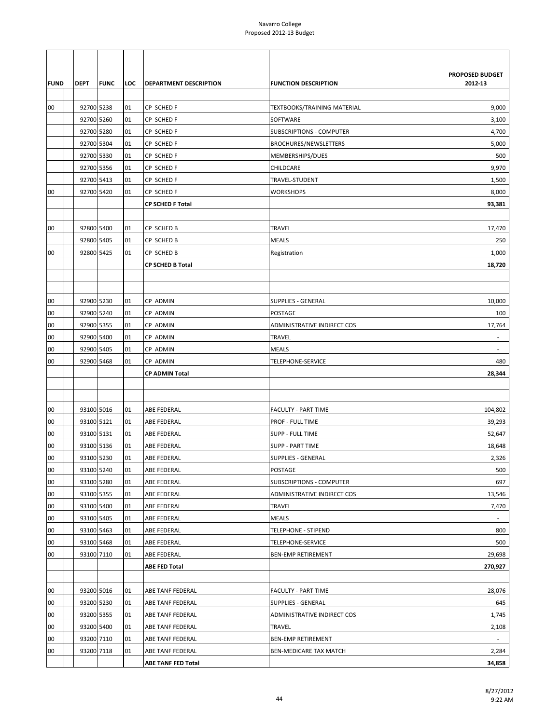|             |                          |             |          |                                               |                                    | <b>PROPOSED BUDGET</b>   |
|-------------|--------------------------|-------------|----------|-----------------------------------------------|------------------------------------|--------------------------|
| <b>FUND</b> | <b>DEPT</b>              | <b>FUNC</b> | LOC      | <b>DEPARTMENT DESCRIPTION</b>                 | <b>FUNCTION DESCRIPTION</b>        | 2012-13                  |
|             |                          |             |          |                                               |                                    |                          |
| 00          | 92700 5238               |             | 01       | CP SCHED F                                    | <b>TEXTBOOKS/TRAINING MATERIAL</b> | 9,000                    |
|             | 92700 5260               |             | 01       | CP SCHED F                                    | SOFTWARE                           | 3,100                    |
|             | 92700 5280               |             | 01       | CP SCHED F                                    | <b>SUBSCRIPTIONS - COMPUTER</b>    | 4,700                    |
|             | 92700 5304               |             | 01       | CP SCHED F                                    | BROCHURES/NEWSLETTERS              | 5,000                    |
|             | 92700 5330               |             | 01       | CP SCHED F                                    | MEMBERSHIPS/DUES                   | 500                      |
|             | 92700 5356               |             | 01       | CP SCHED F                                    | CHILDCARE                          | 9,970                    |
|             | 92700 5413               |             | 01       | CP SCHED F                                    | TRAVEL-STUDENT                     | 1,500                    |
| 00          | 92700 5420               |             | 01       | CP SCHED F                                    | <b>WORKSHOPS</b>                   | 8,000                    |
|             |                          |             |          | <b>CP SCHED F Total</b>                       |                                    | 93,381                   |
|             |                          |             |          |                                               |                                    |                          |
| 00          | 92800 5400               |             | 01       | CP SCHED B                                    | <b>TRAVEL</b>                      | 17,470                   |
|             | 92800 5405               |             | 01       | CP SCHED B                                    | <b>MEALS</b>                       | 250                      |
| 00          | 92800 5425               |             | 01       | CP SCHED B                                    | Registration                       | 1,000                    |
|             |                          |             |          | <b>CP SCHED B Total</b>                       |                                    | 18,720                   |
|             |                          |             |          |                                               |                                    |                          |
|             |                          |             |          |                                               |                                    |                          |
| 00          | 92900 5230               |             | 01       | CP ADMIN                                      | SUPPLIES - GENERAL                 | 10,000                   |
| 00          | 92900 5240               |             | 01       | CP ADMIN                                      | POSTAGE                            | 100                      |
| 00          | 92900 5355               |             | 01       | CP ADMIN                                      | ADMINISTRATIVE INDIRECT COS        | 17,764                   |
| 00          | 92900 5400               |             | 01       | CP ADMIN                                      | <b>TRAVEL</b>                      | $\overline{\phantom{a}}$ |
| 00          | 92900 5405               |             | 01       | CP ADMIN                                      | MEALS                              |                          |
| 00          | 92900 5468               |             | 01       | CP ADMIN                                      | TELEPHONE-SERVICE                  | 480                      |
|             |                          |             |          | CP ADMIN Total                                |                                    | 28,344                   |
|             |                          |             |          |                                               |                                    |                          |
|             | 93100 5016               |             |          |                                               |                                    |                          |
| 00          |                          |             | 01       | ABE FEDERAL                                   | <b>FACULTY - PART TIME</b>         | 104,802                  |
| 00          | 93100 5121               |             | 01       | ABE FEDERAL                                   | <b>PROF - FULL TIME</b>            | 39,293                   |
| 00          | 93100 5131               |             | 01       | ABE FEDERAL                                   | SUPP - FULL TIME                   | 52,647                   |
| 00          | 93100 5136<br>93100 5230 |             | 01       | ABE FEDERAL                                   | <b>SUPP - PART TIME</b>            | 18,648                   |
| 00          |                          |             | 01       | ABE FEDERAL                                   | <b>SUPPLIES - GENERAL</b>          | 2,326                    |
| 00          | 93100 5240               |             | 01       | ABE FEDERAL                                   | POSTAGE                            | 500<br>697               |
| 00          | 93100 5280               |             | 01       | ABE FEDERAL                                   | <b>SUBSCRIPTIONS - COMPUTER</b>    |                          |
| 00          | 93100 5355               |             | 01       | ABE FEDERAL                                   | ADMINISTRATIVE INDIRECT COS        | 13,546                   |
| 00          | 93100 5400<br>93100 5405 |             | 01       | ABE FEDERAL                                   | TRAVEL                             | 7,470                    |
| 00          |                          |             | 01       | ABE FEDERAL                                   | <b>MEALS</b>                       | $\sim$                   |
| 00          | 93100 5463               |             | 01       | ABE FEDERAL                                   | <b>TELEPHONE - STIPEND</b>         | 800                      |
| 00          | 93100 5468               |             | 01       | ABE FEDERAL                                   | TELEPHONE-SERVICE                  | 500                      |
| 00          | 93100 7110               |             | 01       | ABE FEDERAL                                   | <b>BEN-EMP RETIREMENT</b>          | 29,698                   |
|             |                          |             |          | <b>ABE FED Total</b>                          |                                    | 270,927                  |
|             |                          |             |          |                                               |                                    |                          |
| 00          | 93200 5016               |             | 01       | ABE TANF FEDERAL                              | <b>FACULTY - PART TIME</b>         | 28,076                   |
| 00          | 93200 5230               |             | 01       | ABE TANF FEDERAL                              | <b>SUPPLIES - GENERAL</b>          | 645                      |
| 00          | 93200 5355               |             | 01       | ABE TANF FEDERAL                              | ADMINISTRATIVE INDIRECT COS        | 1,745                    |
| 00          | 93200 5400               |             | 01       | ABE TANF FEDERAL                              | TRAVEL                             | 2,108                    |
| 00          | 93200 7110<br>93200 7118 |             | 01<br>01 | ABE TANF FEDERAL                              | <b>BEN-EMP RETIREMENT</b>          | $\sim$                   |
| 00          |                          |             |          | ABE TANF FEDERAL<br><b>ABE TANF FED Total</b> | BEN-MEDICARE TAX MATCH             | 2,284<br>34,858          |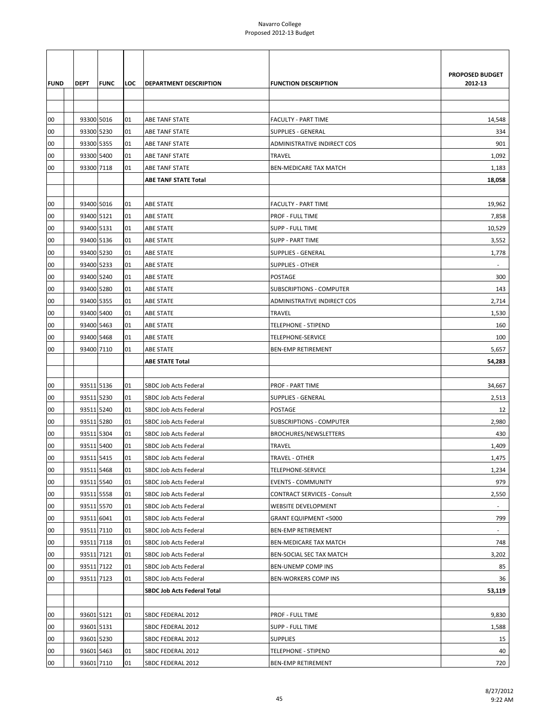| <b>FUND</b> | DEPT                     | <b>FUNC</b> | LOC      | <b>DEPARTMENT DESCRIPTION</b>        | <b>FUNCTION DESCRIPTION</b>                        | PROPOSED BUDGET<br>2012-13 |
|-------------|--------------------------|-------------|----------|--------------------------------------|----------------------------------------------------|----------------------------|
|             |                          |             |          |                                      |                                                    |                            |
| 00          | 93300 5016               |             | 01       | ABE TANF STATE                       | <b>FACULTY - PART TIME</b>                         | 14,548                     |
| 00          | 93300 5230               |             | 01       | ABE TANF STATE                       | SUPPLIES - GENERAL                                 | 334                        |
| 00          | 93300 5355               |             | 01       | ABE TANF STATE                       | ADMINISTRATIVE INDIRECT COS                        | 901                        |
| 00          | 93300 5400               |             | 01       | ABE TANF STATE                       | <b>TRAVEL</b>                                      | 1,092                      |
| 00          | 93300 7118               |             | 01       | ABE TANF STATE                       | BEN-MEDICARE TAX MATCH                             | 1,183                      |
|             |                          |             |          | <b>ABE TANF STATE Total</b>          |                                                    | 18,058                     |
|             |                          |             |          |                                      |                                                    |                            |
| 00          | 93400 5016               |             | 01       | <b>ABE STATE</b>                     | <b>FACULTY - PART TIME</b>                         | 19,962                     |
| 00          | 93400 5121<br>93400 5131 |             | 01<br>01 | <b>ABE STATE</b>                     | <b>PROF - FULL TIME</b><br><b>SUPP - FULL TIME</b> | 7,858                      |
| 00<br>00    | 93400 5136               |             | 01       | <b>ABE STATE</b><br><b>ABE STATE</b> | <b>SUPP - PART TIME</b>                            | 10,529<br>3,552            |
| 00          | 93400 5230               |             | 01       | <b>ABE STATE</b>                     | <b>SUPPLIES - GENERAL</b>                          | 1,778                      |
| 00          | 93400 5233               |             | 01       | <b>ABE STATE</b>                     | <b>SUPPLIES - OTHER</b>                            |                            |
| 00          | 93400 5240               |             | 01       | <b>ABE STATE</b>                     | POSTAGE                                            | 300                        |
| 00          | 93400 5280               |             | 01       | <b>ABE STATE</b>                     | <b>SUBSCRIPTIONS - COMPUTER</b>                    | 143                        |
| 00          | 93400 5355               |             | 01       | <b>ABE STATE</b>                     | ADMINISTRATIVE INDIRECT COS                        | 2,714                      |
| 00          | 93400 5400               |             | 01       | <b>ABE STATE</b>                     | <b>TRAVEL</b>                                      | 1,530                      |
| 00          | 93400 5463               |             | 01       | <b>ABE STATE</b>                     | <b>TELEPHONE - STIPEND</b>                         | 160                        |
| 00          | 93400 5468               |             | 01       | <b>ABE STATE</b>                     | TELEPHONE-SERVICE                                  | 100                        |
| 00          | 93400 7110               |             | 01       | <b>ABE STATE</b>                     | <b>BEN-EMP RETIREMENT</b>                          | 5,657                      |
|             |                          |             |          | <b>ABE STATE Total</b>               |                                                    | 54,283                     |
|             |                          |             |          |                                      |                                                    |                            |
| 00          | 93511 5136               |             | 01       | SBDC Job Acts Federal                | <b>PROF - PART TIME</b>                            | 34,667                     |
| 00          | 93511 5230               |             | 01       | SBDC Job Acts Federal                | <b>SUPPLIES - GENERAL</b>                          | 2,513                      |
| 00          | 93511 5240               |             | 01       | SBDC Job Acts Federal                | POSTAGE                                            | 12                         |
| 00          | 93511 5280               |             | 01       | SBDC Job Acts Federal                | <b>SUBSCRIPTIONS - COMPUTER</b>                    | 2,980                      |
| 00          | 93511 5304               |             | 01       | <b>SBDC Job Acts Federal</b>         | <b>BROCHURES/NEWSLETTERS</b>                       | 430                        |
| 00          | 93511 5400               |             | 01       | SBDC Job Acts Federal                | <b>TRAVEL</b>                                      | 1,409                      |
| 00          | 93511 5415               |             | 01       | SBDC Job Acts Federal                | <b>TRAVEL - OTHER</b>                              | 1,475                      |
| 00          | 93511 5468               |             | 01       | SBDC Job Acts Federal                | TELEPHONE-SERVICE                                  | 1,234                      |
| 00          | 93511 5540               |             | 01       | <b>SBDC Job Acts Federal</b>         | <b>EVENTS - COMMUNITY</b>                          | 979                        |
| 00          | 93511 5558               |             | 01       | SBDC Job Acts Federal                | <b>CONTRACT SERVICES - Consult</b>                 | 2,550                      |
| 00          | 93511 5570               |             | 01       | SBDC Job Acts Federal                | WEBSITE DEVELOPMENT                                |                            |
| 00          | 93511 6041               |             | 01       | SBDC Job Acts Federal                | <b>GRANT EQUIPMENT &lt;5000</b>                    | 799                        |
| 00          | 93511 7110               |             | 01       | SBDC Job Acts Federal                | <b>BEN-EMP RETIREMENT</b>                          | $\blacksquare$             |
| 00          | 93511 7118               |             | 01       | SBDC Job Acts Federal                | BEN-MEDICARE TAX MATCH                             | 748                        |
| 00          | 93511 7121               |             | 01       | SBDC Job Acts Federal                | BEN-SOCIAL SEC TAX MATCH                           | 3,202                      |
| 00          | 93511 7122               |             | 01       | SBDC Job Acts Federal                | BEN-UNEMP COMP INS                                 | 85                         |
| 00          | 93511 7123               |             | 01       | SBDC Job Acts Federal                | BEN-WORKERS COMP INS                               | 36                         |
|             |                          |             |          | <b>SBDC Job Acts Federal Total</b>   |                                                    | 53,119                     |
|             |                          |             |          |                                      |                                                    |                            |
| 00          | 93601 5121               |             | 01       | SBDC FEDERAL 2012                    | PROF - FULL TIME                                   | 9,830                      |
| 00          | 93601 5131               |             |          | SBDC FEDERAL 2012                    | <b>SUPP - FULL TIME</b>                            | 1,588                      |
| 00          | 93601 5230               |             |          | SBDC FEDERAL 2012                    | <b>SUPPLIES</b>                                    | 15                         |
| 00          | 93601 5463               |             | 01       | SBDC FEDERAL 2012                    | <b>TELEPHONE - STIPEND</b>                         | 40                         |
| $00\,$      | 93601 7110               |             | 01       | SBDC FEDERAL 2012                    | <b>BEN-EMP RETIREMENT</b>                          | 720                        |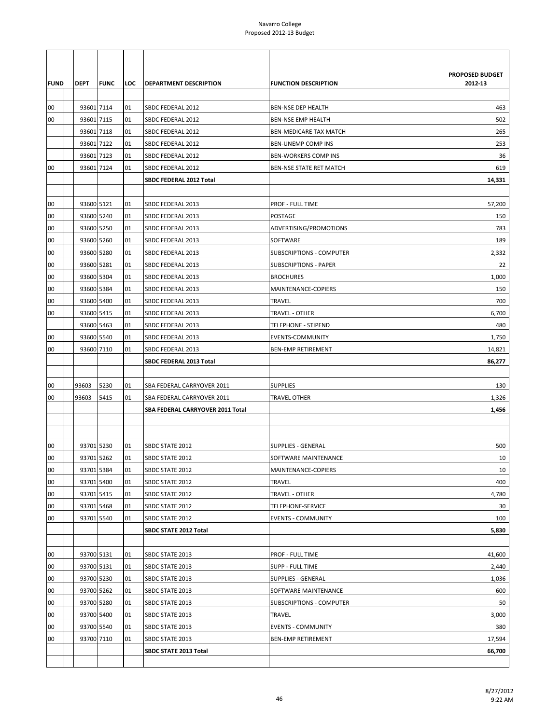| <b>FUND</b> | <b>DEPT</b> | <b>FUNC</b> | LOC | DEPARTMENT DESCRIPTION           | <b>FUNCTION DESCRIPTION</b>     | PROPOSED BUDGET<br>2012-13 |
|-------------|-------------|-------------|-----|----------------------------------|---------------------------------|----------------------------|
|             |             |             |     |                                  |                                 |                            |
| 00          | 93601 7114  |             | 01  | SBDC FEDERAL 2012                | BEN-NSE DEP HEALTH              | 463                        |
| 00          | 93601 7115  |             | 01  | SBDC FEDERAL 2012                | <b>BEN-NSE EMP HEALTH</b>       | 502                        |
|             | 93601 7118  |             | 01  | SBDC FEDERAL 2012                | <b>BEN-MEDICARE TAX MATCH</b>   | 265                        |
|             | 93601 7122  |             | 01  | SBDC FEDERAL 2012                | <b>BEN-UNEMP COMP INS</b>       | 253                        |
|             | 93601 7123  |             | 01  | SBDC FEDERAL 2012                | BEN-WORKERS COMP INS            | 36                         |
| 00          | 93601 7124  |             | 01  | SBDC FEDERAL 2012                | BEN-NSE STATE RET MATCH         | 619                        |
|             |             |             |     | SBDC FEDERAL 2012 Total          |                                 | 14,331                     |
|             |             |             |     |                                  |                                 |                            |
| 00          | 93600 5121  |             | 01  | SBDC FEDERAL 2013                | PROF - FULL TIME                | 57,200                     |
| 00          | 93600 5240  |             | 01  | SBDC FEDERAL 2013                | POSTAGE                         | 150                        |
| 00          | 93600 5250  |             | 01  | SBDC FEDERAL 2013                | ADVERTISING/PROMOTIONS          | 783                        |
| 00          | 93600 5260  |             | 01  | SBDC FEDERAL 2013                | SOFTWARE                        | 189                        |
| 00          | 93600 5280  |             | 01  | SBDC FEDERAL 2013                | <b>SUBSCRIPTIONS - COMPUTER</b> | 2,332                      |
| 00          | 93600 5281  |             | 01  | SBDC FEDERAL 2013                | <b>SUBSCRIPTIONS - PAPER</b>    | 22                         |
| 00          | 93600 5304  |             | 01  | SBDC FEDERAL 2013                | <b>BROCHURES</b>                | 1,000                      |
| 00          | 93600 5384  |             | 01  | SBDC FEDERAL 2013                | MAINTENANCE-COPIERS             | 150                        |
| 00          | 93600 5400  |             | 01  | SBDC FEDERAL 2013                | TRAVEL                          | 700                        |
| 00          | 93600 5415  |             | 01  | SBDC FEDERAL 2013                | TRAVEL - OTHER                  | 6,700                      |
|             | 93600 5463  |             | 01  | SBDC FEDERAL 2013                | TELEPHONE - STIPEND             | 480                        |
| 00          | 93600 5540  |             | 01  | SBDC FEDERAL 2013                | EVENTS-COMMUNITY                | 1,750                      |
| 00          | 93600 7110  |             | 01  | SBDC FEDERAL 2013                | <b>BEN-EMP RETIREMENT</b>       | 14,821                     |
|             |             |             |     | SBDC FEDERAL 2013 Total          |                                 | 86,277                     |
|             |             |             |     |                                  |                                 |                            |
| 00          | 93603       | 5230        | 01  | SBA FEDERAL CARRYOVER 2011       | SUPPLIES                        | 130                        |
| 00          | 93603       | 5415        | 01  | SBA FEDERAL CARRYOVER 2011       | TRAVEL OTHER                    | 1,326                      |
|             |             |             |     | SBA FEDERAL CARRYOVER 2011 Total |                                 | 1,456                      |
|             |             |             |     |                                  |                                 |                            |
|             |             |             |     |                                  |                                 |                            |
| 00          | 93701 5230  |             | 01  | SBDC STATE 2012                  | SUPPLIES - GENERAL              | 500                        |
| 00          | 93701 5262  |             | 01  | SBDC STATE 2012                  | SOFTWARE MAINTENANCE            | 10                         |
| 00          | 93701 5384  |             | 01  | SBDC STATE 2012                  | MAINTENANCE-COPIERS             | 10                         |
| 00          | 93701 5400  |             | 01  | SBDC STATE 2012                  | TRAVEL                          | 400                        |
| 00          | 93701 5415  |             | 01  | SBDC STATE 2012                  | TRAVEL - OTHER                  | 4,780                      |
| 00          | 93701 5468  |             | 01  | SBDC STATE 2012                  | TELEPHONE-SERVICE               | 30                         |
| 00          | 93701 5540  |             | 01  | SBDC STATE 2012                  | <b>EVENTS - COMMUNITY</b>       | 100                        |
|             |             |             |     | SBDC STATE 2012 Total            |                                 | 5,830                      |
|             |             |             |     |                                  |                                 |                            |
| 00          | 93700 5131  |             | 01  | SBDC STATE 2013                  | PROF - FULL TIME                | 41,600                     |
| 00          | 93700 5131  |             | 01  | SBDC STATE 2013                  | SUPP - FULL TIME                | 2,440                      |
| 00          | 93700 5230  |             | 01  | SBDC STATE 2013                  | <b>SUPPLIES - GENERAL</b>       | 1,036                      |
| 00          | 93700 5262  |             | 01  | SBDC STATE 2013                  | SOFTWARE MAINTENANCE            | 600                        |
| 00          | 93700 5280  |             | 01  | SBDC STATE 2013                  | <b>SUBSCRIPTIONS - COMPUTER</b> | 50                         |
| 00          | 93700 5400  |             | 01  | SBDC STATE 2013                  | TRAVEL                          | 3,000                      |
| 00          | 93700 5540  |             | 01  | SBDC STATE 2013                  | <b>EVENTS - COMMUNITY</b>       | 380                        |
| 00          | 93700 7110  |             | 01  | SBDC STATE 2013                  | <b>BEN-EMP RETIREMENT</b>       | 17,594                     |
|             |             |             |     | <b>SBDC STATE 2013 Total</b>     |                                 | 66,700                     |
|             |             |             |     |                                  |                                 |                            |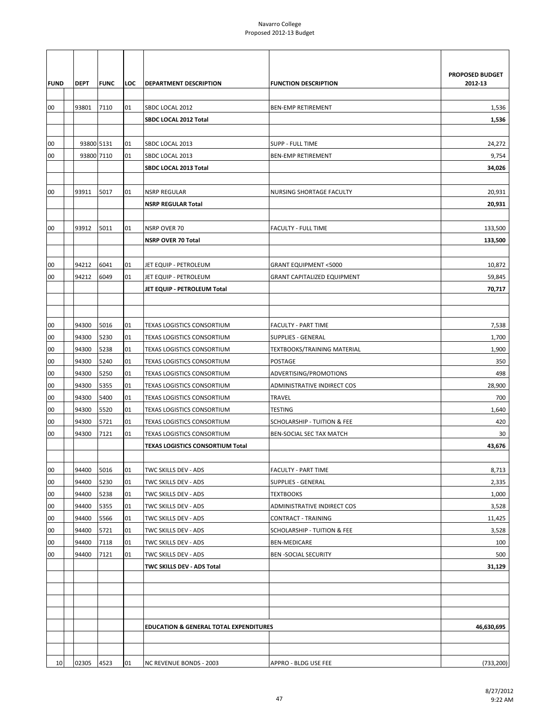| PROPOSED BUDGET<br>2012-13<br><b>DEPT</b><br><b>FUNC</b><br>LOC<br><b>DEPARTMENT DESCRIPTION</b><br><b>FUNCTION DESCRIPTION</b><br>93801<br>7110<br>00<br>01<br>SBDC LOCAL 2012<br><b>BEN-EMP RETIREMENT</b><br>1,536<br>SBDC LOCAL 2012 Total<br>1,536<br>93800 5131<br>00<br>01<br>SBDC LOCAL 2013<br>SUPP - FULL TIME<br>24,272<br>93800 7110<br>01<br>SBDC LOCAL 2013<br>9,754<br>00<br><b>BEN-EMP RETIREMENT</b><br>34,026<br>SBDC LOCAL 2013 Total<br>00<br>93911<br>5017<br><b>NSRP REGULAR</b><br>20,931<br>01<br>NURSING SHORTAGE FACULTY<br>20,931<br><b>NSRP REGULAR Total</b><br>00<br>93912<br>5011<br>01<br><b>NSRP OVER 70</b><br><b>FACULTY - FULL TIME</b><br>133,500<br><b>NSRP OVER 70 Total</b><br>133,500<br>94212<br>6041<br>10,872<br>00<br>01<br>JET EQUIP - PETROLEUM<br><b>GRANT EQUIPMENT &lt;5000</b><br>6049<br>00<br>94212<br>01<br>JET EQUIP - PETROLEUM<br><b>GRANT CAPITALIZED EQUIPMENT</b><br>59,845<br>70,717<br>JET EQUIP - PETROLEUM Total<br>00<br>94300<br>5016<br>01<br>TEXAS LOGISTICS CONSORTIUM<br><b>FACULTY - PART TIME</b><br>7,538<br>5230<br>00<br>94300<br>01<br><b>SUPPLIES - GENERAL</b><br>1,700<br>TEXAS LOGISTICS CONSORTIUM<br>94300<br>5238<br>1,900<br>00<br>01<br><b>TEXAS LOGISTICS CONSORTIUM</b><br><b>TEXTBOOKS/TRAINING MATERIAL</b><br>5240<br>00<br>94300<br>POSTAGE<br>350<br>01<br><b>TEXAS LOGISTICS CONSORTIUM</b><br>498<br>94300<br>5250<br>01<br>ADVERTISING/PROMOTIONS<br>00<br>TEXAS LOGISTICS CONSORTIUM<br>00<br>94300<br>5355<br>28,900<br>01<br>TEXAS LOGISTICS CONSORTIUM<br>ADMINISTRATIVE INDIRECT COS<br>94300<br>5400<br>TRAVEL<br>700<br>00<br>01<br>TEXAS LOGISTICS CONSORTIUM<br>94300<br>5520<br>01<br><b>TESTING</b><br>1,640<br>00<br>TEXAS LOGISTICS CONSORTIUM<br>00<br>94300<br>5721<br>420<br>01<br><b>TEXAS LOGISTICS CONSORTIUM</b><br>SCHOLARSHIP - TUITION & FEE<br>00<br>94300<br>01<br>30<br>7121<br>TEXAS LOGISTICS CONSORTIUM<br>BEN-SOCIAL SEC TAX MATCH<br>43,676<br><b>TEXAS LOGISTICS CONSORTIUM Total</b><br>94400<br>5016<br>00<br>01<br>TWC SKILLS DEV - ADS<br><b>FACULTY - PART TIME</b><br>8,713<br>00<br>5230<br>2,335<br>94400<br>01<br>TWC SKILLS DEV - ADS<br><b>SUPPLIES - GENERAL</b><br>00<br>94400<br>5238<br>01<br>TWC SKILLS DEV - ADS<br>TEXTBOOKS<br>1,000<br>00<br>94400<br>5355<br>01<br>TWC SKILLS DEV - ADS<br>ADMINISTRATIVE INDIRECT COS<br>3,528<br>00<br>94400<br>5566<br>01<br>TWC SKILLS DEV - ADS<br><b>CONTRACT - TRAINING</b><br>11,425<br>00<br>94400<br>5721<br>01<br>TWC SKILLS DEV - ADS<br><b>SCHOLARSHIP - TUITION &amp; FEE</b><br>3,528<br>00<br>7118<br>100<br>94400<br>TWC SKILLS DEV - ADS<br><b>BEN-MEDICARE</b><br>01<br>00<br>94400<br>7121<br>01<br>TWC SKILLS DEV - ADS<br><b>BEN-SOCIAL SECURITY</b><br>500<br>TWC SKILLS DEV - ADS Total<br>31,129<br>46,630,695<br><b>EDUCATION &amp; GENERAL TOTAL EXPENDITURES</b><br>10<br>02305<br>4523<br>01<br><b>NC REVENUE BONDS - 2003</b><br>APPRO - BLDG USE FEE |             |  |  |  |
|-------------------------------------------------------------------------------------------------------------------------------------------------------------------------------------------------------------------------------------------------------------------------------------------------------------------------------------------------------------------------------------------------------------------------------------------------------------------------------------------------------------------------------------------------------------------------------------------------------------------------------------------------------------------------------------------------------------------------------------------------------------------------------------------------------------------------------------------------------------------------------------------------------------------------------------------------------------------------------------------------------------------------------------------------------------------------------------------------------------------------------------------------------------------------------------------------------------------------------------------------------------------------------------------------------------------------------------------------------------------------------------------------------------------------------------------------------------------------------------------------------------------------------------------------------------------------------------------------------------------------------------------------------------------------------------------------------------------------------------------------------------------------------------------------------------------------------------------------------------------------------------------------------------------------------------------------------------------------------------------------------------------------------------------------------------------------------------------------------------------------------------------------------------------------------------------------------------------------------------------------------------------------------------------------------------------------------------------------------------------------------------------------------------------------------------------------------------------------------------------------------------------------------------------------------------------------------------------------------------------------------------------------------------------------------------------------------------------------------------------------------------------------------------------------------------------------------------------------------------------------------------------------------------------------------------------------------------------------|-------------|--|--|--|
|                                                                                                                                                                                                                                                                                                                                                                                                                                                                                                                                                                                                                                                                                                                                                                                                                                                                                                                                                                                                                                                                                                                                                                                                                                                                                                                                                                                                                                                                                                                                                                                                                                                                                                                                                                                                                                                                                                                                                                                                                                                                                                                                                                                                                                                                                                                                                                                                                                                                                                                                                                                                                                                                                                                                                                                                                                                                                                                                                                         |             |  |  |  |
| (733, 200)                                                                                                                                                                                                                                                                                                                                                                                                                                                                                                                                                                                                                                                                                                                                                                                                                                                                                                                                                                                                                                                                                                                                                                                                                                                                                                                                                                                                                                                                                                                                                                                                                                                                                                                                                                                                                                                                                                                                                                                                                                                                                                                                                                                                                                                                                                                                                                                                                                                                                                                                                                                                                                                                                                                                                                                                                                                                                                                                                              | <b>FUND</b> |  |  |  |
|                                                                                                                                                                                                                                                                                                                                                                                                                                                                                                                                                                                                                                                                                                                                                                                                                                                                                                                                                                                                                                                                                                                                                                                                                                                                                                                                                                                                                                                                                                                                                                                                                                                                                                                                                                                                                                                                                                                                                                                                                                                                                                                                                                                                                                                                                                                                                                                                                                                                                                                                                                                                                                                                                                                                                                                                                                                                                                                                                                         |             |  |  |  |
|                                                                                                                                                                                                                                                                                                                                                                                                                                                                                                                                                                                                                                                                                                                                                                                                                                                                                                                                                                                                                                                                                                                                                                                                                                                                                                                                                                                                                                                                                                                                                                                                                                                                                                                                                                                                                                                                                                                                                                                                                                                                                                                                                                                                                                                                                                                                                                                                                                                                                                                                                                                                                                                                                                                                                                                                                                                                                                                                                                         |             |  |  |  |
|                                                                                                                                                                                                                                                                                                                                                                                                                                                                                                                                                                                                                                                                                                                                                                                                                                                                                                                                                                                                                                                                                                                                                                                                                                                                                                                                                                                                                                                                                                                                                                                                                                                                                                                                                                                                                                                                                                                                                                                                                                                                                                                                                                                                                                                                                                                                                                                                                                                                                                                                                                                                                                                                                                                                                                                                                                                                                                                                                                         |             |  |  |  |
|                                                                                                                                                                                                                                                                                                                                                                                                                                                                                                                                                                                                                                                                                                                                                                                                                                                                                                                                                                                                                                                                                                                                                                                                                                                                                                                                                                                                                                                                                                                                                                                                                                                                                                                                                                                                                                                                                                                                                                                                                                                                                                                                                                                                                                                                                                                                                                                                                                                                                                                                                                                                                                                                                                                                                                                                                                                                                                                                                                         |             |  |  |  |
|                                                                                                                                                                                                                                                                                                                                                                                                                                                                                                                                                                                                                                                                                                                                                                                                                                                                                                                                                                                                                                                                                                                                                                                                                                                                                                                                                                                                                                                                                                                                                                                                                                                                                                                                                                                                                                                                                                                                                                                                                                                                                                                                                                                                                                                                                                                                                                                                                                                                                                                                                                                                                                                                                                                                                                                                                                                                                                                                                                         |             |  |  |  |
|                                                                                                                                                                                                                                                                                                                                                                                                                                                                                                                                                                                                                                                                                                                                                                                                                                                                                                                                                                                                                                                                                                                                                                                                                                                                                                                                                                                                                                                                                                                                                                                                                                                                                                                                                                                                                                                                                                                                                                                                                                                                                                                                                                                                                                                                                                                                                                                                                                                                                                                                                                                                                                                                                                                                                                                                                                                                                                                                                                         |             |  |  |  |
|                                                                                                                                                                                                                                                                                                                                                                                                                                                                                                                                                                                                                                                                                                                                                                                                                                                                                                                                                                                                                                                                                                                                                                                                                                                                                                                                                                                                                                                                                                                                                                                                                                                                                                                                                                                                                                                                                                                                                                                                                                                                                                                                                                                                                                                                                                                                                                                                                                                                                                                                                                                                                                                                                                                                                                                                                                                                                                                                                                         |             |  |  |  |
|                                                                                                                                                                                                                                                                                                                                                                                                                                                                                                                                                                                                                                                                                                                                                                                                                                                                                                                                                                                                                                                                                                                                                                                                                                                                                                                                                                                                                                                                                                                                                                                                                                                                                                                                                                                                                                                                                                                                                                                                                                                                                                                                                                                                                                                                                                                                                                                                                                                                                                                                                                                                                                                                                                                                                                                                                                                                                                                                                                         |             |  |  |  |
|                                                                                                                                                                                                                                                                                                                                                                                                                                                                                                                                                                                                                                                                                                                                                                                                                                                                                                                                                                                                                                                                                                                                                                                                                                                                                                                                                                                                                                                                                                                                                                                                                                                                                                                                                                                                                                                                                                                                                                                                                                                                                                                                                                                                                                                                                                                                                                                                                                                                                                                                                                                                                                                                                                                                                                                                                                                                                                                                                                         |             |  |  |  |
|                                                                                                                                                                                                                                                                                                                                                                                                                                                                                                                                                                                                                                                                                                                                                                                                                                                                                                                                                                                                                                                                                                                                                                                                                                                                                                                                                                                                                                                                                                                                                                                                                                                                                                                                                                                                                                                                                                                                                                                                                                                                                                                                                                                                                                                                                                                                                                                                                                                                                                                                                                                                                                                                                                                                                                                                                                                                                                                                                                         |             |  |  |  |
|                                                                                                                                                                                                                                                                                                                                                                                                                                                                                                                                                                                                                                                                                                                                                                                                                                                                                                                                                                                                                                                                                                                                                                                                                                                                                                                                                                                                                                                                                                                                                                                                                                                                                                                                                                                                                                                                                                                                                                                                                                                                                                                                                                                                                                                                                                                                                                                                                                                                                                                                                                                                                                                                                                                                                                                                                                                                                                                                                                         |             |  |  |  |
|                                                                                                                                                                                                                                                                                                                                                                                                                                                                                                                                                                                                                                                                                                                                                                                                                                                                                                                                                                                                                                                                                                                                                                                                                                                                                                                                                                                                                                                                                                                                                                                                                                                                                                                                                                                                                                                                                                                                                                                                                                                                                                                                                                                                                                                                                                                                                                                                                                                                                                                                                                                                                                                                                                                                                                                                                                                                                                                                                                         |             |  |  |  |
|                                                                                                                                                                                                                                                                                                                                                                                                                                                                                                                                                                                                                                                                                                                                                                                                                                                                                                                                                                                                                                                                                                                                                                                                                                                                                                                                                                                                                                                                                                                                                                                                                                                                                                                                                                                                                                                                                                                                                                                                                                                                                                                                                                                                                                                                                                                                                                                                                                                                                                                                                                                                                                                                                                                                                                                                                                                                                                                                                                         |             |  |  |  |
|                                                                                                                                                                                                                                                                                                                                                                                                                                                                                                                                                                                                                                                                                                                                                                                                                                                                                                                                                                                                                                                                                                                                                                                                                                                                                                                                                                                                                                                                                                                                                                                                                                                                                                                                                                                                                                                                                                                                                                                                                                                                                                                                                                                                                                                                                                                                                                                                                                                                                                                                                                                                                                                                                                                                                                                                                                                                                                                                                                         |             |  |  |  |
|                                                                                                                                                                                                                                                                                                                                                                                                                                                                                                                                                                                                                                                                                                                                                                                                                                                                                                                                                                                                                                                                                                                                                                                                                                                                                                                                                                                                                                                                                                                                                                                                                                                                                                                                                                                                                                                                                                                                                                                                                                                                                                                                                                                                                                                                                                                                                                                                                                                                                                                                                                                                                                                                                                                                                                                                                                                                                                                                                                         |             |  |  |  |
|                                                                                                                                                                                                                                                                                                                                                                                                                                                                                                                                                                                                                                                                                                                                                                                                                                                                                                                                                                                                                                                                                                                                                                                                                                                                                                                                                                                                                                                                                                                                                                                                                                                                                                                                                                                                                                                                                                                                                                                                                                                                                                                                                                                                                                                                                                                                                                                                                                                                                                                                                                                                                                                                                                                                                                                                                                                                                                                                                                         |             |  |  |  |
|                                                                                                                                                                                                                                                                                                                                                                                                                                                                                                                                                                                                                                                                                                                                                                                                                                                                                                                                                                                                                                                                                                                                                                                                                                                                                                                                                                                                                                                                                                                                                                                                                                                                                                                                                                                                                                                                                                                                                                                                                                                                                                                                                                                                                                                                                                                                                                                                                                                                                                                                                                                                                                                                                                                                                                                                                                                                                                                                                                         |             |  |  |  |
|                                                                                                                                                                                                                                                                                                                                                                                                                                                                                                                                                                                                                                                                                                                                                                                                                                                                                                                                                                                                                                                                                                                                                                                                                                                                                                                                                                                                                                                                                                                                                                                                                                                                                                                                                                                                                                                                                                                                                                                                                                                                                                                                                                                                                                                                                                                                                                                                                                                                                                                                                                                                                                                                                                                                                                                                                                                                                                                                                                         |             |  |  |  |
|                                                                                                                                                                                                                                                                                                                                                                                                                                                                                                                                                                                                                                                                                                                                                                                                                                                                                                                                                                                                                                                                                                                                                                                                                                                                                                                                                                                                                                                                                                                                                                                                                                                                                                                                                                                                                                                                                                                                                                                                                                                                                                                                                                                                                                                                                                                                                                                                                                                                                                                                                                                                                                                                                                                                                                                                                                                                                                                                                                         |             |  |  |  |
|                                                                                                                                                                                                                                                                                                                                                                                                                                                                                                                                                                                                                                                                                                                                                                                                                                                                                                                                                                                                                                                                                                                                                                                                                                                                                                                                                                                                                                                                                                                                                                                                                                                                                                                                                                                                                                                                                                                                                                                                                                                                                                                                                                                                                                                                                                                                                                                                                                                                                                                                                                                                                                                                                                                                                                                                                                                                                                                                                                         |             |  |  |  |
|                                                                                                                                                                                                                                                                                                                                                                                                                                                                                                                                                                                                                                                                                                                                                                                                                                                                                                                                                                                                                                                                                                                                                                                                                                                                                                                                                                                                                                                                                                                                                                                                                                                                                                                                                                                                                                                                                                                                                                                                                                                                                                                                                                                                                                                                                                                                                                                                                                                                                                                                                                                                                                                                                                                                                                                                                                                                                                                                                                         |             |  |  |  |
|                                                                                                                                                                                                                                                                                                                                                                                                                                                                                                                                                                                                                                                                                                                                                                                                                                                                                                                                                                                                                                                                                                                                                                                                                                                                                                                                                                                                                                                                                                                                                                                                                                                                                                                                                                                                                                                                                                                                                                                                                                                                                                                                                                                                                                                                                                                                                                                                                                                                                                                                                                                                                                                                                                                                                                                                                                                                                                                                                                         |             |  |  |  |
|                                                                                                                                                                                                                                                                                                                                                                                                                                                                                                                                                                                                                                                                                                                                                                                                                                                                                                                                                                                                                                                                                                                                                                                                                                                                                                                                                                                                                                                                                                                                                                                                                                                                                                                                                                                                                                                                                                                                                                                                                                                                                                                                                                                                                                                                                                                                                                                                                                                                                                                                                                                                                                                                                                                                                                                                                                                                                                                                                                         |             |  |  |  |
|                                                                                                                                                                                                                                                                                                                                                                                                                                                                                                                                                                                                                                                                                                                                                                                                                                                                                                                                                                                                                                                                                                                                                                                                                                                                                                                                                                                                                                                                                                                                                                                                                                                                                                                                                                                                                                                                                                                                                                                                                                                                                                                                                                                                                                                                                                                                                                                                                                                                                                                                                                                                                                                                                                                                                                                                                                                                                                                                                                         |             |  |  |  |
|                                                                                                                                                                                                                                                                                                                                                                                                                                                                                                                                                                                                                                                                                                                                                                                                                                                                                                                                                                                                                                                                                                                                                                                                                                                                                                                                                                                                                                                                                                                                                                                                                                                                                                                                                                                                                                                                                                                                                                                                                                                                                                                                                                                                                                                                                                                                                                                                                                                                                                                                                                                                                                                                                                                                                                                                                                                                                                                                                                         |             |  |  |  |
|                                                                                                                                                                                                                                                                                                                                                                                                                                                                                                                                                                                                                                                                                                                                                                                                                                                                                                                                                                                                                                                                                                                                                                                                                                                                                                                                                                                                                                                                                                                                                                                                                                                                                                                                                                                                                                                                                                                                                                                                                                                                                                                                                                                                                                                                                                                                                                                                                                                                                                                                                                                                                                                                                                                                                                                                                                                                                                                                                                         |             |  |  |  |
|                                                                                                                                                                                                                                                                                                                                                                                                                                                                                                                                                                                                                                                                                                                                                                                                                                                                                                                                                                                                                                                                                                                                                                                                                                                                                                                                                                                                                                                                                                                                                                                                                                                                                                                                                                                                                                                                                                                                                                                                                                                                                                                                                                                                                                                                                                                                                                                                                                                                                                                                                                                                                                                                                                                                                                                                                                                                                                                                                                         |             |  |  |  |
|                                                                                                                                                                                                                                                                                                                                                                                                                                                                                                                                                                                                                                                                                                                                                                                                                                                                                                                                                                                                                                                                                                                                                                                                                                                                                                                                                                                                                                                                                                                                                                                                                                                                                                                                                                                                                                                                                                                                                                                                                                                                                                                                                                                                                                                                                                                                                                                                                                                                                                                                                                                                                                                                                                                                                                                                                                                                                                                                                                         |             |  |  |  |
|                                                                                                                                                                                                                                                                                                                                                                                                                                                                                                                                                                                                                                                                                                                                                                                                                                                                                                                                                                                                                                                                                                                                                                                                                                                                                                                                                                                                                                                                                                                                                                                                                                                                                                                                                                                                                                                                                                                                                                                                                                                                                                                                                                                                                                                                                                                                                                                                                                                                                                                                                                                                                                                                                                                                                                                                                                                                                                                                                                         |             |  |  |  |
|                                                                                                                                                                                                                                                                                                                                                                                                                                                                                                                                                                                                                                                                                                                                                                                                                                                                                                                                                                                                                                                                                                                                                                                                                                                                                                                                                                                                                                                                                                                                                                                                                                                                                                                                                                                                                                                                                                                                                                                                                                                                                                                                                                                                                                                                                                                                                                                                                                                                                                                                                                                                                                                                                                                                                                                                                                                                                                                                                                         |             |  |  |  |
|                                                                                                                                                                                                                                                                                                                                                                                                                                                                                                                                                                                                                                                                                                                                                                                                                                                                                                                                                                                                                                                                                                                                                                                                                                                                                                                                                                                                                                                                                                                                                                                                                                                                                                                                                                                                                                                                                                                                                                                                                                                                                                                                                                                                                                                                                                                                                                                                                                                                                                                                                                                                                                                                                                                                                                                                                                                                                                                                                                         |             |  |  |  |
|                                                                                                                                                                                                                                                                                                                                                                                                                                                                                                                                                                                                                                                                                                                                                                                                                                                                                                                                                                                                                                                                                                                                                                                                                                                                                                                                                                                                                                                                                                                                                                                                                                                                                                                                                                                                                                                                                                                                                                                                                                                                                                                                                                                                                                                                                                                                                                                                                                                                                                                                                                                                                                                                                                                                                                                                                                                                                                                                                                         |             |  |  |  |
|                                                                                                                                                                                                                                                                                                                                                                                                                                                                                                                                                                                                                                                                                                                                                                                                                                                                                                                                                                                                                                                                                                                                                                                                                                                                                                                                                                                                                                                                                                                                                                                                                                                                                                                                                                                                                                                                                                                                                                                                                                                                                                                                                                                                                                                                                                                                                                                                                                                                                                                                                                                                                                                                                                                                                                                                                                                                                                                                                                         |             |  |  |  |
|                                                                                                                                                                                                                                                                                                                                                                                                                                                                                                                                                                                                                                                                                                                                                                                                                                                                                                                                                                                                                                                                                                                                                                                                                                                                                                                                                                                                                                                                                                                                                                                                                                                                                                                                                                                                                                                                                                                                                                                                                                                                                                                                                                                                                                                                                                                                                                                                                                                                                                                                                                                                                                                                                                                                                                                                                                                                                                                                                                         |             |  |  |  |
|                                                                                                                                                                                                                                                                                                                                                                                                                                                                                                                                                                                                                                                                                                                                                                                                                                                                                                                                                                                                                                                                                                                                                                                                                                                                                                                                                                                                                                                                                                                                                                                                                                                                                                                                                                                                                                                                                                                                                                                                                                                                                                                                                                                                                                                                                                                                                                                                                                                                                                                                                                                                                                                                                                                                                                                                                                                                                                                                                                         |             |  |  |  |
|                                                                                                                                                                                                                                                                                                                                                                                                                                                                                                                                                                                                                                                                                                                                                                                                                                                                                                                                                                                                                                                                                                                                                                                                                                                                                                                                                                                                                                                                                                                                                                                                                                                                                                                                                                                                                                                                                                                                                                                                                                                                                                                                                                                                                                                                                                                                                                                                                                                                                                                                                                                                                                                                                                                                                                                                                                                                                                                                                                         |             |  |  |  |
|                                                                                                                                                                                                                                                                                                                                                                                                                                                                                                                                                                                                                                                                                                                                                                                                                                                                                                                                                                                                                                                                                                                                                                                                                                                                                                                                                                                                                                                                                                                                                                                                                                                                                                                                                                                                                                                                                                                                                                                                                                                                                                                                                                                                                                                                                                                                                                                                                                                                                                                                                                                                                                                                                                                                                                                                                                                                                                                                                                         |             |  |  |  |
|                                                                                                                                                                                                                                                                                                                                                                                                                                                                                                                                                                                                                                                                                                                                                                                                                                                                                                                                                                                                                                                                                                                                                                                                                                                                                                                                                                                                                                                                                                                                                                                                                                                                                                                                                                                                                                                                                                                                                                                                                                                                                                                                                                                                                                                                                                                                                                                                                                                                                                                                                                                                                                                                                                                                                                                                                                                                                                                                                                         |             |  |  |  |
|                                                                                                                                                                                                                                                                                                                                                                                                                                                                                                                                                                                                                                                                                                                                                                                                                                                                                                                                                                                                                                                                                                                                                                                                                                                                                                                                                                                                                                                                                                                                                                                                                                                                                                                                                                                                                                                                                                                                                                                                                                                                                                                                                                                                                                                                                                                                                                                                                                                                                                                                                                                                                                                                                                                                                                                                                                                                                                                                                                         |             |  |  |  |
|                                                                                                                                                                                                                                                                                                                                                                                                                                                                                                                                                                                                                                                                                                                                                                                                                                                                                                                                                                                                                                                                                                                                                                                                                                                                                                                                                                                                                                                                                                                                                                                                                                                                                                                                                                                                                                                                                                                                                                                                                                                                                                                                                                                                                                                                                                                                                                                                                                                                                                                                                                                                                                                                                                                                                                                                                                                                                                                                                                         |             |  |  |  |
|                                                                                                                                                                                                                                                                                                                                                                                                                                                                                                                                                                                                                                                                                                                                                                                                                                                                                                                                                                                                                                                                                                                                                                                                                                                                                                                                                                                                                                                                                                                                                                                                                                                                                                                                                                                                                                                                                                                                                                                                                                                                                                                                                                                                                                                                                                                                                                                                                                                                                                                                                                                                                                                                                                                                                                                                                                                                                                                                                                         |             |  |  |  |
|                                                                                                                                                                                                                                                                                                                                                                                                                                                                                                                                                                                                                                                                                                                                                                                                                                                                                                                                                                                                                                                                                                                                                                                                                                                                                                                                                                                                                                                                                                                                                                                                                                                                                                                                                                                                                                                                                                                                                                                                                                                                                                                                                                                                                                                                                                                                                                                                                                                                                                                                                                                                                                                                                                                                                                                                                                                                                                                                                                         |             |  |  |  |
|                                                                                                                                                                                                                                                                                                                                                                                                                                                                                                                                                                                                                                                                                                                                                                                                                                                                                                                                                                                                                                                                                                                                                                                                                                                                                                                                                                                                                                                                                                                                                                                                                                                                                                                                                                                                                                                                                                                                                                                                                                                                                                                                                                                                                                                                                                                                                                                                                                                                                                                                                                                                                                                                                                                                                                                                                                                                                                                                                                         |             |  |  |  |
|                                                                                                                                                                                                                                                                                                                                                                                                                                                                                                                                                                                                                                                                                                                                                                                                                                                                                                                                                                                                                                                                                                                                                                                                                                                                                                                                                                                                                                                                                                                                                                                                                                                                                                                                                                                                                                                                                                                                                                                                                                                                                                                                                                                                                                                                                                                                                                                                                                                                                                                                                                                                                                                                                                                                                                                                                                                                                                                                                                         |             |  |  |  |
|                                                                                                                                                                                                                                                                                                                                                                                                                                                                                                                                                                                                                                                                                                                                                                                                                                                                                                                                                                                                                                                                                                                                                                                                                                                                                                                                                                                                                                                                                                                                                                                                                                                                                                                                                                                                                                                                                                                                                                                                                                                                                                                                                                                                                                                                                                                                                                                                                                                                                                                                                                                                                                                                                                                                                                                                                                                                                                                                                                         |             |  |  |  |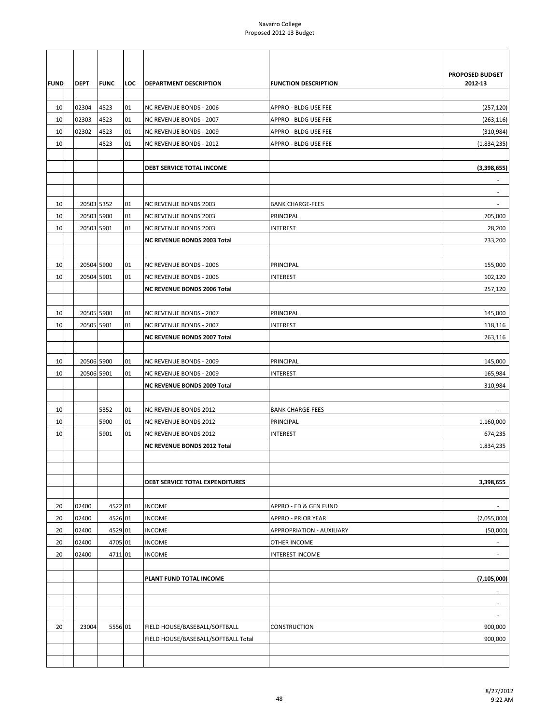| <b>FUND</b> | <b>DEPT</b> | <b>FUNC</b> | LOC | DEPARTMENT DESCRIPTION              | <b>FUNCTION DESCRIPTION</b> | PROPOSED BUDGET<br>2012-13 |
|-------------|-------------|-------------|-----|-------------------------------------|-----------------------------|----------------------------|
| 10          | 02304       | 4523        | 01  | <b>NC REVENUE BONDS - 2006</b>      | APPRO - BLDG USE FEE        | (257, 120)                 |
| 10          | 02303       | 4523        | 01  | <b>NC REVENUE BONDS - 2007</b>      | APPRO - BLDG USE FEE        | (263, 116)                 |
| 10          | 02302       | 4523        | 01  | <b>NC REVENUE BONDS - 2009</b>      | APPRO - BLDG USE FEE        | (310, 984)                 |
| 10          |             | 4523        | 01  | NC REVENUE BONDS - 2012             | APPRO - BLDG USE FEE        | (1,834,235)                |
|             |             |             |     |                                     |                             |                            |
|             |             |             |     | <b>DEBT SERVICE TOTAL INCOME</b>    |                             | (3,398,655)                |
|             |             |             |     |                                     |                             |                            |
|             |             |             |     |                                     |                             | ٠                          |
| 10          | 20503 5352  |             | 01  | <b>NC REVENUE BONDS 2003</b>        | <b>BANK CHARGE-FEES</b>     | ÷.                         |
| 10          | 20503 5900  |             | 01  | <b>NC REVENUE BONDS 2003</b>        | PRINCIPAL                   | 705,000                    |
| 10          | 20503 5901  |             | 01  | <b>NC REVENUE BONDS 2003</b>        | <b>INTEREST</b>             | 28,200                     |
|             |             |             |     | <b>NC REVENUE BONDS 2003 Total</b>  |                             | 733,200                    |
|             |             |             |     |                                     |                             |                            |
| 10          | 20504 5900  |             | 01  | <b>NC REVENUE BONDS - 2006</b>      | PRINCIPAL                   | 155,000                    |
| 10          | 20504 5901  |             | 01  | <b>NC REVENUE BONDS - 2006</b>      | INTEREST                    | 102,120                    |
|             |             |             |     | <b>NC REVENUE BONDS 2006 Total</b>  |                             | 257,120                    |
|             |             |             |     |                                     |                             |                            |
| 10          | 20505 5900  |             | 01  | NC REVENUE BONDS - 2007             | PRINCIPAL                   | 145,000                    |
| 10          | 20505 5901  |             | 01  | NC REVENUE BONDS - 2007             | <b>INTEREST</b>             | 118,116                    |
|             |             |             |     | <b>NC REVENUE BONDS 2007 Total</b>  |                             | 263,116                    |
|             |             |             |     |                                     |                             |                            |
| 10          | 20506 5900  |             | 01  | NC REVENUE BONDS - 2009             | PRINCIPAL                   | 145,000                    |
| 10          | 20506 5901  |             | 01  | <b>NC REVENUE BONDS - 2009</b>      | <b>INTEREST</b>             | 165,984                    |
|             |             |             |     | <b>NC REVENUE BONDS 2009 Total</b>  |                             | 310,984                    |
|             |             |             |     |                                     |                             |                            |
| 10          |             | 5352        | 01  | <b>NC REVENUE BONDS 2012</b>        | <b>BANK CHARGE-FEES</b>     | $\overline{\phantom{a}}$   |
| 10          |             | 5900        | 01  | NC REVENUE BONDS 2012               | PRINCIPAL                   | 1,160,000                  |
| 10          |             | 5901        | 01  | <b>NC REVENUE BONDS 2012</b>        | <b>INTEREST</b>             | 674,235                    |
|             |             |             |     | <b>NC REVENUE BONDS 2012 Total</b>  |                             | 1,834,235                  |
|             |             |             |     |                                     |                             |                            |
|             |             |             |     |                                     |                             |                            |
|             |             |             |     | DEBT SERVICE TOTAL EXPENDITURES     |                             | 3,398,655                  |
|             |             |             |     |                                     |                             |                            |
| 20          | 02400       | 4522 01     |     | <b>INCOME</b>                       | APPRO - ED & GEN FUND       | ÷.                         |
| 20          | 02400       | 4526 01     |     | <b>INCOME</b>                       | <b>APPRO - PRIOR YEAR</b>   | (7,055,000)                |
| 20          | 02400       | 4529 01     |     | <b>INCOME</b>                       | APPROPRIATION - AUXILIARY   | (50,000)                   |
| 20          | 02400       | 4705 01     |     | <b>INCOME</b>                       | OTHER INCOME                |                            |
| 20          | 02400       | 4711 01     |     | <b>INCOME</b>                       | <b>INTEREST INCOME</b>      | $\overline{\phantom{a}}$   |
|             |             |             |     |                                     |                             |                            |
|             |             |             |     | PLANT FUND TOTAL INCOME             |                             | (7, 105, 000)              |
|             |             |             |     |                                     |                             |                            |
|             |             |             |     |                                     |                             | $\overline{\phantom{a}}$   |
| 20          | 23004       | 5556 01     |     | FIELD HOUSE/BASEBALL/SOFTBALL       | CONSTRUCTION                | 900,000                    |
|             |             |             |     | FIELD HOUSE/BASEBALL/SOFTBALL Total |                             | 900,000                    |
|             |             |             |     |                                     |                             |                            |
|             |             |             |     |                                     |                             |                            |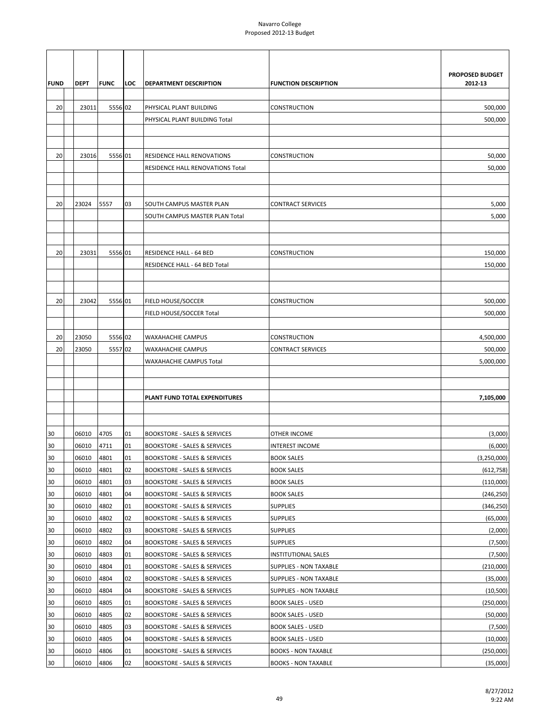|             |             |             |     |                                                       |                               | <b>PROPOSED BUDGET</b> |
|-------------|-------------|-------------|-----|-------------------------------------------------------|-------------------------------|------------------------|
| <b>FUND</b> | <b>DEPT</b> | <b>FUNC</b> | LOC | DEPARTMENT DESCRIPTION                                | <b>FUNCTION DESCRIPTION</b>   | 2012-13                |
|             |             |             |     |                                                       |                               |                        |
| 20          | 23011       | 5556 02     |     | PHYSICAL PLANT BUILDING                               | CONSTRUCTION                  | 500,000                |
|             |             |             |     | PHYSICAL PLANT BUILDING Total                         |                               | 500,000                |
|             |             |             |     |                                                       |                               |                        |
|             |             |             |     |                                                       |                               |                        |
| 20          | 23016       | 5556 01     |     | RESIDENCE HALL RENOVATIONS                            | CONSTRUCTION                  | 50,000                 |
|             |             |             |     | RESIDENCE HALL RENOVATIONS Total                      |                               | 50,000                 |
|             |             |             |     |                                                       |                               |                        |
|             |             |             |     |                                                       |                               |                        |
| 20          | 23024       | 5557        | 03  | SOUTH CAMPUS MASTER PLAN                              | <b>CONTRACT SERVICES</b>      | 5,000                  |
|             |             |             |     | SOUTH CAMPUS MASTER PLAN Total                        |                               | 5,000                  |
|             |             |             |     |                                                       |                               |                        |
|             |             |             |     |                                                       |                               |                        |
| 20          | 23031       | 5556 01     |     | <b>RESIDENCE HALL - 64 BED</b>                        | <b>CONSTRUCTION</b>           | 150,000                |
|             |             |             |     | RESIDENCE HALL - 64 BED Total                         |                               | 150,000                |
|             |             |             |     |                                                       |                               |                        |
| 20          | 23042       | 5556 01     |     |                                                       | <b>CONSTRUCTION</b>           |                        |
|             |             |             |     | <b>FIELD HOUSE/SOCCER</b><br>FIELD HOUSE/SOCCER Total |                               | 500,000<br>500,000     |
|             |             |             |     |                                                       |                               |                        |
| 20          | 23050       | 5556 02     |     | WAXAHACHIE CAMPUS                                     | CONSTRUCTION                  | 4,500,000              |
| 20          | 23050       | 5557 02     |     | WAXAHACHIE CAMPUS                                     | <b>CONTRACT SERVICES</b>      | 500,000                |
|             |             |             |     | WAXAHACHIE CAMPUS Total                               |                               | 5,000,000              |
|             |             |             |     |                                                       |                               |                        |
|             |             |             |     |                                                       |                               |                        |
|             |             |             |     | PLANT FUND TOTAL EXPENDITURES                         |                               | 7,105,000              |
|             |             |             |     |                                                       |                               |                        |
|             |             |             |     |                                                       |                               |                        |
| 30          | 06010       | 4705        | 01  | <b>BOOKSTORE - SALES &amp; SERVICES</b>               | OTHER INCOME                  | (3,000)                |
| 30          | 06010       | 4711        | 01  | <b>BOOKSTORE - SALES &amp; SERVICES</b>               | INTEREST INCOME               | (6,000)                |
| 30          | 06010       | 4801        | 01  | <b>BOOKSTORE - SALES &amp; SERVICES</b>               | <b>BOOK SALES</b>             | (3, 250, 000)          |
| 30          | 06010       | 4801        | 02  | <b>BOOKSTORE - SALES &amp; SERVICES</b>               | <b>BOOK SALES</b>             | (612, 758)             |
| 30          | 06010       | 4801        | 03  | <b>BOOKSTORE - SALES &amp; SERVICES</b>               | <b>BOOK SALES</b>             | (110,000)              |
| 30          | 06010       | 4801        | 04  | <b>BOOKSTORE - SALES &amp; SERVICES</b>               | <b>BOOK SALES</b>             | (246, 250)             |
| 30          | 06010       | 4802        | 01  | <b>BOOKSTORE - SALES &amp; SERVICES</b>               | <b>SUPPLIES</b>               | (346, 250)             |
| 30          | 06010       | 4802        | 02  | <b>BOOKSTORE - SALES &amp; SERVICES</b>               | <b>SUPPLIES</b>               | (65,000)               |
| 30          | 06010       | 4802        | 03  | <b>BOOKSTORE - SALES &amp; SERVICES</b>               | <b>SUPPLIES</b>               | (2,000)                |
| 30          | 06010       | 4802        | 04  | BOOKSTORE - SALES & SERVICES                          | <b>SUPPLIES</b>               | (7,500)                |
| 30          | 06010       | 4803        | 01  | BOOKSTORE - SALES & SERVICES                          | <b>INSTITUTIONAL SALES</b>    | (7,500)                |
| 30          | 06010       | 4804        | 01  | <b>BOOKSTORE - SALES &amp; SERVICES</b>               | <b>SUPPLIES - NON TAXABLE</b> | (210,000)              |
| 30          | 06010       | 4804        | 02  | <b>BOOKSTORE - SALES &amp; SERVICES</b>               | SUPPLIES - NON TAXABLE        | (35,000)               |
| 30          | 06010       | 4804        | 04  | <b>BOOKSTORE - SALES &amp; SERVICES</b>               | SUPPLIES - NON TAXABLE        | (10, 500)              |
| 30          | 06010       | 4805        | 01  | <b>BOOKSTORE - SALES &amp; SERVICES</b>               | <b>BOOK SALES - USED</b>      | (250,000)              |
| 30          | 06010       | 4805        | 02  | BOOKSTORE - SALES & SERVICES                          | <b>BOOK SALES - USED</b>      | (50,000)               |
| 30          | 06010       | 4805        | 03  | BOOKSTORE - SALES & SERVICES                          | <b>BOOK SALES - USED</b>      | (7,500)                |
| 30          | 06010       | 4805        | 04  | BOOKSTORE - SALES & SERVICES                          | <b>BOOK SALES - USED</b>      | (10,000)               |
| 30          | 06010       | 4806        | 01  | <b>BOOKSTORE - SALES &amp; SERVICES</b>               | <b>BOOKS - NON TAXABLE</b>    | (250,000)              |
| 30          | 06010       | 4806        | 02  | <b>BOOKSTORE - SALES &amp; SERVICES</b>               | <b>BOOKS - NON TAXABLE</b>    | (35,000)               |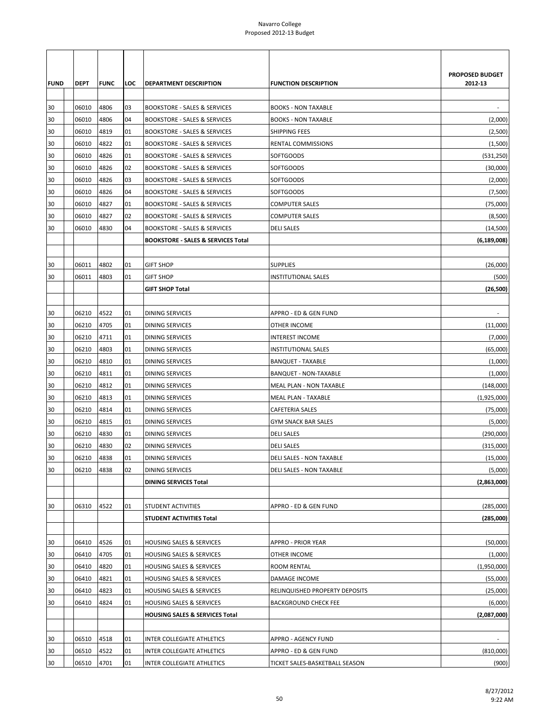|             |             |              |     |                                               |                                 | <b>PROPOSED BUDGET</b>   |
|-------------|-------------|--------------|-----|-----------------------------------------------|---------------------------------|--------------------------|
| <b>FUND</b> | <b>DEPT</b> | <b>IFUNC</b> | LOC | DEPARTMENT DESCRIPTION                        | <b>FUNCTION DESCRIPTION</b>     | 2012-13                  |
|             |             |              |     |                                               |                                 |                          |
| 30          | 06010       | 4806         | 03  | <b>BOOKSTORE - SALES &amp; SERVICES</b>       | <b>BOOKS - NON TAXABLE</b>      | $\overline{\phantom{a}}$ |
| 30          | 06010       | 4806         | 04  | <b>BOOKSTORE - SALES &amp; SERVICES</b>       | <b>BOOKS - NON TAXABLE</b>      | (2,000)                  |
| 30          | 06010       | 4819         | 01  | <b>BOOKSTORE - SALES &amp; SERVICES</b>       | <b>SHIPPING FEES</b>            | (2,500)                  |
| 30          | 06010       | 4822         | 01  | <b>BOOKSTORE - SALES &amp; SERVICES</b>       | RENTAL COMMISSIONS              | (1,500)                  |
| 30          | 06010       | 4826         | 01  | <b>BOOKSTORE - SALES &amp; SERVICES</b>       | <b>SOFTGOODS</b>                | (531, 250)               |
| 30          | 06010       | 4826         | 02  | <b>BOOKSTORE - SALES &amp; SERVICES</b>       | <b>SOFTGOODS</b>                | (30,000)                 |
| 30          | 06010       | 4826         | 03  | <b>BOOKSTORE - SALES &amp; SERVICES</b>       | <b>SOFTGOODS</b>                | (2,000)                  |
| 30          | 06010       | 4826         | 04  | <b>BOOKSTORE - SALES &amp; SERVICES</b>       | <b>SOFTGOODS</b>                | (7,500)                  |
| 30          | 06010       | 4827         | 01  | <b>BOOKSTORE - SALES &amp; SERVICES</b>       | <b>COMPUTER SALES</b>           | (75,000)                 |
| 30          | 06010       | 4827         | 02  | <b>BOOKSTORE - SALES &amp; SERVICES</b>       | <b>COMPUTER SALES</b>           | (8,500)                  |
| 30          | 06010       | 4830         | 04  | <b>BOOKSTORE - SALES &amp; SERVICES</b>       | <b>DELI SALES</b>               | (14, 500)                |
|             |             |              |     | <b>BOOKSTORE - SALES &amp; SERVICES Total</b> |                                 | (6, 189, 008)            |
| 30          | 06011       | 4802         | 01  | <b>GIFT SHOP</b>                              | <b>SUPPLIES</b>                 | (26,000)                 |
| 30          | 06011       | 4803         | 01  | <b>GIFT SHOP</b>                              | <b>INSTITUTIONAL SALES</b>      | (500)                    |
|             |             |              |     | <b>GIFT SHOP Total</b>                        |                                 | (26, 500)                |
|             |             |              |     |                                               |                                 |                          |
| 30          | 06210       | 4522         | 01  | <b>DINING SERVICES</b>                        | APPRO - ED & GEN FUND           |                          |
| 30          | 06210       | 4705         | 01  | DINING SERVICES                               | OTHER INCOME                    | (11,000)                 |
| 30          | 06210       | 4711         | 01  | <b>DINING SERVICES</b>                        | <b>INTEREST INCOME</b>          | (7,000)                  |
| 30          | 06210       | 4803         | 01  | <b>DINING SERVICES</b>                        | <b>INSTITUTIONAL SALES</b>      | (65,000)                 |
| 30          | 06210       | 4810         | 01  | <b>DINING SERVICES</b>                        | <b>BANQUET - TAXABLE</b>        | (1,000)                  |
| 30          | 06210       | 4811         | 01  | DINING SERVICES                               | BANQUET - NON-TAXABLE           | (1,000)                  |
| 30          | 06210       | 4812         | 01  | <b>DINING SERVICES</b>                        | MEAL PLAN - NON TAXABLE         | (148,000)                |
| 30          | 06210       | 4813         | 01  | <b>DINING SERVICES</b>                        | <b>MEAL PLAN - TAXABLE</b>      | (1,925,000)              |
| 30          | 06210       | 4814         | 01  | <b>DINING SERVICES</b>                        | CAFETERIA SALES                 | (75,000)                 |
| 30          | 06210       | 4815         | 01  | <b>DINING SERVICES</b>                        | <b>GYM SNACK BAR SALES</b>      | (5,000)                  |
| 30          | 06210       | 4830         | 01  | DINING SERVICES                               | <b>DELI SALES</b>               | (290,000)                |
| 30          | 06210       | 4830         | 02  | <b>DINING SERVICES</b>                        | <b>DELI SALES</b>               | (315,000)                |
| 30          | 06210       | 4838         | 01  | <b>DINING SERVICES</b>                        | <b>DELI SALES - NON TAXABLE</b> | (15,000)                 |
| 30          | 06210       | 4838         | 02  | <b>DINING SERVICES</b>                        | <b>DELI SALES - NON TAXABLE</b> | (5,000)                  |
|             |             |              |     | <b>DINING SERVICES Total</b>                  |                                 | (2,863,000)              |
|             |             |              |     |                                               |                                 |                          |
| 30          | 06310       | 4522         | 01  | STUDENT ACTIVITIES                            | APPRO - ED & GEN FUND           | (285,000)                |
|             |             |              |     | STUDENT ACTIVITIES Total                      |                                 | (285,000)                |
|             |             |              |     |                                               |                                 |                          |
| 30          | 06410       | 4526         | 01  | <b>HOUSING SALES &amp; SERVICES</b>           | <b>APPRO - PRIOR YEAR</b>       | (50,000)                 |
| 30          | 06410       | 4705         | 01  | <b>HOUSING SALES &amp; SERVICES</b>           | OTHER INCOME                    | (1,000)                  |
| 30          | 06410       | 4820         | 01  | HOUSING SALES & SERVICES                      | ROOM RENTAL                     | (1,950,000)              |
| 30          | 06410       | 4821         | 01  | HOUSING SALES & SERVICES                      | DAMAGE INCOME                   | (55,000)                 |
| 30          | 06410       | 4823         | 01  | HOUSING SALES & SERVICES                      | RELINQUISHED PROPERTY DEPOSITS  | (25,000)                 |
| 30          | 06410       | 4824         | 01  | HOUSING SALES & SERVICES                      | <b>BACKGROUND CHECK FEE</b>     | (6,000)                  |
|             |             |              |     | <b>HOUSING SALES &amp; SERVICES Total</b>     |                                 | (2,087,000)              |
|             |             |              |     |                                               |                                 |                          |
| 30          | 06510       | 4518         | 01  | INTER COLLEGIATE ATHLETICS                    | APPRO - AGENCY FUND             |                          |
| 30          | 06510       | 4522         | 01  | INTER COLLEGIATE ATHLETICS                    | APPRO - ED & GEN FUND           | (810,000)                |
| 30          | 06510       | 4701         | 01  | INTER COLLEGIATE ATHLETICS                    | TICKET SALES-BASKETBALL SEASON  | (900)                    |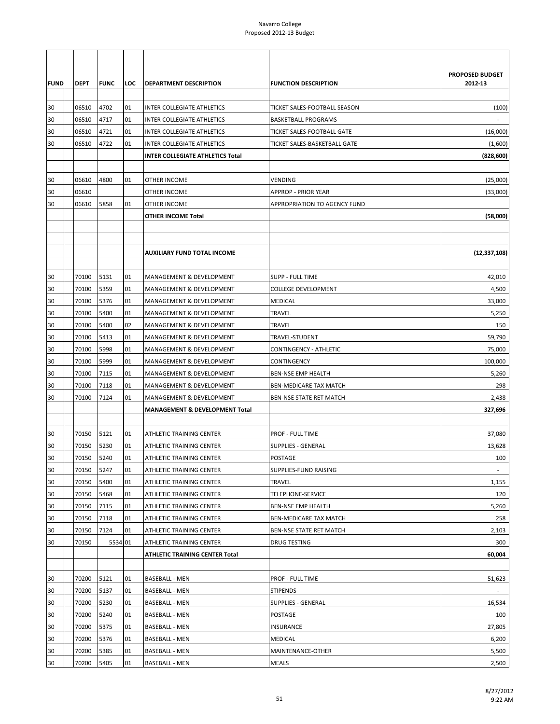|             |             |             |     |                                    |                              | <b>PROPOSED BUDGET</b>   |
|-------------|-------------|-------------|-----|------------------------------------|------------------------------|--------------------------|
| <b>FUND</b> | <b>DEPT</b> | <b>FUNC</b> | LOC | DEPARTMENT DESCRIPTION             | <b>FUNCTION DESCRIPTION</b>  | 2012-13                  |
| 30          | 06510       | 4702        | 01  | INTER COLLEGIATE ATHLETICS         | TICKET SALES-FOOTBALL SEASON | (100)                    |
| 30          | 06510       | 4717        | 01  | INTER COLLEGIATE ATHLETICS         | <b>BASKETBALL PROGRAMS</b>   |                          |
| 30          | 06510       | 4721        | 01  | INTER COLLEGIATE ATHLETICS         | TICKET SALES-FOOTBALL GATE   | (16,000)                 |
|             |             |             |     |                                    |                              |                          |
| 30          | 06510       | 4722        | 01  | <b>INTER COLLEGIATE ATHLETICS</b>  | TICKET SALES-BASKETBALL GATE | (1,600)                  |
|             |             |             |     | INTER COLLEGIATE ATHLETICS Total   |                              | (828, 600)               |
| 30          | 06610       | 4800        | 01  | <b>OTHER INCOME</b>                | <b>VENDING</b>               | (25,000)                 |
| 30          | 06610       |             |     | OTHER INCOME                       | <b>APPROP - PRIOR YEAR</b>   | (33,000)                 |
| 30          | 06610       | 5858        | 01  | OTHER INCOME                       | APPROPRIATION TO AGENCY FUND |                          |
|             |             |             |     | OTHER INCOME Total                 |                              | (58,000)                 |
|             |             |             |     |                                    |                              |                          |
|             |             |             |     |                                    |                              |                          |
|             |             |             |     | <b>AUXILIARY FUND TOTAL INCOME</b> |                              | (12, 337, 108)           |
|             |             |             |     |                                    |                              |                          |
| 30          | 70100       | 5131        | 01  | MANAGEMENT & DEVELOPMENT           | <b>SUPP - FULL TIME</b>      | 42,010                   |
| 30          | 70100       | 5359        | 01  | MANAGEMENT & DEVELOPMENT           | <b>COLLEGE DEVELOPMENT</b>   | 4,500                    |
| 30          | 70100       | 5376        | 01  | MANAGEMENT & DEVELOPMENT           | <b>MEDICAL</b>               | 33,000                   |
| 30          | 70100       | 5400        | 01  | MANAGEMENT & DEVELOPMENT           | <b>TRAVEL</b>                | 5,250                    |
| 30          | 70100       | 5400        | 02  | MANAGEMENT & DEVELOPMENT           | TRAVEL                       | 150                      |
| 30          | 70100       | 5413        | 01  | MANAGEMENT & DEVELOPMENT           | TRAVEL-STUDENT               | 59,790                   |
| 30          | 70100       | 5998        | 01  | MANAGEMENT & DEVELOPMENT           | CONTINGENCY - ATHLETIC       | 75,000                   |
| 30          | 70100       | 5999        | 01  | MANAGEMENT & DEVELOPMENT           | CONTINGENCY                  | 100,000                  |
| 30          | 70100       | 7115        | 01  | MANAGEMENT & DEVELOPMENT           | <b>BEN-NSE EMP HEALTH</b>    | 5,260                    |
| 30          | 70100       | 7118        | 01  | MANAGEMENT & DEVELOPMENT           | BEN-MEDICARE TAX MATCH       | 298                      |
| 30          | 70100       | 7124        | 01  | MANAGEMENT & DEVELOPMENT           | BEN-NSE STATE RET MATCH      | 2,438                    |
|             |             |             |     | MANAGEMENT & DEVELOPMENT Total     |                              | 327,696                  |
| 30          | 70150       | 5121        | 01  | ATHLETIC TRAINING CENTER           | PROF - FULL TIME             | 37,080                   |
| 30          | 70150       | 5230        | 01  | ATHLETIC TRAINING CENTER           | <b>SUPPLIES - GENERAL</b>    | 13,628                   |
| 30          | 70150       | 5240        | 01  | ATHLETIC TRAINING CENTER           | <b>POSTAGE</b>               | 100                      |
| 30          | 70150       | 5247        | 01  | ATHLETIC TRAINING CENTER           | SUPPLIES-FUND RAISING        | $\overline{\phantom{a}}$ |
| 30          | 70150       | 5400        | 01  | ATHLETIC TRAINING CENTER           | TRAVEL                       | 1,155                    |
| 30          | 70150       | 5468        | 01  | ATHLETIC TRAINING CENTER           | <b>TELEPHONE-SERVICE</b>     | 120                      |
| 30          | 70150       | 7115        | 01  | ATHLETIC TRAINING CENTER           | <b>BEN-NSE EMP HEALTH</b>    | 5,260                    |
| 30          | 70150       | 7118        | 01  | ATHLETIC TRAINING CENTER           | BEN-MEDICARE TAX MATCH       | 258                      |
| 30          | 70150       | 7124        | 01  | ATHLETIC TRAINING CENTER           | BEN-NSE STATE RET MATCH      | 2,103                    |
| 30          | 70150       | 5534 01     |     | ATHLETIC TRAINING CENTER           | <b>DRUG TESTING</b>          | 300                      |
|             |             |             |     | ATHLETIC TRAINING CENTER Total     |                              | 60,004                   |
|             |             |             |     |                                    |                              |                          |
| 30          | 70200       | 5121        | 01  | <b>BASEBALL - MEN</b>              | PROF - FULL TIME             | 51,623                   |
| 30          | 70200       | 5137        | 01  | <b>BASEBALL - MEN</b>              | <b>STIPENDS</b>              |                          |
| 30          | 70200       | 5230        | 01  | <b>BASEBALL - MEN</b>              | <b>SUPPLIES - GENERAL</b>    | 16,534                   |
| 30          | 70200       | 5240        | 01  | BASEBALL - MEN                     | POSTAGE                      | 100                      |
| 30          | 70200       | 5375        | 01  | BASEBALL - MEN                     | INSURANCE                    | 27,805                   |
| 30          | 70200       | 5376        | 01  | BASEBALL - MEN                     | <b>MEDICAL</b>               | 6,200                    |
| 30          | 70200       | 5385        | 01  | <b>BASEBALL - MEN</b>              | MAINTENANCE-OTHER            | 5,500                    |
| 30          | 70200       | 5405        | 01  | <b>BASEBALL - MEN</b>              | <b>MEALS</b>                 | 2,500                    |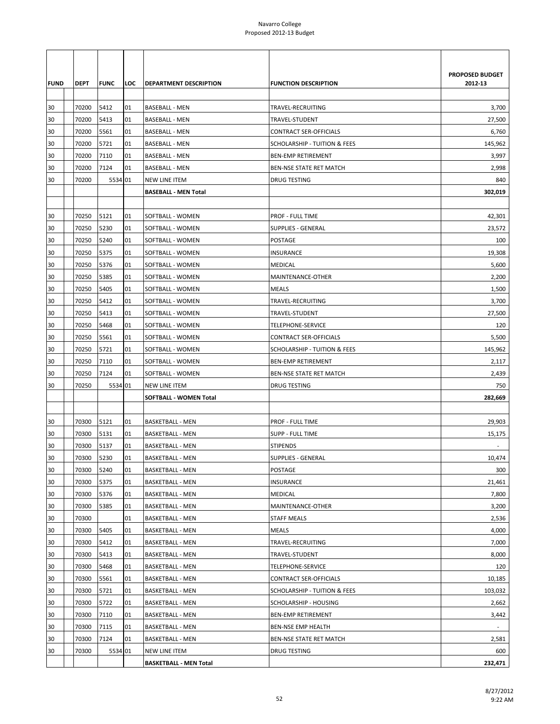| <b>FUND</b> | <b>DEPT</b> | <b>FUNC</b> | LOC | <b>DEPARTMENT DESCRIPTION</b> | <b>FUNCTION DESCRIPTION</b>             | PROPOSED BUDGET<br>2012-13 |
|-------------|-------------|-------------|-----|-------------------------------|-----------------------------------------|----------------------------|
| 30          | 70200       | 5412        | 01  | <b>BASEBALL - MEN</b>         | TRAVEL-RECRUITING                       | 3,700                      |
| 30          | 70200       | 5413        | 01  | <b>BASEBALL - MEN</b>         | TRAVEL-STUDENT                          | 27,500                     |
| 30          | 70200       | 5561        | 01  | <b>BASEBALL - MEN</b>         | <b>CONTRACT SER-OFFICIALS</b>           | 6,760                      |
| 30          | 70200       | 5721        | 01  | <b>BASEBALL - MEN</b>         | <b>SCHOLARSHIP - TUITION &amp; FEES</b> | 145,962                    |
| 30          | 70200       | 7110        | 01  | <b>BASEBALL - MEN</b>         | <b>BEN-EMP RETIREMENT</b>               | 3,997                      |
| 30          | 70200       | 7124        | 01  | <b>BASEBALL - MEN</b>         | BEN-NSE STATE RET MATCH                 | 2,998                      |
| 30          | 70200       | 5534 01     |     | <b>NEW LINE ITEM</b>          | <b>DRUG TESTING</b>                     | 840                        |
|             |             |             |     | <b>BASEBALL - MEN Total</b>   |                                         | 302,019                    |
|             |             |             |     |                               |                                         |                            |
| 30          | 70250       | 5121        | 01  | SOFTBALL - WOMEN              | PROF - FULL TIME                        | 42,301                     |
| 30          | 70250       | 5230        | 01  | SOFTBALL - WOMEN              | <b>SUPPLIES - GENERAL</b>               | 23,572                     |
| 30          | 70250       | 5240        | 01  | SOFTBALL - WOMEN              | POSTAGE                                 | 100                        |
| 30          | 70250       | 5375        | 01  | SOFTBALL - WOMEN              | INSURANCE                               | 19,308                     |
| 30          | 70250       | 5376        | 01  | SOFTBALL - WOMEN              | MEDICAL                                 | 5,600                      |
| 30          | 70250       | 5385        | 01  | SOFTBALL - WOMEN              | MAINTENANCE-OTHER                       | 2,200                      |
| 30          | 70250       | 5405        | 01  | SOFTBALL - WOMEN              | <b>MEALS</b>                            | 1,500                      |
| 30          | 70250       | 5412        | 01  | SOFTBALL - WOMEN              | TRAVEL-RECRUITING                       | 3,700                      |
| 30          | 70250       | 5413        | 01  | SOFTBALL - WOMEN              | TRAVEL-STUDENT                          | 27,500                     |
| 30          | 70250       | 5468        | 01  | SOFTBALL - WOMEN              | <b>TELEPHONE-SERVICE</b>                | 120                        |
| 30          | 70250       | 5561        | 01  | SOFTBALL - WOMEN              | <b>CONTRACT SER-OFFICIALS</b>           | 5,500                      |
| 30          | 70250       | 5721        | 01  | SOFTBALL - WOMEN              | <b>SCHOLARSHIP - TUITION &amp; FEES</b> | 145,962                    |
| 30          | 70250       | 7110        | 01  | SOFTBALL - WOMEN              | <b>BEN-EMP RETIREMENT</b>               | 2,117                      |
| 30          | 70250       | 7124        | 01  | SOFTBALL - WOMEN              | BEN-NSE STATE RET MATCH                 | 2,439                      |
| 30          | 70250       | 5534 01     |     | <b>NEW LINE ITEM</b>          | DRUG TESTING                            | 750                        |
|             |             |             |     | SOFTBALL - WOMEN Total        |                                         | 282,669                    |
|             |             |             |     |                               |                                         |                            |
| 30          | 70300       | 5121        | 01  | <b>BASKETBALL - MEN</b>       | PROF - FULL TIME                        | 29,903                     |
| 30          | 70300       | 5131        | 01  | <b>BASKETBALL - MEN</b>       | SUPP - FULL TIME                        | 15,175                     |
| 30          | 70300       | 5137        | 01  | <b>BASKETBALL - MEN</b>       | <b>STIPENDS</b>                         |                            |
| 30          | 70300       | 5230        | 01  | <b>BASKETBALL - MEN</b>       | <b>SUPPLIES - GENERAL</b>               | 10,474                     |
| 30          | 70300       | 5240        | 01  | <b>BASKETBALL - MEN</b>       | POSTAGE                                 | 300                        |
| 30          | 70300       | 5375        | 01  | <b>BASKETBALL - MEN</b>       | <b>INSURANCE</b>                        | 21,461                     |
| 30          | 70300       | 5376        | 01  | <b>BASKETBALL - MEN</b>       | MEDICAL                                 | 7,800                      |
| 30          | 70300       | 5385        | 01  | <b>BASKETBALL - MEN</b>       | MAINTENANCE-OTHER                       | 3,200                      |
| 30          | 70300       |             | 01  | <b>BASKETBALL - MEN</b>       | <b>STAFF MEALS</b>                      | 2,536                      |
| 30          | 70300       | 5405        | 01  | <b>BASKETBALL - MEN</b>       | <b>MEALS</b>                            | 4,000                      |
| 30          | 70300       | 5412        | 01  | <b>BASKETBALL - MEN</b>       | TRAVEL-RECRUITING                       | 7,000                      |
| 30          | 70300       | 5413        | 01  | <b>BASKETBALL - MEN</b>       | TRAVEL-STUDENT                          | 8,000                      |
| 30          | 70300       | 5468        | 01  | <b>BASKETBALL - MEN</b>       | TELEPHONE-SERVICE                       | 120                        |
| 30          | 70300       | 5561        | 01  | <b>BASKETBALL - MEN</b>       | <b>CONTRACT SER-OFFICIALS</b>           | 10,185                     |
| 30          | 70300       | 5721        | 01  | <b>BASKETBALL - MEN</b>       | <b>SCHOLARSHIP - TUITION &amp; FEES</b> | 103,032                    |
| 30          | 70300       | 5722        | 01  | <b>BASKETBALL - MEN</b>       | SCHOLARSHIP - HOUSING                   | 2,662                      |
| 30          | 70300       | 7110        | 01  | <b>BASKETBALL - MEN</b>       | BEN-EMP RETIREMENT                      | 3,442                      |
| 30          | 70300       | 7115        | 01  | <b>BASKETBALL - MEN</b>       | BEN-NSE EMP HEALTH                      |                            |
| 30          | 70300       | 7124        | 01  | <b>BASKETBALL - MEN</b>       | BEN-NSE STATE RET MATCH                 | 2,581                      |
| 30          | 70300       | 5534 01     |     | <b>NEW LINE ITEM</b>          | <b>DRUG TESTING</b>                     | 600                        |
|             |             |             |     | <b>BASKETBALL - MEN Total</b> |                                         | 232,471                    |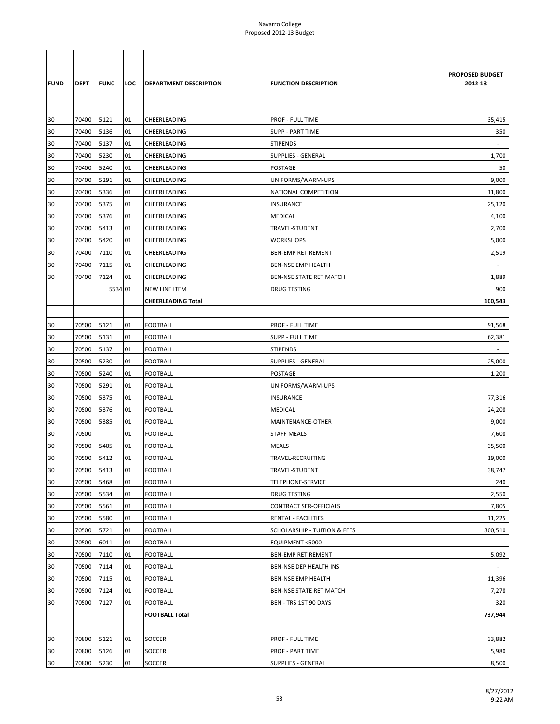|             |       |             |     |                               |                                         | <b>PROPOSED BUDGET</b>   |
|-------------|-------|-------------|-----|-------------------------------|-----------------------------------------|--------------------------|
| <b>FUND</b> | DEPT  | <b>FUNC</b> | LOC | <b>DEPARTMENT DESCRIPTION</b> | <b>FUNCTION DESCRIPTION</b>             | 2012-13                  |
|             |       |             |     |                               |                                         |                          |
|             |       |             |     |                               |                                         |                          |
| 30          | 70400 | 5121        | 01  | CHEERLEADING                  | <b>PROF - FULL TIME</b>                 | 35,415                   |
| 30          | 70400 | 5136        | 01  | CHEERLEADING                  | <b>SUPP - PART TIME</b>                 | 350                      |
| 30          | 70400 | 5137        | 01  | CHEERLEADING                  | <b>STIPENDS</b>                         |                          |
| 30          | 70400 | 5230        | 01  | CHEERLEADING                  | <b>SUPPLIES - GENERAL</b>               | 1,700                    |
| 30          | 70400 | 5240        | 01  | CHEERLEADING                  | POSTAGE                                 | 50                       |
| 30          | 70400 | 5291        | 01  | CHEERLEADING                  | UNIFORMS/WARM-UPS                       | 9,000                    |
| 30          | 70400 | 5336        | 01  | CHEERLEADING                  | NATIONAL COMPETITION                    | 11,800                   |
| 30          | 70400 | 5375        | 01  | CHEERLEADING                  | <b>INSURANCE</b>                        | 25,120                   |
| 30          | 70400 | 5376        | 01  | CHEERLEADING                  | <b>MEDICAL</b>                          | 4,100                    |
| 30          | 70400 | 5413        | 01  | CHEERLEADING                  | TRAVEL-STUDENT                          | 2,700                    |
| 30          | 70400 | 5420        | 01  | CHEERLEADING                  | <b>WORKSHOPS</b>                        | 5,000                    |
| 30          | 70400 | 7110        | 01  | CHEERLEADING                  | <b>BEN-EMP RETIREMENT</b>               | 2,519                    |
| 30          | 70400 | 7115        | 01  | CHEERLEADING                  | <b>BEN-NSE EMP HEALTH</b>               |                          |
| 30          | 70400 | 7124        | 01  | CHEERLEADING                  | BEN-NSE STATE RET MATCH                 | 1,889                    |
|             |       | 5534 01     |     | <b>NEW LINE ITEM</b>          | DRUG TESTING                            | 900                      |
|             |       |             |     | <b>CHEERLEADING Total</b>     |                                         | 100,543                  |
|             |       |             |     |                               |                                         |                          |
| 30          | 70500 | 5121        | 01  | <b>FOOTBALL</b>               | PROF - FULL TIME                        | 91,568                   |
| 30          | 70500 | 5131        | 01  | <b>FOOTBALL</b>               | <b>SUPP - FULL TIME</b>                 | 62,381                   |
| 30          | 70500 | 5137        | 01  | <b>FOOTBALL</b>               | <b>STIPENDS</b>                         | $\overline{\phantom{a}}$ |
| 30          | 70500 | 5230        | 01  | <b>FOOTBALL</b>               | <b>SUPPLIES - GENERAL</b>               | 25,000                   |
| 30          | 70500 | 5240        | 01  | <b>FOOTBALL</b>               | POSTAGE                                 | 1,200                    |
| 30          | 70500 | 5291        | 01  | <b>FOOTBALL</b>               | UNIFORMS/WARM-UPS                       |                          |
| 30          | 70500 | 5375        | 01  | <b>FOOTBALL</b>               | <b>INSURANCE</b>                        | 77,316                   |
| 30          | 70500 | 5376        | 01  | <b>FOOTBALL</b>               | <b>MEDICAL</b>                          | 24,208                   |
| 30          | 70500 | 5385        | 01  | <b>FOOTBALL</b>               | MAINTENANCE-OTHER                       | 9,000                    |
| 30          | 70500 |             | 01  | <b>FOOTBALL</b>               | <b>STAFF MEALS</b>                      | 7,608                    |
| 30          | 70500 | 5405        | 01  | <b>FOOTBALL</b>               | <b>MEALS</b>                            | 35,500                   |
| 30          | 70500 | 5412        | 01  | <b>FOOTBALL</b>               | TRAVEL-RECRUITING                       | 19,000                   |
| 30          | 70500 | 5413        | 01  | <b>FOOTBALL</b>               | TRAVEL-STUDENT                          | 38,747                   |
| 30          | 70500 | 5468        | 01  | <b>FOOTBALL</b>               | <b>TELEPHONE-SERVICE</b>                | 240                      |
| 30          | 70500 | 5534        | 01  | <b>FOOTBALL</b>               | DRUG TESTING                            | 2,550                    |
| 30          | 70500 | 5561        | 01  | <b>FOOTBALL</b>               | CONTRACT SER-OFFICIALS                  | 7,805                    |
| 30          | 70500 | 5580        | 01  | <b>FOOTBALL</b>               | RENTAL - FACILITIES                     | 11,225                   |
| 30          | 70500 | 5721        | 01  | <b>FOOTBALL</b>               | <b>SCHOLARSHIP - TUITION &amp; FEES</b> | 300,510                  |
| 30          | 70500 | 6011        | 01  | <b>FOOTBALL</b>               | EQUIPMENT <5000                         |                          |
| 30          | 70500 | 7110        | 01  | <b>FOOTBALL</b>               | <b>BEN-EMP RETIREMENT</b>               | 5,092                    |
| 30          | 70500 | 7114        | 01  | <b>FOOTBALL</b>               | BEN-NSE DEP HEALTH INS                  |                          |
| 30          | 70500 | 7115        | 01  | <b>FOOTBALL</b>               | BEN-NSE EMP HEALTH                      | 11,396                   |
| 30          | 70500 | 7124        | 01  | <b>FOOTBALL</b>               | BEN-NSE STATE RET MATCH                 | 7,278                    |
| 30          | 70500 | 7127        | 01  | <b>FOOTBALL</b>               | BEN - TRS 1ST 90 DAYS                   | 320                      |
|             |       |             |     | <b>FOOTBALL Total</b>         |                                         | 737,944                  |
|             |       |             |     |                               |                                         |                          |
| 30          | 70800 | 5121        | 01  | SOCCER                        | <b>PROF - FULL TIME</b>                 | 33,882                   |
| 30          | 70800 | 5126        | 01  | SOCCER                        | <b>PROF - PART TIME</b>                 | 5,980                    |
| 30          | 70800 | 5230        | 01  | SOCCER                        | <b>SUPPLIES - GENERAL</b>               | 8,500                    |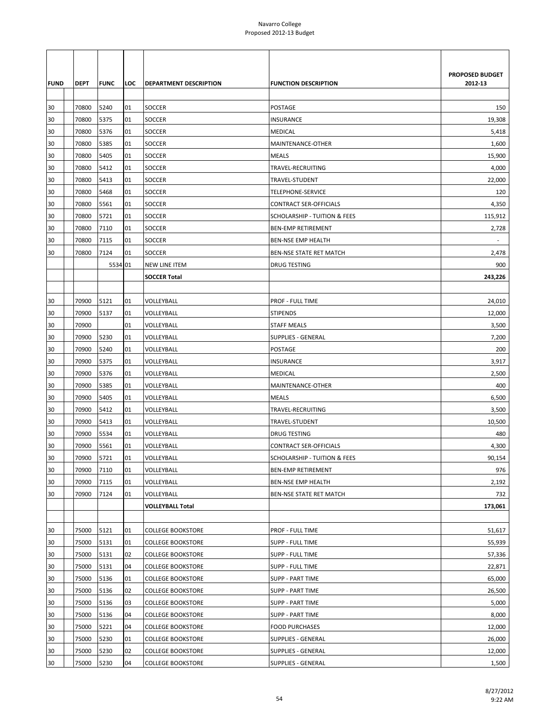|             |             |             |     |                               |                                         | PROPOSED BUDGET |
|-------------|-------------|-------------|-----|-------------------------------|-----------------------------------------|-----------------|
| <b>FUND</b> | <b>DEPT</b> | <b>FUNC</b> | LOC | <b>DEPARTMENT DESCRIPTION</b> | <b>FUNCTION DESCRIPTION</b>             | 2012-13         |
| 30          | 70800       | 5240        | 01  | <b>SOCCER</b>                 | <b>POSTAGE</b>                          | 150             |
| 30          | 70800       | 5375        | 01  | SOCCER                        | <b>INSURANCE</b>                        | 19,308          |
| 30          | 70800       | 5376        | 01  | SOCCER                        | MEDICAL                                 | 5,418           |
| 30          | 70800       | 5385        | 01  | SOCCER                        | MAINTENANCE-OTHER                       | 1,600           |
| 30          | 70800       | 5405        | 01  | SOCCER                        | <b>MEALS</b>                            | 15,900          |
| 30          | 70800       | 5412        | 01  | <b>SOCCER</b>                 | TRAVEL-RECRUITING                       | 4,000           |
| 30          | 70800       | 5413        | 01  | SOCCER                        | TRAVEL-STUDENT                          | 22,000          |
| 30          | 70800       | 5468        | 01  | SOCCER                        | TELEPHONE-SERVICE                       | 120             |
| 30          | 70800       | 5561        | 01  | SOCCER                        | <b>CONTRACT SER-OFFICIALS</b>           | 4,350           |
| 30          | 70800       | 5721        | 01  | SOCCER                        | <b>SCHOLARSHIP - TUITION &amp; FEES</b> | 115,912         |
| 30          | 70800       | 7110        | 01  | <b>SOCCER</b>                 | <b>BEN-EMP RETIREMENT</b>               | 2,728           |
| 30          | 70800       | 7115        | 01  | SOCCER                        | BEN-NSE EMP HEALTH                      |                 |
| 30          | 70800       | 7124        | 01  | SOCCER                        | BEN-NSE STATE RET MATCH                 | 2,478           |
|             |             | 5534 01     |     | NEW LINE ITEM                 | <b>DRUG TESTING</b>                     | 900             |
|             |             |             |     | <b>SOCCER Total</b>           |                                         | 243,226         |
|             |             |             |     |                               |                                         |                 |
| 30          | 70900       | 5121        | 01  | VOLLEYBALL                    | PROF - FULL TIME                        | 24,010          |
| 30          | 70900       | 5137        | 01  | VOLLEYBALL                    | <b>STIPENDS</b>                         | 12,000          |
| 30          | 70900       |             | 01  | VOLLEYBALL                    | <b>STAFF MEALS</b>                      | 3,500           |
| 30          | 70900       | 5230        | 01  | VOLLEYBALL                    | SUPPLIES - GENERAL                      | 7,200           |
| 30          | 70900       | 5240        | 01  | VOLLEYBALL                    | POSTAGE                                 | 200             |
| 30          | 70900       | 5375        | 01  | VOLLEYBALL                    | INSURANCE                               | 3,917           |
| 30          | 70900       | 5376        | 01  | VOLLEYBALL                    | <b>MEDICAL</b>                          | 2,500           |
| 30          | 70900       | 5385        | 01  | VOLLEYBALL                    | MAINTENANCE-OTHER                       | 400             |
| 30          | 70900       | 5405        | 01  | VOLLEYBALL                    | <b>MEALS</b>                            | 6,500           |
| 30          | 70900       | 5412        | 01  | VOLLEYBALL                    | TRAVEL-RECRUITING                       | 3,500           |
| 30          | 70900       | 5413        | 01  | VOLLEYBALL                    | TRAVEL-STUDENT                          | 10,500          |
| 30          | 70900       | 5534        | 01  | VOLLEYBALL                    | DRUG TESTING                            | 480             |
| 30          | 70900       | 5561        | 01  | VOLLEYBALL                    | <b>CONTRACT SER-OFFICIALS</b>           | 4,300           |
| 30          | 70900       | 5721        | 01  | VOLLEYBALL                    | <b>SCHOLARSHIP - TUITION &amp; FEES</b> | 90,154          |
| 30          | 70900       | 7110        | 01  | VOLLEYBALL                    | <b>BEN-EMP RETIREMENT</b>               | 976             |
| 30          | 70900       | 7115        | 01  | VOLLEYBALL                    | BEN-NSE EMP HEALTH                      | 2,192           |
| 30          | 70900       | 7124        | 01  | VOLLEYBALL                    | BEN-NSE STATE RET MATCH                 | 732             |
|             |             |             |     | <b>VOLLEYBALL Total</b>       |                                         | 173,061         |
|             |             |             |     |                               |                                         |                 |
| 30          | 75000       | 5121        | 01  | <b>COLLEGE BOOKSTORE</b>      | PROF - FULL TIME                        | 51,617          |
| 30          | 75000       | 5131        | 01  | <b>COLLEGE BOOKSTORE</b>      | <b>SUPP - FULL TIME</b>                 | 55,939          |
| 30          | 75000       | 5131        | 02  | <b>COLLEGE BOOKSTORE</b>      | <b>SUPP - FULL TIME</b>                 | 57,336          |
| 30          | 75000       | 5131        | 04  | <b>COLLEGE BOOKSTORE</b>      | <b>SUPP - FULL TIME</b>                 | 22,871          |
| 30          | 75000       | 5136        | 01  | <b>COLLEGE BOOKSTORE</b>      | <b>SUPP - PART TIME</b>                 | 65,000          |
| 30          | 75000       | 5136        | 02  | <b>COLLEGE BOOKSTORE</b>      | <b>SUPP - PART TIME</b>                 | 26,500          |
| 30          | 75000       | 5136        | 03  | <b>COLLEGE BOOKSTORE</b>      | <b>SUPP - PART TIME</b>                 | 5,000           |
| 30          | 75000       | 5136        | 04  | <b>COLLEGE BOOKSTORE</b>      | SUPP - PART TIME                        | 8,000           |
| 30          | 75000       | 5221        | 04  | <b>COLLEGE BOOKSTORE</b>      | <b>FOOD PURCHASES</b>                   | 12,000          |
| 30          | 75000       | 5230        | 01  | <b>COLLEGE BOOKSTORE</b>      | <b>SUPPLIES - GENERAL</b>               | 26,000          |
| 30          | 75000       | 5230        | 02  | <b>COLLEGE BOOKSTORE</b>      | <b>SUPPLIES - GENERAL</b>               | 12,000          |
| 30          | 75000       | 5230        | 04  | <b>COLLEGE BOOKSTORE</b>      | <b>SUPPLIES - GENERAL</b>               | 1,500           |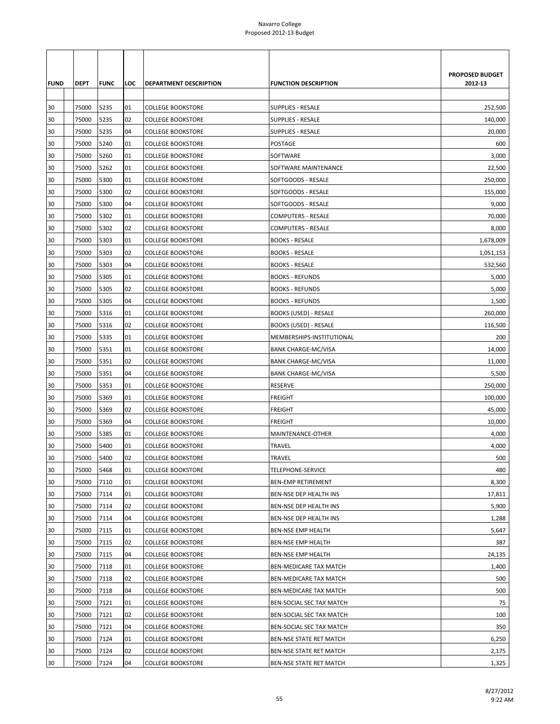| <b>FUND</b> | <b>DEPT</b> | <b>FUNC</b> | LOC | <b>DEPARTMENT DESCRIPTION</b> | <b>FUNCTION DESCRIPTION</b>  | <b>PROPOSED BUDGET</b><br>2012-13 |
|-------------|-------------|-------------|-----|-------------------------------|------------------------------|-----------------------------------|
|             |             |             |     |                               |                              |                                   |
| 30          | 75000       | 5235        | 01  | <b>COLLEGE BOOKSTORE</b>      | <b>SUPPLIES - RESALE</b>     | 252,500                           |
| 30          | 75000       | 5235        | 02  | <b>COLLEGE BOOKSTORE</b>      | SUPPLIES - RESALE            | 140,000                           |
| 30          | 75000       | 5235        | 04  | <b>COLLEGE BOOKSTORE</b>      | SUPPLIES - RESALE            | 20,000                            |
| 30          | 75000       | 5240        | 01  | <b>COLLEGE BOOKSTORE</b>      | POSTAGE                      | 600                               |
| 30          | 75000       | 5260        | 01  | <b>COLLEGE BOOKSTORE</b>      | SOFTWARE                     | 3,000                             |
| 30          | 75000       | 5262        | 01  | <b>COLLEGE BOOKSTORE</b>      | SOFTWARE MAINTENANCE         | 22,500                            |
| 30          | 75000       | 5300        | 01  | <b>COLLEGE BOOKSTORE</b>      | SOFTGOODS - RESALE           | 250,000                           |
| 30          | 75000       | 5300        | 02  | <b>COLLEGE BOOKSTORE</b>      | SOFTGOODS - RESALE           | 155,000                           |
| 30          | 75000       | 5300        | 04  | <b>COLLEGE BOOKSTORE</b>      | SOFTGOODS - RESALE           | 9,000                             |
| 30          | 75000       | 5302        | 01  | <b>COLLEGE BOOKSTORE</b>      | <b>COMPUTERS - RESALE</b>    | 70,000                            |
| 30          | 75000       | 5302        | 02  | <b>COLLEGE BOOKSTORE</b>      | <b>COMPUTERS - RESALE</b>    | 8,000                             |
| 30          | 75000       | 5303        | 01  | <b>COLLEGE BOOKSTORE</b>      | <b>BOOKS - RESALE</b>        | 1,678,009                         |
| 30          | 75000       | 5303        | 02  | <b>COLLEGE BOOKSTORE</b>      | <b>BOOKS - RESALE</b>        | 1,051,153                         |
| 30          | 75000       | 5303        | 04  | <b>COLLEGE BOOKSTORE</b>      | <b>BOOKS - RESALE</b>        | 532,560                           |
| 30          | 75000       | 5305        | 01  | <b>COLLEGE BOOKSTORE</b>      | <b>BOOKS - REFUNDS</b>       | 5,000                             |
| 30          | 75000       | 5305        | 02  | <b>COLLEGE BOOKSTORE</b>      | <b>BOOKS - REFUNDS</b>       | 5,000                             |
| 30          | 75000       | 5305        | 04  | <b>COLLEGE BOOKSTORE</b>      | <b>BOOKS - REFUNDS</b>       | 1,500                             |
| 30          | 75000       | 5316        | 01  | <b>COLLEGE BOOKSTORE</b>      | BOOKS (USED) - RESALE        | 260,000                           |
| 30          | 75000       | 5316        | 02  | <b>COLLEGE BOOKSTORE</b>      | <b>BOOKS (USED) - RESALE</b> | 116,500                           |
| 30          | 75000       | 5335        | 01  | <b>COLLEGE BOOKSTORE</b>      | MEMBERSHIPS-INSTITUTIONAL    | 200                               |
| 30          | 75000       | 5351        | 01  | <b>COLLEGE BOOKSTORE</b>      | <b>BANK CHARGE-MC/VISA</b>   | 14,000                            |
| 30          | 75000       | 5351        | 02  | <b>COLLEGE BOOKSTORE</b>      | <b>BANK CHARGE-MC/VISA</b>   | 11,000                            |
| 30          | 75000       | 5351        | 04  | <b>COLLEGE BOOKSTORE</b>      | <b>BANK CHARGE-MC/VISA</b>   | 5,500                             |
| 30          | 75000       | 5353        | 01  | <b>COLLEGE BOOKSTORE</b>      | <b>RESERVE</b>               | 250,000                           |
| 30          | 75000       | 5369        | 01  | <b>COLLEGE BOOKSTORE</b>      | <b>FREIGHT</b>               | 100,000                           |
| 30          | 75000       | 5369        | 02  | <b>COLLEGE BOOKSTORE</b>      | <b>FREIGHT</b>               | 45,000                            |
| 30          | 75000       | 5369        | 04  | <b>COLLEGE BOOKSTORE</b>      | <b>FREIGHT</b>               | 10,000                            |
| 30          | 75000       | 5385        | 01  | <b>COLLEGE BOOKSTORE</b>      | MAINTENANCE-OTHER            | 4,000                             |
| 30          | 75000       | 5400        | 01  | <b>COLLEGE BOOKSTORE</b>      | <b>TRAVEL</b>                | 4,000                             |
| 30          | 75000       | 5400        | 02  | <b>COLLEGE BOOKSTORE</b>      | <b>TRAVEL</b>                | 500                               |
| 30          | 75000       | 5468        | 01  | <b>COLLEGE BOOKSTORE</b>      | TELEPHONE-SERVICE            | 480                               |
| 30          | 75000       | 7110        | 01  | <b>COLLEGE BOOKSTORE</b>      | <b>BEN-EMP RETIREMENT</b>    | 8,300                             |
| 30          | 75000       | 7114        | 01  | <b>COLLEGE BOOKSTORE</b>      | BEN-NSE DEP HEALTH INS       | 17,811                            |
| 30          | 75000       | 7114        | 02  | <b>COLLEGE BOOKSTORE</b>      | BEN-NSE DEP HEALTH INS       | 5,900                             |
| 30          | 75000       | 7114        | 04  | <b>COLLEGE BOOKSTORE</b>      | BEN-NSE DEP HEALTH INS       | 1,288                             |
| 30          | 75000       | 7115        | 01  | <b>COLLEGE BOOKSTORE</b>      | <b>BEN-NSE EMP HEALTH</b>    | 5,647                             |
| 30          | 75000       | 7115        | 02  | <b>COLLEGE BOOKSTORE</b>      | BEN-NSE EMP HEALTH           | 387                               |
| 30          | 75000       | 7115        | 04  | <b>COLLEGE BOOKSTORE</b>      | BEN-NSE EMP HEALTH           | 24,135                            |
| 30          | 75000       | 7118        | 01  | <b>COLLEGE BOOKSTORE</b>      | BEN-MEDICARE TAX MATCH       | 1,400                             |
| 30          | 75000       | 7118        | 02  | <b>COLLEGE BOOKSTORE</b>      | BEN-MEDICARE TAX MATCH       | 500                               |
| 30          | 75000       | 7118        | 04  | <b>COLLEGE BOOKSTORE</b>      | BEN-MEDICARE TAX MATCH       | 500                               |
| 30          | 75000       | 7121        | 01  | <b>COLLEGE BOOKSTORE</b>      | BEN-SOCIAL SEC TAX MATCH     | 75                                |
| 30          | 75000       | 7121        | 02  | <b>COLLEGE BOOKSTORE</b>      | BEN-SOCIAL SEC TAX MATCH     | 100                               |
| 30          | 75000       | 7121        | 04  | <b>COLLEGE BOOKSTORE</b>      | BEN-SOCIAL SEC TAX MATCH     | 350                               |
| 30          | 75000       | 7124        | 01  | <b>COLLEGE BOOKSTORE</b>      | BEN-NSE STATE RET MATCH      | 6,250                             |
| 30          | 75000       | 7124        | 02  | <b>COLLEGE BOOKSTORE</b>      | BEN-NSE STATE RET MATCH      | 2,175                             |
| 30          | 75000       | 7124        | 04  | <b>COLLEGE BOOKSTORE</b>      | BEN-NSE STATE RET MATCH      | 1,325                             |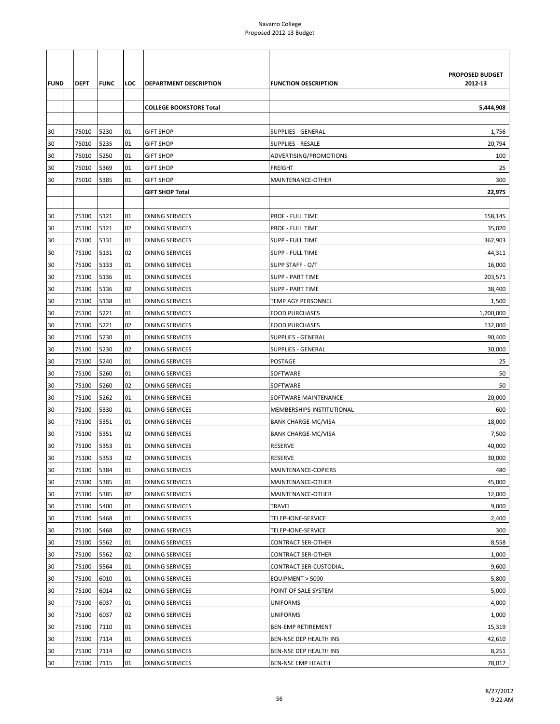|             |             |             |     |                                |                             | PROPOSED BUDGET |
|-------------|-------------|-------------|-----|--------------------------------|-----------------------------|-----------------|
| <b>FUND</b> | <b>DEPT</b> | <b>FUNC</b> | LOC | <b>DEPARTMENT DESCRIPTION</b>  | <b>FUNCTION DESCRIPTION</b> | 2012-13         |
|             |             |             |     | <b>COLLEGE BOOKSTORE Total</b> |                             | 5,444,908       |
|             |             |             |     |                                |                             |                 |
| 30          | 75010       | 5230        | 01  | <b>GIFT SHOP</b>               | <b>SUPPLIES - GENERAL</b>   | 1,756           |
| 30          | 75010       | 5235        | 01  | <b>GIFT SHOP</b>               | SUPPLIES - RESALE           | 20,794          |
| 30          | 75010       | 5250        | 01  | <b>GIFT SHOP</b>               | ADVERTISING/PROMOTIONS      | 100             |
| 30          | 75010       | 5369        | 01  | <b>GIFT SHOP</b>               | <b>FREIGHT</b>              | 25              |
| 30          | 75010       | 5385        | 01  | <b>GIFT SHOP</b>               | MAINTENANCE-OTHER           | 300             |
|             |             |             |     | <b>GIFT SHOP Total</b>         |                             | 22,975          |
|             |             |             |     |                                |                             |                 |
| 30          | 75100       | 5121        | 01  | <b>DINING SERVICES</b>         | <b>PROF - FULL TIME</b>     | 158,145         |
| 30          | 75100       | 5121        | 02  | <b>DINING SERVICES</b>         | PROF - FULL TIME            | 35,020          |
| 30          | 75100       | 5131        | 01  | <b>DINING SERVICES</b>         | <b>SUPP - FULL TIME</b>     | 362,903         |
| 30          | 75100       | 5131        | 02  | <b>DINING SERVICES</b>         | <b>SUPP - FULL TIME</b>     | 44,311          |
| 30          | 75100       | 5133        | 01  | DINING SERVICES                | SUPP STAFF - O/T            | 16,000          |
| 30          | 75100       | 5136        | 01  | <b>DINING SERVICES</b>         | <b>SUPP - PART TIME</b>     | 203,571         |
| 30          | 75100       | 5136        | 02  | <b>DINING SERVICES</b>         | <b>SUPP - PART TIME</b>     | 38,400          |
| 30          | 75100       | 5138        | 01  | <b>DINING SERVICES</b>         | <b>TEMP AGY PERSONNEL</b>   | 1,500           |
| 30          | 75100       | 5221        | 01  | <b>DINING SERVICES</b>         | <b>FOOD PURCHASES</b>       | 1,200,000       |
| 30          | 75100       | 5221        | 02  | <b>DINING SERVICES</b>         | <b>FOOD PURCHASES</b>       | 132,000         |
| 30          | 75100       | 5230        | 01  | <b>DINING SERVICES</b>         | <b>SUPPLIES - GENERAL</b>   | 90,400          |
| 30          | 75100       | 5230        | 02  | <b>DINING SERVICES</b>         | <b>SUPPLIES - GENERAL</b>   | 30,000          |
| 30          | 75100       | 5240        | 01  | <b>DINING SERVICES</b>         | POSTAGE                     | 25              |
| 30          | 75100       | 5260        | 01  | <b>DINING SERVICES</b>         | SOFTWARE                    | 50              |
| 30          | 75100       | 5260        | 02  | DINING SERVICES                | SOFTWARE                    | 50              |
| 30          | 75100       | 5262        | 01  | <b>DINING SERVICES</b>         | SOFTWARE MAINTENANCE        | 20,000          |
| 30          | 75100       | 5330        | 01  | DINING SERVICES                | MEMBERSHIPS-INSTITUTIONAL   | 600             |
| 30          | 75100       | 5351        | 01  | <b>DINING SERVICES</b>         | <b>BANK CHARGE-MC/VISA</b>  | 18,000          |
| 30          | 75100       | 5351        | 02  | DINING SERVICES                | <b>BANK CHARGE-MC/VISA</b>  | 7,500           |
| 30          | 75100       | 5353        | 01  | DINING SERVICES                | RESERVE                     | 40,000          |
| 30          | 75100       | 5353        | 02  | <b>DINING SERVICES</b>         | <b>RESERVE</b>              | 30,000          |
| 30          | 75100       | 5384        | 01  | <b>DINING SERVICES</b>         | MAINTENANCE-COPIERS         | 480             |
| 30          | 75100       | 5385        | 01  | <b>DINING SERVICES</b>         | MAINTENANCE-OTHER           | 45,000          |
| 30          | 75100       | 5385        | 02  | DINING SERVICES                | MAINTENANCE-OTHER           | 12,000          |
| 30          | 75100       | 5400        | 01  | <b>DINING SERVICES</b>         | TRAVEL                      | 9,000           |
| 30          | 75100       | 5468        | 01  | <b>DINING SERVICES</b>         | TELEPHONE-SERVICE           | 2,400           |
| 30          | 75100       | 5468        | 02  | <b>DINING SERVICES</b>         | TELEPHONE-SERVICE           | 300             |
| 30          | 75100       | 5562        | 01  | <b>DINING SERVICES</b>         | <b>CONTRACT SER-OTHER</b>   | 8,558           |
| 30          | 75100       | 5562        | 02  | <b>DINING SERVICES</b>         | <b>CONTRACT SER-OTHER</b>   | 1,000           |
| 30          | 75100       | 5564        | 01  | <b>DINING SERVICES</b>         | CONTRACT SER-CUSTODIAL      | 9,600           |
| 30          | 75100       | 6010        | 01  | <b>DINING SERVICES</b>         | EQUIPMENT > 5000            | 5,800           |
| 30          | 75100       | 6014        | 02  | DINING SERVICES                | POINT OF SALE SYSTEM        | 5,000           |
| 30          | 75100       | 6037        | 01  | <b>DINING SERVICES</b>         | <b>UNIFORMS</b>             | 4,000           |
| 30          | 75100       | 6037        | 02  | DINING SERVICES                | <b>UNIFORMS</b>             | 1,000           |
| 30          | 75100       | 7110        | 01  | <b>DINING SERVICES</b>         | <b>BEN-EMP RETIREMENT</b>   | 15,319          |
| 30          | 75100       | 7114        | 01  | <b>DINING SERVICES</b>         | BEN-NSE DEP HEALTH INS      | 42,610          |
| 30          | 75100       | 7114        | 02  | DINING SERVICES                | BEN-NSE DEP HEALTH INS      | 8,251           |
| 30          | 75100       | 7115        | 01  | <b>DINING SERVICES</b>         | <b>BEN-NSE EMP HEALTH</b>   | 78,017          |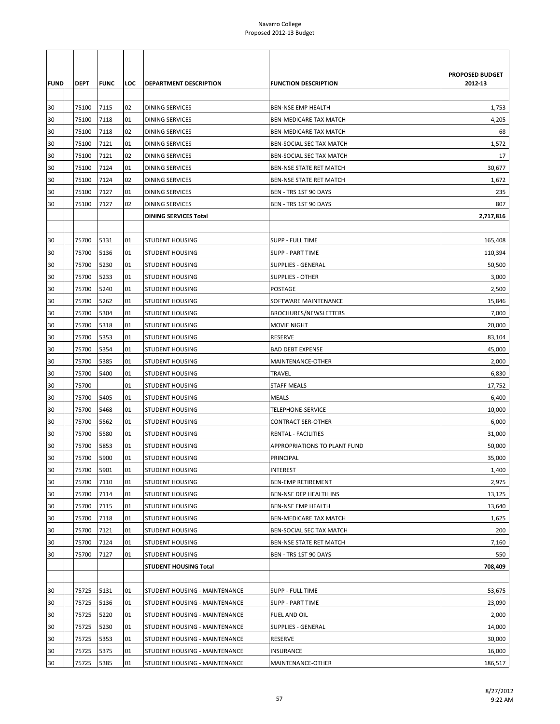| <b>FUND</b><br>30 | <b>DEPT</b><br>75100 | <b>FUNC</b><br>7115 | LOC<br>02 | <b>DEPARTMENT DESCRIPTION</b><br><b>DINING SERVICES</b> | <b>FUNCTION DESCRIPTION</b><br><b>BEN-NSE EMP HEALTH</b> | PROPOSED BUDGET<br>2012-13<br>1,753 |
|-------------------|----------------------|---------------------|-----------|---------------------------------------------------------|----------------------------------------------------------|-------------------------------------|
| 30                | 75100                | 7118                | 01        | <b>DINING SERVICES</b>                                  | <b>BEN-MEDICARE TAX MATCH</b>                            | 4,205                               |
| 30                | 75100                | 7118                | 02        | DINING SERVICES                                         | BEN-MEDICARE TAX MATCH                                   | 68                                  |
| 30                | 75100                | 7121                | 01        | <b>DINING SERVICES</b>                                  | BEN-SOCIAL SEC TAX MATCH                                 | 1,572                               |
| 30                | 75100                | 7121                | 02        | <b>DINING SERVICES</b>                                  | <b>BEN-SOCIAL SEC TAX MATCH</b>                          | 17                                  |
| 30                | 75100                | 7124                | 01        | <b>DINING SERVICES</b>                                  | BEN-NSE STATE RET MATCH                                  | 30,677                              |
| 30                | 75100                | 7124                | 02        | DINING SERVICES                                         | BEN-NSE STATE RET MATCH                                  | 1,672                               |
| 30                | 75100                | 7127                | 01        | DINING SERVICES                                         | BEN - TRS 1ST 90 DAYS                                    | 235                                 |
| 30                | 75100                | 7127                | 02        | <b>DINING SERVICES</b>                                  | BEN - TRS 1ST 90 DAYS                                    | 807                                 |
|                   |                      |                     |           | <b>DINING SERVICES Total</b>                            |                                                          | 2,717,816                           |
|                   |                      |                     |           |                                                         |                                                          |                                     |
| 30                | 75700                | 5131                | 01        | <b>STUDENT HOUSING</b>                                  | <b>SUPP - FULL TIME</b>                                  | 165,408                             |
| 30                | 75700                | 5136                | 01        | <b>STUDENT HOUSING</b>                                  | <b>SUPP - PART TIME</b>                                  | 110,394                             |
| 30                | 75700                | 5230                | 01        | <b>STUDENT HOUSING</b>                                  | SUPPLIES - GENERAL                                       | 50,500                              |
| 30                | 75700                | 5233                | 01        | <b>STUDENT HOUSING</b>                                  | <b>SUPPLIES - OTHER</b>                                  | 3,000                               |
| 30                | 75700                | 5240                | 01        | <b>STUDENT HOUSING</b>                                  | POSTAGE                                                  | 2,500                               |
| 30                | 75700                | 5262                | 01        | <b>STUDENT HOUSING</b>                                  | SOFTWARE MAINTENANCE                                     | 15,846                              |
| 30                | 75700                | 5304                | 01        | <b>STUDENT HOUSING</b>                                  | BROCHURES/NEWSLETTERS                                    | 7,000                               |
| 30                | 75700                | 5318                | 01        | <b>STUDENT HOUSING</b>                                  | <b>MOVIE NIGHT</b>                                       | 20,000                              |
| 30                | 75700                | 5353                | 01        | <b>STUDENT HOUSING</b>                                  | RESERVE                                                  | 83,104                              |
| 30                | 75700                | 5354                | 01        | <b>STUDENT HOUSING</b>                                  | <b>BAD DEBT EXPENSE</b>                                  | 45,000                              |
| 30                | 75700                | 5385                | 01        | <b>STUDENT HOUSING</b>                                  | MAINTENANCE-OTHER                                        | 2,000                               |
| 30                | 75700                | 5400                | 01        | <b>STUDENT HOUSING</b>                                  | TRAVEL                                                   | 6,830                               |
| 30                | 75700                |                     | 01        | <b>STUDENT HOUSING</b>                                  | <b>STAFF MEALS</b>                                       | 17,752                              |
| 30                | 75700                | 5405                | 01        | <b>STUDENT HOUSING</b>                                  | <b>MEALS</b>                                             | 6,400                               |
| 30                | 75700                | 5468                | 01        | <b>STUDENT HOUSING</b>                                  | TELEPHONE-SERVICE                                        | 10,000                              |
| 30                | 75700                | 5562                | 01        | <b>STUDENT HOUSING</b>                                  | <b>CONTRACT SER-OTHER</b>                                | 6,000                               |
| 30                | 75700                | 5580                | 01        | <b>STUDENT HOUSING</b>                                  | RENTAL - FACILITIES                                      | 31,000                              |
| 30                | 75700                | 5853                | 01        | <b>STUDENT HOUSING</b>                                  | <b>APPROPRIATIONS TO PLANT FUND</b>                      | 50,000                              |
| 30                | 75700                | 5900                | 01        | <b>STUDENT HOUSING</b>                                  | PRINCIPAL                                                | 35,000                              |
| 30                | 75700                | 5901                | 01        | <b>STUDENT HOUSING</b>                                  | <b>INTEREST</b>                                          | 1,400                               |
| 30                | 75700                | 7110                | 01        | <b>STUDENT HOUSING</b>                                  | <b>BEN-EMP RETIREMENT</b>                                | 2,975                               |
| 30                | 75700                | 7114                | 01        | <b>STUDENT HOUSING</b>                                  | BEN-NSE DEP HEALTH INS                                   | 13,125                              |
| 30                | 75700                | 7115                | 01        | <b>STUDENT HOUSING</b>                                  | <b>BEN-NSE EMP HEALTH</b>                                | 13,640                              |
| 30                | 75700                | 7118                | 01        | <b>STUDENT HOUSING</b>                                  | BEN-MEDICARE TAX MATCH                                   | 1,625                               |
| 30                | 75700                | 7121                | 01        | <b>STUDENT HOUSING</b>                                  | BEN-SOCIAL SEC TAX MATCH                                 | 200                                 |
| 30                | 75700                | 7124                | 01        | <b>STUDENT HOUSING</b>                                  | <b>BEN-NSE STATE RET MATCH</b>                           | 7,160                               |
| 30                | 75700                | 7127                | 01        | <b>STUDENT HOUSING</b>                                  | BEN - TRS 1ST 90 DAYS                                    | 550                                 |
|                   |                      |                     |           | <b>STUDENT HOUSING Total</b>                            |                                                          | 708,409                             |
|                   |                      |                     |           |                                                         |                                                          |                                     |
| 30                | 75725                | 5131                | 01        | STUDENT HOUSING - MAINTENANCE                           | <b>SUPP - FULL TIME</b>                                  | 53,675                              |
| 30                | 75725                | 5136                | 01        | STUDENT HOUSING - MAINTENANCE                           | <b>SUPP - PART TIME</b>                                  | 23,090                              |
| 30                | 75725                | 5220                | 01        | STUDENT HOUSING - MAINTENANCE                           | FUEL AND OIL                                             | 2,000                               |
| 30                | 75725                | 5230                | 01        | STUDENT HOUSING - MAINTENANCE                           | <b>SUPPLIES - GENERAL</b>                                | 14,000                              |
| 30                | 75725                | 5353                | 01        | STUDENT HOUSING - MAINTENANCE                           | RESERVE                                                  | 30,000                              |
| 30                | 75725                | 5375                | 01        | STUDENT HOUSING - MAINTENANCE                           | <b>INSURANCE</b>                                         | 16,000                              |
| 30                | 75725                | 5385                | 01        | STUDENT HOUSING - MAINTENANCE                           | MAINTENANCE-OTHER                                        | 186,517                             |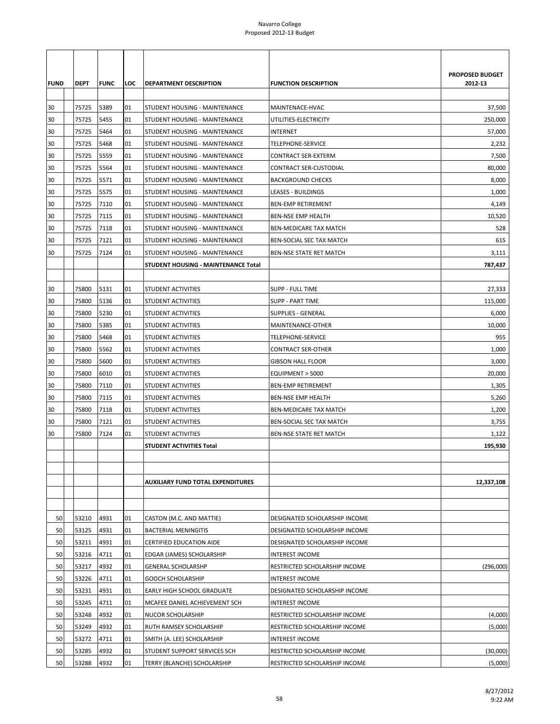|             |             |             |     |                                            |                                 | <b>PROPOSED BUDGET</b> |
|-------------|-------------|-------------|-----|--------------------------------------------|---------------------------------|------------------------|
| <b>FUND</b> | <b>DEPT</b> | <b>FUNC</b> | LOC | <b>DEPARTMENT DESCRIPTION</b>              | <b>FUNCTION DESCRIPTION</b>     | 2012-13                |
|             |             |             |     |                                            |                                 |                        |
| 30          | 75725       | 5389        | 01  | STUDENT HOUSING - MAINTENANCE              | MAINTENACE-HVAC                 | 37,500                 |
| 30          | 75725       | 5455        | 01  | STUDENT HOUSING - MAINTENANCE              | UTILITIES-ELECTRICITY           | 250,000                |
| 30          | 75725       | 5464        | 01  | STUDENT HOUSING - MAINTENANCE              | <b>INTERNET</b>                 | 57,000                 |
| 30          | 75725       | 5468        | 01  | STUDENT HOUSING - MAINTENANCE              | TELEPHONE-SERVICE               | 2,232                  |
| 30          | 75725       | 5559        | 01  | STUDENT HOUSING - MAINTENANCE              | CONTRACT SER-EXTERM             | 7,500                  |
| 30          | 75725       | 5564        | 01  | STUDENT HOUSING - MAINTENANCE              | CONTRACT SER-CUSTODIAL          | 80,000                 |
| 30          | 75725       | 5571        | 01  | STUDENT HOUSING - MAINTENANCE              | <b>BACKGROUND CHECKS</b>        | 8,000                  |
| 30          | 75725       | 5575        | 01  | STUDENT HOUSING - MAINTENANCE              | LEASES - BUILDINGS              | 1,000                  |
| 30          | 75725       | 7110        | 01  | STUDENT HOUSING - MAINTENANCE              | <b>BEN-EMP RETIREMENT</b>       | 4,149                  |
| 30          | 75725       | 7115        | 01  | STUDENT HOUSING - MAINTENANCE              | <b>BEN-NSE EMP HEALTH</b>       | 10,520                 |
| 30          | 75725       | 7118        | 01  | STUDENT HOUSING - MAINTENANCE              | <b>BEN-MEDICARE TAX MATCH</b>   | 528                    |
| 30          | 75725       | 7121        | 01  | STUDENT HOUSING - MAINTENANCE              | <b>BEN-SOCIAL SEC TAX MATCH</b> | 615                    |
| 30          | 75725       | 7124        | 01  | STUDENT HOUSING - MAINTENANCE              | <b>BEN-NSE STATE RET MATCH</b>  | 3,111                  |
|             |             |             |     | <b>STUDENT HOUSING - MAINTENANCE Total</b> |                                 | 787,437                |
|             |             |             |     |                                            |                                 |                        |
| 30          | 75800       | 5131        | 01  | <b>STUDENT ACTIVITIES</b>                  | <b>SUPP - FULL TIME</b>         | 27,333                 |
| 30          | 75800       | 5136        | 01  | <b>STUDENT ACTIVITIES</b>                  | <b>SUPP - PART TIME</b>         | 115,000                |
| 30          | 75800       | 5230        | 01  | STUDENT ACTIVITIES                         | <b>SUPPLIES - GENERAL</b>       | 6,000                  |
| 30          | 75800       | 5385        | 01  | STUDENT ACTIVITIES                         | MAINTENANCE-OTHER               | 10,000                 |
| 30          | 75800       | 5468        | 01  | STUDENT ACTIVITIES                         | <b>TELEPHONE-SERVICE</b>        | 955                    |
| 30          | 75800       | 5562        | 01  | <b>STUDENT ACTIVITIES</b>                  | <b>CONTRACT SER-OTHER</b>       | 1,000                  |
| 30          | 75800       | 5600        | 01  | <b>STUDENT ACTIVITIES</b>                  | <b>GIBSON HALL FLOOR</b>        | 3,000                  |
| 30          | 75800       | 6010        | 01  | STUDENT ACTIVITIES                         | EQUIPMENT > 5000                | 20,000                 |
| 30          | 75800       | 7110        | 01  | STUDENT ACTIVITIES                         | <b>BEN-EMP RETIREMENT</b>       | 1,305                  |
| 30          | 75800       | 7115        | 01  | STUDENT ACTIVITIES                         | <b>BEN-NSE EMP HEALTH</b>       | 5,260                  |
| 30          | 75800       | 7118        | 01  | STUDENT ACTIVITIES                         | <b>BEN-MEDICARE TAX MATCH</b>   | 1,200                  |
| 30          | 75800       | 7121        | 01  | <b>STUDENT ACTIVITIES</b>                  | <b>BEN-SOCIAL SEC TAX MATCH</b> | 3,755                  |
| 30          | 75800       | 7124        | 01  | STUDENT ACTIVITIES                         | <b>BEN-NSE STATE RET MATCH</b>  | 1,122                  |
|             |             |             |     | STUDENT ACTIVITIES Total                   |                                 | 195,930                |
|             |             |             |     |                                            |                                 |                        |
|             |             |             |     |                                            |                                 |                        |
|             |             |             |     | <b>AUXILIARY FUND TOTAL EXPENDITURES</b>   |                                 | 12,337,108             |
|             |             |             |     |                                            |                                 |                        |
|             |             |             |     |                                            |                                 |                        |
| 50          | 53210       | 4931        | 01  | CASTON (M.C. AND MATTIE)                   | DESIGNATED SCHOLARSHIP INCOME   |                        |
| 50          | 53125       | 4931        | 01  | <b>BACTERIAL MENINGITIS</b>                | DESIGNATED SCHOLARSHIP INCOME   |                        |
| 50          | 53211       | 4931        | 01  | <b>CERTIFIED EDUCATION AIDE</b>            | DESIGNATED SCHOLARSHIP INCOME   |                        |
| 50          | 53216       | 4711        | 01  | EDGAR (JAMES) SCHOLARSHIP                  | <b>INTEREST INCOME</b>          |                        |
| 50          | 53217       | 4932        | 01  | <b>GENERAL SCHOLARSHP</b>                  | RESTRICTED SCHOLARSHIP INCOME   | (296,000)              |
| 50          | 53226       | 4711        | 01  | <b>GOOCH SCHOLARSHIP</b>                   | INTEREST INCOME                 |                        |
| 50          | 53231       | 4931        | 01  | EARLY HIGH SCHOOL GRADUATE                 | DESIGNATED SCHOLARSHIP INCOME   |                        |
| 50          | 53245       | 4711        | 01  | MCAFEE DANIEL ACHIEVEMENT SCH              | <b>INTEREST INCOME</b>          |                        |
| 50          | 53248       | 4932        | 01  | NUCOR SCHOLARSHIP                          | RESTRICTED SCHOLARSHIP INCOME   | (4,000)                |
| 50          | 53249       | 4932        | 01  | RUTH RAMSEY SCHOLARSHIP                    | RESTRICTED SCHOLARSHIP INCOME   | (5,000)                |
| 50          | 53272       | 4711        | 01  | SMITH (A. LEE) SCHOLARSHIP                 | INTEREST INCOME                 |                        |
| 50          | 53285       | 4932        | 01  | STUDENT SUPPORT SERVICES SCH               | RESTRICTED SCHOLARSHIP INCOME   | (30,000)               |
| 50          | 53288       | 4932        | 01  | TERRY (BLANCHE) SCHOLARSHIP                | RESTRICTED SCHOLARSHIP INCOME   | (5,000)                |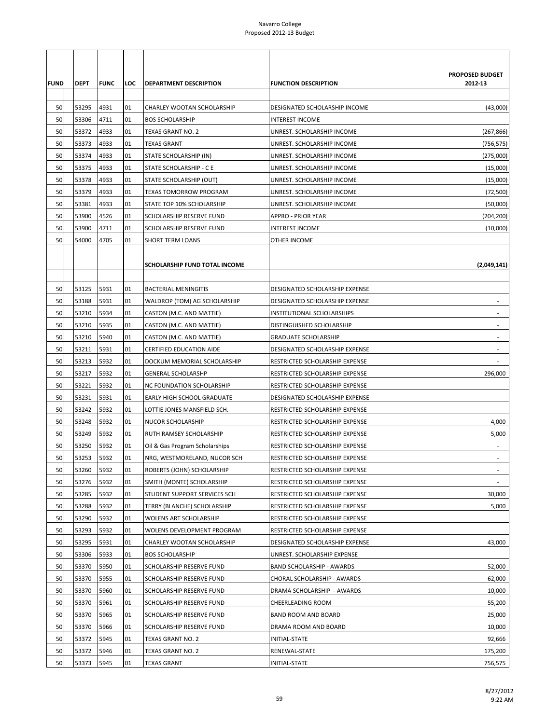| <b>FUND</b> | <b>DEPT</b> | <b>FUNC</b> | LOC | DEPARTMENT DESCRIPTION               | <b>FUNCTION DESCRIPTION</b>      | <b>PROPOSED BUDGET</b><br>2012-13 |
|-------------|-------------|-------------|-----|--------------------------------------|----------------------------------|-----------------------------------|
| 50          | 53295       | 4931        | 01  | CHARLEY WOOTAN SCHOLARSHIP           | DESIGNATED SCHOLARSHIP INCOME    | (43,000)                          |
| 50          | 53306       | 4711        | 01  | <b>BOS SCHOLARSHIP</b>               | <b>INTEREST INCOME</b>           |                                   |
| 50          | 53372       | 4933        | 01  | TEXAS GRANT NO. 2                    | UNREST. SCHOLARSHIP INCOME       | (267, 866)                        |
| 50          | 53373       | 4933        | 01  | <b>TEXAS GRANT</b>                   | UNREST. SCHOLARSHIP INCOME       | (756,575)                         |
| 50          | 53374       | 4933        | 01  | STATE SCHOLARSHIP (IN)               | UNREST. SCHOLARSHIP INCOME       | (275,000)                         |
| 50          | 53375       | 4933        | 01  | STATE SCHOLARSHIP - C E              | UNREST. SCHOLARSHIP INCOME       | (15,000)                          |
| 50          | 53378       | 4933        | 01  | STATE SCHOLARSHIP (OUT)              | UNREST. SCHOLARSHIP INCOME       | (15,000)                          |
| 50          | 53379       | 4933        | 01  | TEXAS TOMORROW PROGRAM               | UNREST. SCHOLARSHIP INCOME       | (72, 500)                         |
| 50          | 53381       | 4933        | 01  | STATE TOP 10% SCHOLARSHIP            | UNREST. SCHOLARSHIP INCOME       | (50,000)                          |
| 50          | 53900       | 4526        | 01  | SCHOLARSHIP RESERVE FUND             | APPRO - PRIOR YEAR               | (204, 200)                        |
| 50          | 53900       | 4711        | 01  | SCHOLARSHIP RESERVE FUND             | <b>INTEREST INCOME</b>           | (10,000)                          |
| 50          | 54000       | 4705        | 01  | SHORT TERM LOANS                     | OTHER INCOME                     |                                   |
|             |             |             |     | <b>SCHOLARSHIP FUND TOTAL INCOME</b> |                                  | (2,049,141)                       |
| 50          | 53125       | 5931        | 01  | <b>BACTERIAL MENINGITIS</b>          | DESIGNATED SCHOLARSHIP EXPENSE   |                                   |
| 50          | 53188       | 5931        | 01  | WALDROP (TOM) AG SCHOLARSHIP         | DESIGNATED SCHOLARSHIP EXPENSE   |                                   |
| 50          | 53210       | 5934        | 01  | CASTON (M.C. AND MATTIE)             | INSTITUTIONAL SCHOLARSHIPS       |                                   |
| 50          | 53210       | 5935        | 01  | CASTON (M.C. AND MATTIE)             | DISTINGUISHED SCHOLARSHIP        |                                   |
| 50          | 53210       | 5940        | 01  | CASTON (M.C. AND MATTIE)             | <b>GRADUATE SCHOLARSHIP</b>      |                                   |
| 50          | 53211       | 5931        | 01  | CERTIFIED EDUCATION AIDE             | DESIGNATED SCHOLARSHIP EXPENSE   | $\overline{\phantom{a}}$          |
| 50          | 53213       | 5932        | 01  | DOCKUM MEMORIAL SCHOLARSHIP          | RESTRICTED SCHOLARSHIP EXPENSE   |                                   |
| 50          | 53217       | 5932        | 01  | <b>GENERAL SCHOLARSHP</b>            | RESTRICTED SCHOLARSHIP EXPENSE   | 296,000                           |
| 50          | 53221       | 5932        | 01  | NC FOUNDATION SCHOLARSHIP            | RESTRICTED SCHOLARSHIP EXPENSE   |                                   |
| 50          | 53231       | 5931        | 01  | EARLY HIGH SCHOOL GRADUATE           | DESIGNATED SCHOLARSHIP EXPENSE   |                                   |
| 50          | 53242       | 5932        | 01  | LOTTIE JONES MANSFIELD SCH.          | RESTRICTED SCHOLARSHIP EXPENSE   |                                   |
| 50          | 53248       | 5932        | 01  | NUCOR SCHOLARSHIP                    | RESTRICTED SCHOLARSHIP EXPENSE   | 4,000                             |
| 50          | 53249       | 5932        | 01  | RUTH RAMSEY SCHOLARSHIP              | RESTRICTED SCHOLARSHIP EXPENSE   | 5,000                             |
| 50          | 53250       | 5932        | 01  | Oil & Gas Program Scholarships       | RESTRICTED SCHOLARSHIP EXPENSE   |                                   |
| 50          | 53253       | 5932        | 01  | NRG, WESTMORELAND, NUCOR SCH         | RESTRICTED SCHOLARSHIP EXPENSE   |                                   |
| 50          | 53260       | 5932        | 01  | ROBERTS (JOHN) SCHOLARSHIP           | RESTRICTED SCHOLARSHIP EXPENSE   | $\overline{\phantom{a}}$          |
| 50          | 53276       | 5932        | 01  | SMITH (MONTE) SCHOLARSHIP            | RESTRICTED SCHOLARSHIP EXPENSE   |                                   |
| 50          | 53285       | 5932        | 01  | STUDENT SUPPORT SERVICES SCH         | RESTRICTED SCHOLARSHIP EXPENSE   | 30,000                            |
| 50          | 53288       | 5932        | 01  | TERRY (BLANCHE) SCHOLARSHIP          | RESTRICTED SCHOLARSHIP EXPENSE   | 5,000                             |
| 50          | 53290       | 5932        | 01  | <b>WOLENS ART SCHOLARSHIP</b>        | RESTRICTED SCHOLARSHIP EXPENSE   |                                   |
| 50          | 53293       | 5932        | 01  | WOLENS DEVELOPMENT PROGRAM           | RESTRICTED SCHOLARSHIP EXPENSE   |                                   |
| 50          | 53295       | 5931        | 01  | CHARLEY WOOTAN SCHOLARSHIP           | DESIGNATED SCHOLARSHIP EXPENSE   | 43,000                            |
| 50          | 53306       | 5933        | 01  | <b>BOS SCHOLARSHIP</b>               | UNREST. SCHOLARSHIP EXPENSE      |                                   |
| 50          | 53370       | 5950        | 01  | SCHOLARSHIP RESERVE FUND             | <b>BAND SCHOLARSHIP - AWARDS</b> | 52,000                            |
| 50          | 53370       | 5955        | 01  | SCHOLARSHIP RESERVE FUND             | CHORAL SCHOLARSHIP - AWARDS      | 62,000                            |
| 50          | 53370       | 5960        | 01  | SCHOLARSHIP RESERVE FUND             | DRAMA SCHOLARSHIP - AWARDS       | 10,000                            |
| 50          | 53370       | 5961        | 01  | SCHOLARSHIP RESERVE FUND             | CHEERLEADING ROOM                | 55,200                            |
| 50          | 53370       | 5965        | 01  | SCHOLARSHIP RESERVE FUND             | BAND ROOM AND BOARD              | 25,000                            |
| 50          | 53370       | 5966        | 01  | SCHOLARSHIP RESERVE FUND             | DRAMA ROOM AND BOARD             | 10,000                            |
| 50          | 53372       | 5945        | 01  | TEXAS GRANT NO. 2                    | INITIAL-STATE                    | 92,666                            |
| 50          | 53372       | 5946        | 01  | TEXAS GRANT NO. 2                    | RENEWAL-STATE                    | 175,200                           |
| 50          | 53373       | 5945        | 01  | <b>TEXAS GRANT</b>                   | INITIAL-STATE                    | 756,575                           |